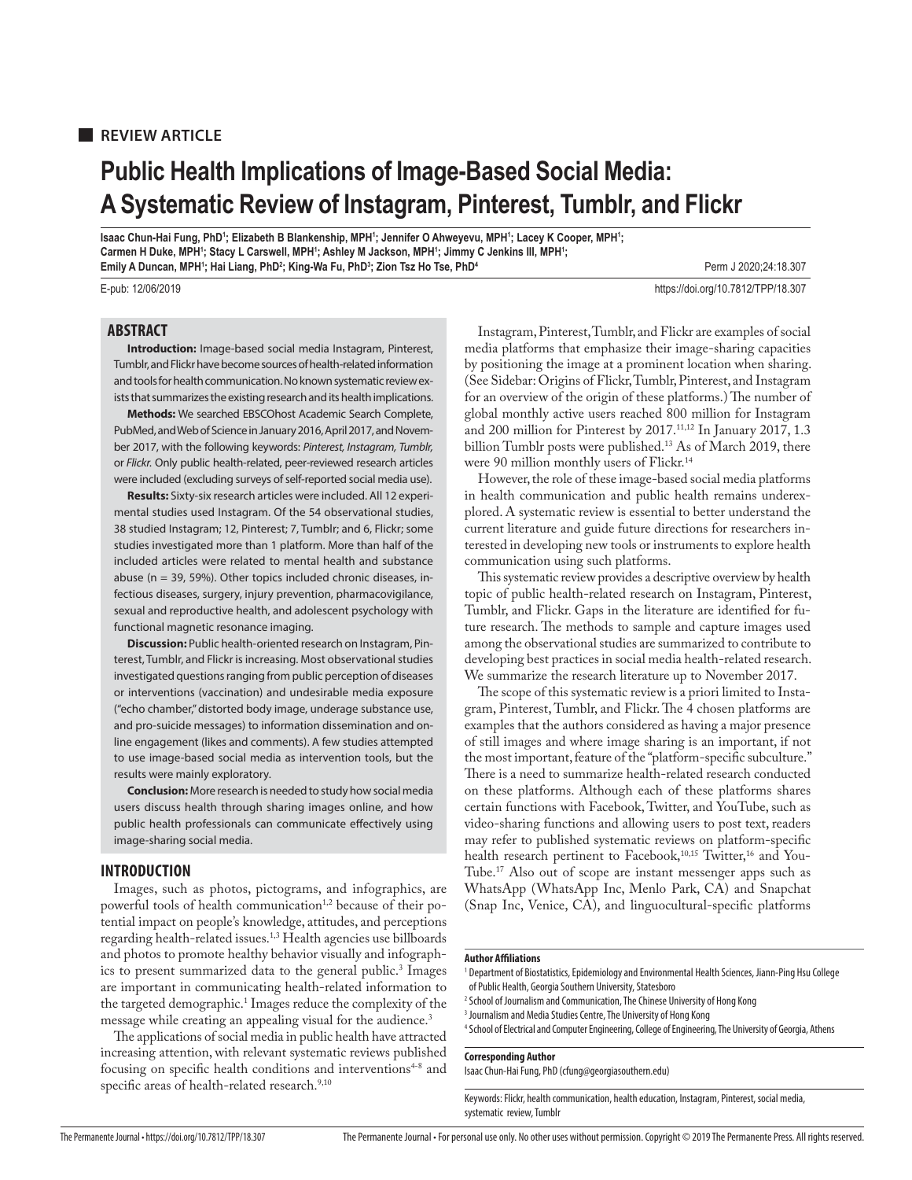### **REVIEW ARTICLE**

## **Public Health Implications of Image-Based Social Media: A Systematic Review of Instagram, Pinterest, Tumblr, and Flickr**

Isaac Chun-Hai Fung, PhD'; Elizabeth B Blankenship, MPH'; Jennifer O Ahweyevu, MPH'; Lacey K Cooper, MPH'; **Carmen H Duke, MPH1 ; Stacy L Carswell, MPH1 ; Ashley M Jackson, MPH1 ; Jimmy C Jenkins III, MPH1 ; Emily A Duncan, MPH1; Hai Liang, PhD<sup>2</sup>; King-Wa Fu, PhD<sup>3</sup>; Zion Tsz Ho Tse, PhD<sup>4</sup> Perm J 2020;24:18.307** 

E-pub: 12/06/2019 https://doi.org/10.7812/TPP/18.307

### **ABSTRACT**

**Introduction:** Image-based social media Instagram, Pinterest, Tumblr, and Flickr have become sources of health-related information and tools for health communication. No known systematic review exists that summarizes the existing research and its health implications.

**Methods:** We searched EBSCOhost Academic Search Complete, PubMed, and Web of Science in January 2016, April 2017, and November 2017, with the following keywords: Pinterest, Instagram, Tumblr, or Flickr. Only public health-related, peer-reviewed research articles were included (excluding surveys of self-reported social media use).

**Results:** Sixty-six research articles were included. All 12 experimental studies used Instagram. Of the 54 observational studies, 38 studied Instagram; 12, Pinterest; 7, Tumblr; and 6, Flickr; some studies investigated more than 1 platform. More than half of the included articles were related to mental health and substance abuse (n = 39, 59%). Other topics included chronic diseases, infectious diseases, surgery, injury prevention, pharmacovigilance, sexual and reproductive health, and adolescent psychology with functional magnetic resonance imaging.

**Discussion:** Public health-oriented research on Instagram, Pinterest, Tumblr, and Flickr is increasing. Most observational studies investigated questions ranging from public perception of diseases or interventions (vaccination) and undesirable media exposure ("echo chamber," distorted body image, underage substance use, and pro-suicide messages) to information dissemination and online engagement (likes and comments). A few studies attempted to use image-based social media as intervention tools, but the results were mainly exploratory.

**Conclusion:** More research is needed to study how social media users discuss health through sharing images online, and how public health professionals can communicate effectively using image-sharing social media.

### **INTRODUCTION**

Images, such as photos, pictograms, and infographics, are powerful tools of health communication<sup>1,2</sup> because of their potential impact on people's knowledge, attitudes, and perceptions regarding health-related issues.1,3 Health agencies use billboards and photos to promote healthy behavior visually and infographics to present summarized data to the general public.<sup>3</sup> Images are important in communicating health-related information to the targeted demographic.1 Images reduce the complexity of the message while creating an appealing visual for the audience.<sup>3</sup>

The applications of social media in public health have attracted increasing attention, with relevant systematic reviews published focusing on specific health conditions and interventions<sup>4-8</sup> and specific areas of health-related research.<sup>9,10</sup>

Instagram, Pinterest, Tumblr, and Flickr are examples of social media platforms that emphasize their image-sharing capacities by positioning the image at a prominent location when sharing. (See Sidebar: Origins of Flickr, Tumblr, Pinterest, and Instagram for an overview of the origin of these platforms.) The number of global monthly active users reached 800 million for Instagram and 200 million for Pinterest by 2017.<sup>11,12</sup> In January 2017, 1.3 billion Tumblr posts were published.13 As of March 2019, there were 90 million monthly users of Flickr.14

However, the role of these image-based social media platforms in health communication and public health remains underexplored. A systematic review is essential to better understand the current literature and guide future directions for researchers interested in developing new tools or instruments to explore health communication using such platforms.

This systematic review provides a descriptive overview by health topic of public health-related research on Instagram, Pinterest, Tumblr, and Flickr. Gaps in the literature are identified for future research. The methods to sample and capture images used among the observational studies are summarized to contribute to developing best practices in social media health-related research. We summarize the research literature up to November 2017.

The scope of this systematic review is a priori limited to Instagram, Pinterest, Tumblr, and Flickr. The 4 chosen platforms are examples that the authors considered as having a major presence of still images and where image sharing is an important, if not the most important, feature of the "platform-specific subculture." There is a need to summarize health-related research conducted on these platforms. Although each of these platforms shares certain functions with Facebook, Twitter, and YouTube, such as video-sharing functions and allowing users to post text, readers may refer to published systematic reviews on platform-specific health research pertinent to Facebook,<sup>10,15</sup> Twitter,<sup>16</sup> and You-Tube.17 Also out of scope are instant messenger apps such as WhatsApp (WhatsApp Inc, Menlo Park, CA) and Snapchat (Snap Inc, Venice, CA), and linguocultural-specific platforms

### **Author Affiliations**

<sup>1</sup> Department of Biostatistics, Epidemiology and Environmental Health Sciences, Jiann-Ping Hsu College of Public Health, Georgia Southern University, Statesboro

- 2 School of Journalism and Communication, The Chinese University of Hong Kong
- 3 Journalism and Media Studies Centre, The University of Hong Kong

4 School of Electrical and Computer Engineering, College of Engineering, The University of Georgia, Athens

### **Corresponding Author**

Isaac Chun-Hai Fung, PhD (cfung@georgiasouthern.edu)

Keywords: Flickr, health communication, health education, Instagram, Pinterest, social media, systematic review, Tumblr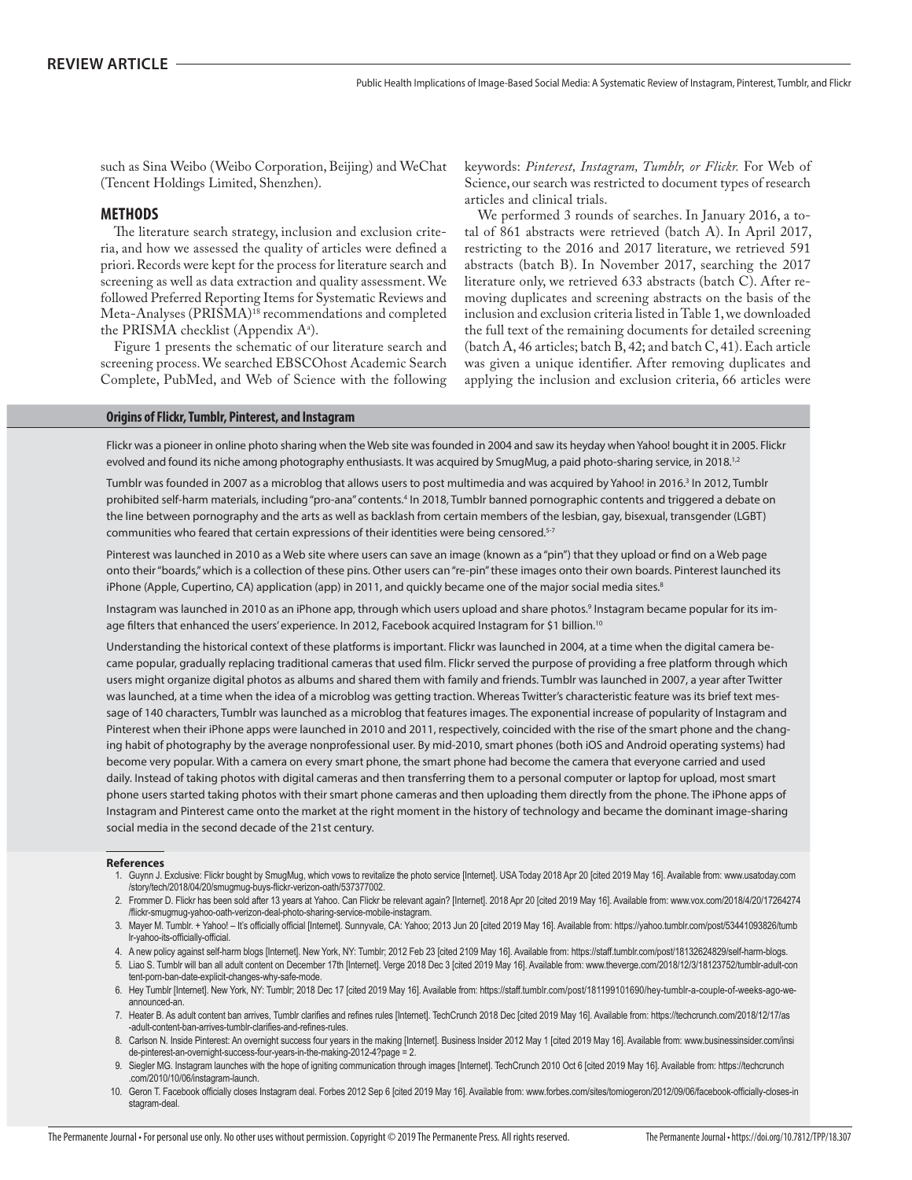such as Sina Weibo (Weibo Corporation, Beijing) and WeChat (Tencent Holdings Limited, Shenzhen).

### **METHODS**

The literature search strategy, inclusion and exclusion criteria, and how we assessed the quality of articles were defined a priori. Records were kept for the process for literature search and screening as well as data extraction and quality assessment. We followed Preferred Reporting Items for Systematic Reviews and Meta-Analyses (PRISMA)<sup>18</sup> recommendations and completed the PRISMA checklist (Appendix Aª).

Figure 1 presents the schematic of our literature search and screening process. We searched EBSCOhost Academic Search Complete, PubMed, and Web of Science with the following keywords: *Pinterest, Instagram, Tumblr, or Flickr.* For Web of Science, our search was restricted to document types of research articles and clinical trials.

We performed 3 rounds of searches. In January 2016, a total of 861 abstracts were retrieved (batch A). In April 2017, restricting to the 2016 and 2017 literature, we retrieved 591 abstracts (batch B). In November 2017, searching the 2017 literature only, we retrieved 633 abstracts (batch C). After removing duplicates and screening abstracts on the basis of the inclusion and exclusion criteria listed in Table 1, we downloaded the full text of the remaining documents for detailed screening (batch A, 46 articles; batch B, 42; and batch C, 41). Each article was given a unique identifier. After removing duplicates and applying the inclusion and exclusion criteria, 66 articles were

### **Origins of Flickr, Tumblr, Pinterest, and Instagram**

Flickr was a pioneer in online photo sharing when the Web site was founded in 2004 and saw its heyday when Yahoo! bought it in 2005. Flickr evolved and found its niche among photography enthusiasts. It was acquired by SmugMug, a paid photo-sharing service, in 2018.<sup>1,2</sup>

Tumblr was founded in 2007 as a microblog that allows users to post multimedia and was acquired by Yahoo! in 2016.<sup>3</sup> In 2012, Tumblr prohibited self-harm materials, including "pro-ana" contents.<sup>4</sup> In 2018, Tumblr banned pornographic contents and triggered a debate on the line between pornography and the arts as well as backlash from certain members of the lesbian, gay, bisexual, transgender (LGBT) communities who feared that certain expressions of their identities were being censored.<sup>5-7</sup>

Pinterest was launched in 2010 as a Web site where users can save an image (known as a "pin") that they upload or find on a Web page onto their "boards," which is a collection of these pins. Other users can "re-pin" these images onto their own boards. Pinterest launched its iPhone (Apple, Cupertino, CA) application (app) in 2011, and quickly became one of the major social media sites.<sup>8</sup>

Instagram was launched in 2010 as an iPhone app, through which users upload and share photos.<sup>9</sup> Instagram became popular for its image filters that enhanced the users' experience. In 2012, Facebook acquired Instagram for \$1 billion.<sup>10</sup>

Understanding the historical context of these platforms is important. Flickr was launched in 2004, at a time when the digital camera became popular, gradually replacing traditional cameras that used film. Flickr served the purpose of providing a free platform through which users might organize digital photos as albums and shared them with family and friends. Tumblr was launched in 2007, a year after Twitter was launched, at a time when the idea of a microblog was getting traction. Whereas Twitter's characteristic feature was its brief text message of 140 characters, Tumblr was launched as a microblog that features images. The exponential increase of popularity of Instagram and Pinterest when their iPhone apps were launched in 2010 and 2011, respectively, coincided with the rise of the smart phone and the changing habit of photography by the average nonprofessional user. By mid-2010, smart phones (both iOS and Android operating systems) had become very popular. With a camera on every smart phone, the smart phone had become the camera that everyone carried and used daily. Instead of taking photos with digital cameras and then transferring them to a personal computer or laptop for upload, most smart phone users started taking photos with their smart phone cameras and then uploading them directly from the phone. The iPhone apps of Instagram and Pinterest came onto the market at the right moment in the history of technology and became the dominant image-sharing social media in the second decade of the 21st century.

### **References**

- 1. Guynn J. Exclusive: Flickr bought by SmugMug, which vows to revitalize the photo service [Internet]. USA Today 2018 Apr 20 [cited 2019 May 16]. Available from: www.usatoday.com /story/tech/2018/04/20/smugmug-buys-flickr-verizon-oath/537377002.
- 2. Frommer D. Flickr has been sold after 13 years at Yahoo. Can Flickr be relevant again? [Internet]. 2018 Apr 20 [cited 2019 May 16]. Available from: www.vox.com/2018/4/20/17264274 /flickr-smugmug-yahoo-oath-verizon-deal-photo-sharing-service-mobile-instagram.
- 3. Mayer M. Tumblr. + Yahoo! It's officially official [Internet]. Sunnyvale, CA: Yahoo; 2013 Jun 20 [cited 2019 May 16]. Available from: https://yahoo.tumblr.com/post/53441093826/tumb Ir-yahoo-its-officially-official.
- 4. A new policy against self-harm blogs [Internet]. New York, NY: Tumblr; 2012 Feb 23 [cited 2109 May 16]. Available from: https://staff.tumblr.com/post/18132624829/self-harm-blogs.
- 5. Liao S. Tumblr will ban all adult content on December 17th [Internet]. Verge 2018 Dec 3 [cited 2019 May 16]. Available from: www.theverge.com/2018/12/3/18123752/tumblr-adult-con tent-porn-ban-date-explicit-changes-why-safe-mode.
- 6. Hey Tumblr [Internet]. New York, NY: Tumblr; 2018 Dec 17 [cited 2019 May 16]. Available from: https://staff.tumblr.com/post/181199101690/hey-tumblr-a-couple-of-weeks-ago-weannounced-an.
- 7. Heater B. As adult content ban arrives, Tumblr clarifies and refines rules [Internet]. TechCrunch 2018 Dec [cited 2019 May 16]. Available from: https://techcrunch.com/2018/12/17/as -adult-content-ban-arrives-tumblr-clarifies-and-refines-rules.
- 8. Carlson N. Inside Pinterest: An overnight success four years in the making [Internet]. Business Insider 2012 May 1 [cited 2019 May 16]. Available from: www.businessinsider.com/insi de-pinterest-an-overnight-success-four-years-in-the-making-2012-4?page = 2.
- 9. Siegler MG. Instagram launches with the hope of igniting communication through images [Internet]. TechCrunch 2010 Oct 6 [cited 2019 May 16]. Available from: https://techcrunch .com/2010/10/06/instagram-launch.
- 10. Geron T. Facebook officially closes Instagram deal. Forbes 2012 Sep 6 [cited 2019 May 16]. Available from: www.forbes.com/sites/tomiogeron/2012/09/06/facebook-officially-closes-in stagram-deal.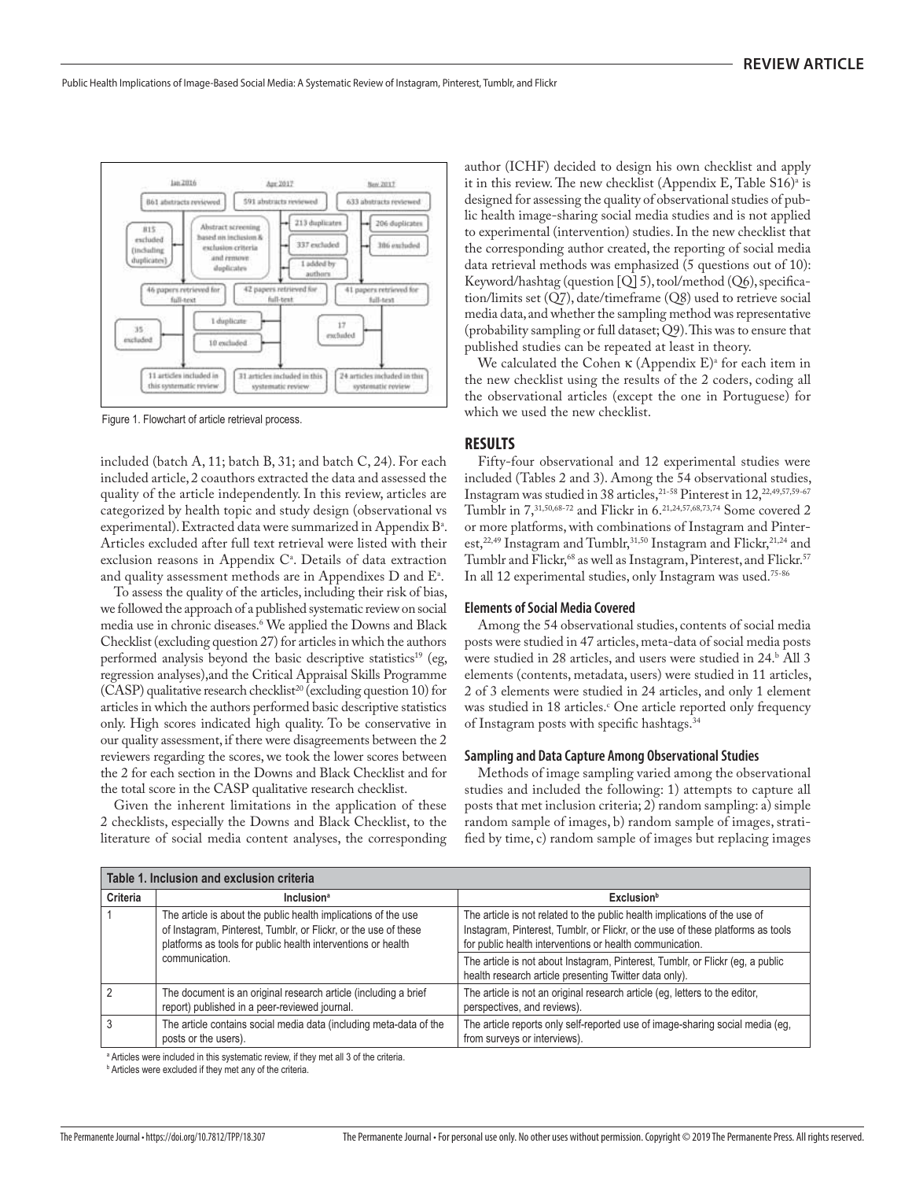

Figure 1. Flowchart of article retrieval process.

included (batch A, 11; batch B, 31; and batch C, 24). For each included article, 2 coauthors extracted the data and assessed the quality of the article independently. In this review, articles are categorized by health topic and study design (observational vs experimental). Extracted data were summarized in Appendix Bª. Articles excluded after full text retrieval were listed with their exclusion reasons in Appendix C<sup>a</sup>. Details of data extraction and quality assessment methods are in Appendixes D and  $\mathrm{E}^{\scriptscriptstyle\!}$  .

To assess the quality of the articles, including their risk of bias, we followed the approach of a published systematic review on social media use in chronic diseases.6 We applied the Downs and Black Checklist (excluding question 27) for articles in which the authors performed analysis beyond the basic descriptive statistics<sup>19</sup> (eg, regression analyses),and the Critical Appraisal Skills Programme  $(CASP)$  qualitative research checklist<sup>20</sup> (excluding question 10) for articles in which the authors performed basic descriptive statistics only. High scores indicated high quality. To be conservative in our quality assessment, if there were disagreements between the 2 reviewers regarding the scores, we took the lower scores between the 2 for each section in the Downs and Black Checklist and for the total score in the CASP qualitative research checklist.

Given the inherent limitations in the application of these 2 checklists, especially the Downs and Black Checklist, to the literature of social media content analyses, the corresponding author (ICHF) decided to design his own checklist and apply it in this review. The new checklist (Appendix E, Table  $\rm S16)^{\rm a}$  is designed for assessing the quality of observational studies of public health image-sharing social media studies and is not applied to experimental (intervention) studies. In the new checklist that the corresponding author created, the reporting of social media data retrieval methods was emphasized (5 questions out of 10): Keyword/hashtag (question [Q] 5), tool/method (Q6), specification/limits set (Q7), date/timeframe (Q8) used to retrieve social media data, and whether the sampling method was representative (probability sampling or full dataset; Q9). This was to ensure that published studies can be repeated at least in theory.

We calculated the Cohen  $\kappa$  (Appendix E)<sup>a</sup> for each item in the new checklist using the results of the 2 coders, coding all the observational articles (except the one in Portuguese) for which we used the new checklist.

### **RESULTS**

Fifty-four observational and 12 experimental studies were included (Tables 2 and 3). Among the 54 observational studies, Instagram was studied in 38 articles,  $21-58$  Pinterest in  $12$ ,  $22,49,57,59-67$ Tumblr in 7,31,50,68-72 and Flickr in 6.21,24,57,68,73,74 Some covered 2 or more platforms, with combinations of Instagram and Pinterest,<sup>22,49</sup> Instagram and Tumblr,<sup>31,50</sup> Instagram and Flickr,<sup>21,24</sup> and Tumblr and Flickr,<sup>68</sup> as well as Instagram, Pinterest, and Flickr.<sup>57</sup> In all 12 experimental studies, only Instagram was used.75-86

### **Elements of Social Media Covered**

Among the 54 observational studies, contents of social media posts were studied in 47 articles, meta-data of social media posts were studied in 28 articles, and users were studied in 24. All 3 elements (contents, metadata, users) were studied in 11 articles, 2 of 3 elements were studied in 24 articles, and only 1 element was studied in 18 articles.<sup>c</sup> One article reported only frequency of Instagram posts with specific hashtags.<sup>34</sup>

### **Sampling and Data Capture Among Observational Studies**

Methods of image sampling varied among the observational studies and included the following: 1) attempts to capture all posts that met inclusion criteria; 2) random sampling: a) simple random sample of images, b) random sample of images, stratified by time, c) random sample of images but replacing images

|          | Table 1. Inclusion and exclusion criteria                                                                                                                                                         |                                                                                                                                                                                                                           |
|----------|---------------------------------------------------------------------------------------------------------------------------------------------------------------------------------------------------|---------------------------------------------------------------------------------------------------------------------------------------------------------------------------------------------------------------------------|
| Criteria | <b>Inclusion</b> <sup>a</sup>                                                                                                                                                                     | Exclusion <sup>b</sup>                                                                                                                                                                                                    |
|          | The article is about the public health implications of the use<br>of Instagram, Pinterest, Tumblr, or Flickr, or the use of these<br>platforms as tools for public health interventions or health | The article is not related to the public health implications of the use of<br>Instagram, Pinterest, Tumblr, or Flickr, or the use of these platforms as tools<br>for public health interventions or health communication. |
|          | communication.                                                                                                                                                                                    | The article is not about Instagram, Pinterest, Tumblr, or Flickr (eg, a public<br>health research article presenting Twitter data only).                                                                                  |
| C        | The document is an original research article (including a brief<br>report) published in a peer-reviewed journal.                                                                                  | The article is not an original research article (eg, letters to the editor,<br>perspectives, and reviews).                                                                                                                |
|          | The article contains social media data (including meta-data of the<br>posts or the users).                                                                                                        | The article reports only self-reported use of image-sharing social media (eg,<br>from surveys or interviews).                                                                                                             |

<sup>a</sup> Articles were included in this systematic review, if they met all 3 of the criteria.

**b** Articles were excluded if they met any of the criteria.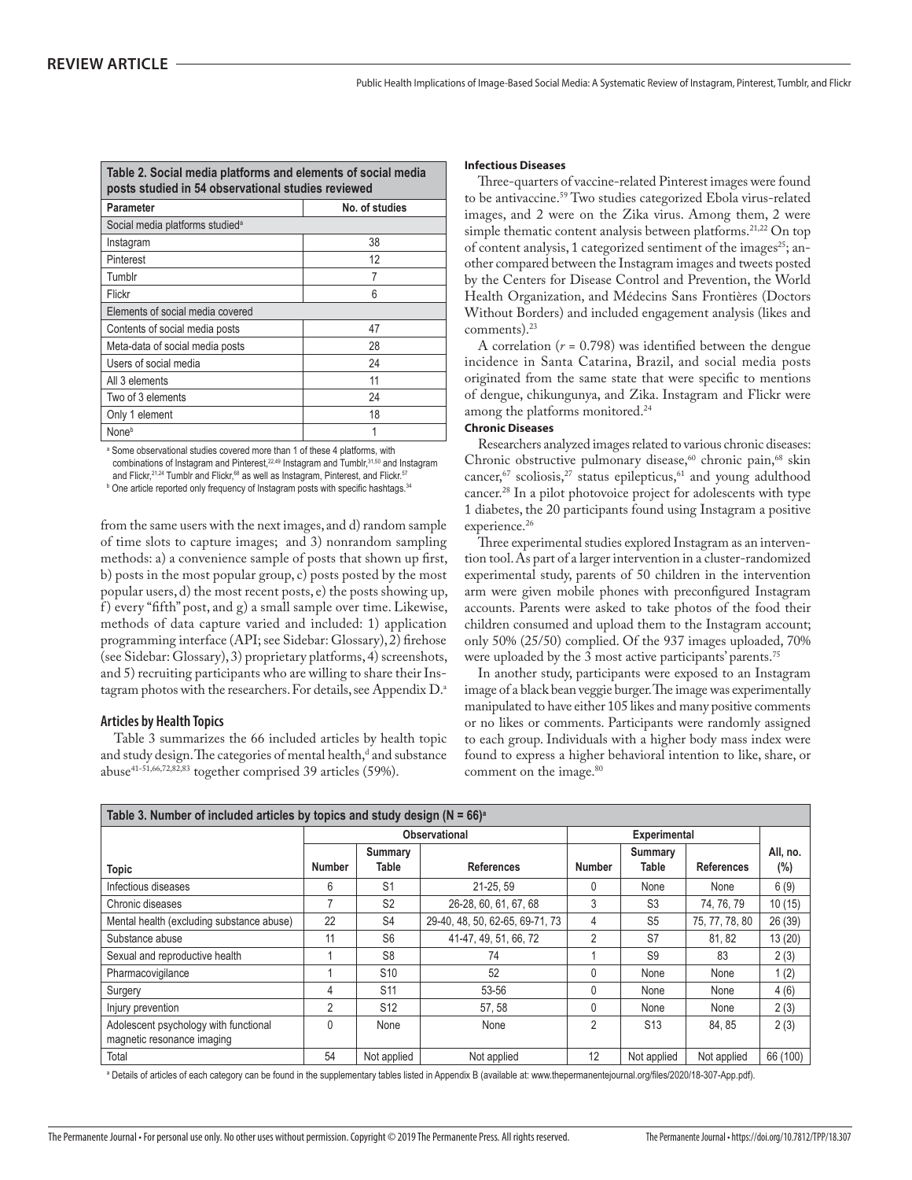| Table 2. Social media platforms and elements of social media<br>posts studied in 54 observational studies reviewed |                |
|--------------------------------------------------------------------------------------------------------------------|----------------|
| Parameter                                                                                                          | No. of studies |
| Social media platforms studied <sup>a</sup>                                                                        |                |
| Instagram                                                                                                          | 38             |
| Pinterest                                                                                                          | 12             |
| Tumblr                                                                                                             | 7              |
| Flickr                                                                                                             | 6              |
| Elements of social media covered                                                                                   |                |
| Contents of social media posts                                                                                     | 47             |
| Meta-data of social media posts                                                                                    | 28             |
| Users of social media                                                                                              | 24             |
| All 3 elements                                                                                                     | 11             |
| Two of 3 elements                                                                                                  | 24             |
| Only 1 element                                                                                                     | 18             |
| None <sup>b</sup>                                                                                                  |                |

<sup>a</sup> Some observational studies covered more than 1 of these 4 platforms, with combinations of Instagram and Pinterest,<sup>22,49</sup> Instagram and Tumblr,<sup>31,50</sup> and Instagram and Flickr,<sup>21,24</sup> Tumblr and Flickr,<sup>68</sup> as well as Instagram, Pinterest, and Flickr.<sup>57</sup>

<sup>b</sup> One article reported only frequency of Instagram posts with specific hashtags.<sup>34</sup>

from the same users with the next images, and d) random sample of time slots to capture images; and 3) nonrandom sampling methods: a) a convenience sample of posts that shown up first, b) posts in the most popular group, c) posts posted by the most popular users, d) the most recent posts, e) the posts showing up, f ) every "fifth" post, and g) a small sample over time. Likewise, methods of data capture varied and included: 1) application programming interface (API; see Sidebar: Glossary), 2) firehose (see Sidebar: Glossary), 3) proprietary platforms, 4) screenshots, and 5) recruiting participants who are willing to share their Instagram photos with the researchers. For details, see Appendix D.<sup>a</sup>

### **Articles by Health Topics**

Table 3 summarizes the 66 included articles by health topic and study design. The categories of mental health,<sup>d</sup> and substance abuse41-51,66,72,82,83 together comprised 39 articles (59%).

### **Infectious Diseases**

Three-quarters of vaccine-related Pinterest images were found to be antivaccine.<sup>59</sup> Two studies categorized Ebola virus-related images, and 2 were on the Zika virus. Among them, 2 were simple thematic content analysis between platforms.<sup>21,22</sup> On top of content analysis, 1 categorized sentiment of the images<sup>25</sup>; another compared between the Instagram images and tweets posted by the Centers for Disease Control and Prevention, the World Health Organization, and Médecins Sans Frontières (Doctors Without Borders) and included engagement analysis (likes and comments).<sup>23</sup>

A correlation  $(r = 0.798)$  was identified between the dengue incidence in Santa Catarina, Brazil, and social media posts originated from the same state that were specific to mentions of dengue, chikungunya, and Zika. Instagram and Flickr were among the platforms monitored.<sup>24</sup>

### **Chronic Diseases**

Researchers analyzed images related to various chronic diseases: Chronic obstructive pulmonary disease,<sup>60</sup> chronic pain,<sup>68</sup> skin cancer,<sup>67</sup> scoliosis,<sup>27</sup> status epilepticus,<sup>61</sup> and young adulthood cancer.28 In a pilot photovoice project for adolescents with type 1 diabetes, the 20 participants found using Instagram a positive experience.<sup>26</sup>

Three experimental studies explored Instagram as an intervention tool. As part of a larger intervention in a cluster-randomized experimental study, parents of 50 children in the intervention arm were given mobile phones with preconfigured Instagram accounts. Parents were asked to take photos of the food their children consumed and upload them to the Instagram account; only 50% (25/50) complied. Of the 937 images uploaded, 70% were uploaded by the 3 most active participants' parents.<sup>75</sup>

In another study, participants were exposed to an Instagram image of a black bean veggie burger. The image was experimentally manipulated to have either 105 likes and many positive comments or no likes or comments. Participants were randomly assigned to each group. Individuals with a higher body mass index were found to express a higher behavioral intention to like, share, or comment on the image.<sup>80</sup>

| Table 3. Number of included articles by topics and study design ( $N = 66$ ) <sup>a</sup> |               |                  |                                 |               |                                |                   |                    |
|-------------------------------------------------------------------------------------------|---------------|------------------|---------------------------------|---------------|--------------------------------|-------------------|--------------------|
|                                                                                           |               |                  | Observational                   |               | <b>Experimental</b>            |                   |                    |
| <b>Topic</b>                                                                              | <b>Number</b> | Summary<br>Table | <b>References</b>               | <b>Number</b> | <b>Summary</b><br><b>Table</b> | <b>References</b> | All, no.<br>$(\%)$ |
| Infectious diseases                                                                       | 6             | S <sub>1</sub>   | 21-25, 59                       | 0             | None                           | None              | 6(9)               |
| Chronic diseases                                                                          | 7             | S <sub>2</sub>   | 26-28, 60, 61, 67, 68           | 3             | S <sub>3</sub>                 | 74, 76, 79        | 10(15)             |
| Mental health (excluding substance abuse)                                                 | 22            | S <sub>4</sub>   | 29-40, 48, 50, 62-65, 69-71, 73 | 4             | S <sub>5</sub>                 | 75, 77, 78, 80    | 26 (39)            |
| Substance abuse                                                                           | 11            | S <sub>6</sub>   | 41-47, 49, 51, 66, 72           | 2             | S7                             | 81, 82            | 13 (20)            |
| Sexual and reproductive health                                                            |               | S <sub>8</sub>   | 74                              |               | S <sub>9</sub>                 | 83                | 2(3)               |
| Pharmacovigilance                                                                         |               | S <sub>10</sub>  | 52                              | $\Omega$      | None                           | None              | 1(2)               |
| Surgery                                                                                   | 4             | S <sub>11</sub>  | 53-56                           |               | None                           | None              | 4(6)               |
| Injury prevention                                                                         | 2             | S <sub>12</sub>  | 57, 58                          | 0             | None                           | None              | 2(3)               |
| Adolescent psychology with functional<br>magnetic resonance imaging                       | $\Omega$      | None             | None                            | 2             | S <sub>13</sub>                | 84.85             | 2(3)               |
| Total                                                                                     | 54            | Not applied      | Not applied                     | 12            | Not applied                    | Not applied       | 66 (100)           |

ª Details of articles of each category can be found in the supplementary tables listed in Appendix B (available at: www.thepermanentejournal.org/files/2020/18-307-App.pdf).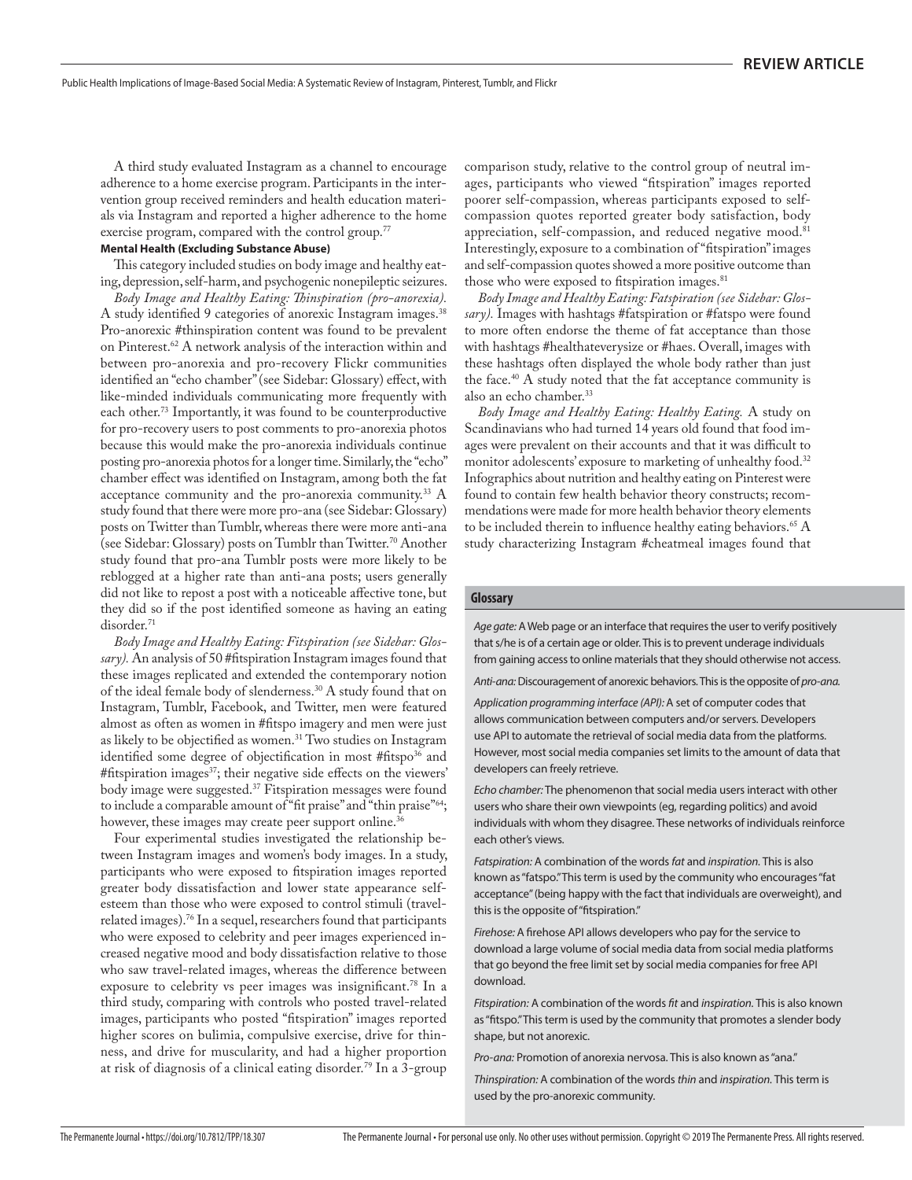A third study evaluated Instagram as a channel to encourage adherence to a home exercise program. Participants in the intervention group received reminders and health education materials via Instagram and reported a higher adherence to the home exercise program, compared with the control group.<sup>77</sup>

### **Mental Health (Excluding Substance Abuse)**

This category included studies on body image and healthy eating, depression, self-harm, and psychogenic nonepileptic seizures.

*Body Image and Healthy Eating: Thinspiration (pro-anorexia).*  A study identified 9 categories of anorexic Instagram images.<sup>38</sup> Pro-anorexic #thinspiration content was found to be prevalent on Pinterest.62 A network analysis of the interaction within and between pro-anorexia and pro-recovery Flickr communities identified an "echo chamber" (see Sidebar: Glossary) effect, with like-minded individuals communicating more frequently with each other.<sup>73</sup> Importantly, it was found to be counterproductive for pro-recovery users to post comments to pro-anorexia photos because this would make the pro-anorexia individuals continue posting pro-anorexia photos for a longer time. Similarly, the "echo" chamber effect was identified on Instagram, among both the fat acceptance community and the pro-anorexia community.33 A study found that there were more pro-ana (see Sidebar: Glossary) posts on Twitter than Tumblr, whereas there were more anti-ana (see Sidebar: Glossary) posts on Tumblr than Twitter.70 Another study found that pro-ana Tumblr posts were more likely to be reblogged at a higher rate than anti-ana posts; users generally did not like to repost a post with a noticeable affective tone, but they did so if the post identified someone as having an eating disorder.<sup>71</sup>

*Body Image and Healthy Eating: Fitspiration (see Sidebar: Glossary).* An analysis of 50 #fitspiration Instagram images found that these images replicated and extended the contemporary notion of the ideal female body of slenderness.30 A study found that on Instagram, Tumblr, Facebook, and Twitter, men were featured almost as often as women in #fitspo imagery and men were just as likely to be objectified as women.<sup>31</sup> Two studies on Instagram identified some degree of objectification in most #fitspo<sup>36</sup> and #fitspiration images<sup>37</sup>; their negative side effects on the viewers' body image were suggested.37 Fitspiration messages were found to include a comparable amount of "fit praise" and "thin praise"<sup>64</sup>; however, these images may create peer support online.<sup>36</sup>

Four experimental studies investigated the relationship between Instagram images and women's body images. In a study, participants who were exposed to fitspiration images reported greater body dissatisfaction and lower state appearance selfesteem than those who were exposed to control stimuli (travelrelated images).76 In a sequel, researchers found that participants who were exposed to celebrity and peer images experienced increased negative mood and body dissatisfaction relative to those who saw travel-related images, whereas the difference between exposure to celebrity vs peer images was insignificant.<sup>78</sup> In a third study, comparing with controls who posted travel-related images, participants who posted "fitspiration" images reported higher scores on bulimia, compulsive exercise, drive for thinness, and drive for muscularity, and had a higher proportion at risk of diagnosis of a clinical eating disorder.79 In a 3-group

comparison study, relative to the control group of neutral images, participants who viewed "fitspiration" images reported poorer self-compassion, whereas participants exposed to selfcompassion quotes reported greater body satisfaction, body appreciation, self-compassion, and reduced negative mood.<sup>81</sup> Interestingly, exposure to a combination of "fitspiration" images and self-compassion quotes showed a more positive outcome than those who were exposed to fitspiration images.<sup>81</sup>

*Body Image and Healthy Eating: Fatspiration (see Sidebar: Glossary).* Images with hashtags #fatspiration or #fatspo were found to more often endorse the theme of fat acceptance than those with hashtags #healthateverysize or #haes. Overall, images with these hashtags often displayed the whole body rather than just the face. $40$  A study noted that the fat acceptance community is also an echo chamber.<sup>33</sup>

*Body Image and Healthy Eating: Healthy Eating.* A study on Scandinavians who had turned 14 years old found that food images were prevalent on their accounts and that it was difficult to monitor adolescents' exposure to marketing of unhealthy food.<sup>32</sup> Infographics about nutrition and healthy eating on Pinterest were found to contain few health behavior theory constructs; recommendations were made for more health behavior theory elements to be included therein to influence healthy eating behaviors.<sup>65</sup>  $\rm A$ study characterizing Instagram #cheatmeal images found that

### **Glossary**

Age gate: A Web page or an interface that requires the user to verify positively that s/he is of a certain age or older. This is to prevent underage individuals from gaining access to online materials that they should otherwise not access.

Anti-ana: Discouragement of anorexic behaviors. This is the opposite of pro-ana.

Application programming interface (API): A set of computer codes that allows communication between computers and/or servers. Developers use API to automate the retrieval of social media data from the platforms. However, most social media companies set limits to the amount of data that developers can freely retrieve.

Echo chamber: The phenomenon that social media users interact with other users who share their own viewpoints (eg, regarding politics) and avoid individuals with whom they disagree. These networks of individuals reinforce each other's views.

Fatspiration: A combination of the words fat and inspiration. This is also known as "fatspo." This term is used by the community who encourages "fat acceptance" (being happy with the fact that individuals are overweight), and this is the opposite of "fitspiration."

Firehose: A firehose API allows developers who pay for the service to download a large volume of social media data from social media platforms that go beyond the free limit set by social media companies for free API download.

Fitspiration: A combination of the words fit and inspiration. This is also known as "fitspo." This term is used by the community that promotes a slender body shape, but not anorexic.

Pro-ana: Promotion of anorexia nervosa. This is also known as "ana."

Thinspiration: A combination of the words thin and inspiration. This term is used by the pro-anorexic community.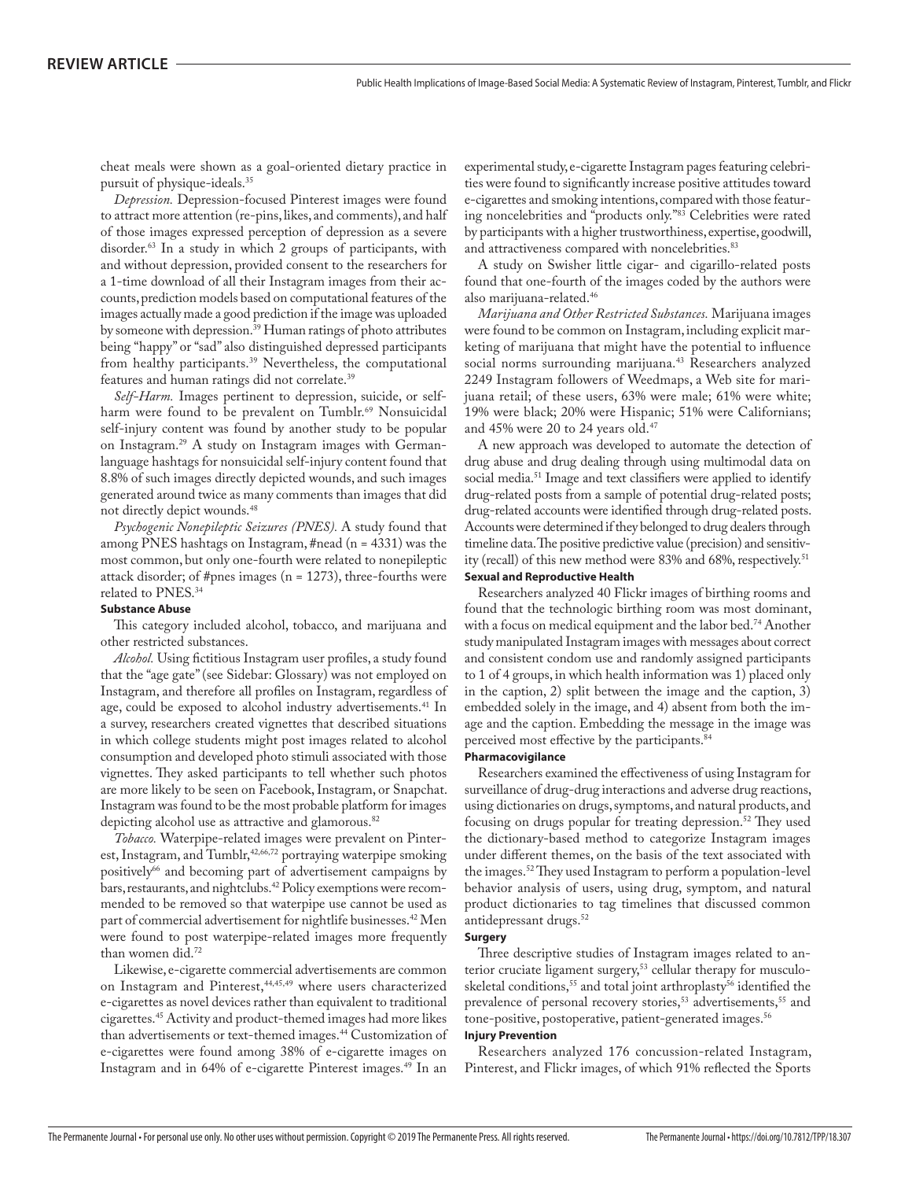cheat meals were shown as a goal-oriented dietary practice in pursuit of physique-ideals.35

*Depression.* Depression-focused Pinterest images were found to attract more attention (re-pins, likes, and comments), and half of those images expressed perception of depression as a severe disorder.63 In a study in which 2 groups of participants, with and without depression, provided consent to the researchers for a 1-time download of all their Instagram images from their accounts, prediction models based on computational features of the images actually made a good prediction if the image was uploaded by someone with depression.39 Human ratings of photo attributes being "happy" or "sad" also distinguished depressed participants from healthy participants.<sup>39</sup> Nevertheless, the computational features and human ratings did not correlate.39

*Self-Harm.* Images pertinent to depression, suicide, or selfharm were found to be prevalent on Tumblr.<sup>69</sup> Nonsuicidal self-injury content was found by another study to be popular on Instagram.29 A study on Instagram images with Germanlanguage hashtags for nonsuicidal self-injury content found that 8.8% of such images directly depicted wounds, and such images generated around twice as many comments than images that did not directly depict wounds.48

*Psychogenic Nonepileptic Seizures (PNES).* A study found that among PNES hashtags on Instagram, #nead (n = 4331) was the most common, but only one-fourth were related to nonepileptic attack disorder; of #pnes images (n = 1273), three-fourths were related to PNES.34

### **Substance Abuse**

This category included alcohol, tobacco, and marijuana and other restricted substances.

*Alcohol.* Using fictitious Instagram user profiles, a study found that the "age gate" (see Sidebar: Glossary) was not employed on Instagram, and therefore all profiles on Instagram, regardless of age, could be exposed to alcohol industry advertisements.<sup>41</sup> In a survey, researchers created vignettes that described situations in which college students might post images related to alcohol consumption and developed photo stimuli associated with those vignettes. They asked participants to tell whether such photos are more likely to be seen on Facebook, Instagram, or Snapchat. Instagram was found to be the most probable platform for images depicting alcohol use as attractive and glamorous.<sup>82</sup>

*Tobacco.* Waterpipe-related images were prevalent on Pinterest, Instagram, and Tumblr,<sup>42,66,72</sup> portraying waterpipe smoking positively<sup>66</sup> and becoming part of advertisement campaigns by bars, restaurants, and nightclubs.<sup>42</sup> Policy exemptions were recommended to be removed so that waterpipe use cannot be used as part of commercial advertisement for nightlife businesses.42 Men were found to post waterpipe-related images more frequently than women did.72

Likewise, e-cigarette commercial advertisements are common on Instagram and Pinterest,<sup>44,45,49</sup> where users characterized e-cigarettes as novel devices rather than equivalent to traditional cigarettes.45 Activity and product-themed images had more likes than advertisements or text-themed images.<sup>44</sup> Customization of e-cigarettes were found among 38% of e-cigarette images on Instagram and in 64% of e-cigarette Pinterest images.49 In an

experimental study, e-cigarette Instagram pages featuring celebrities were found to significantly increase positive attitudes toward e-cigarettes and smoking intentions, compared with those featuring noncelebrities and "products only."83 Celebrities were rated by participants with a higher trustworthiness, expertise, goodwill, and attractiveness compared with noncelebrities.<sup>83</sup>

A study on Swisher little cigar- and cigarillo-related posts found that one-fourth of the images coded by the authors were also marijuana-related.46

*Marijuana and Other Restricted Substances.* Marijuana images were found to be common on Instagram, including explicit marketing of marijuana that might have the potential to influence social norms surrounding marijuana.<sup>43</sup> Researchers analyzed 2249 Instagram followers of Weedmaps, a Web site for marijuana retail; of these users, 63% were male; 61% were white; 19% were black; 20% were Hispanic; 51% were Californians; and 45% were 20 to 24 years old.<sup>47</sup>

A new approach was developed to automate the detection of drug abuse and drug dealing through using multimodal data on social media.<sup>51</sup> Image and text classifiers were applied to identify drug-related posts from a sample of potential drug-related posts; drug-related accounts were identified through drug-related posts. Accounts were determined if they belonged to drug dealers through timeline data. The positive predictive value (precision) and sensitivity (recall) of this new method were 83% and 68%, respectively.<sup>51</sup>

### **Sexual and Reproductive Health**

Researchers analyzed 40 Flickr images of birthing rooms and found that the technologic birthing room was most dominant, with a focus on medical equipment and the labor bed.<sup>74</sup> Another study manipulated Instagram images with messages about correct and consistent condom use and randomly assigned participants to 1 of 4 groups, in which health information was 1) placed only in the caption, 2) split between the image and the caption, 3) embedded solely in the image, and 4) absent from both the image and the caption. Embedding the message in the image was perceived most effective by the participants.<sup>84</sup>

### **Pharmacovigilance**

Researchers examined the effectiveness of using Instagram for surveillance of drug-drug interactions and adverse drug reactions, using dictionaries on drugs, symptoms, and natural products, and focusing on drugs popular for treating depression.52 They used the dictionary-based method to categorize Instagram images under different themes, on the basis of the text associated with the images.52 They used Instagram to perform a population-level behavior analysis of users, using drug, symptom, and natural product dictionaries to tag timelines that discussed common antidepressant drugs.52

### **Surgery**

Three descriptive studies of Instagram images related to anterior cruciate ligament surgery,<sup>53</sup> cellular therapy for musculoskeletal conditions,<sup>55</sup> and total joint arthroplasty<sup>56</sup> identified the prevalence of personal recovery stories,<sup>53</sup> advertisements,<sup>55</sup> and tone-positive, postoperative, patient-generated images.<sup>56</sup>

### **Injury Prevention**

Researchers analyzed 176 concussion-related Instagram, Pinterest, and Flickr images, of which 91% reflected the Sports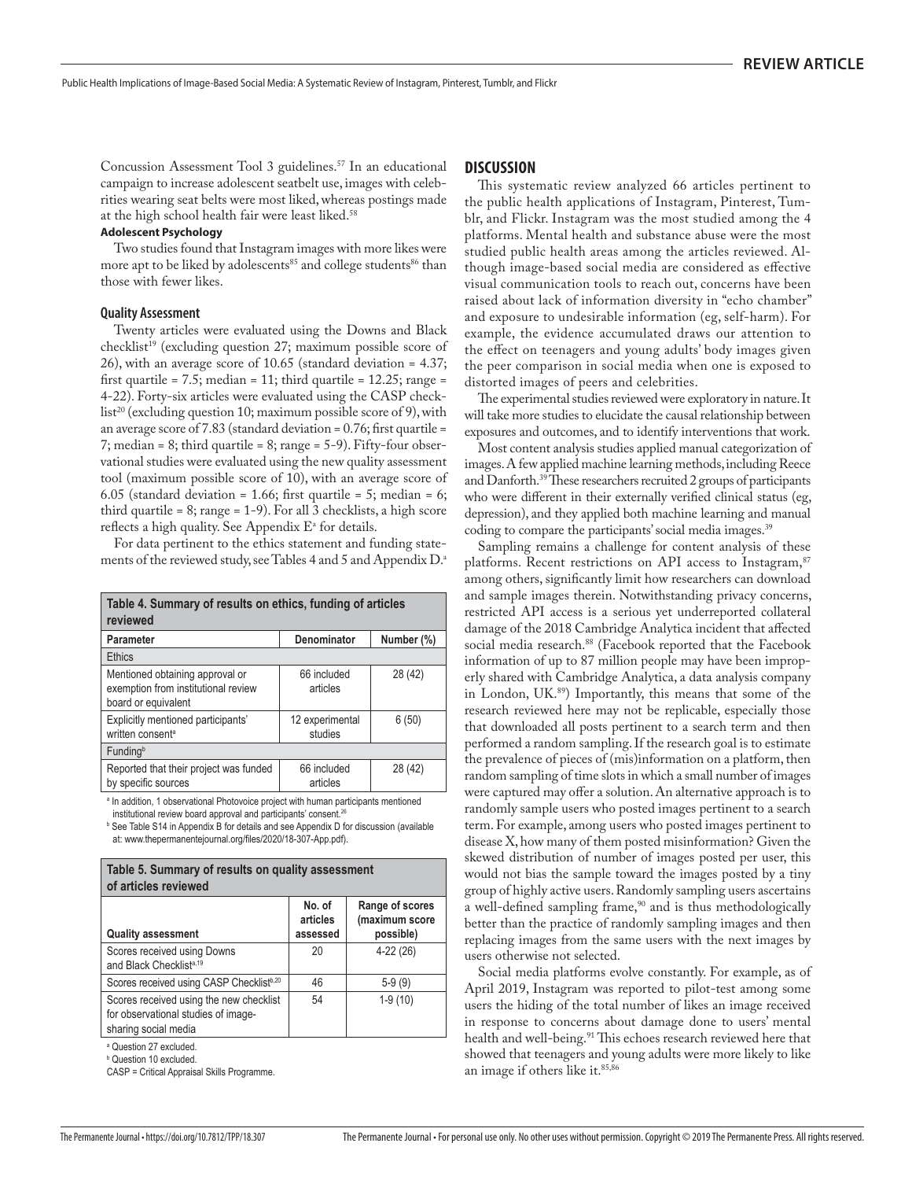Concussion Assessment Tool 3 guidelines.<sup>57</sup> In an educational campaign to increase adolescent seatbelt use, images with celebrities wearing seat belts were most liked, whereas postings made at the high school health fair were least liked.<sup>58</sup>

### **Adolescent Psychology**

Two studies found that Instagram images with more likes were more apt to be liked by adolescents<sup>85</sup> and college students<sup>86</sup> than those with fewer likes.

### **Quality Assessment**

Twenty articles were evaluated using the Downs and Black checklist<sup>19</sup> (excluding question 27; maximum possible score of 26), with an average score of 10.65 (standard deviation = 4.37; first quartile = 7.5; median = 11; third quartile =  $12.25$ ; range = 4-22). Forty-six articles were evaluated using the CASP checklist<sup>20</sup> (excluding question 10; maximum possible score of 9), with an average score of 7.83 (standard deviation =  $0.76$ ; first quartile = 7; median = 8; third quartile = 8; range = 5-9). Fifty-four observational studies were evaluated using the new quality assessment tool (maximum possible score of 10), with an average score of 6.05 (standard deviation = 1.66; first quartile = 5; median = 6; third quartile =  $8$ ; range =  $1-9$ ). For all 3 checklists, a high score reflects a high quality. See Appendix  $E^{\alpha}$  for details.

For data pertinent to the ethics statement and funding statements of the reviewed study, see Tables 4 and 5 and Appendix D.<sup>a</sup>

| Table 4. Summary of results on ethics, funding of articles<br>reviewed                        |                            |            |
|-----------------------------------------------------------------------------------------------|----------------------------|------------|
| <b>Parameter</b>                                                                              | Denominator                | Number (%) |
| <b>Ethics</b>                                                                                 |                            |            |
| Mentioned obtaining approval or<br>exemption from institutional review<br>board or equivalent | 66 included<br>articles    | 28 (42)    |
| Explicitly mentioned participants'<br>written consent <sup>a</sup>                            | 12 experimental<br>studies | 6(50)      |
| Funding <sup>b</sup>                                                                          |                            |            |
| Reported that their project was funded<br>by specific sources                                 | 66 included<br>articles    | 28 (42)    |

<sup>a</sup> In addition, 1 observational Photovoice project with human participants mentioned institutional review board approval and participants' consent.<sup>26</sup>

<sup>b</sup> See Table S14 in Appendix B for details and see Appendix D for discussion (available at: www.thepermanentejournal.org/files/2020/18-307-App.pdf).

| Table 5. Summary of results on quality assessment<br>of articles reviewed                              |                                |                                                |
|--------------------------------------------------------------------------------------------------------|--------------------------------|------------------------------------------------|
| <b>Quality assessment</b>                                                                              | No. of<br>articles<br>assessed | Range of scores<br>(maximum score<br>possible) |
| Scores received using Downs<br>and Black Checklist <sup>a,19</sup>                                     | 20                             | $4-22(26)$                                     |
| Scores received using CASP Checklist <sup>b,20</sup>                                                   | 46                             | $5-9(9)$                                       |
| Scores received using the new checklist<br>for observational studies of image-<br>sharing social media | 54                             | $1-9(10)$                                      |

a Question 27 excluded.

b Question 10 excluded.

CASP = Critical Appraisal Skills Programme.

### **DISCUSSION**

This systematic review analyzed 66 articles pertinent to the public health applications of Instagram, Pinterest, Tumblr, and Flickr. Instagram was the most studied among the 4 platforms. Mental health and substance abuse were the most studied public health areas among the articles reviewed. Although image-based social media are considered as effective visual communication tools to reach out, concerns have been raised about lack of information diversity in "echo chamber" and exposure to undesirable information (eg, self-harm). For example, the evidence accumulated draws our attention to the effect on teenagers and young adults' body images given the peer comparison in social media when one is exposed to distorted images of peers and celebrities.

The experimental studies reviewed were exploratory in nature. It will take more studies to elucidate the causal relationship between exposures and outcomes, and to identify interventions that work.

Most content analysis studies applied manual categorization of images. A few applied machine learning methods, including Reece and Danforth.39 These researchers recruited 2 groups of participants who were different in their externally verified clinical status (eg, depression), and they applied both machine learning and manual coding to compare the participants' social media images.<sup>39</sup>

Sampling remains a challenge for content analysis of these platforms. Recent restrictions on API access to Instagram,<sup>87</sup> among others, significantly limit how researchers can download and sample images therein. Notwithstanding privacy concerns, restricted API access is a serious yet underreported collateral damage of the 2018 Cambridge Analytica incident that affected social media research.<sup>88</sup> (Facebook reported that the Facebook information of up to 87 million people may have been improperly shared with Cambridge Analytica, a data analysis company in London, UK.89) Importantly, this means that some of the research reviewed here may not be replicable, especially those that downloaded all posts pertinent to a search term and then performed a random sampling. If the research goal is to estimate the prevalence of pieces of (mis)information on a platform, then random sampling of time slots in which a small number of images were captured may offer a solution. An alternative approach is to randomly sample users who posted images pertinent to a search term. For example, among users who posted images pertinent to disease X, how many of them posted misinformation? Given the skewed distribution of number of images posted per user, this would not bias the sample toward the images posted by a tiny group of highly active users. Randomly sampling users ascertains a well-defined sampling frame,<sup>90</sup> and is thus methodologically better than the practice of randomly sampling images and then replacing images from the same users with the next images by users otherwise not selected.

Social media platforms evolve constantly. For example, as of April 2019, Instagram was reported to pilot-test among some users the hiding of the total number of likes an image received in response to concerns about damage done to users' mental health and well-being.<sup>91</sup> This echoes research reviewed here that showed that teenagers and young adults were more likely to like an image if others like it.<sup>85,86</sup>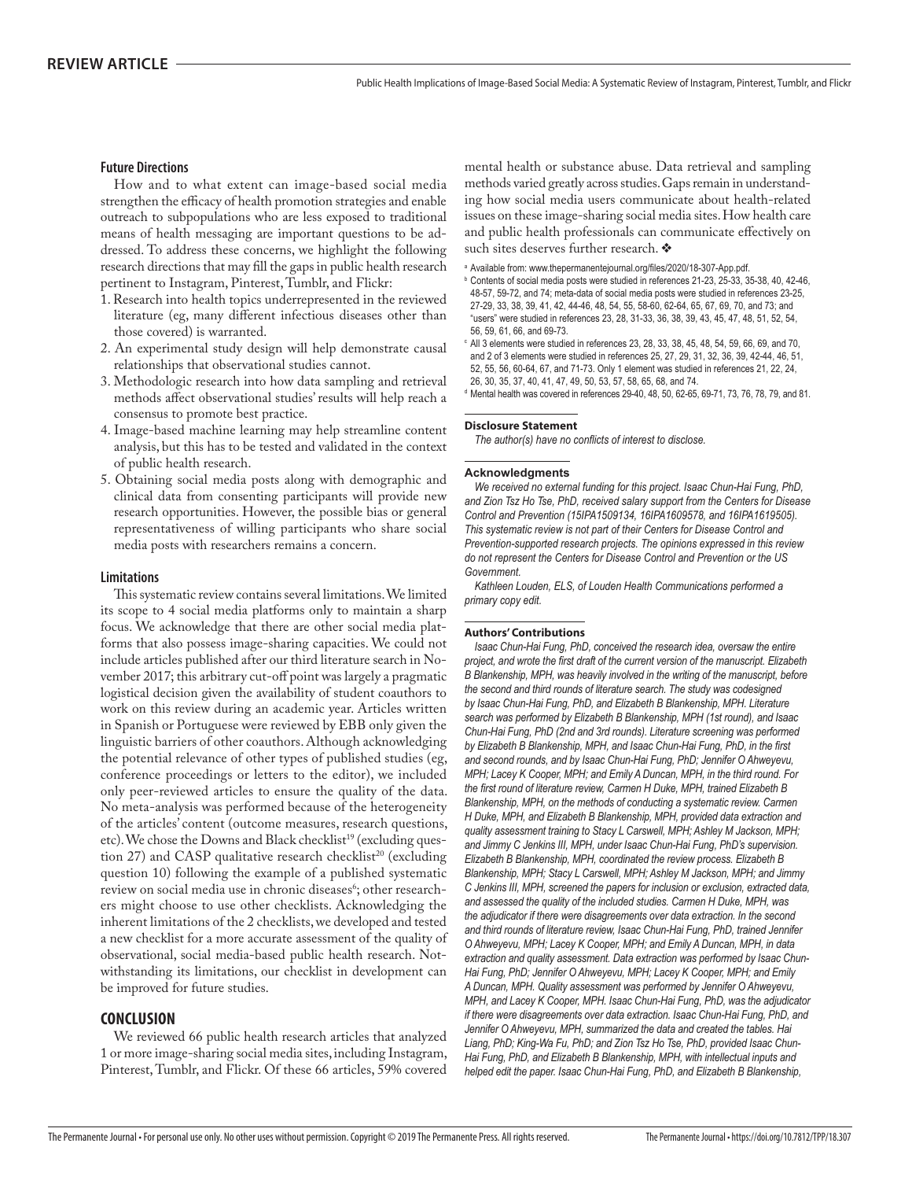### **Future Directions**

How and to what extent can image-based social media strengthen the efficacy of health promotion strategies and enable outreach to subpopulations who are less exposed to traditional means of health messaging are important questions to be addressed. To address these concerns, we highlight the following research directions that may fill the gaps in public health research pertinent to Instagram, Pinterest, Tumblr, and Flickr:

- 1. Research into health topics underrepresented in the reviewed literature (eg, many different infectious diseases other than those covered) is warranted.
- 2. An experimental study design will help demonstrate causal relationships that observational studies cannot.
- 3. Methodologic research into how data sampling and retrieval methods affect observational studies' results will help reach a consensus to promote best practice.
- 4. Image-based machine learning may help streamline content analysis, but this has to be tested and validated in the context of public health research.
- 5. Obtaining social media posts along with demographic and clinical data from consenting participants will provide new research opportunities. However, the possible bias or general representativeness of willing participants who share social media posts with researchers remains a concern.

### **Limitations**

This systematic review contains several limitations. We limited its scope to 4 social media platforms only to maintain a sharp focus. We acknowledge that there are other social media platforms that also possess image-sharing capacities. We could not include articles published after our third literature search in November 2017; this arbitrary cut-off point was largely a pragmatic logistical decision given the availability of student coauthors to work on this review during an academic year. Articles written in Spanish or Portuguese were reviewed by EBB only given the linguistic barriers of other coauthors. Although acknowledging the potential relevance of other types of published studies (eg, conference proceedings or letters to the editor), we included only peer-reviewed articles to ensure the quality of the data. No meta-analysis was performed because of the heterogeneity of the articles' content (outcome measures, research questions, etc). We chose the Downs and Black checklist<sup>19</sup> (excluding question 27) and CASP qualitative research checklist<sup>20</sup> (excluding question 10) following the example of a published systematic review on social media use in chronic diseases<sup>6</sup>; other researchers might choose to use other checklists. Acknowledging the inherent limitations of the 2 checklists, we developed and tested a new checklist for a more accurate assessment of the quality of observational, social media-based public health research. Notwithstanding its limitations, our checklist in development can be improved for future studies.

### **CONCLUSION**

We reviewed 66 public health research articles that analyzed 1 or more image-sharing social media sites, including Instagram, Pinterest, Tumblr, and Flickr. Of these 66 articles, 59% covered

mental health or substance abuse. Data retrieval and sampling methods varied greatly across studies. Gaps remain in understanding how social media users communicate about health-related issues on these image-sharing social media sites. How health care and public health professionals can communicate effectively on such sites deserves further research.  $\clubsuit$ 

- $\textdegree$  Contents of social media posts were studied in references 21-23, 25-33, 35-38, 40, 42-46, 48-57, 59-72, and 74; meta-data of social media posts were studied in references 23-25, 27-29, 33, 38, 39, 41, 42, 44-46, 48, 54, 55, 58-60, 62-64, 65, 67, 69, 70, and 73; and "users" were studied in references 23, 28, 31-33, 36, 38, 39, 43, 45, 47, 48, 51, 52, 54, 56, 59, 61, 66, and 69-73.
- $\textdegree$  All 3 elements were studied in references 23, 28, 33, 38, 45, 48, 54, 59, 66, 69, and 70, and 2 of 3 elements were studied in references 25, 27, 29, 31, 32, 36, 39, 42-44, 46, 51, 52, 55, 56, 60-64, 67, and 71-73. Only 1 element was studied in references 21, 22, 24, 26, 30, 35, 37, 40, 41, 47, 49, 50, 53, 57, 58, 65, 68, and 74.

d Mental health was covered in references 29-40, 48, 50, 62-65, 69-71, 73, 76, 78, 79, and 81.

### **Disclosure Statement**

The author(s) have no conflicts of interest to disclose.

### **Acknowledgments**

*We received no external funding for this project. Isaac Chun-Hai Fung. PhD.* and Zion Tsz Ho Tse, PhD, received salary support from the Centers for Disease Control and Prevention (15IPA1509134, 16IPA1609578, and 16IPA1619505), This systematic review is not part of their Centers for Disease Control and *Prevention-supported research projects. The opinions expressed in this review* do not represent the Centers for Disease Control and Prevention or the US Government.

Kathleen Louden, ELS, of Louden Health Communications performed a  $\frac{1}{2}$ 

### **Authors' Contributions**

*Isaac Chun-Hai Fung. PhD, conceived the research idea, oversaw the entire broiect, and wrote the first draft of the current version of the manuscript. Elizabeth* B Blankenship, MPH, was heavily involved in the writing of the manuscript, before the second and third rounds of literature search. The study was codesigned by Isaac Chun-Hai Fung. PhD. and Elizabeth B Blankenship. MPH. Literature search was performed by Elizabeth B Blankenship, MPH (1st round), and Isaac *Chun-Hai Fung. PhD (2nd and 3rd rounds). Literature screening was performed* by Elizabeth B Blankenship, MPH, and Isaac Chun-Hai Fung, PhD, in the first and second rounds, and by Isaac Chun-Hai Fung, PhD; Jennifer O Ahwevevu, *MPH: Lacev K Cooper, MPH: and Emily A Duncan, MPH, in the third round, For fhe first round of literature review. Carmen H Duke. MPH, trained Elizabeth B* Blankenship, MPH, on the methods of conducting a systematic review. Carmen H Duke, MPH, and Elizabeth B Blankenship, MPH, provided data extraction and auality assessment training to Stacy L Carswell, MPH: Ashley M Jackson, MPH: and Jimmy C Jenkins III. MPH, under Isaac Chun-Hai Fung, PhD's supervision. Elizabeth B Blankenship, MPH, coordinated the review process, Elizabeth B Blankenship, MPH: Stacy L Carswell, MPH: Ashley M Jackson, MPH: and Jimmy C Jenkins III. MPH, screened the papers for inclusion or exclusion, extracted data, and assessed the quality of the included studies. Carmen H Duke, MPH, was the adiudicator if there were disagreements over data extraction. In the second and third rounds of literature review. Isaac Chun-Hai Fung. PhD. trained Jennifer O Ahwevevu, MPH: Lacev K Cooper, MPH: and Emily A Duncan, MPH, in data extraction and quality assessment. Data extraction was performed by Isaac Chun-Hai Fung, PhD: Jennifer O Ahwevevu, MPH: Lacev K Cooper, MPH: and Emily A Duncan, MPH, Quality assessment was performed by Jennifer O Ahweyevu. MPH, and Lacey K Cooper, MPH, Isaac Chun-Hai Fung, PhD, was the adjudicator *if there were disagreements over data extraction. Isaac Chun-Hai Fung. PhD, and* Jennifer O Ahwevevu, MPH, summarized the data and created the tables. Hai Liang, PhD: King-Wa Fu, PhD: and Zion Tsz Ho Tse, PhD, provided Isaac Chun-Hai Fung, PhD, and Elizabeth B Blankenship, MPH, with intellectual inputs and helped edit the paper, Isaac Chun-Hai Fung, PhD, and Elizabeth B Blankenship.

<sup>&</sup>lt;sup>a</sup> Available from: www.thepermanentejournal.org/files/2020/18-307-App.pdf.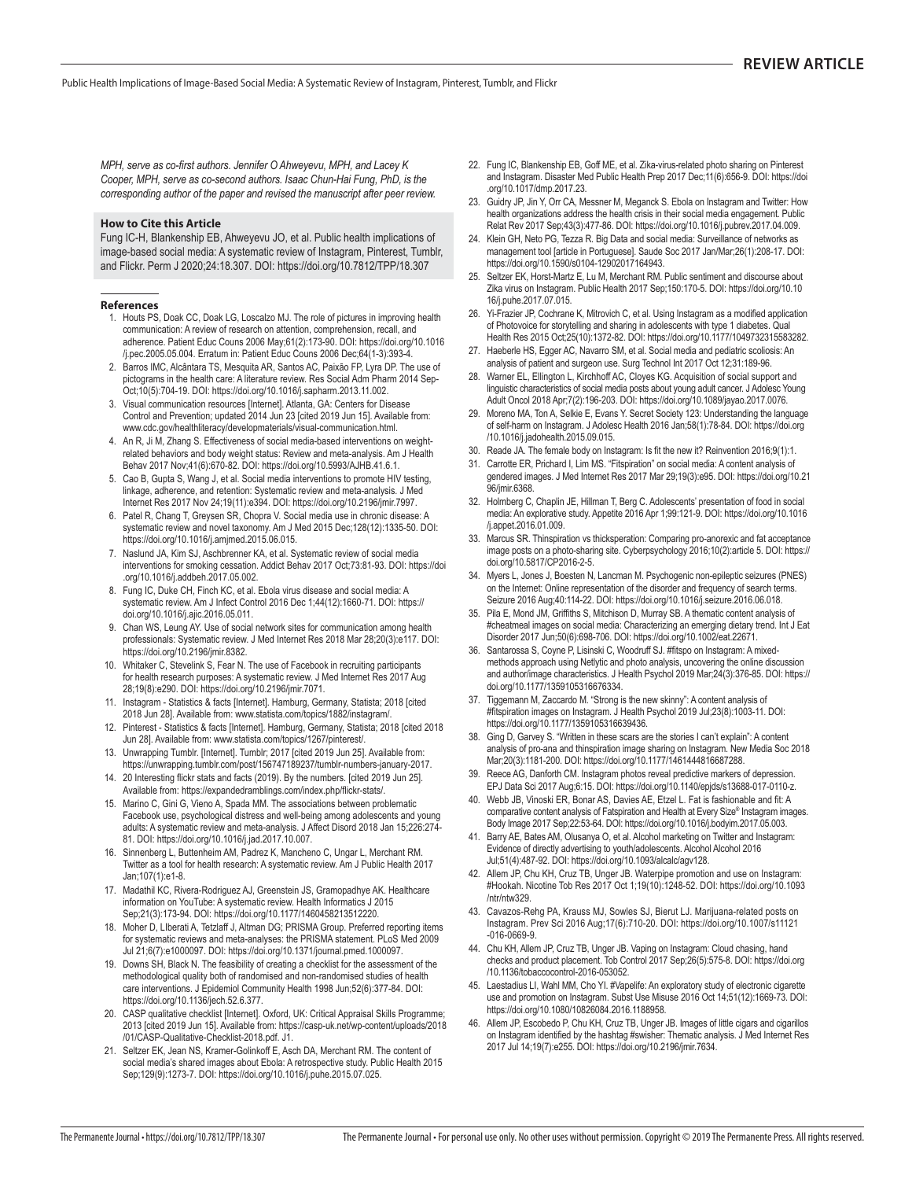*MPH, serve as co-first authors, Jennifer O Ahwevevu, MPH, and Lacev K* Cooper, MPH, serve as co-second authors, Isaac Chun-Hai Fung, PhD, is the corresponding author of the paper and revised the manuscript after peer review.

### **How to Cite this Article**

Fung IC-H, Blankenship EB, Ahweyevu JO, et al. Public health implications of image-based social media: A systematic review of Instagram, Pinterest, Tumblr, and Flickr. Perm J 2020;24:18.307. DOI: https://doi.org/10.7812/TPP/18.307

### **References**

- 1. Houts PS, Doak CC, Doak LG, Loscalzo MJ. The role of pictures in improving health communication: A review of research on attention, comprehension, recall, and adherence. Patient Educ Couns 2006 May;61(2):173-90. DOI: https://doi.org/10.1016 /j.pec.2005.05.004. Erratum in: Patient Educ Couns 2006 Dec;64(1-3):393-4.
- 2. Barros IMC, Alcântara TS, Mesquita AR, Santos AC, Paixão FP, Lyra DP. The use of pictograms in the health care: A literature review. Res Social Adm Pharm 2014 Sep- Oct;10(5):704-19. DOI: https://doi.org/10.1016/j.sapharm.2013.11.002.
- 3. Visual communication resources [Internet]. Atlanta, GA: Centers for Disease Control and Prevention; updated 2014 Jun 23 [cited 2019 Jun 15]. Available from: www.cdc.gov /healthliteracy/developmaterials/visual-communication.html.
- 4. An R, Ji M, Zhang S. Effectiveness of social media-based interventions on weightrelated behaviors and body weight status: Review and meta-analysis. Am J Health Behav 2017 Nov;41(6):670-82. DOI: https://doi.org/10.5993/AJHB.41.6.1.
- 5. Cao B, Gupta S, Wang J, et al. Social media interventions to promote HIV testing, linkage, adherence, and retention: Systematic review and meta-analysis. J Med Internet Res 2017 Nov 24;19(11):e394. DOI: https://doi.org/10.2196/jmir.7997.
- 6. Patel R, Chang T, Greysen SR, Chopra V. Social media use in chronic disease: A systematic review and novel taxonomy. Am J Med 2015 Dec; 128(12): 1335-50. DOI: https://doi.org/10.1016/j.amjmed.2015.06.015.
- 7. Naslund JA, Kim SJ, Aschbrenner KA, et al. Systematic review of social media interventions for smoking cessation. Addict Behav 2017 Oct;73:81-93. DOI: https://doi .org/10.1016/j.addbeh.2017.05.002.
- 8. Fung IC, Duke CH, Finch KC, et al. Ebola virus disease and social media: A systematic review. Am J Infect Control 2016 Dec 1;44(12):1660-71. DOI: https:// doi.org/10.1016/j.ajic.2016.05.011.
- 9. Chan WS, Leung AY. Use of social network sites for communication among health professionals: Systematic review. J Med Internet Res 2018 Mar 28;20(3):e117. DOI: https://doi.org/10.2196/jmir.8382.
- 10. Whitaker C, Stevelink S, Fear N. The use of Facebook in recruiting participants for health research purposes: A systematic review. J Med Internet Res 2017 Aug 28;19(8):e290. DOI: https://doi.org/10.2196/jmir.7071.
- 11. Instagram Statistics & facts [Internet]. Hamburg, Germany, Statista; 2018 [cited 2018 Jun 28]. Available from: www.statista.com/topics/1882/instagram/.
- 12. Pinterest Statistics & facts [Internet]. Hamburg, Germany, Statista; 2018 [cited 2018 Jun 28]. Available from: www.statista.com/topics/1267/pinterest/.
- 13. Unwrapping Tumblr. [Internet]. Tumblr; 2017 [cited 2019 Jun 25]. Available from: https://unwrapping.tumblr.com/post/156747189237/tumblr-numbers-january-2017.
- 14. 20 Interesting flickr stats and facts (2019). By the numbers. [cited 2019 Jun 25]. Available from: https://expandedramblings.com/index.php/flickr-stats/.
- 15. Marino C, Gini G, Vieno A, Spada MM. The associations between problematic Facebook use, psychological distress and well-being among adolescents and young adults: A systematic review and meta-analysis. J Affect Disord 2018 Jan 15;226:274-81. DOI: https://doi.org/10.1016/j.jad.2017.10.007.
- 16. Sinnenberg L, Buttenheim AM, Padrez K, Mancheno C, Ungar L, Merchant RM. Twitter as a tool for health research: A systematic review. Am J Public Health 2017 Jan;107(1):e1-8.
- 17. Madathil KC, Rivera-Rodriguez AJ, Greenstein JS, Gramopadhye AK. Healthcare information on YouTube: A systematic review. Health Informatics J 2015 Sep;21(3):173-94. DOI: https://doi.org/10.1177/1460458213512220.
- 18. Moher D, Liberati A, Tetzlaff J, Altman DG; PRISMA Group. Preferred reporting items for systematic reviews and meta-analyses: the PRISMA statement. PLoS Med 2009 Jul 21;6(7):e1000097. DOI: https://doi.org/10.1371/journal.pmed.1000097.
- 19. Downs SH, Black N. The feasibility of creating a checklist for the assessment of the methodological quality both of randomised and non-randomised studies of health care interventions. J Epidemiol Community Health 1998 Jun;52(6):377-84. DOI: https://doi.org/10.1136/jech.52.6.377.
- 20. CASP qualitative checklist [Internet]. Oxford, UK: Critical Appraisal Skills Programme; 2013 [cited 2019 Jun 15]. Available from: https://casp-uk.net/wp-content/uploads/2018 /01/CASP-Qualitative-Checklist-2018.pdf. J1.
- 21. Seltzer EK, Jean NS, Kramer-Golinkoff E, Asch DA, Merchant RM. The content of social media's shared images about Ebola: A retrospective study. Public Health 2015 Sep;129(9):1273-7. DOI: https://doi.org/10.1016/j.puhe.2015.07.025.
- 22. Fung IC, Blankenship EB, Goff ME, et al. Zika-virus-related photo sharing on Pinterest and Instagram. Disaster Med Public Health Prep 2017 Dec;11(6):656-9. DOI: https://doi .org/10.1017/dmp.2017.23.
- 23. Guidry JP, Jin Y, Orr CA, Messner M, Meganck S. Ebola on Instagram and Twitter: How health organizations address the health crisis in their social media engagement. Public Relat Rev 2017 Sep;43(3):477-86. DOI: https://doi.org/10.1016/j.pubrev.2017.04.009.
- 24. Klein GH, Neto PG, Tezza R. Big Data and social media: Surveillance of networks as management tool [article in Portuguese]. Saude Soc 2017 Jan/Mar;26(1):208-17. DOI: https://doi.org/10.1590/s0104-12902017164943.
- 25. Seltzer EK, Horst-Martz E, Lu M, Merchant RM. Public sentiment and discourse about Zika virus on Instagram. Public Health 2017 Sep;150:170-5. DOI: https://doi.org/10.10 16/j.puhe.2017.07.015.
- 26. Yi-Frazier JP, Cochrane K, Mitrovich C, et al. Using Instagram as a modified application of Photovoice for storytelling and sharing in adolescents with type 1 diabetes. Qual Health Res 2015 Oct;25(10):1372-82. DOI: https://doi.org/10.1177/1049732315583282.
- 27. Haeberle HS, Egger AC, Navarro SM, et al. Social media and pediatric scoliosis: An analysis of patient and surgeon use. Surg Technol Int 2017 Oct 12;31:189-96.
- 28. Warner EL, Ellington L, Kirchhoff AC, Cloyes KG. Acquisition of social support and linguistic characteristics of social media posts about young adult cancer. J Adolesc Young Adult Oncol 2018 Apr;7(2):196-203. DOI: https://doi.org/10.1089/jayao.2017 .0076.
- 29. Moreno MA, Ton A, Selkie E, Evans Y. Secret Society 123: Understanding the language of self-harm on Instagram. J Adolesc Health 2016 Jan;58(1):78-84. DOI: https://doi.org /10.1016/j.jadohealth.2015.09.015.
- 30. Reade JA. The female body on Instagram: Is fit the new it? Reinvention 2016;9(1):1.
- 31. Carrotte ER, Prichard I, Lim MS. "Fitspiration" on social media: A content analysis of gendered images. J Med Internet Res 2017 Mar 29;19(3):e95. DOI: https://doi.org/10.21 96/jmir.6368.
- 32. Holmberg C, Chaplin JE, Hillman T, Berg C. Adolescents' presentation of food in social media: An explorative study. Appetite 2016 Apr 1;99:121-9. DOI: https://doi.org/10.1016 /j.appet.2016.01.009.
- 33. Marcus SR. Thinspiration vs thicksperation: Comparing pro-anorexic and fat acceptance image posts on a photo-sharing site. Cyberpsychology 2016;10(2):article 5. DOI: https:// doi.org/10.5817/CP2016-2-5.
- 34. Myers L, Jones J, Boesten N, Lancman M. Psychogenic non-epileptic seizures (PNES) on the Internet: Online representation of the disorder and frequency of search terms. Seizure 2016 Aug;40:114-22. DOI: https://doi.org/10.1016/j.seizure.2016.06.018.
- 35. Pila E, Mond JM, Griffiths S, Mitchison D, Murray SB. A thematic content analysis of #cheatmeal images on social media: Characterizing an emerging dietary trend. Int J Eat Disorder 2017 Jun;50(6):698-706. DOI: https://doi.org/10.1002/eat.22671
- 36. Santarossa S, Coyne P, Lisinski C, Woodruff SJ. #fitspo on Instagram: A mixedmethods approach using Netlytic and photo analysis, uncovering the online discussion and author/image characteristics. J Health Psychol 2019 Mar;24(3):376-85. DOI: https:// doi.org/10.1177/1359105316676334.
- 37. Tiggemann M, Zaccardo M. "Strong is the new skinny": A content analysis of #fitspiration images on Instagram. J Health Psychol 2019 Jul;23(8):1003-11. DOI: https://doi.org/10.1177/1359105316639436.
- 38. Ging D, Garvey S. "Written in these scars are the stories I can't explain": A content analysis of pro-ana and thinspiration image sharing on Instagram. New Media Soc 2018 Mar;20(3):1181-200. DOI: https://doi.org/10.1177/1461444816687288.
- 39. Reece AG, Danforth CM. Instagram photos reveal predictive markers of depression. EPJ Data Sci 2017 Aug;6:15. DOI: https://doi.org/10.1140/epjds/s13688-017-0110-z.
- 40. Webb JB, Vinoski ER, Bonar AS, Davies AE, Etzel L. Fat is fashionable and fit: A comparative content analysis of Fatspiration and Health at Every Size® Instagram images. Body Image 2017 Sep;22:53-64. DOI: https://doi.org/10.1016/j.bodyim.2017.05.003.
- 41. Barry AE, Bates AM, Olusanya O, et al. Alcohol marketing on Twitter and Instagram: Evidence of directly advertising to youth/adolescents. Alcohol Alcohol 2016 Jul;51(4):487-92. DOI: https://doi.org/10.1093/alcalc/agv128.
- 42. Allem JP, Chu KH, Cruz TB, Unger JB. Waterpipe promotion and use on Instagram: #Hookah. Nicotine Tob Res 2017 Oct 1;19(10):1248-52. DOI: https://doi.org/10.1093 /ntr/ntw329.
- 43. Cavazos-Rehg PA, Krauss MJ, Sowles SJ, Bierut LJ. Marijuana-related posts on Instagram. Prev Sci 2016 Aug;17(6):710-20. DOI: https://doi.org/10.1007/s11121 -016-0669-9.
- 44. Chu KH, Allem JP, Cruz TB, Unger JB. Vaping on Instagram: Cloud chasing, hand checks and product placement. Tob Control 2017 Sep;26(5):575-8. DOI: https://doi.org /10.1136/tobaccocontrol-2016-053052.
- 45. Laestadius LI, Wahl MM, Cho YI. #Vapelife: An exploratory study of electronic cigarette use and promotion on Instagram. Subst Use Misuse 2016 Oct 14;51(12):1669-73. DOI: https://doi.org/10.1080/10826084.2016.1188958.
- 46. Allem JP, Escobedo P, Chu KH, Cruz TB, Unger JB. Images of little cigars and cigarillos on Instagram identified by the hashtag #swisher: Thematic analysis. J Med Internet Res 2017 Jul 14;19(7):e255. DOI: https://doi.org/10.2196/jmir.7634.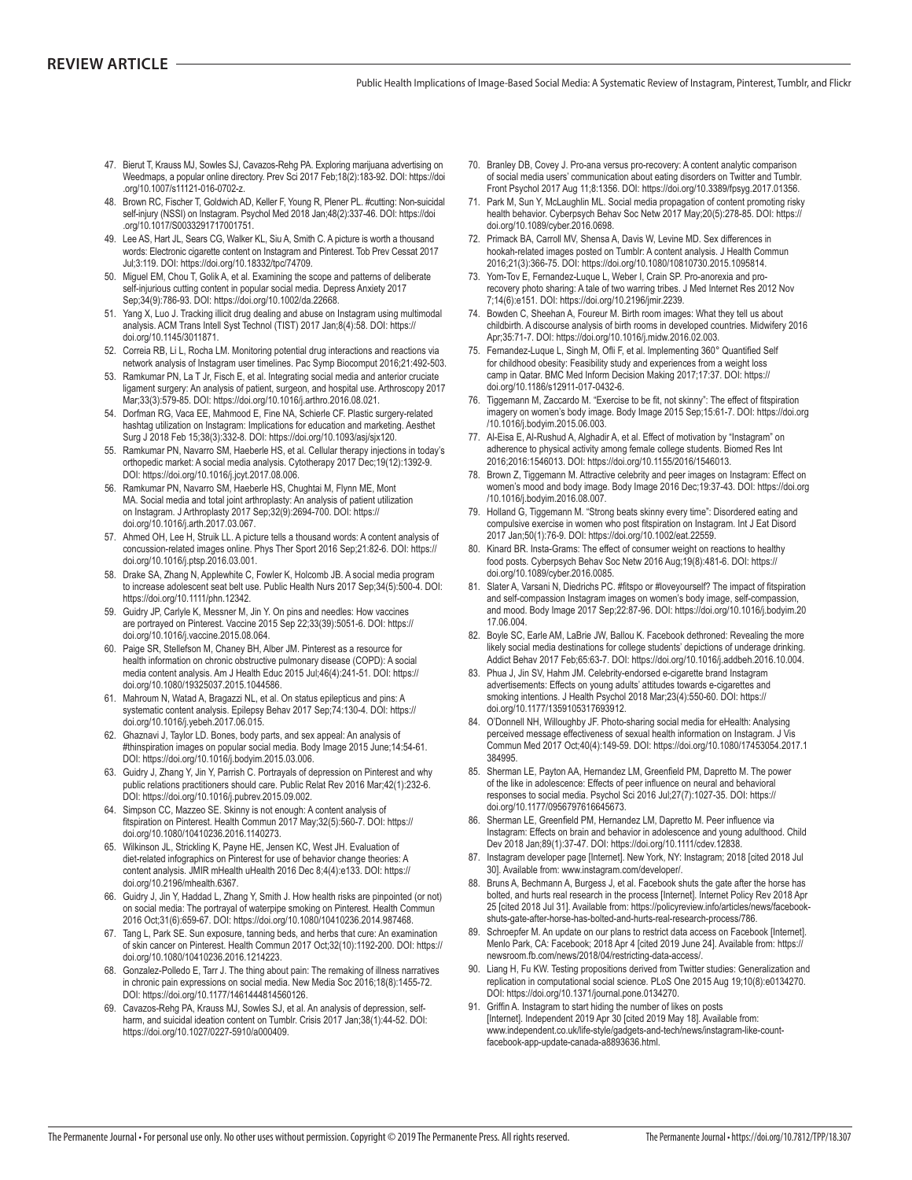- 47. Bierut T, Krauss MJ, Sowles SJ, Cavazos-Rehg PA. Exploring marijuana advertising on Weedmaps, a popular online directory. Prev Sci 2017 Feb;18(2):183-92. DOI: https://doi .org/10.1007/s11121-016-0702-z.
- 48. Brown RC, Fischer T, Goldwich AD, Keller F, Young R, Plener PL. #cutting: Non-suicidal self-injury (NSSI) on Instagram. Psychol Med 2018 Jan;48(2):337-46. DOI: https://doi .org/10.1017/S0033291717001751.
- 49. Lee AS, Hart JL, Sears CG, Walker KL, Siu A, Smith C. A picture is worth a thousand words: Electronic cigarette content on Instagram and Pinterest. Tob Prev Cessat 2017 Jul;3:119. DOI: https://doi.org/10.18332/tpc/74709.
- 50. Miquel EM, Chou T, Golik A, et al. Examining the scope and patterns of deliberate self-injurious cutting content in popular social media. Depress Anxiety 2017 Sep;34(9):786-93. DOI: https://doi.org/10.1002/da.22668.
- 51. Yang X, Luo J. Tracking illicit drug dealing and abuse on Instagram using multimodal analysis. ACM Trans Intell Syst Technol (TIST) 2017 Jan;8(4):58. DOI: https:// doi.org/10.1145/3011871.
- 52. Correia RB, Li L, Rocha LM. Monitoring potential drug interactions and reactions via network analysis of Instagram user timelines. Pac Symp Biocomput 2016:21:492-503.
- 53. Ramkumar PN, La T Jr, Fisch E, et al. Integrating social media and anterior cruciate ligament surgery: An analysis of patient, surgeon, and hospital use. Arthroscopy 2017 Mar;33(3):579-85. DOI: https://doi.org/10.1016/j.arthro.2016.08.021.
- 54. Dorfman RG, Vaca EE, Mahmood E, Fine NA, Schierle CF. Plastic surgery-related hashtag utilization on Instagram: Implications for education and marketing. Aesthet Surg J 2018 Feb 15;38(3):332-8. DOI: https://doi.org/10.1093/asj/sjx120.
- 55. Ramkumar PN, Navarro SM, Haeberle HS, et al. Cellular therapy injections in today's orthopedic market: A social media analysis. Cytotherapy 2017 Dec; 19(12): 1392-9. DOI: https://doi.org/10.1016/j.jcyt.2017.08.006.
- 56. Ramkumar PN, Navarro SM, Haeberle HS, Chughtai M, Flynn ME, Mont MA. Social media and total joint arthroplasty: An analysis of patient utilization on Instagram. J Arthroplasty 2017 Sep;32(9):2694-700. DOI: https:// doi.org/10.1016/j.arth.2017.03.067.
- 57. Ahmed OH, Lee H, Struik LL. A picture tells a thousand words: A content analysis of concussion-related images online. Phys Ther Sport 2016 Sep;21:82-6. DOI: https:// doi.org/10.1016/j.ptsp.2016.03.001.
- 58. Drake SA, Zhang N, Applewhite C, Fowler K, Holcomb JB. A social media program to increase adolescent seat belt use. Public Health Nurs 2017 Sep;34(5):500-4. DOI: https://doi.org/10.1111/phn.12342.
- 59. Guidry JP, Carlyle K, Messner M, Jin Y. On pins and needles: How vaccines are portrayed on Pinterest. Vaccine 2015 Sep 22;33(39):5051-6. DOI: https:// doi.org/10.1016/j.vaccine.2015.08.064.
- 60. Paige SR, Stellefson M, Chaney BH, Alber JM. Pinterest as a resource for health information on chronic obstructive pulmonary disease (COPD): A social media content analysis. Am J Health Educ 2015 Jul;46(4):241-51. DOI: https:// doi.org/10.1080/19325037.2015.1044586.
- 61. Mahroum N, Watad A, Bragazzi NL, et al. On status epilepticus and pins: A systematic content analysis. Epilepsy Behav 2017 Sep;74:130-4. DOI: https:// doi.org/10.1016/j.yebeh.2017.06.015.
- 62. Ghaznavi J, Taylor LD. Bones, body parts, and sex appeal: An analysis of #thinspiration images on popular social media. Body Image 2015 June;14:54-61. DOI: https://doi.org/10.1016/j.bodyim.2015.03.006.
- 63. Guidry J, Zhang Y, Jin Y, Parrish C. Portrayals of depression on Pinterest and why public relations practitioners should care. Public Relat Rev 2016 Mar;42(1):232-6. DOI: https://doi.org/10.1016/j.pubrev.2015.09.002.
- 64. Simpson CC, Mazzeo SE. Skinny is not enough: A content analysis of fitspiration on Pinterest. Health Commun 2017 May;32(5):560-7. DOI: https:// doi.org/10.1080/10410236.2016.1140273.
- 65. Wilkinson JL, Strickling K, Payne HE, Jensen KC, West JH. Evaluation of diet-related infographics on Pinterest for use of behavior change theories: A content analysis. JMIR mHealth uHealth 2016 Dec 8;4(4):e133. DOI: https:// doi.org/10.2196/mhealth.6367
- 66. Guidry J, Jin Y, Haddad L, Zhang Y, Smith J. How health risks are pinpointed (or not) on social media: The portrayal of waterpipe smoking on Pinterest. Health Commun 2016 Oct;31(6):659-67. DOI: https://doi.org/10.1080/10410236.2014.987468.
- 67. Tang L, Park SE. Sun exposure, tanning beds, and herbs that cure: An examination of skin cancer on Pinterest. Health Commun 2017 Oct;32(10):1192-200. DOI: https:// doi.org/10.1080/10410236.2016.1214223.
- 68. Gonzalez-Polledo E, Tarr J. The thing about pain: The remaking of illness narratives in chronic pain expressions on social media. New Media Soc 2016;18(8):1455-72. DOI: https://doi.org/10.1177/1461444814560126.
- 69. Cavazos-Rehg PA, Krauss MJ, Sowles SJ, et al. An analysis of depression, selfharm, and suicidal ideation content on Tumblr. Crisis 2017 Jan;38(1):44-52. DOI: https://doi.org/10.1027/0227-5910/a000409.
- 70. Branley DB, Covey J. Pro-ana versus pro-recovery: A content analytic comparison of social media users' communication about eating disorders on Twitter and Tumblr. Front Psychol 2017 Aug 11;8:1356. DOI: https://doi.org/10.3389/fpsyg.2017.01356.
- 71. Park M, Sun Y, McLaughlin ML. Social media propagation of content promoting risky health behavior. Cyberpsych Behav Soc Netw 2017 May;20(5):278-85. DOI: https:// doi.org/10.1089/cyber.2016.0698.
- 72. Primack BA, Carroll MV, Shensa A, Davis W, Levine MD. Sex differences in hookah-related images posted on Tumblr: A content analysis. J Health Commun 2016;21(3):366-75. DOI: https://doi.org/10.1080/10810730.2015.1095814.
- 73. Yom-Tov E. Fernandez-Luque L. Weber I. Crain SP. Pro-anorexia and prorecovery photo sharing: A tale of two warring tribes. J Med Internet Res 2012 Nov 7;14(6):e151. DOI: https://doi.org/10.2196/jmir.2239.
- 74. Bowden C, Sheehan A, Foureur M. Birth room images: What they tell us about childbirth. A discourse analysis of birth rooms in developed countries. Midwifery 2016 Apr;35:71-7. DOI: https://doi.org/10.1016/j.midw.2016.02.003.
- 75. Fernandez-Luque L, Singh M, Ofli F, et al. Implementing 360° Quantified Self for childhood obesity: Feasibility study and experiences from a weight loss camp in Qatar. BMC Med Inform Decision Making 2017;17:37. DOI: https:// doi.org/10.1186/s12911-017-0432-6
- 76. Tiggemann M, Zaccardo M. "Exercise to be fit, not skinny": The effect of fitspiration imagery on women's body image. Body Image 2015 Sep;15:61-7. DOI: https://doi.org /10.1016/j.bodyim.2015.06.003.
- 77. Al-Eisa E, Al-Rushud A, Alghadir A, et al. Effect of motivation by "Instagram" on adherence to physical activity among female college students. Biomed Res Int 2016;2016:1546013. DOI: https://doi.org/10.1155/2016/1546013.
- 78. Brown Z, Tiggemann M. Attractive celebrity and peer images on Instagram: Effect on women's mood and body image. Body Image 2016 Dec;19:37-43. DOI: https://doi.org /10.1016/j.bodyim.2016.08.007.
- 79. Holland G, Tiggemann M. "Strong beats skinny every time": Disordered eating and compulsive exercise in women who post fitspiration on Instagram. Int J Eat Disord 2017 Jan;50(1):76-9. DOI: https://doi.org/10.1002/eat.22559.
- 80. Kinard BR. Insta-Grams: The effect of consumer weight on reactions to healthy food posts. Cyberpsych Behav Soc Netw 2016 Aug;19(8):481-6. DOI: https:// doi.org/10.1089/cyber.2016.0085.
- 81. Slater A, Varsani N, Diedrichs PC. #fitspo or #loveyourself? The impact of fitspiration and self-compassion Instagram images on women's body image, self-compassion. and mood. Body Image 2017 Sep;22:87-96. DOI: https://doi.org/10.1016/j.bodyim.20 17 06 004
- 82. Boyle SC, Earle AM, LaBrie JW, Ballou K. Facebook dethroned: Revealing the more likely social media destinations for college students' depictions of underage drinking. Addict Behav 2017 Feb;65:63-7. DOI: https://doi.org/10.1016/j.addbeh.2016.10.004.
- 83. Phua J, Jin SV, Hahm JM. Celebrity-endorsed e-cigarette brand Instagram advertisements: Effects on young adults' attitudes towards e-cigarettes and smoking intentions. J Health Psychol 2018 Mar;23(4):550-60. DOI: https:// doi.org/10.1177/1359105317693912.
- 84. O'Donnell NH, Willoughby JF. Photo-sharing social media for eHealth: Analysing perceived message effectiveness of sexual health information on Instagram. J Vis Commun Med 2017 Oct;40(4):149-59. DOI: https://doi.org/10.1080/17453054.2017.1 384995
- 85. Sherman LE, Payton AA, Hernandez LM, Greenfield PM, Dapretto M. The power of the like in adolescence: Effects of peer influence on neural and behavioral responses to social media. Psychol Sci 2016 Jul;27(7):1027-35. DOI: https:// doi.org/10.1177/0956797616645673.
- 86. Sherman LE, Greenfield PM, Hernandez LM, Dapretto M, Peer influence via Instagram: Effects on brain and behavior in adolescence and young adulthood. Child Dev 2018 Jan;89(1):37-47. DOI: https://doi.org/10.1111/cdev.12838.
- 87. Instagram developer page [Internet]. New York, NY: Instagram; 2018 [cited 2018 Jul 30]. Available from: www.instagram.com/developer/.
- 88. Bruns A. Bechmann A. Burgess J. et al. Facebook shuts the gate after the horse has bolted, and hurts real research in the process [Internet]. Internet Policy Rev 2018 Apr 25 [cited 2018 Jul 31]. Available from: https://policyreview.info/articles/news/facebookshuts-gate-after-horse-has-bolted-and-hurts-real-research-process/786.
- 89. Schroepfer M. An update on our plans to restrict data access on Facebook [Internet]. Menlo Park, CA: Facebook; 2018 Apr 4 [cited 2019 June 24]. Available from: https:// newsroom.fb.com/news/2018/04/restricting-data-access/.
- 90. Liang H, Fu KW. Testing propositions derived from Twitter studies: Generalization and replication in computational social science. PLoS One 2015 Aug 19;10(8):e0134270. DOI: https://doi.org/10.1371/journal.pone.0134270.
- 91. Griffin A. Instagram to start hiding the number of likes on posts [Internet]. Independent 2019 Apr 30 [cited 2019 May 18]. Available from: .<br>www.independent.co.uk/life-style/gadgets-and-tech/news/instagram-like-countfacebook-app-update-canada-a8893636.html.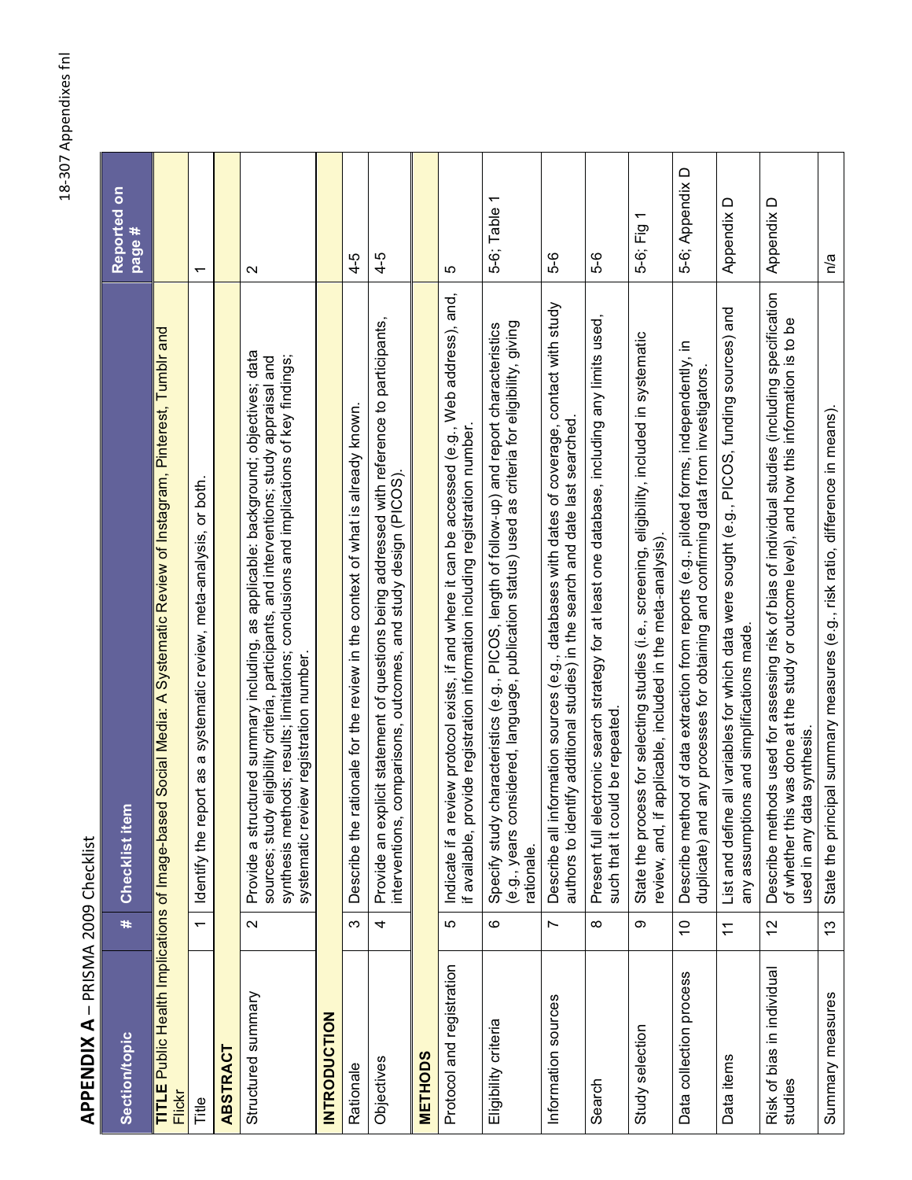# **APPENDIX A - PRISMA 2009 Checklist** PPENDIX A - PRISMA 2009 Checklist

| <b>Section/topic</b>                  | $\ddot{}$      | Checklist item                                                                                                                                                                                                                                                                                                       | Reported on<br>page #    |
|---------------------------------------|----------------|----------------------------------------------------------------------------------------------------------------------------------------------------------------------------------------------------------------------------------------------------------------------------------------------------------------------|--------------------------|
| Flickr                                |                | TITLE Public Health Implications of Image-based Social Media: A Systematic Review of Instagram, Pinterest, Tumblr and                                                                                                                                                                                                |                          |
| Title                                 | $\overline{ }$ | Identify the report as a systematic review, meta-analysis, or both.                                                                                                                                                                                                                                                  | $\overline{\phantom{0}}$ |
| <b>ABSTRACT</b>                       |                |                                                                                                                                                                                                                                                                                                                      |                          |
| Structured summary                    | $\sim$         | Provide a structured summary including, as applicable: background; objectives; data<br>synthesis methods; results; limitations; conclusions and implications of key findings;<br>sources; study eligibility criteria, participants, and interventions; study appraisal and<br>systematic review registration number. | $\mathbf{\Omega}$        |
| <b>INTRODUCTION</b>                   |                |                                                                                                                                                                                                                                                                                                                      |                          |
| Rationale                             | က              | ationale for the review in the context of what is already known.<br>Describe the                                                                                                                                                                                                                                     | $4 - 5$                  |
| Objectives                            | 4              | Provide an explicit statement of questions being addressed with reference to participants,<br>comparisons, outcomes, and study design (PICS)<br>interventions,                                                                                                                                                       | $4 - 5$                  |
| <b>METHODS</b>                        |                |                                                                                                                                                                                                                                                                                                                      |                          |
| Protocol and registration             | 5              | Indicate if a review protocol exists, if and where it can be accessed (e.g., Web address), and,<br>ovide registration information including registration number<br>if available, pr                                                                                                                                  | မာ                       |
| Eligibility criteria                  | ဖ              | (e.g., years considered, language, publication status) used as criteria for eligibility, giving<br>characteristics (e.g., PICOS, length of follow-up) and report characteristics<br>Specify study<br>rationale.                                                                                                      | 5-6; Table 1             |
| Information sources                   | $\sim$         | Describe all information sources (e.g., databases with dates of coverage, contact with study<br>authors to identify additional studies) in the search and date last searched.                                                                                                                                        | 5-6                      |
| Search                                | $\infty$       | ectronic search strategy for at least one database, including any limits used,<br>such that it could be repeated<br>Present full el                                                                                                                                                                                  | გ<br>5                   |
| Study selection                       | တ              | State the process for selecting studies (i.e., screening, eligibility, included in systematic<br>applicable, included in the meta-analysis)<br>review, and, if                                                                                                                                                       | 5-6; Fig 1               |
| Data collection process               | $\tilde{0}$    | Describe method of data extraction from reports (e.g., piloted forms, independently, in<br>duplicate) and any processes for obtaining and confirming data from investigators.                                                                                                                                        | 5-6; Appendix D          |
| Data items                            | $\overline{1}$ | List and define all variables for which data were sought (e.g., PICOS, funding sources) and<br>any assumptions and simplifications made.                                                                                                                                                                             | Appendix D               |
| Risk of bias in individual<br>studies | 12             | Describe methods used for assessing risk of bias of individual studies (including specification<br>of whether this was done at the study or outcome level), and how this information is to be<br>used in any data synthesis.                                                                                         | Appendix D               |
| Summary measures                      | $\frac{3}{2}$  | State the principal summary measures (e.g., risk ratio, difference in means).                                                                                                                                                                                                                                        | n/a                      |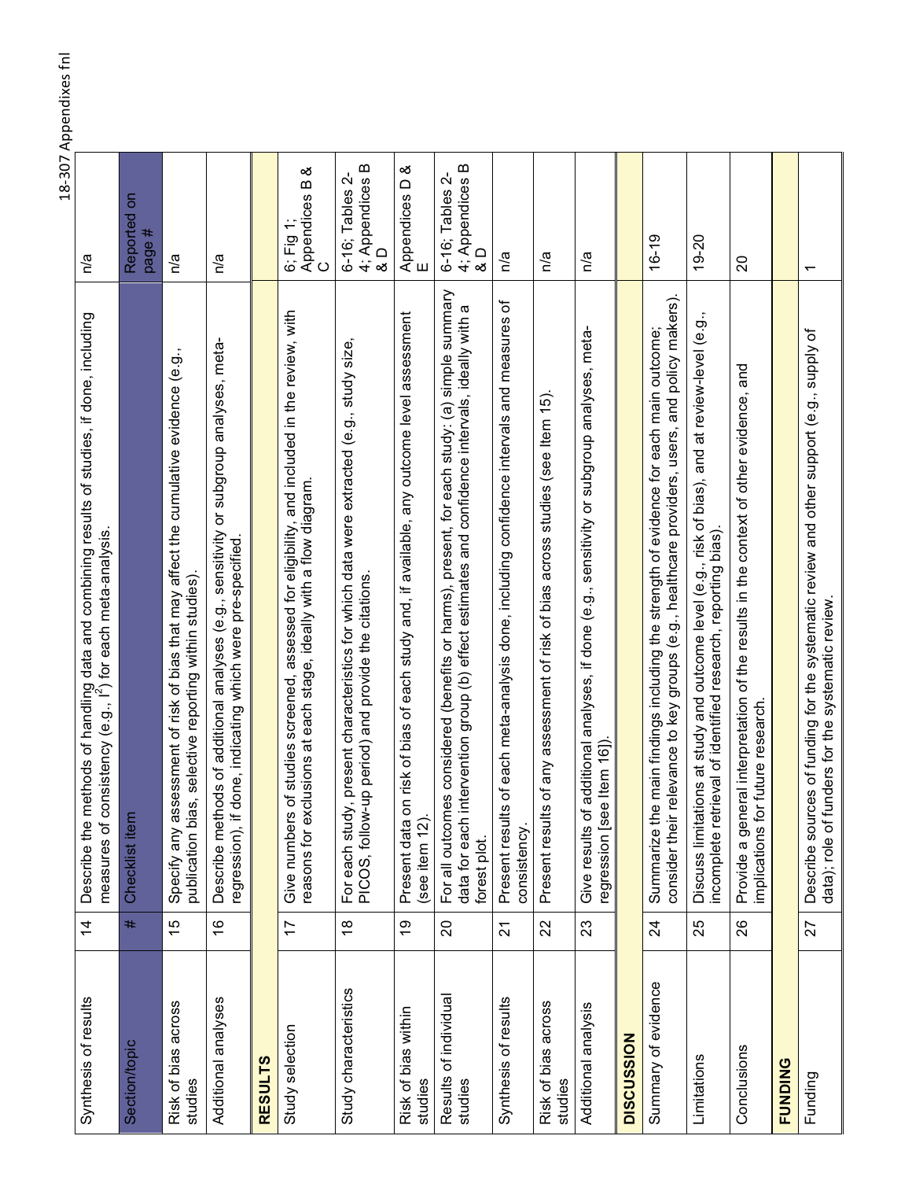| Synthesis of results             | $\overline{4}$  | Describe the methods of handling data and combining results of studies, if done, including<br>measures of consistency (e.g., I <sup>2</sup> ) for each meta-analysis.                                                   | n/a                                                              |
|----------------------------------|-----------------|-------------------------------------------------------------------------------------------------------------------------------------------------------------------------------------------------------------------------|------------------------------------------------------------------|
| <b>Section/topic</b>             | #               | Checklist item                                                                                                                                                                                                          | Reported on<br>page #                                            |
| Risk of bias across<br>studies   | 15              | Specify any assessment of risk of bias that may affect the cumulative evidence (e.g.,<br>publication bias, selective reporting within studies)                                                                          | n/a                                                              |
| Additional analyses              | $\frac{6}{5}$   | Describe methods of additional analyses (e.g., sensitivity or subgroup analyses, meta-<br>regression), if done, indicating which were pre-specified.                                                                    | n/a                                                              |
| <b>RESULTS</b>                   |                 |                                                                                                                                                                                                                         |                                                                  |
| Study selection                  | $\overline{1}$  | Give numbers of studies screened, assessed for eligibility, and included in the review, with<br>reasons for exclusions at each stage, ideally with a flow diagram.                                                      | య<br>Appendices B<br>6; Fig 1;<br>$\circ$                        |
| Study characteristics            | $\frac{8}{1}$   | present characteristics for which data were extracted (e.g., study size,<br>For each study, present characteristics for which date of the conditions.<br>PICOS, follow-up period) and provide the citations.            | 4; Appendices B<br>$\mathbf{r}$<br>6-16; Tables<br>$\frac{0}{8}$ |
| Risk of bias within<br>studies   | စ္              | Present data on risk of bias of each study and, if available, any outcome level assessment<br>(see item 12).                                                                                                            | య<br>Appendices D<br>E                                           |
| Results of individual<br>studies | $\Omega$        | is considered (benefits or harms), present, for each study: (a) simple summary<br>tervention group (b) effect estimates and confidence intervals, ideally with a<br>For all outcome<br>data for each in<br>forest plot. | 4; Appendices B<br>6-16; Tables 2-<br>$\Omega$<br>∞              |
| Synthesis of results             | 24              | of each meta-analysis done, including confidence intervals and measures of<br>Present results<br>consistency.                                                                                                           | n/a                                                              |
| Risk of bias across<br>studies   | 22              | of any assessment of risk of bias across studies (see Item 15).<br>Present results                                                                                                                                      | n/a                                                              |
| Additional analysis              | 23              | additional analyses, if done (e.g., sensitivity or subgroup analyses, meta-<br>regression [see Item 16])<br>Give results of                                                                                             | n/a                                                              |
| <b>DISCUSSION</b>                |                 |                                                                                                                                                                                                                         |                                                                  |
| Summary of evidence              | $\overline{24}$ | consider their relevance to key groups (e.g., healthcare providers, users, and policy makers).<br>main findings including the strength of evidence for each main outcome;<br>Summarize the                              | $16 - 19$                                                        |
| Limitations                      | 25              | Discuss limitations at study and outcome level (e.g., risk of bias), and at review-level (e.g.,<br>incomplete retrieval of identified research, reporting bias).                                                        | 19-20                                                            |
| Conclusions                      | 26              | Provide a general interpretation of the results in the context of other evidence, and<br>implications for future research.                                                                                              | 20                                                               |
| <b>FUNDING</b>                   |                 |                                                                                                                                                                                                                         |                                                                  |
| Funding                          | 27              | Describe sources of funding for the systematic review and other support (e.g., supply of<br>data); role of funders for the systematic review.                                                                           | $\overline{\phantom{0}}$                                         |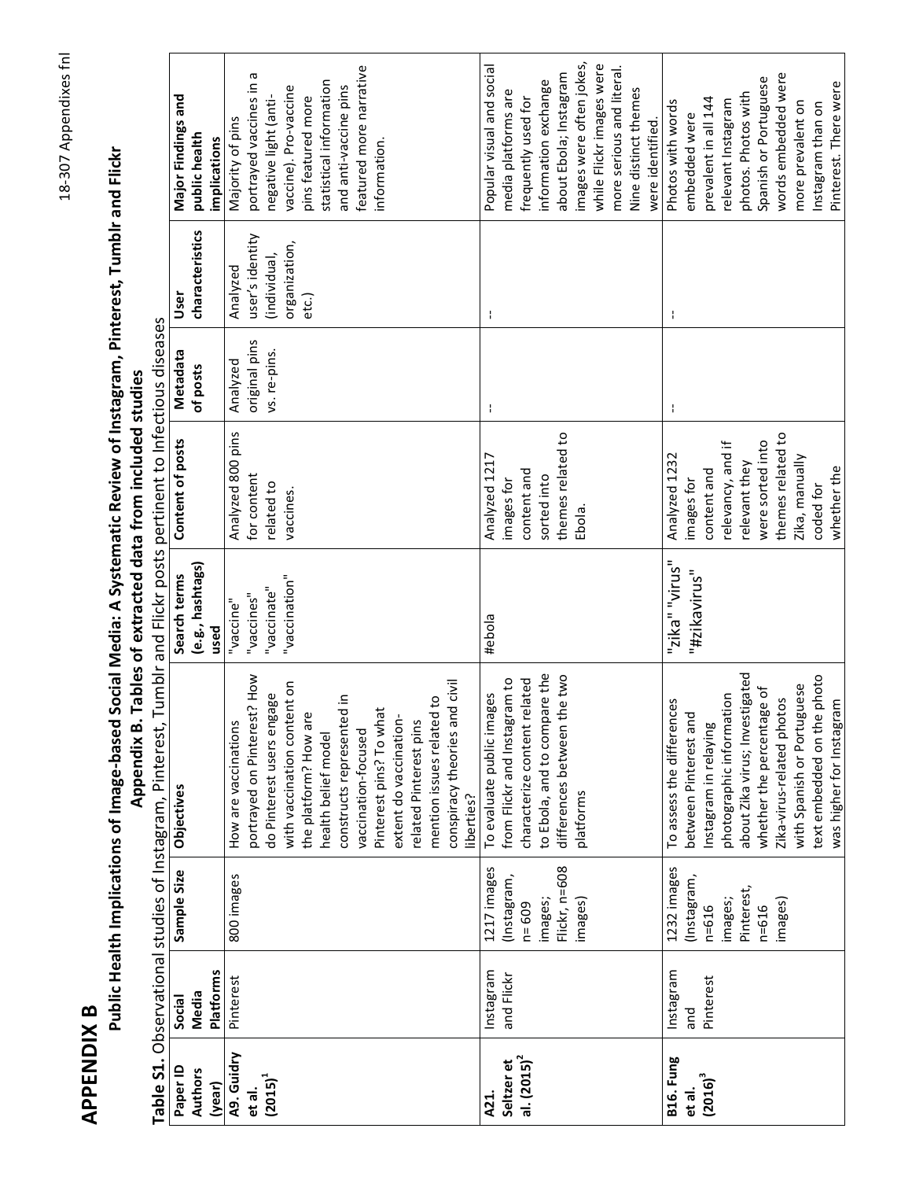| œ       |
|---------|
|         |
| ÷       |
|         |
| ٠.<br>Ξ |
|         |

# Public Health Implications of Image-based Social Media: A Systematic Review of Instagram, Pinterest, Tumblr and Flickr Appendix B. Tables of extracted data from included studies

|                                             |                               |                                                                                | Table S1. Observational studies of Instagram, Pinterest,                                                                                                                                                    |                                                         | Tumblr and Flickr posts pertinent to Infectious diseases                                             |                                           |                                                                       |                                                                                                                                                                                   |  |
|---------------------------------------------|-------------------------------|--------------------------------------------------------------------------------|-------------------------------------------------------------------------------------------------------------------------------------------------------------------------------------------------------------|---------------------------------------------------------|------------------------------------------------------------------------------------------------------|-------------------------------------------|-----------------------------------------------------------------------|-----------------------------------------------------------------------------------------------------------------------------------------------------------------------------------|--|
| Paper ID                                    | Social                        | Sample Size                                                                    | Objectives                                                                                                                                                                                                  | Search terms                                            | Content of posts                                                                                     | Metadata                                  | User                                                                  | Major Findings and                                                                                                                                                                |  |
| <b>Authors</b><br>(year)                    | <b>Platforms</b><br>Media     |                                                                                |                                                                                                                                                                                                             | (e.g., hashtags)<br>used                                |                                                                                                      | of posts                                  | characteristics                                                       | public health<br>implications                                                                                                                                                     |  |
| A9. Guidry<br>$(2015)^{1}$<br>et al.        | Pinterest                     | 800 images                                                                     | portrayed on Pinterest? How<br>with vaccination content on<br>do Pinterest users engage<br>$\omega$<br>the platform? How are<br>How are vaccinations<br>health belief model                                 | "vaccination"<br>"vaccinate"<br>"vaccines"<br>"vaccine" | Analyzed 800 pins<br>for content<br>related to<br>vaccines.                                          | original pins<br>vs. re-pins.<br>Analyzed | user's identity<br>organization,<br>(individual,<br>Analyzed<br>etc.) | portrayed vaccines in a<br>statistical information<br>vaccine). Pro-vaccine<br>pins featured more<br>negative light (anti-<br>Majority of pins                                    |  |
|                                             |                               |                                                                                | conspiracy theories and civil<br>constructs represented in<br>mention issues related to<br>Pinterest pins? To what<br>extent do vaccination-<br>related Pinterest pins<br>vaccination-focused<br>liberties? |                                                         |                                                                                                      |                                           |                                                                       | featured more narrative<br>and anti-vaccine pins<br>information.                                                                                                                  |  |
| al. $(2015)^2$<br>Seltzer et<br><b>A21.</b> | Instagram<br>and Flickr       | Flickr, n=608<br>1217 images<br>(Instagram,<br>images;<br>images)<br>$n = 609$ | to Ebola, and to compare the<br>differences between the two<br>characterize content related<br>from Flickr and Instagram to<br>To evaluate public images<br>platforms                                       | #ebola                                                  | themes related to<br>Analyzed 1217<br>content and<br>sorted into<br>images for<br>Ebola.             | ł                                         | J.                                                                    | images were often jokes,<br>while Flickr images were<br>Popular visual and social<br>about Ebola; Instagram<br>information exchange<br>media platforms are<br>frequently used for |  |
|                                             |                               |                                                                                |                                                                                                                                                                                                             |                                                         |                                                                                                      |                                           |                                                                       | more serious and literal.<br>Nine distinct themes<br>were identified.                                                                                                             |  |
| <b>B16. Fung</b><br>$(2016)^3$<br>et al.    | Instagram<br>Pinterest<br>pue | 1232 images<br>(Instagram,<br>images;<br>$n = 616$                             | photographic information<br>To assess the differences<br>between Pinterest and<br>Instagram in relaying                                                                                                     | "zika" "virus"<br>"#zikavirus"                          | relevancy, and if<br>Analyzed 1232<br>content and<br>images for                                      | ł                                         | ł                                                                     | prevalent in all 144<br>relevant Instagram<br>Photos with words<br>embedded were                                                                                                  |  |
|                                             |                               | Pinterest,<br>images)<br>$n = 616$                                             | about Zika virus; Investigated<br>text embedded on the photo<br>with Spanish or Portuguese<br>whether the percentage of<br>Zika-virus-related photos<br>was higher for Instagram                            |                                                         | themes related to<br>were sorted into<br>Zika, manually<br>relevant they<br>whether the<br>coded for |                                           |                                                                       | words embedded were<br>Spanish or Portuguese<br>Pinterest. There were<br>photos. Photos with<br>more prevalent on<br>Instagram than on                                            |  |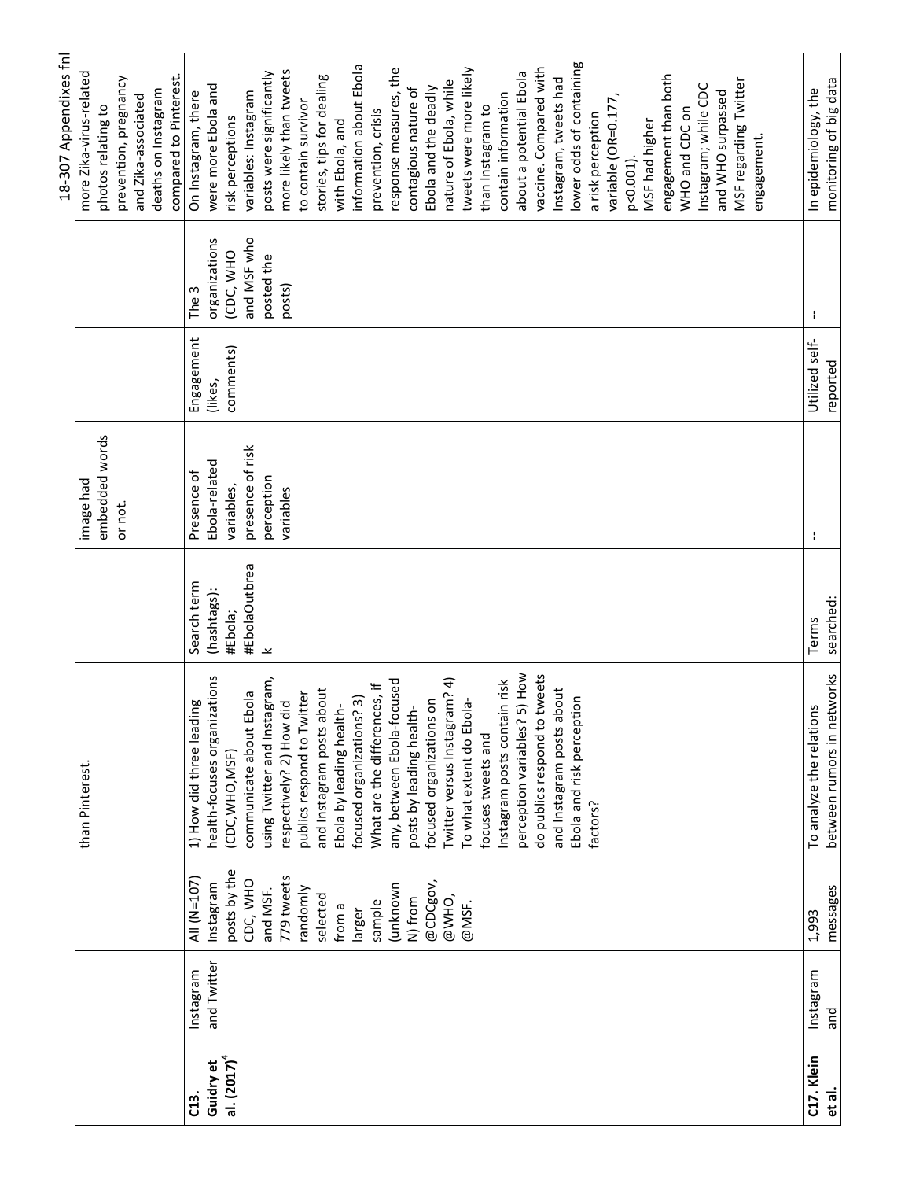|                |             |              |                                 |                          |                  |                |               | 18-307 Appendixes fnl                  |
|----------------|-------------|--------------|---------------------------------|--------------------------|------------------|----------------|---------------|----------------------------------------|
|                |             |              | than Pinterest.                 |                          | image had        |                |               | more Zika-virus-related                |
|                |             |              |                                 |                          | embedded words   |                |               | photos relating to                     |
|                |             |              |                                 |                          | or not.          |                |               | prevention, pregnancy                  |
|                |             |              |                                 |                          |                  |                |               | and Zika-associated                    |
|                |             |              |                                 |                          |                  |                |               | deaths on Instagram                    |
|                |             |              |                                 |                          |                  |                |               | compared to Pinterest.                 |
| $\overline{c}$ | Instagram   | AII (N=107)  | aui<br>1) How did three lead    | Search term              | Presence of      | Engagement     | The 3         | On Instagram, there                    |
| Guidry et      | and Twitter | Instagram    | health-focuses organizations    | (hashtags):              | Ebola-related    | (likes,        | organizations | were more Ebola and                    |
| al. $(2017)^4$ |             | posts by the | (CDC, WHO, MSF)                 | #Ebola;                  | variables,       | comments)      | (CDC, WHO     | risk perceptions                       |
|                |             | CDC, WHO     | communicate about Ebola         | #EbolaOutbrea            | presence of risk |                | and MSF who   | variables: Instagram                   |
|                |             | and MSF.     | using Twitter and Instagram,    | $\overline{\phantom{a}}$ | perception       |                | posted the    | posts were significantly               |
|                |             | 779 tweets   | respectively? 2) How did        |                          | variables        |                | posts)        | more likely than tweets                |
|                |             | randomly     | publics respond to Twitter      |                          |                  |                |               | to contain survivor                    |
|                |             | selected     | and Instagram posts about       |                          |                  |                |               | stories, tips for dealing              |
|                |             | from a       | Ebola by leading health-        |                          |                  |                |               | with Ebola, and                        |
|                |             | larger       | focused organizations? 3)       |                          |                  |                |               | information about Ebola                |
|                |             | sample       | What are the differences, if    |                          |                  |                |               | prevention, crisis                     |
|                |             | unknown)     | any, between Ebola-focused      |                          |                  |                |               | response measures, the                 |
|                |             | N) from      | posts by leading health-        |                          |                  |                |               | contagious nature of                   |
|                |             | @CDCgov,     | focused organizations on        |                          |                  |                |               | Ebola and the deadly                   |
|                |             | @WHO,        | Twitter versus Instagram? 4)    |                          |                  |                |               | nature of Ebola, while                 |
|                |             | @MSF.        | To what extent do Ebola-        |                          |                  |                |               | tweets were more likely                |
|                |             |              | focuses tweets and              |                          |                  |                |               | than Instagram to                      |
|                |             |              | Instagram posts contain risk    |                          |                  |                |               | contain information                    |
|                |             |              | 5) How<br>perception variables? |                          |                  |                |               | about a potential Ebola                |
|                |             |              | do publics respond to tweets    |                          |                  |                |               | vaccine. Compared with                 |
|                |             |              | and Instagram posts about       |                          |                  |                |               | Instagram, tweets had                  |
|                |             |              | Ebola and risk perception       |                          |                  |                |               | lower odds of containing               |
|                |             |              | factors?                        |                          |                  |                |               | a risk perception                      |
|                |             |              |                                 |                          |                  |                |               | variable (OR=0.177,                    |
|                |             |              |                                 |                          |                  |                |               | p<0.001)                               |
|                |             |              |                                 |                          |                  |                |               | MSF had higher                         |
|                |             |              |                                 |                          |                  |                |               |                                        |
|                |             |              |                                 |                          |                  |                |               | engagement than both<br>WHO and CDC on |
|                |             |              |                                 |                          |                  |                |               |                                        |
|                |             |              |                                 |                          |                  |                |               | Instagram; while CDC                   |
|                |             |              |                                 |                          |                  |                |               | and WHO surpassed                      |
|                |             |              |                                 |                          |                  |                |               | MSF regarding Twitter                  |
|                |             |              |                                 |                          |                  |                |               | engagement.                            |
|                |             |              |                                 |                          |                  |                |               |                                        |
| C17. Klein     | Instagram   | 1,993        | To analyze the relations        | Terms                    | ÷                | Utilized self- | ÷             | In epidemiology, the                   |
| et al.         | and         | messages     | between rumors in networks      | searched:                |                  | reported       |               | monitoring of big data                 |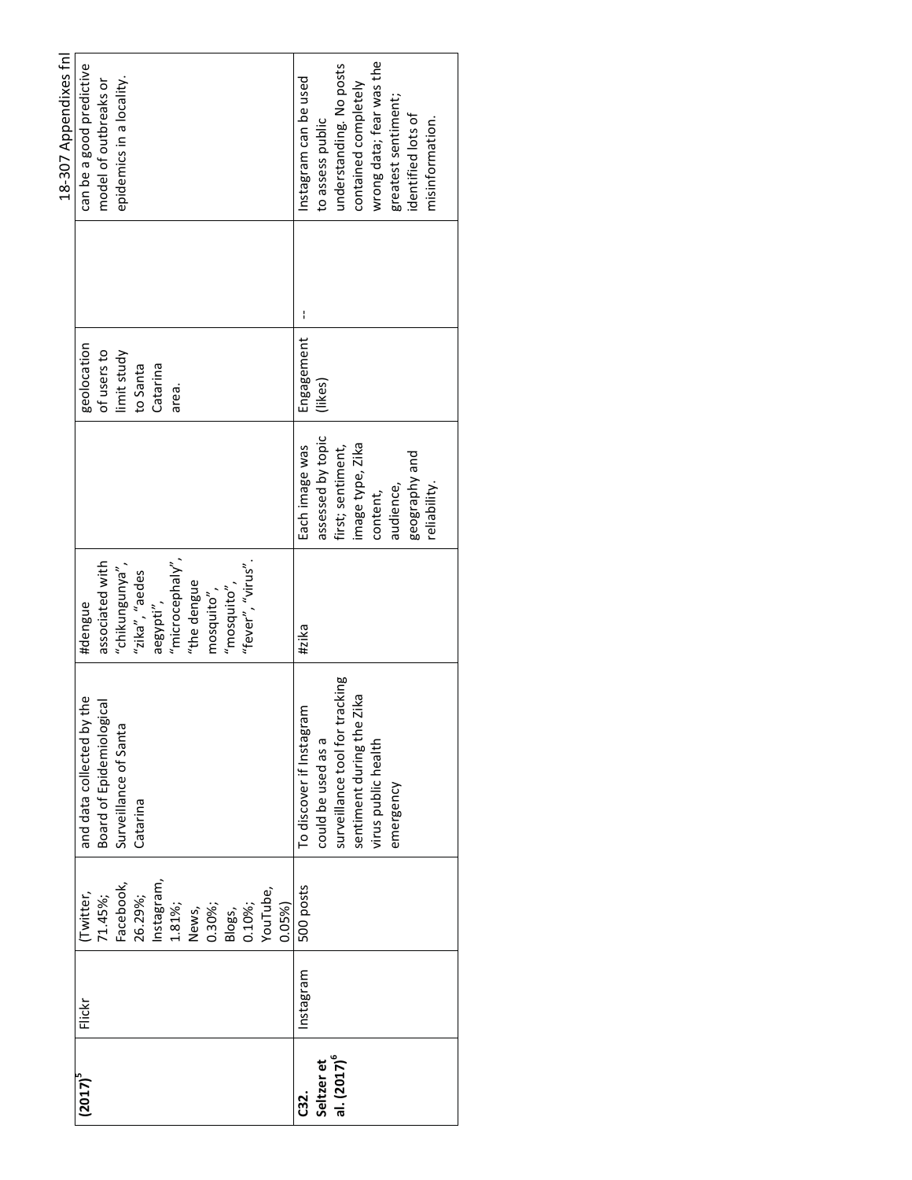|                         |           |                  |                                |                                  |                   |             | 18-307 Appendixes fnl    |
|-------------------------|-----------|------------------|--------------------------------|----------------------------------|-------------------|-------------|--------------------------|
| $(2017)^5$              | Flickr    | Twitter,         | the<br>and data collected by   | #dengue                          |                   | geolocation | can be a good predictive |
|                         |           | 71.45%;          | Board of Epidemiological       | associated with                  |                   | of users to | model of outbreaks or    |
|                         |           | Facebook,        | Surveillance of Santa          |                                  |                   | limit study | epidemics in a locality. |
|                         |           | 26.29%;          | Catarina                       | "chikungunya",<br>"zika", "aedes |                   | to Santa    |                          |
|                         |           | Instagram,       |                                | aegypti",                        |                   | Catarina    |                          |
|                         |           | 1.81%;           |                                | "microcephaly",                  |                   | area.       |                          |
|                         |           | News,            |                                | "the dengue                      |                   |             |                          |
|                         |           | 0.30%;           |                                | mosquito",                       |                   |             |                          |
|                         |           |                  |                                | $"$ mosquito $"$ ,               |                   |             |                          |
|                         |           | Blogs,<br>0.10%; |                                | "fever", "virus".                |                   |             |                          |
|                         |           | /ouTube,         |                                |                                  |                   |             |                          |
|                         |           | 0.05%            |                                |                                  |                   |             |                          |
| <b>C32.</b>             | Instagram | 500 posts        | To discover if Instagram       | #zika                            | Each image was    | Engagement  | Instagram can be used    |
| Seltzer et              |           |                  | could be used as a             |                                  | assessed by topic | (likes)     | to assess public         |
| al. (2017) <sup>6</sup> |           |                  | surveillance tool for tracking |                                  | first; sentiment, |             | understanding. No posts  |
|                         |           |                  | sentiment during the Zika      |                                  | image type, Zika  |             | contained completely     |
|                         |           |                  | virus public health            |                                  | content,          |             | wrong data; fear was the |
|                         |           |                  | emergency                      |                                  | audience,         |             | greatest sentiment;      |
|                         |           |                  |                                |                                  | geography and     |             | identified lots of       |
|                         |           |                  |                                |                                  | reliability.      |             | misinformation.          |
|                         |           |                  |                                |                                  |                   |             |                          |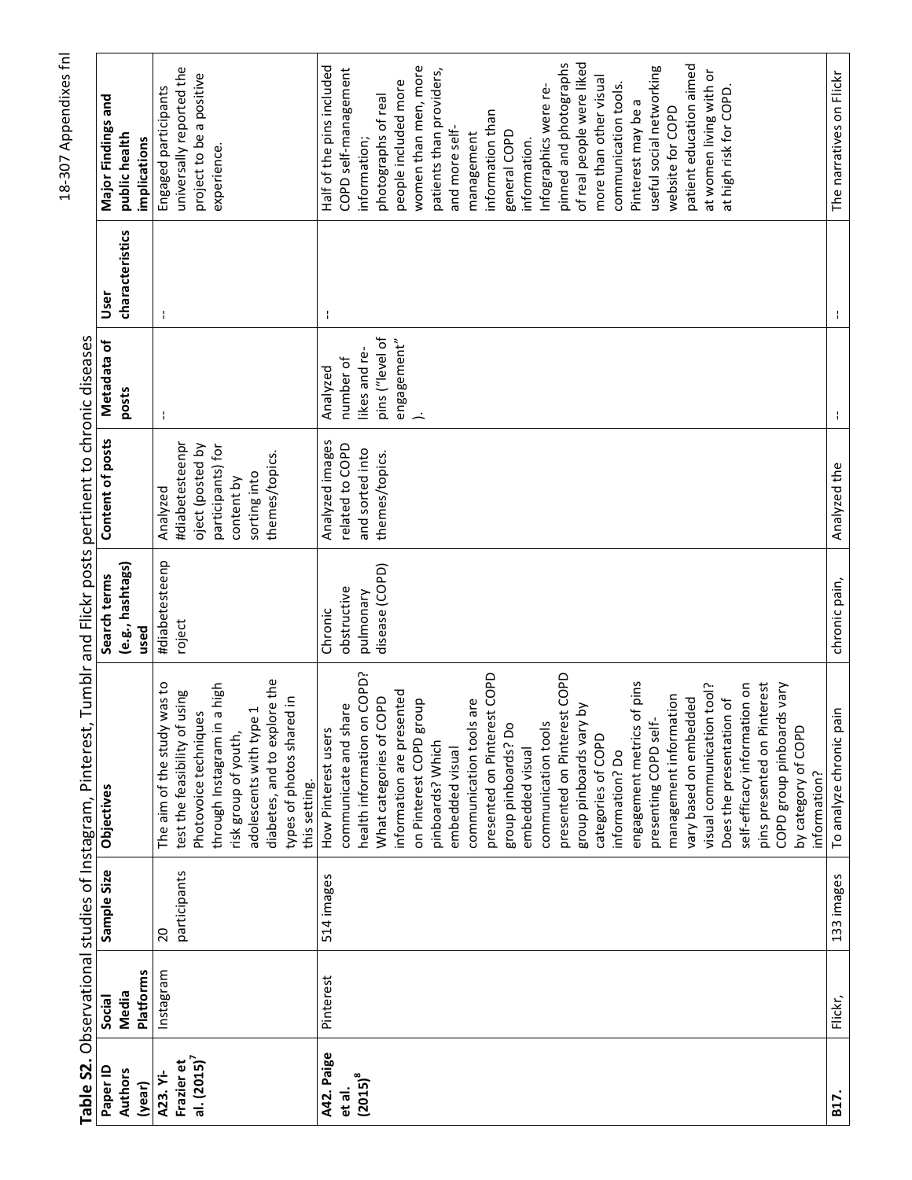|                |                  |                | Table S2. Observational studies of Instagram, Pinterest, |                  | Tumblr and Flickr posts pertinent to chronic diseases |                 |                 |                           |
|----------------|------------------|----------------|----------------------------------------------------------|------------------|-------------------------------------------------------|-----------------|-----------------|---------------------------|
| Paper ID       | Social           | Sample Size    | Objectives                                               | Search terms     | Content of posts                                      | Metadata of     | User            | Major Findings and        |
| <b>Authors</b> | Media            |                |                                                          | (e.g., hashtags) |                                                       | posts           | characteristics | public health             |
| (year)         | <b>Platforms</b> |                |                                                          | used             |                                                       |                 |                 | implications              |
| A23. Yi-       | Instagram        | $\overline{c}$ | was to<br>The aim of the study                           | #diabetesteenp   | Analyzed                                              | ÷               | ÷               | Engaged participants      |
| Frazier et     |                  | participants   | using<br>test the feasibility of                         | roject           | #diabetesteenpr                                       |                 |                 | universally reported the  |
| al. $(2015)^7$ |                  |                | Photovoice techniques                                    |                  | oject (posted by                                      |                 |                 | project to be a positive  |
|                |                  |                | a high<br>through Instagram in                           |                  | participants) for                                     |                 |                 | experience.               |
|                |                  |                | risk group of youth,                                     |                  | content by                                            |                 |                 |                           |
|                |                  |                | adolescents with type 1                                  |                  | sorting into                                          |                 |                 |                           |
|                |                  |                | diabetes, and to explore the                             |                  | themes/topics.                                        |                 |                 |                           |
|                |                  |                | types of photos shared in                                |                  |                                                       |                 |                 |                           |
|                |                  |                | this setting.                                            |                  |                                                       |                 |                 |                           |
| A42. Paige     | Pinterest        | 514 images     | How Pinterest users                                      | Chronic          | Analyzed images                                       | Analyzed        | ÷               | Half of the pins included |
| et al.         |                  |                | communicate and share                                    | obstructive      | related to COPD                                       | number of       |                 | COPD self-management      |
| $(2015)^8$     |                  |                | health information on COPD?                              | pulmonary        | and sorted into                                       | likes and re-   |                 | information;              |
|                |                  |                | What categories of COPD                                  | disease (COPD)   | themes/topics.                                        | pins ("level of |                 | photographs of real       |
|                |                  |                | information are presented                                |                  |                                                       | engagement"     |                 | people included more      |
|                |                  |                | on Pinterest COPD group                                  |                  |                                                       |                 |                 | women than men, more      |
|                |                  |                | pinboards? Which                                         |                  |                                                       |                 |                 | patients than providers,  |
|                |                  |                |                                                          |                  |                                                       |                 |                 |                           |
|                |                  |                | embedded visual                                          |                  |                                                       |                 |                 | and more self-            |
|                |                  |                | communication tools are                                  |                  |                                                       |                 |                 | management                |
|                |                  |                | presented on Pinterest COPD                              |                  |                                                       |                 |                 | information than          |
|                |                  |                | group pinboards? Do                                      |                  |                                                       |                 |                 | general COPD              |
|                |                  |                | embedded visual                                          |                  |                                                       |                 |                 | information.              |
|                |                  |                | communication tools                                      |                  |                                                       |                 |                 | Infographics were re-     |
|                |                  |                | presented on Pinterest COPD                              |                  |                                                       |                 |                 | pinned and photographs    |
|                |                  |                |                                                          |                  |                                                       |                 |                 |                           |
|                |                  |                | $\delta$<br>group pinboards vary                         |                  |                                                       |                 |                 | of real people were liked |
|                |                  |                | categories of COPD                                       |                  |                                                       |                 |                 | more than other visual    |
|                |                  |                | information? Do                                          |                  |                                                       |                 |                 | communication tools.      |
|                |                  |                | engagement metrics of pins                               |                  |                                                       |                 |                 | Pinterest may be a        |
|                |                  |                | presenting COPD self-                                    |                  |                                                       |                 |                 | useful social networking  |
|                |                  |                | management information                                   |                  |                                                       |                 |                 | website for COPD          |
|                |                  |                | vary based on embedded                                   |                  |                                                       |                 |                 | patient education aimed   |
|                |                  |                | visual communication tool?                               |                  |                                                       |                 |                 | at women living with or   |
|                |                  |                | Does the presentation of                                 |                  |                                                       |                 |                 | at high risk for COPD.    |
|                |                  |                | self-efficacy information on                             |                  |                                                       |                 |                 |                           |
|                |                  |                | pins presented on Pinterest                              |                  |                                                       |                 |                 |                           |
|                |                  |                | ls vary<br>COPD group pinboard                           |                  |                                                       |                 |                 |                           |
|                |                  |                |                                                          |                  |                                                       |                 |                 |                           |
|                |                  |                | by category of COPD<br>information?                      |                  |                                                       |                 |                 |                           |
| B17.           | Flickr,          | 133 images     | To analyze chronic pain                                  | chronic pain,    | Analyzed the                                          | ÷               |                 | The narratives on Flickr  |
|                |                  |                |                                                          |                  |                                                       |                 |                 |                           |

é  $\cdot$  $\frac{1}{2}$ j. Ė È  $\ddot{\cdot}$  $\ddot{ }$  $\vec{\epsilon}$  $\ddot{\cdot}$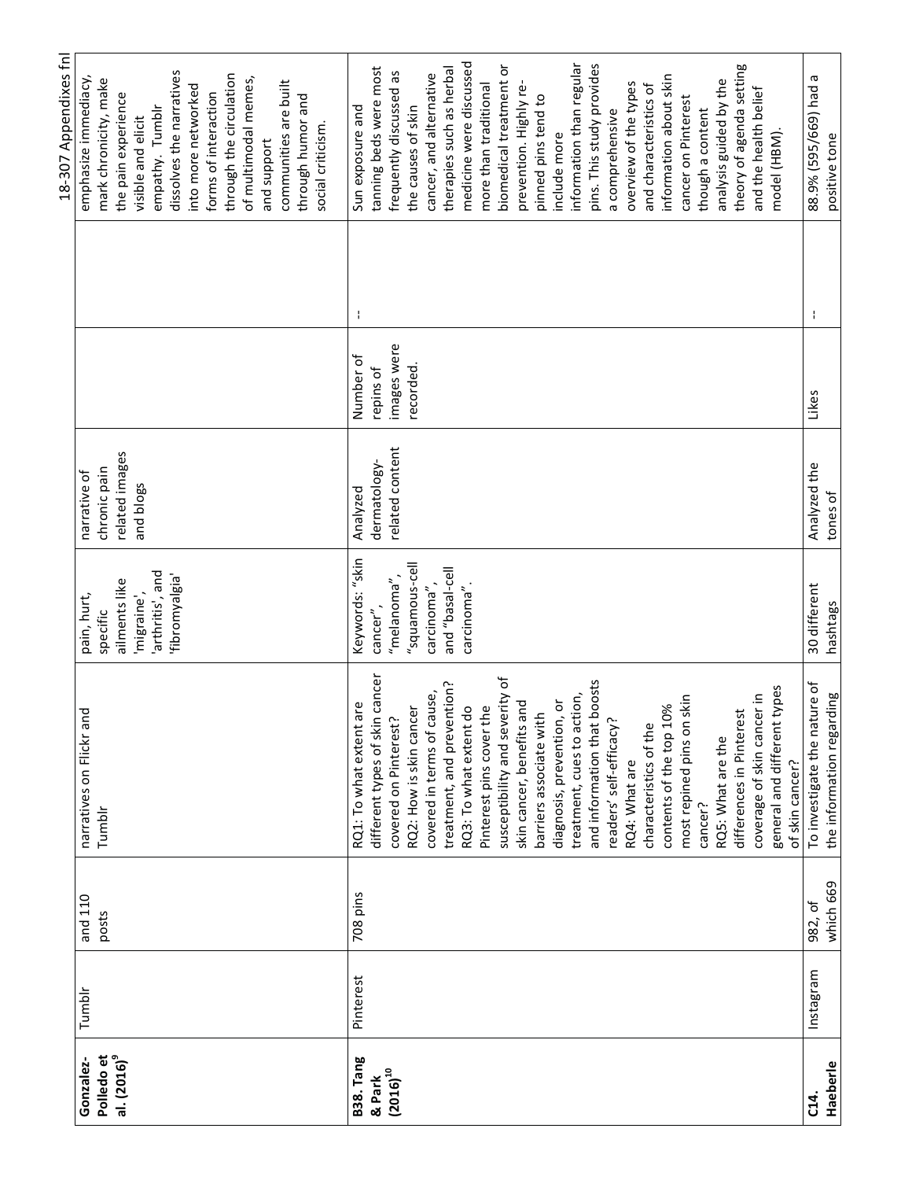|                         |           |           |                                   |                 |                 |            |   | 18-307 Appendixes fn      |
|-------------------------|-----------|-----------|-----------------------------------|-----------------|-----------------|------------|---|---------------------------|
| Gonzalez-               | Tumblr    | and 110   | narratives on Flickr and          | pain, hurt,     | narrative of    |            |   | emphasize immediacy,      |
| Polledo et              |           | posts     | Tumblr                            | specific        | chronic pain    |            |   | mark chronicity, make     |
| al. (2016) <sup>9</sup> |           |           |                                   | ailments like   | related images  |            |   | the pain experience       |
|                         |           |           |                                   | 'migraine',     | and blogs       |            |   | visible and elicit        |
|                         |           |           |                                   | arthritis', and |                 |            |   | empathy. Tumblr           |
|                         |           |           |                                   | 'fibromyalgia'  |                 |            |   | dissolves the narratives  |
|                         |           |           |                                   |                 |                 |            |   | into more networked       |
|                         |           |           |                                   |                 |                 |            |   | forms of interaction      |
|                         |           |           |                                   |                 |                 |            |   | through the circulation   |
|                         |           |           |                                   |                 |                 |            |   | of multimodal memes,      |
|                         |           |           |                                   |                 |                 |            |   | and support               |
|                         |           |           |                                   |                 |                 |            |   | communities are built     |
|                         |           |           |                                   |                 |                 |            |   | through humor and         |
|                         |           |           |                                   |                 |                 |            |   | social criticism.         |
| <b>B38. Tang</b>        | Pinterest | 708 pins  | RQ1: To what extent are           | Keywords: "skin | Analyzed        | Number of  | ÷ | Sun exposure and          |
| & Park                  |           |           | cancer<br>different types of skin | cancer",        | dermatology-    | repins of  |   | tanning beds were most    |
| $(2016)^{10}$           |           |           | covered on Pinterest?             | "melanoma",     | related content | mages were |   | frequently discussed as   |
|                         |           |           | RQ2: How is skin cancer           | "squamous-cell  |                 | recorded.  |   | the causes of skin        |
|                         |           |           | covered in terms of cause,        | carcinoma",     |                 |            |   | cancer, and alternative   |
|                         |           |           | treatment, and prevention?        | lleo-lesed" bne |                 |            |   | therapies such as herbal  |
|                         |           |           | RQ3: To what extent do            | carcinoma"      |                 |            |   | medicine were discussed   |
|                         |           |           | Pinterest pins cover the          |                 |                 |            |   | more than traditional     |
|                         |           |           | susceptibility and severity of    |                 |                 |            |   | biomedical treatment or   |
|                         |           |           | skin cancer, benefits and         |                 |                 |            |   | prevention. Highly re-    |
|                         |           |           | barriers associate with           |                 |                 |            |   | pinned pins tend to       |
|                         |           |           | diagnosis, prevention, or         |                 |                 |            |   | include more              |
|                         |           |           | treatment, cues to action,        |                 |                 |            |   | information than regular  |
|                         |           |           | boosts<br>and information that    |                 |                 |            |   | pins. This study provides |
|                         |           |           | readers' self-efficacy?           |                 |                 |            |   | a comprehensive           |
|                         |           |           | RQ4: What are                     |                 |                 |            |   | overview of the types     |
|                         |           |           | characteristics of the            |                 |                 |            |   | and characteristics of    |
|                         |           |           | contents of the top 10%           |                 |                 |            |   | information about skin    |
|                         |           |           | skin<br>most repined pins on      |                 |                 |            |   | cancer on Pinterest       |
|                         |           |           | cancer?                           |                 |                 |            |   | though a content          |
|                         |           |           | RQ5: What are the                 |                 |                 |            |   | analysis guided by the    |
|                         |           |           | differences in Pinterest          |                 |                 |            |   | theory of agenda setting  |
|                         |           |           | coverage of skin cancer in        |                 |                 |            |   | and the health belief     |
|                         |           |           | types<br>general and different    |                 |                 |            |   | model (HBM).              |
|                         |           |           | of skin cancer?                   |                 |                 |            |   |                           |
| $C14$ .                 | Instagram | 982, of   | To investigate the nature of      | 30 different    | Analyzed the    | Likes      | ÷ | 88.9% (595/669) had a     |
| Haeberle                |           | which 669 | the information regarding         | hashtags        | tones of        |            |   | positive tone             |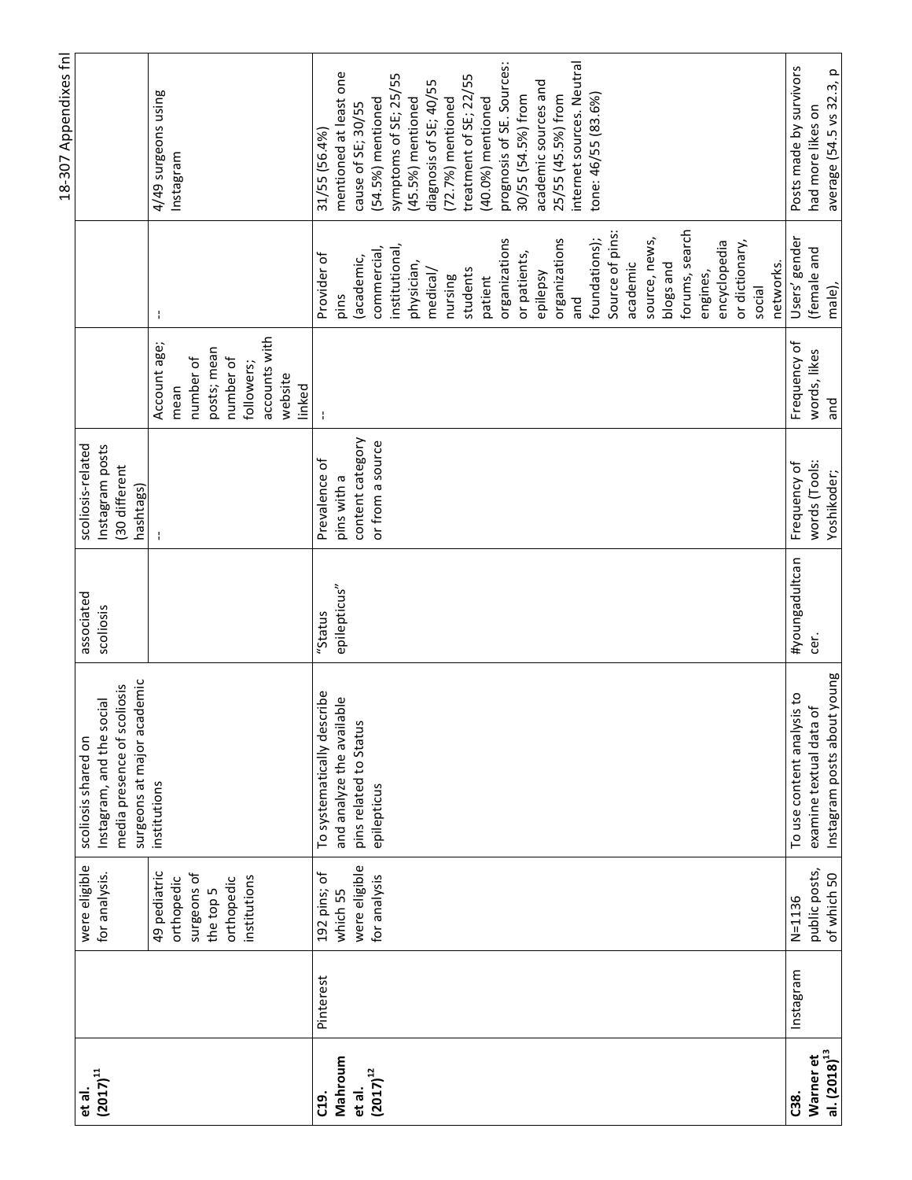|                               |           |                                |                                                                                                               |                         |                                                                   |                                    |                     | 18-307 Appendixes fnl            |
|-------------------------------|-----------|--------------------------------|---------------------------------------------------------------------------------------------------------------|-------------------------|-------------------------------------------------------------------|------------------------------------|---------------------|----------------------------------|
| $(2017)^{11}$<br>et al.       |           | were eligible<br>for analysis. | surgeons at major academic<br>media presence of scoliosis<br>Instagram, and the social<br>scoliosis shared on | associated<br>scoliosis | scoliosis-related<br>Instagram posts<br>30 different<br>hashtags) |                                    |                     |                                  |
|                               |           | 49 pediatric<br>orthopedic     | institutions                                                                                                  |                         |                                                                   | Account age;<br>mean               | ÷                   | 4/49 surgeons using<br>Instagram |
|                               |           | surgeons of<br>the top 5       |                                                                                                               |                         |                                                                   | posts; mean<br>number of           |                     |                                  |
|                               |           | institutions<br>orthopedic     |                                                                                                               |                         |                                                                   | number of<br>followers;            |                     |                                  |
|                               |           |                                |                                                                                                               |                         |                                                                   | accounts with<br>website<br>linked |                     |                                  |
| C19.                          | Pinterest | 192 pins; of                   | To systematically describe                                                                                    | "Status                 | Prevalence of                                                     |                                    | Provider of         | 31/55 (56.4%)                    |
| Mahroum                       |           | which 55                       | and analyze the available                                                                                     | epilepticus"            | pins with a                                                       |                                    | pins                | mentioned at least one           |
| et al.                        |           | were eligible                  | pins related to Status                                                                                        |                         | content category                                                  |                                    | (academic,          | cause of SE; 30/55               |
| $(2017)^{12}$                 |           | for analysis                   | epilepticus                                                                                                   |                         | or from a source                                                  |                                    | commercial,         | (54.5%) mentioned                |
|                               |           |                                |                                                                                                               |                         |                                                                   |                                    | institutional       | symptoms of SE; 25/55            |
|                               |           |                                |                                                                                                               |                         |                                                                   |                                    | physician,          | (45.5%) mentioned                |
|                               |           |                                |                                                                                                               |                         |                                                                   |                                    | medical/            | diagnosis of SE; 40/55           |
|                               |           |                                |                                                                                                               |                         |                                                                   |                                    | nursing             | $(72.7%)$ mentioned              |
|                               |           |                                |                                                                                                               |                         |                                                                   |                                    | students            | treatment of SE; 22/55           |
|                               |           |                                |                                                                                                               |                         |                                                                   |                                    | patient             | $(40.0\%)$ mentioned             |
|                               |           |                                |                                                                                                               |                         |                                                                   |                                    | organizations       | prognosis of SE. Sources:        |
|                               |           |                                |                                                                                                               |                         |                                                                   |                                    | or patients,        | 30/55 (54.5%) from               |
|                               |           |                                |                                                                                                               |                         |                                                                   |                                    | epilepsy            | academic sources and             |
|                               |           |                                |                                                                                                               |                         |                                                                   |                                    | organizations       | 25/55 (45.5%) from               |
|                               |           |                                |                                                                                                               |                         |                                                                   |                                    | and                 | internet sources. Neutral        |
|                               |           |                                |                                                                                                               |                         |                                                                   |                                    | foundations);       | tone: 46/55 (83.6%)              |
|                               |           |                                |                                                                                                               |                         |                                                                   |                                    | Source of pins:     |                                  |
|                               |           |                                |                                                                                                               |                         |                                                                   |                                    | academic            |                                  |
|                               |           |                                |                                                                                                               |                         |                                                                   |                                    | source, news,       |                                  |
|                               |           |                                |                                                                                                               |                         |                                                                   |                                    | blogs and           |                                  |
|                               |           |                                |                                                                                                               |                         |                                                                   |                                    | forums, search      |                                  |
|                               |           |                                |                                                                                                               |                         |                                                                   |                                    | engines,            |                                  |
|                               |           |                                |                                                                                                               |                         |                                                                   |                                    | encyclopedia        |                                  |
|                               |           |                                |                                                                                                               |                         |                                                                   |                                    | or dictionary,      |                                  |
|                               |           |                                |                                                                                                               |                         |                                                                   |                                    | networks.<br>social |                                  |
| <b>C38.</b>                   | Instagram | $N = 1136$                     | To use content analysis to                                                                                    | #youngadultcan          | Frequency of                                                      | Frequency of                       | Users' gender       | Posts made by survivors          |
| Warner et                     |           | public posts,                  | đ<br>examine textual data                                                                                     | č.                      | words (Tools:                                                     | words, likes                       | (female and         | had more likes on                |
| $\frac{al. (2018)^{13}}{al.}$ |           | of which 50                    | Instagram posts about young                                                                                   |                         | Yoshikoder;                                                       | and                                | male),              | average (54.5 vs 32.3, p         |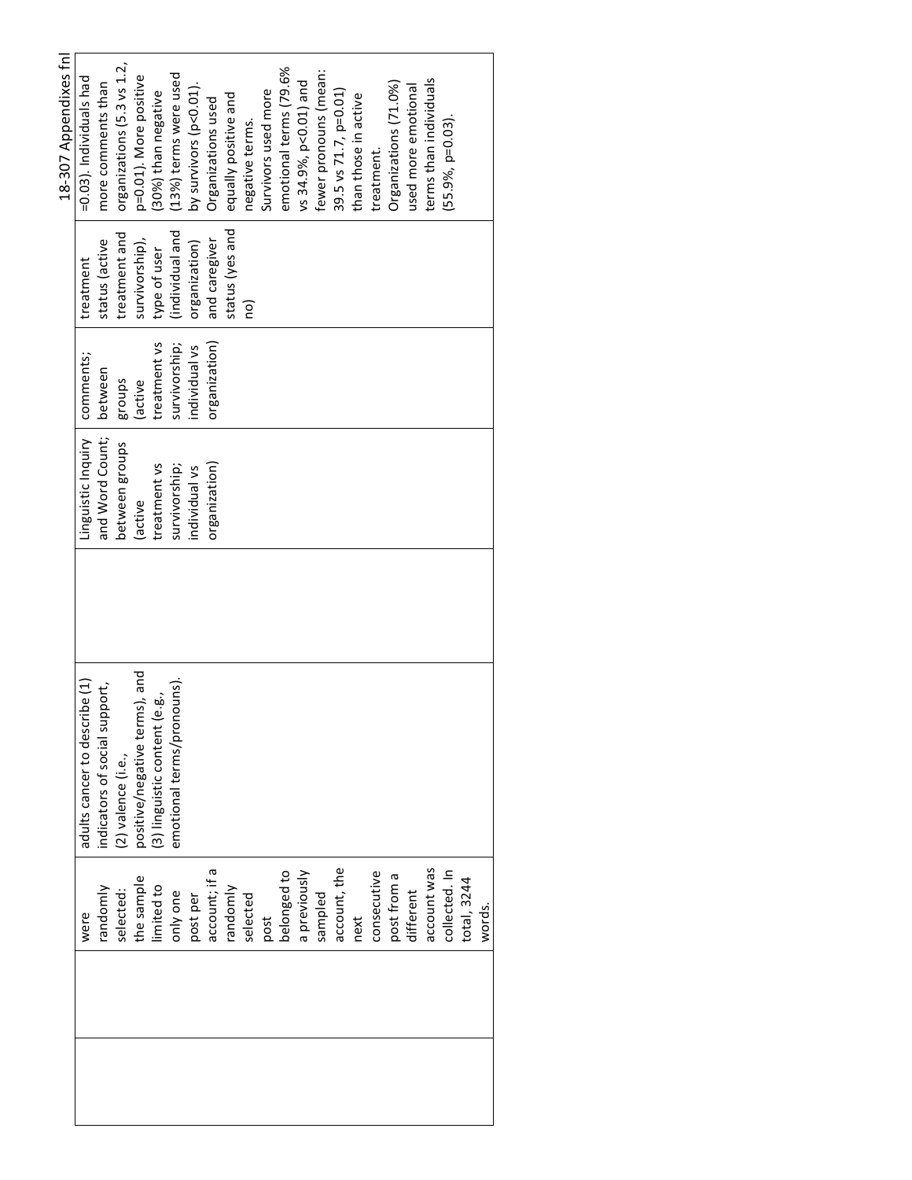|               |                               |                    |               |                 | 18-307 Appendixes fnl      |
|---------------|-------------------------------|--------------------|---------------|-----------------|----------------------------|
| were          | adults cancer to describe (1) | Linguistic Inquiry | comments;     | treatment       | =0.03). Individuals had    |
| randomly      | indicators of social support, | and Word Count;    | between       | status (active  | more comments than         |
| selected:     | (2) valence (i.e.,            | between groups     | sconba        | treatment and   | organizations (5.3 vs 1.2, |
| the sample    | positive/negative terms), and | (active            | (active       | survivorship),  | p=0.01). More positive     |
| limited to    | (3) linguistic content (e.g., | treatment vs       | treatment vs  | type of user    | (30%) than negative        |
| only one      | emotional terms/pronouns).    | survivorship;      | survivorship; | (individual and | (13%) terms were used      |
| post per      |                               | individual vs      | individual vs | organization)   | by survivors (p<0.01).     |
| account; if a |                               | organization)      | organization) | and caregiver   | Organizations used         |
| randomly      |                               |                    |               | status (yes and | equally positive and       |
| selected      |                               |                    |               | ou              | negative terms.            |
| post          |                               |                    |               |                 | Survivors used more        |
| belonged to   |                               |                    |               |                 | emotional terms (79.6%     |
| a previously  |                               |                    |               |                 | vs 34.9%, p<0.01) and      |
| sampled       |                               |                    |               |                 | fewer pronouns (mean:      |
| account, the  |                               |                    |               |                 | 39.5 vs 71.7, p=0.01)      |
| next          |                               |                    |               |                 | than those in active       |
| consecutive   |                               |                    |               |                 | treatment.                 |
| post from a   |                               |                    |               |                 | Organizations (71.0%)      |
| different     |                               |                    |               |                 | used more emotional        |
| account was   |                               |                    |               |                 | terms than individuals     |
| collected. In |                               |                    |               |                 | (55.9%, p=0.03).           |
| total, 3244   |                               |                    |               |                 |                            |
| words.        |                               |                    |               |                 |                            |
|               |                               |                    |               |                 |                            |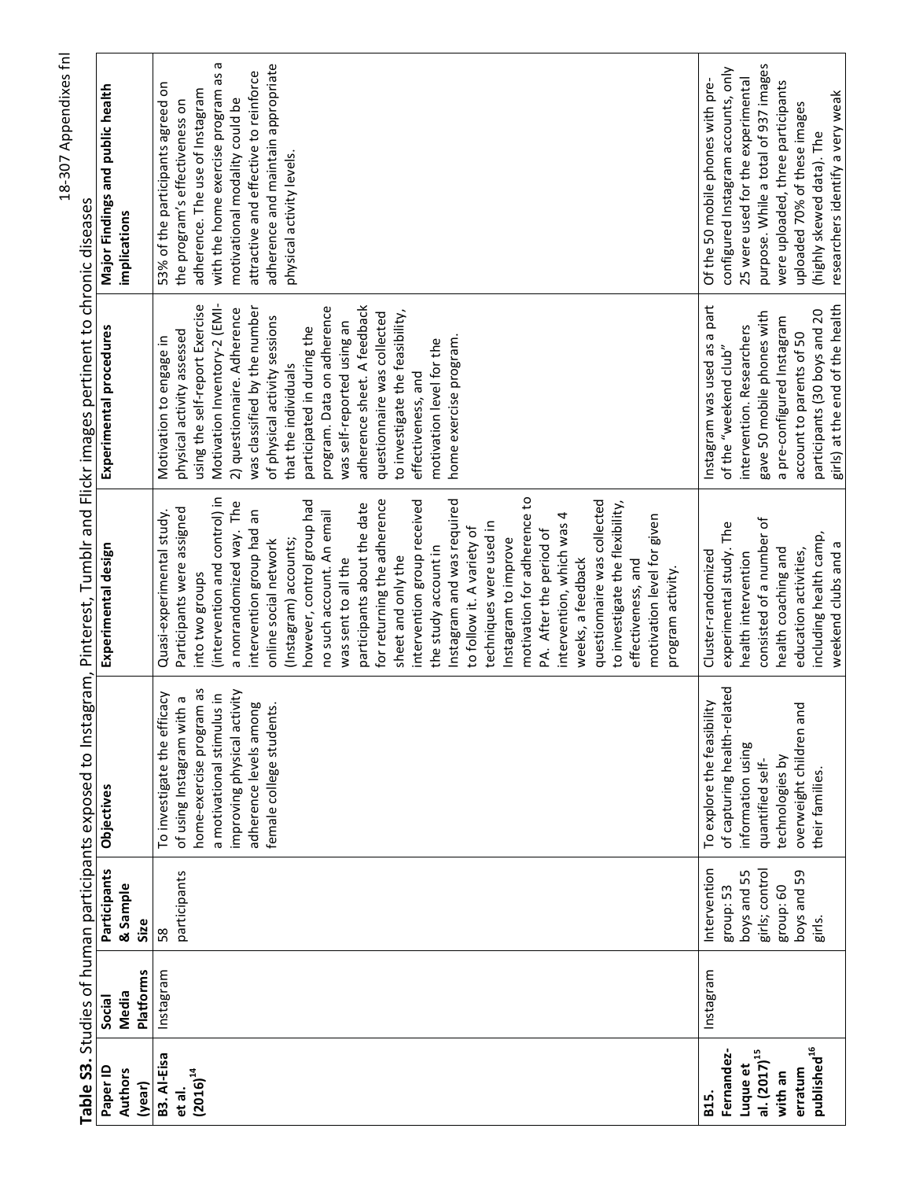|                          |           |                    | Table S3. Studies of human participants exposed to Instagram, |                                                         | Pinterest, Tumblr and Flickr images pertinent to chronic diseases |                                                                     |
|--------------------------|-----------|--------------------|---------------------------------------------------------------|---------------------------------------------------------|-------------------------------------------------------------------|---------------------------------------------------------------------|
| Paper ID                 | Social    | Participants       | Objectives                                                    | Experimental design                                     | Experimental procedures                                           | Major Findings and public health                                    |
| <b>Authors</b>           | Media     | & Sample           |                                                               |                                                         |                                                                   | implications                                                        |
| (year)                   | Platforms | Size               |                                                               |                                                         |                                                                   |                                                                     |
| B3. Al-Eisa<br>et al.    | Instagram | participants<br>58 | icacy<br>of using Instagram with a<br>To investigate the effi | Participants were assigned<br>Quasi-experimental study. | physical activity assessed<br>Motivation to engage in             | 53% of the participants agreed on<br>the program's effectiveness on |
| $(2016)^{14}$            |           |                    | home-exercise program as                                      | into two groups                                         | using the self-report Exercise                                    | adherence. The use of Instagram                                     |
|                          |           |                    | a motivational stimulus in                                    | (intervention and control) in                           | Motivation Inventory-2 (EMI-                                      | ᡕᢐ<br>with the home exercise program as                             |
|                          |           |                    | improving physical activity                                   | a nonrandomized way. The                                | 2) questionnaire. Adherence                                       | motivational modality could be                                      |
|                          |           |                    | adherence levels among                                        | intervention group had an                               | was classified by the number                                      | attractive and effective to reinforce                               |
|                          |           |                    | female college students.                                      | online social network                                   | of physical activity sessions                                     | adherence and maintain appropriate                                  |
|                          |           |                    |                                                               | (Instagram) accounts;                                   | that the individuals                                              | physical activity levels.                                           |
|                          |           |                    |                                                               | however, control group had                              | participated in during the                                        |                                                                     |
|                          |           |                    |                                                               | no such account. An email                               | program. Data on adherence                                        |                                                                     |
|                          |           |                    |                                                               | was sent to all the                                     | was self-reported using an                                        |                                                                     |
|                          |           |                    |                                                               | participants about the date                             | adherence sheet. A feedback                                       |                                                                     |
|                          |           |                    |                                                               | for returning the adherence                             | questionnaire was collected                                       |                                                                     |
|                          |           |                    |                                                               | sheet and only the                                      | to investigate the feasibility,                                   |                                                                     |
|                          |           |                    |                                                               | intervention group received                             | effectiveness, and                                                |                                                                     |
|                          |           |                    |                                                               | the study account in                                    | motivation level for the                                          |                                                                     |
|                          |           |                    |                                                               | Instagram and was required                              | home exercise program.                                            |                                                                     |
|                          |           |                    |                                                               | to follow it. A variety of                              |                                                                   |                                                                     |
|                          |           |                    |                                                               | techniques were used in                                 |                                                                   |                                                                     |
|                          |           |                    |                                                               | Instagram to improve                                    |                                                                   |                                                                     |
|                          |           |                    |                                                               | motivation for adherence to                             |                                                                   |                                                                     |
|                          |           |                    |                                                               | PA. After the period of                                 |                                                                   |                                                                     |
|                          |           |                    |                                                               | intervention, which was 4                               |                                                                   |                                                                     |
|                          |           |                    |                                                               | weeks, a feedback                                       |                                                                   |                                                                     |
|                          |           |                    |                                                               | questionnaire was collected                             |                                                                   |                                                                     |
|                          |           |                    |                                                               | to investigate the flexibility,                         |                                                                   |                                                                     |
|                          |           |                    |                                                               | effectiveness, and                                      |                                                                   |                                                                     |
|                          |           |                    |                                                               | motivation level for given                              |                                                                   |                                                                     |
|                          |           |                    |                                                               | program activity                                        |                                                                   |                                                                     |
| B15.                     | Instagram | Intervention       | ΙÈγ<br>To explore the feasibi                                 | Cluster-randomized                                      | part<br>œ<br>Instagram was used as                                | Of the 50 mobile phones with pre-                                   |
| Fernandez-               |           | group: 53          | of capturing health-related                                   | experimental study. The                                 | of the "weekend club"                                             | configured Instagram accounts, only                                 |
| Luque et                 |           | boys and 55        | information using                                             | health intervention                                     | intervention. Researchers                                         | 25 were used for the experimental                                   |
| al. (2017) <sup>15</sup> |           | girls; control     | quantified self-                                              | consisted of a number of                                | gave 50 mobile phones with                                        | purpose. While a total of 937 images                                |
| with an                  |           | group: 60          | technologies by                                               | health coaching and                                     | a pre-configured Instagram                                        | were uploaded, three participants                                   |
| erratum                  |           | boys and 59        | overweight children and                                       | education activities,                                   | account to parents of 50                                          | uploaded 70% of these images                                        |
| published <sup>16</sup>  |           | girls.             | their families                                                | including health camp,                                  | participants (30 boys and 20                                      | (highly skewed data). The                                           |
|                          |           |                    |                                                               | weekend clubs and a                                     | girls) at the end of the health                                   | researchers identify a very weak                                    |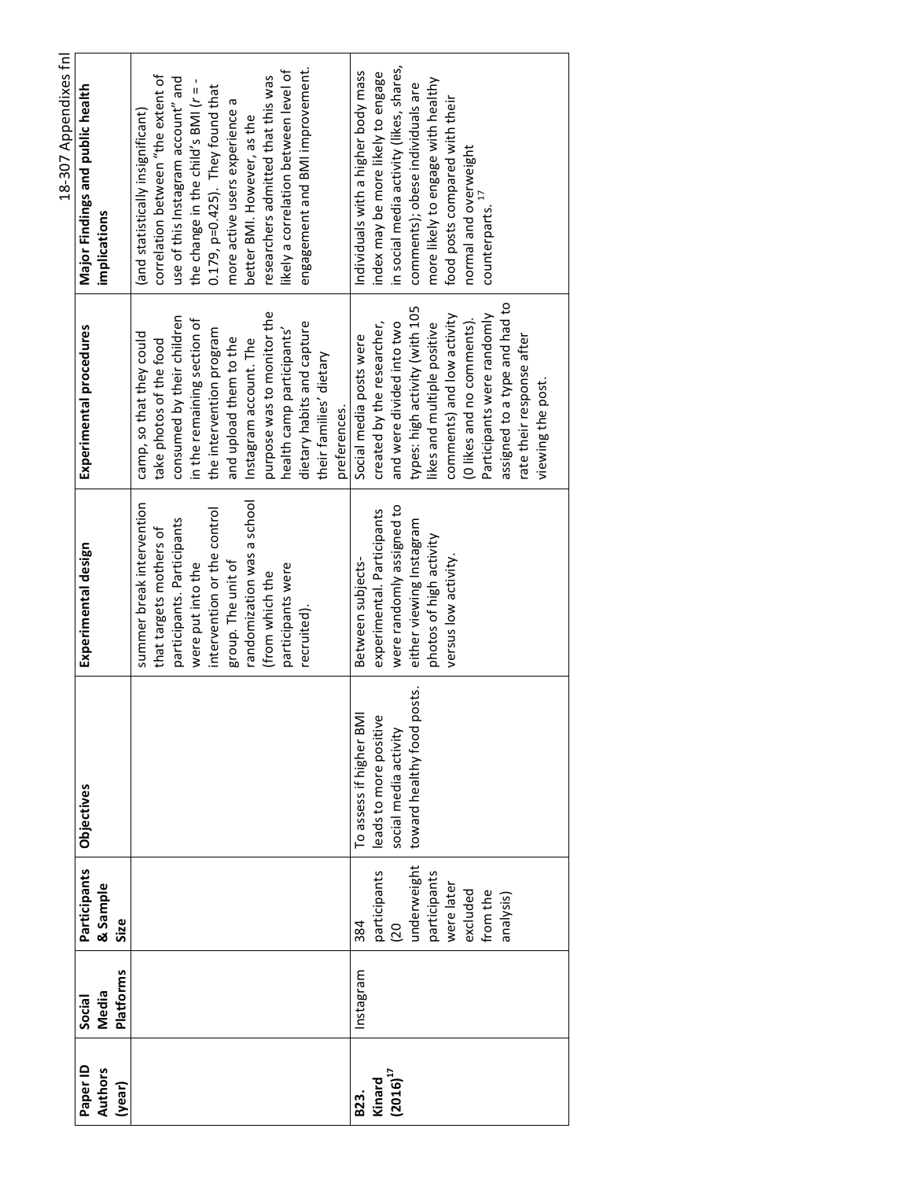|                     |                                     |                                  |                                                 |                                                         |                                                             | 18-307 Appendixes fnl                                                          |  |
|---------------------|-------------------------------------|----------------------------------|-------------------------------------------------|---------------------------------------------------------|-------------------------------------------------------------|--------------------------------------------------------------------------------|--|
| Paper ID<br>Authors | <b>Platforms</b><br>Media<br>Social | Participants<br>& Sample<br>Size | <b>Objectives</b>                               | Experimental design                                     | Experimental procedures                                     | Major Findings and public health<br>implications                               |  |
|                     |                                     |                                  |                                                 | summer break intervention<br>that targets mothers of    | camp, so that they could<br>take photos of the food         | correlation between "the extent of<br>(and statistically insignificant)        |  |
|                     |                                     |                                  |                                                 | participants. Participants                              | consumed by their children                                  | use of this Instagram account" and                                             |  |
|                     |                                     |                                  |                                                 | intervention or the control<br>were put into the        | in the remaining section of<br>the intervention program     | the change in the child's BMI (r = -<br>$0.179$ , $p=0.425$ ). They found that |  |
|                     |                                     |                                  |                                                 | randomization was a school<br>group. The unit of        | and upload them to the<br>Instagram account. The            | more active users experience a<br>better BMI. However, as the                  |  |
|                     |                                     |                                  |                                                 | (from which the                                         | purpose was to monitor the                                  | researchers admitted that this was                                             |  |
|                     |                                     |                                  |                                                 | participants were                                       | health camp participants'                                   | likely a correlation between level of                                          |  |
|                     |                                     |                                  |                                                 | recruited).                                             | dietary habits and capture<br>their families' dietary       | engagement and BMI improvement.                                                |  |
|                     |                                     |                                  |                                                 |                                                         | preferences.                                                |                                                                                |  |
|                     | mstagram                            | 384                              | To assess if higher BMI                         | Between subjects-                                       | Social media posts were                                     | Individuals with a higher body mass                                            |  |
| $(2016)^{17}$       |                                     | participants<br>$\overline{0}$   | leads to more positive<br>social media activity | were randomly assigned to<br>experimental. Participants | created by the researcher,<br>and were divided into two     | in social media activity (likes, shares,<br>index may be more likely to engage |  |
|                     |                                     | underweight                      | toward healthy food posts.                      | either viewing Instagram                                | types: high activity (with 105                              | comments); obese individuals are                                               |  |
|                     |                                     | participants                     |                                                 | photos of high activity                                 | likes and multiple positive                                 | more likely to engage with healthy                                             |  |
|                     |                                     | were later                       |                                                 | versus low activity.                                    | comments) and low activity                                  | food posts compared with their                                                 |  |
|                     |                                     | excluded                         |                                                 |                                                         | (O likes and no comments).                                  | normal and overweight                                                          |  |
|                     |                                     | from the<br>analysis)            |                                                 |                                                         | assigned to a type and had to<br>Participants were randomly | counterparts.                                                                  |  |
|                     |                                     |                                  |                                                 |                                                         | rate their response after                                   |                                                                                |  |
|                     |                                     |                                  |                                                 |                                                         | viewing the post.                                           |                                                                                |  |
|                     |                                     |                                  |                                                 |                                                         |                                                             |                                                                                |  |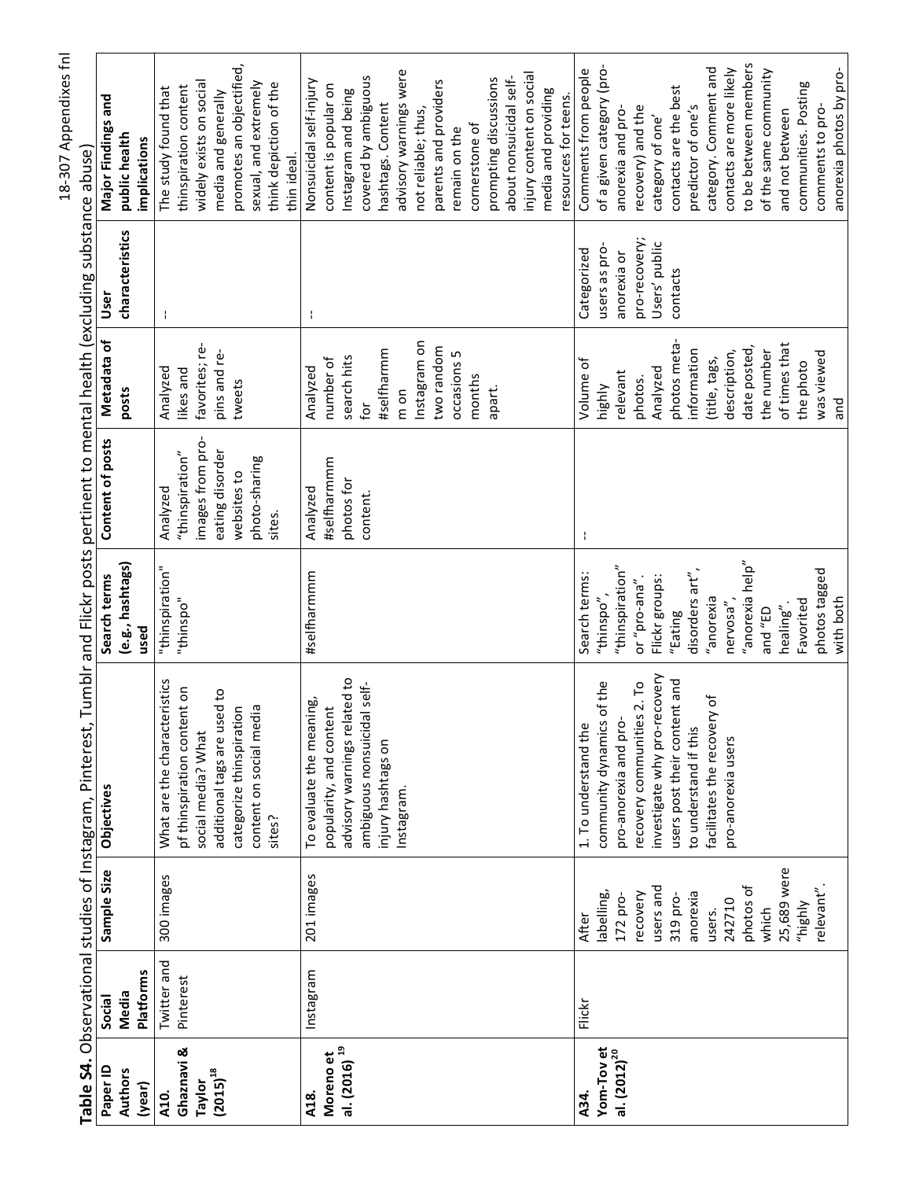| I      |
|--------|
|        |
| ١      |
|        |
| ı      |
|        |
| ؟<br>م |
|        |
| ׆<br>ק |

 $\overline{a}$  $\ddot{\phantom{a}}$  $rac{1}{\pi}$  $rac{1}{7}$ İ Ė ä .<br>ب  $\ddot{ }$ ć

|                          |             |                    | Table S4. Observational studies of Instagram, Pinterest, |                     | Tumblr and Flickr posts pertinent to mental health (excluding substance abuse) |                |                 |                           |
|--------------------------|-------------|--------------------|----------------------------------------------------------|---------------------|--------------------------------------------------------------------------------|----------------|-----------------|---------------------------|
| Paper ID                 | Social      | Sample Size        | Objectives                                               | Search terms        | Content of posts                                                               | Metadata of    | Usei            | Major Findings and        |
| <b>Authors</b>           | Media       |                    |                                                          | (e.g., hashtags)    |                                                                                | posts          | characteristics | public health             |
| (year)                   | Platforms   |                    |                                                          | used                |                                                                                |                |                 | implications              |
| A10.                     | Twitter and | 300 images         | What are the characteristics                             | "thinspiration"     | Analyzed                                                                       | Analyzed       | ÷               | The study found that      |
| Ghaznavi &               | Pinterest   |                    | pf thinspiration content on                              | "thinspo"           | "thinspiration"                                                                | likes and      |                 | thinspiration content     |
| Taylor                   |             |                    | social media? What                                       |                     | images from pro-                                                               | favorites; re- |                 | widely exists on social   |
| $(2015)^{18}$            |             |                    | additional tags are used to                              |                     | eating disorder                                                                | pins and re-   |                 | media and generally       |
|                          |             |                    | categorize thinspiration                                 |                     | websites to                                                                    | tweets         |                 | promotes an objectified,  |
|                          |             |                    | content on social media                                  |                     | photo-sharing                                                                  |                |                 | sexual, and extremely     |
|                          |             |                    | sites?                                                   |                     | sites.                                                                         |                |                 | think depiction of the    |
|                          |             |                    |                                                          |                     |                                                                                |                |                 | thin ideal.               |
| A18.                     | Instagram   | 201 images         | To evaluate the meaning,                                 | #selfharmmm         | Analyzed                                                                       | Analyzed       | ÷               | Nonsuicidal self-injury   |
| Moreno et                |             |                    | popularity, and content                                  |                     | #selfharmmm                                                                    | number of      |                 | content is popular on     |
| al. (2016) <sup>19</sup> |             |                    | advisory warnings related to                             |                     | photos for                                                                     | search hits    |                 | Instagram and being       |
|                          |             |                    | ambiguous nonsuicidal self-                              |                     | content.                                                                       | for            |                 | covered by ambiguous      |
|                          |             |                    | injury hashtags on                                       |                     |                                                                                | #selfharmm     |                 | hashtags. Content         |
|                          |             |                    | Instagram.                                               |                     |                                                                                | mon            |                 | advisory warnings were    |
|                          |             |                    |                                                          |                     |                                                                                | Instagram on   |                 | not reliable; thus,       |
|                          |             |                    |                                                          |                     |                                                                                | two random     |                 | parents and providers     |
|                          |             |                    |                                                          |                     |                                                                                | occasions 5    |                 | remain on the             |
|                          |             |                    |                                                          |                     |                                                                                | months         |                 | cornerstone of            |
|                          |             |                    |                                                          |                     |                                                                                | apart.         |                 | prompting discussions     |
|                          |             |                    |                                                          |                     |                                                                                |                |                 | about nonsuicidal self-   |
|                          |             |                    |                                                          |                     |                                                                                |                |                 | injury content on social  |
|                          |             |                    |                                                          |                     |                                                                                |                |                 | media and providing       |
|                          |             |                    |                                                          |                     |                                                                                |                |                 | resources for teens.      |
| A34.                     | Flickr      | After              | 1. To understand the                                     | Search terms:       | ÷                                                                              | Volume of      | Categorized     | Comments from people      |
| Yom-Tovet                |             | labelling,         | of the<br>community dynamics                             | "thinspo",          |                                                                                | <b>highly</b>  | users as pro-   | of a given category (pro- |
| al. $(2012)^{20}$        |             | 172 pro-           | pro-anorexia and pro-                                    | "thinspiration"     |                                                                                | relevant       | anorexia or     | anorexia and pro-         |
|                          |             | recovery           | recovery communities 2. To                               | or "pro-ana"        |                                                                                | photos.        | pro-recovery;   | recovery) and the         |
|                          |             | users and          | investigate why pro-recovery                             | Flickr groups:      |                                                                                | Analyzed       | Users' public   | category of one'          |
|                          |             | 319 pro-           | users post their content and                             | "Eating             |                                                                                | photos meta    | contacts        | contacts are the best     |
|                          |             | anorexia           | to understand if this                                    | disorders art",     |                                                                                | information    |                 | predictor of one's        |
|                          |             | users.             | facilitates the recovery of                              | "anorexia           |                                                                                | (title, tags,  |                 | category. Comment and     |
|                          |             | 242710             | pro-anorexia users                                       | nervosa"            |                                                                                | description,   |                 | contacts are more likely  |
|                          |             | photos of          |                                                          | "anorexia help"     |                                                                                | date posted,   |                 | to be between members     |
|                          |             | which              |                                                          | d3 <sub>"</sub> pue |                                                                                | the number     |                 | of the same community     |
|                          |             | 25,689 were        |                                                          | healing".           |                                                                                | of times that  |                 | and not between           |
|                          |             | highl <sup>1</sup> |                                                          | Favorited           |                                                                                | the photo      |                 | communities. Posting      |
|                          |             | relevant".         |                                                          | photos tagged       |                                                                                | was viewed     |                 | comments to pro-          |
|                          |             |                    |                                                          | with both           |                                                                                | and            |                 | anorexia photos by pro-   |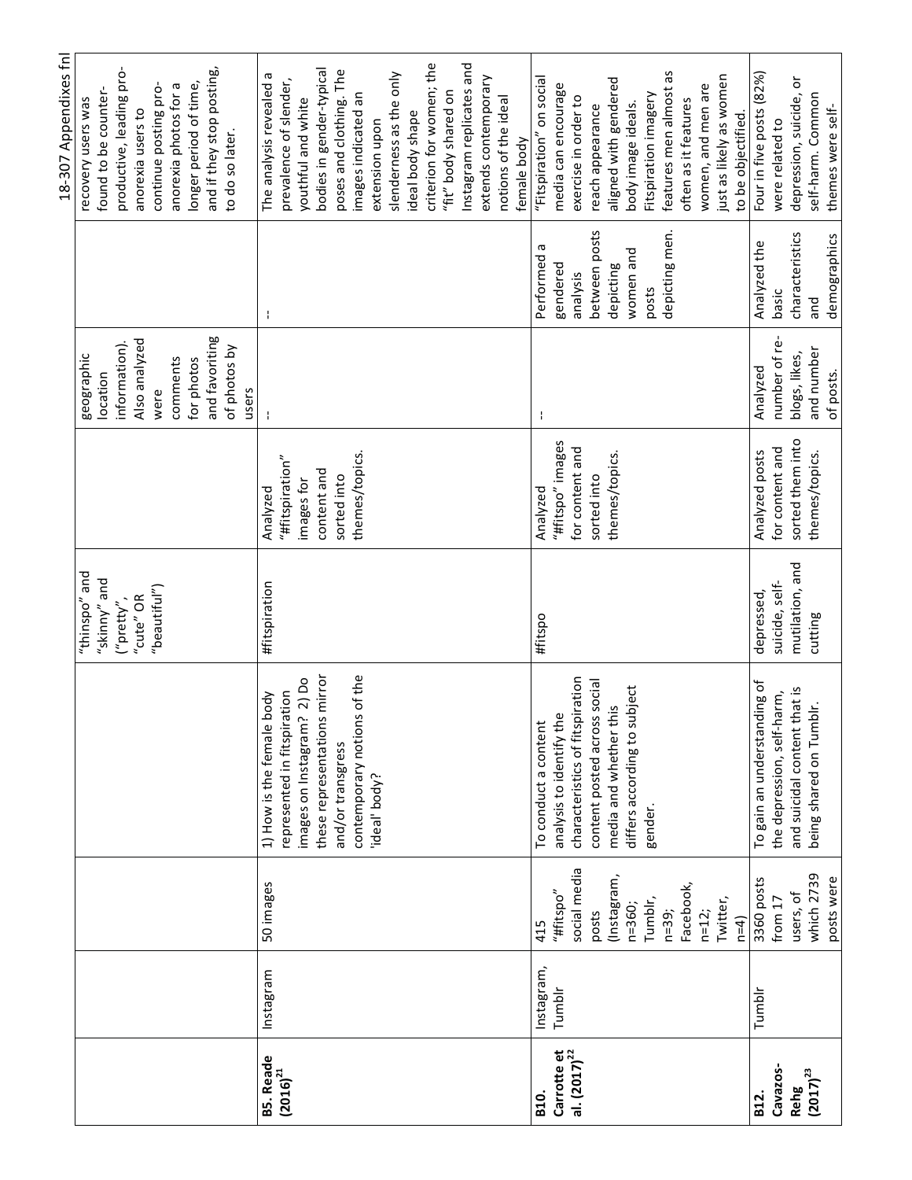|                                          |            |              |                                 |                                                 |                       |                |                 | 18-307 Appendixes fnl     |
|------------------------------------------|------------|--------------|---------------------------------|-------------------------------------------------|-----------------------|----------------|-----------------|---------------------------|
|                                          |            |              |                                 | "thinspo" and                                   |                       | geographic     |                 | recovery users was        |
|                                          |            |              |                                 | "skinny" and                                    |                       | location       |                 | found to be counter-      |
|                                          |            |              |                                 | ("pretty",                                      |                       | information).  |                 | productive, leading pro-  |
|                                          |            |              |                                 | "cute" OR                                       |                       | Also analyzed  |                 | anorexia users to         |
|                                          |            |              |                                 | $^{\prime\prime}$ beautiful $^{\prime\prime}$ ) |                       | were           |                 | continue posting pro-     |
|                                          |            |              |                                 |                                                 |                       | comments       |                 | anorexia photos for a     |
|                                          |            |              |                                 |                                                 |                       | for photos     |                 | longer period of time,    |
|                                          |            |              |                                 |                                                 |                       | and favoriting |                 | and if they stop posting, |
|                                          |            |              |                                 |                                                 |                       | of photos by   |                 | to do so later.           |
|                                          |            |              |                                 |                                                 |                       | users          |                 |                           |
| <b>B5. Reade</b><br>(2016) <sup>21</sup> | Instagram  | 50 images    | body<br>1) How is the female    | #fitspiration                                   | Analyzed              |                |                 | The analysis revealed a   |
|                                          |            |              | represented in fitspiration     |                                                 | $"$ #fitspiration $"$ |                |                 | prevalence of slender,    |
|                                          |            |              | images on Instagram? 2) Do      |                                                 | images for            |                |                 | youthful and white        |
|                                          |            |              | these representations mirror    |                                                 | content and           |                |                 | bodies in gender-typical  |
|                                          |            |              | and/or transgress               |                                                 | sorted into           |                |                 | poses and clothing. The   |
|                                          |            |              | contemporary notions of the     |                                                 | themes/topics.        |                |                 | images indicated an       |
|                                          |            |              | ideal' body?                    |                                                 |                       |                |                 | extension upon            |
|                                          |            |              |                                 |                                                 |                       |                |                 | slenderness as the only   |
|                                          |            |              |                                 |                                                 |                       |                |                 | ideal body shape          |
|                                          |            |              |                                 |                                                 |                       |                |                 | criterion for women; the  |
|                                          |            |              |                                 |                                                 |                       |                |                 | "fit" body shared on      |
|                                          |            |              |                                 |                                                 |                       |                |                 | Instagram replicates and  |
|                                          |            |              |                                 |                                                 |                       |                |                 | extends contemporary      |
|                                          |            |              |                                 |                                                 |                       |                |                 | notions of the ideal      |
|                                          |            |              |                                 |                                                 |                       |                |                 | female body               |
| B <sub>10</sub>                          | Instagram, | 415          | To conduct a content            | #fitspo                                         | Analyzed              |                | Б<br>Performed  | "Fitspiration" on social  |
| Carrotte et                              | Tumblr     | "#fitspo"    | analysis to identify the        |                                                 | "#fitspo" images      |                | gendered        | media can encourage       |
| al. $(2017)^{22}$                        |            | social media | characteristics of fitspiration |                                                 | for content and       |                | analysis        | exercise in order to      |
|                                          |            | posts        | content posted across social    |                                                 | sorted into           |                | between posts   | reach appearance          |
|                                          |            | (Instagram,  | media and whether this          |                                                 | themes/topics.        |                | depicting       | aligned with gendered     |
|                                          |            | n=360;       | differs according to subject    |                                                 |                       |                | women and       | body image ideals.        |
|                                          |            | Tumblr,      | gender.                         |                                                 |                       |                | posts           | Fitspiration imagery      |
|                                          |            | $n = 39;$    |                                 |                                                 |                       |                | depicting men.  | features men almost as    |
|                                          |            | Facebook,    |                                 |                                                 |                       |                |                 | often as it features      |
|                                          |            | $n = 12$ ;   |                                 |                                                 |                       |                |                 | women, and men are        |
|                                          |            | Twitter,     |                                 |                                                 |                       |                |                 | just as likely as women   |
|                                          |            | $n=4$        |                                 |                                                 |                       |                |                 | to be objectified         |
| B <sub>12</sub> .                        | Tumblr     | 3360 posts   | To gain an understanding of     | depressed,                                      | Analyzed posts        | Analyzed       | Analyzed the    | Four in five posts (82%)  |
| Cavazos-                                 |            | from 17      | the depression, self-harm,      | suicide, self-                                  | for content and       | number of re-  | basic           | were related to           |
| Rehg                                     |            | users, of    | and suicidal content that is    | mutilation, and                                 | sorted them into      | blogs, likes,  | characteristics | depression, suicide, or   |
| $(2017)^{23}$                            |            | which 2739   | being shared on Tumblr.         | cutting                                         | themes/topics.        | and number     | and             | self-harm. Common         |
|                                          |            | posts were   |                                 |                                                 |                       | of posts.      | demographics    | themes were self-         |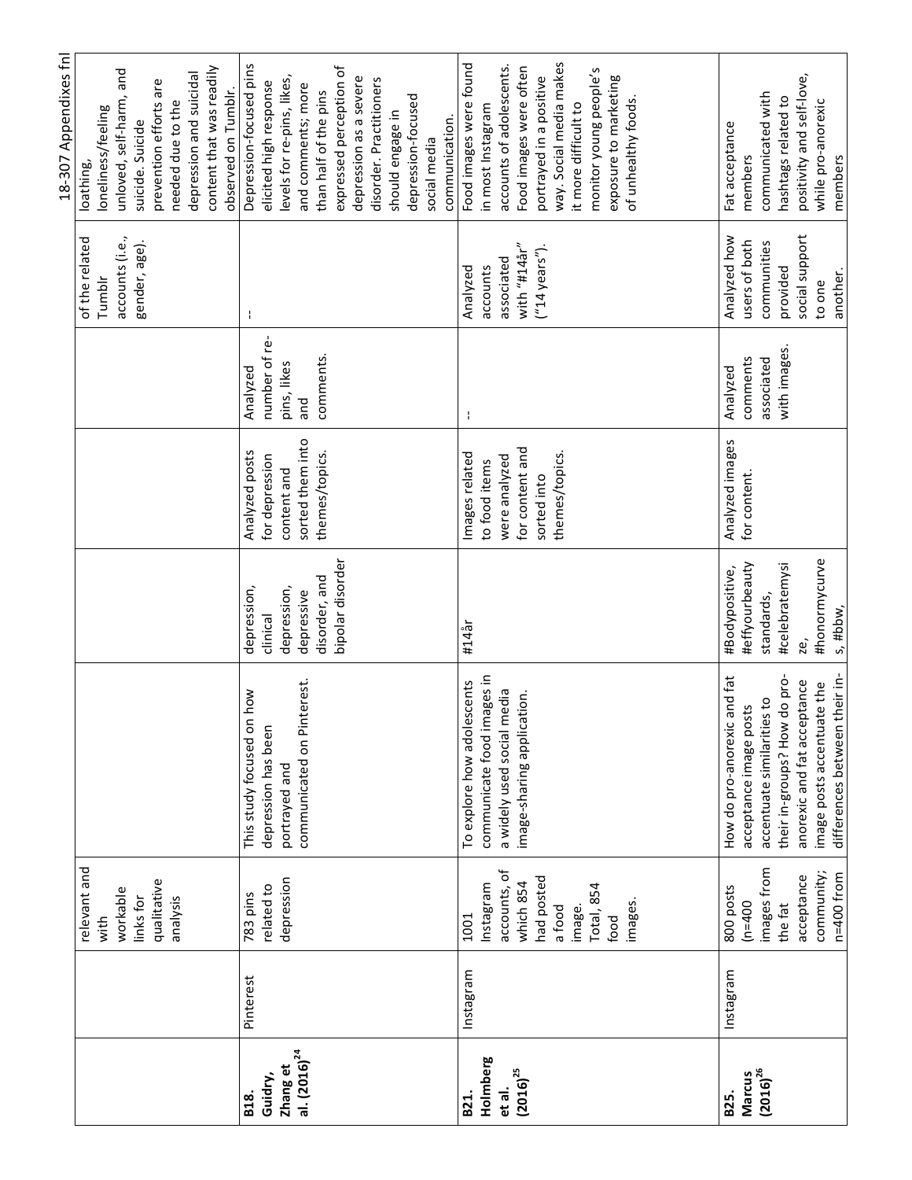|                   |           |                   |                               |                  |                  |               |                  | 18-307 Appendixes fnl      |
|-------------------|-----------|-------------------|-------------------------------|------------------|------------------|---------------|------------------|----------------------------|
|                   |           | relevant and      |                               |                  |                  |               | of the related   | loathing,                  |
|                   |           | with              |                               |                  |                  |               | Tumblr           | loneliness/feeling         |
|                   |           | workable          |                               |                  |                  |               | accounts (i.e.,  | unloved, self-harm, and    |
|                   |           | links for         |                               |                  |                  |               | gender, age).    | suicide. Suicide           |
|                   |           | qualitative       |                               |                  |                  |               |                  | prevention efforts are     |
|                   |           | analysis          |                               |                  |                  |               |                  | needed due to the          |
|                   |           |                   |                               |                  |                  |               |                  | depression and suicidal    |
|                   |           |                   |                               |                  |                  |               |                  | content that was readily   |
|                   |           |                   |                               |                  |                  |               |                  | observed on Tumblr.        |
| <b>B18.</b>       | Pinterest | 783 pins          | how<br>This study focused on  | depression,      | Analyzed posts   | Analyzed      | ÷                | Depression-focused pins    |
| Guidry,           |           | related to        | depression has been           | clinical         | for depression   | number of re- |                  | elicited high response     |
| Zhang et          |           | depression        | portrayed and                 | depression,      | content and      | pins, likes   |                  | levels for re-pins, likes, |
| al. $(2016)^{24}$ |           |                   | communicated on Pinterest.    | depressive       | sorted them into | and           |                  | and comments; more         |
|                   |           |                   |                               | disorder, and    | themes/topics.   | comments.     |                  | than half of the pins      |
|                   |           |                   |                               | bipolar disorder |                  |               |                  | expressed perception of    |
|                   |           |                   |                               |                  |                  |               |                  | depression as a severe     |
|                   |           |                   |                               |                  |                  |               |                  | disorder. Practitioners    |
|                   |           |                   |                               |                  |                  |               |                  | should engage in           |
|                   |           |                   |                               |                  |                  |               |                  | depression-focused         |
|                   |           |                   |                               |                  |                  |               |                  | social media               |
|                   |           |                   |                               |                  |                  |               |                  | communication.             |
| B <sub>21</sub> . | Instagram | 1001              | To explore how adolescents    | #14år            | Images related   | ł             | Analyzed         | Food images were found     |
| Holmberg          |           | Instagram         | communicate food images in    |                  | to food items    |               | accounts         | in most Instagram          |
| et al.            |           | accounts, of      | a widely used social media    |                  | were analyzed    |               | associated       | accounts of adolescents.   |
| $(2016)^{25}$     |           | which 854         | image-sharing application.    |                  | for content and  |               | with "#14år"     | Food images were often     |
|                   |           | had posted        |                               |                  | sorted into      |               | $("14 years")$ . | portrayed in a positive    |
|                   |           |                   |                               |                  |                  |               |                  |                            |
|                   |           | a food            |                               |                  | themes/topics.   |               |                  | way. Social media makes    |
|                   |           | image.            |                               |                  |                  |               |                  | it more difficult to       |
|                   |           | <b>Total, 854</b> |                               |                  |                  |               |                  | monitor young people's     |
|                   |           | food              |                               |                  |                  |               |                  | exposure to marketing      |
|                   |           | images.           |                               |                  |                  |               |                  | of unhealthy foods.        |
|                   |           |                   |                               |                  |                  |               |                  |                            |
| B <sub>25</sub> . | Instagram | 800 posts         | How do pro-anorexic and fat   | #Bodypositive,   | Analyzed images  | Analyzed      | Analyzed how     | Fat acceptance             |
| Marcus            |           | $(n=400)$         | acceptance image posts        | #effyourbeauty   | for content.     | comments      | users of both    | members                    |
| $(2016)^{26}$     |           | images from       | accentuate similarities to    | standards,       |                  | associated    | communities      | communicated with          |
|                   |           | the fat           | their in-groups? How do pro-  | #celebratemysi   |                  | with images.  | provided         | hashtags related to        |
|                   |           | acceptance        | anorexic and fat acceptance   | ze,              |                  |               | social support   | positivity and self-love,  |
|                   |           | community;        | image posts accentuate the    | #honormycurve    |                  |               | to one           | while pro-anorexic         |
|                   |           | $n=400$ from      | differences between their in- | s, #bbw,         |                  |               | another.         | members                    |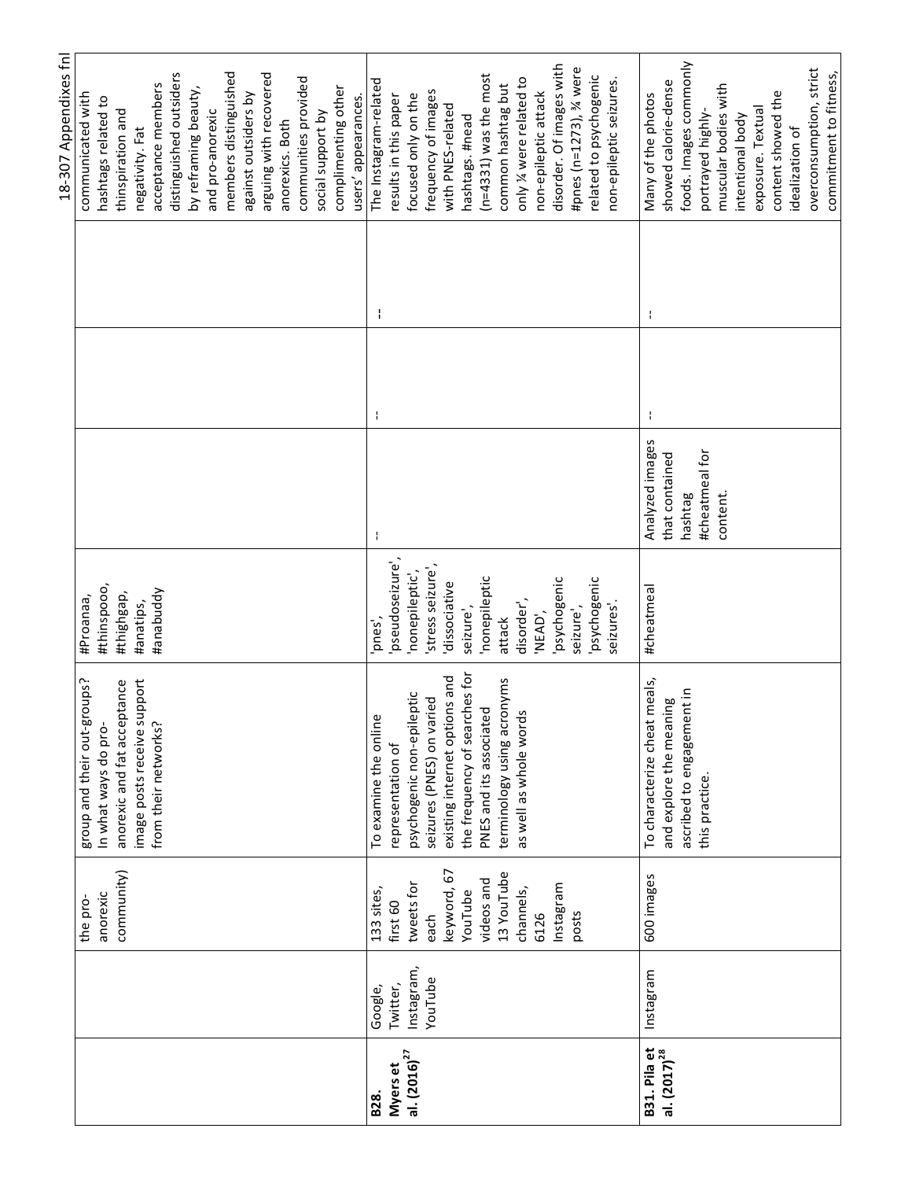|                                                 |            |             |                                 |                 |                 |   | 18-307 Appendixes fnl    |
|-------------------------------------------------|------------|-------------|---------------------------------|-----------------|-----------------|---|--------------------------|
|                                                 |            | the pro-    | group and their out-groups?     | #Proanaa,       |                 |   | communicated with        |
|                                                 |            | anorexic    | In what ways do pro-            | #thinspooo,     |                 |   | hashtags related to      |
|                                                 |            | community)  | anorexic and fat acceptance     | #thighgap,      |                 |   | thinspiration and        |
|                                                 |            |             | image posts receive support     | #anatips,       |                 |   | negativity. Fat          |
|                                                 |            |             | from their networks?            | #anabuddy       |                 |   | acceptance members       |
|                                                 |            |             |                                 |                 |                 |   | distinguished outsiders  |
|                                                 |            |             |                                 |                 |                 |   | by reframing beauty,     |
|                                                 |            |             |                                 |                 |                 |   | and pro-anorexic         |
|                                                 |            |             |                                 |                 |                 |   | members distinguished    |
|                                                 |            |             |                                 |                 |                 |   | against outsiders by     |
|                                                 |            |             |                                 |                 |                 |   | arguing with recovered   |
|                                                 |            |             |                                 |                 |                 |   | anorexics. Both          |
|                                                 |            |             |                                 |                 |                 |   | communities provided     |
|                                                 |            |             |                                 |                 |                 |   | social support by        |
|                                                 |            |             |                                 |                 |                 |   | complimenting other      |
|                                                 |            |             |                                 |                 |                 |   | users' appearances.      |
| B <sub>28</sub> .                               | Google,    | 133 sites,  | To examine the online           | and,            | H               | ł | The Instagram-related    |
| Myers et                                        | Twitter,   | first 60    | representation of               | pseudoseizure', |                 |   | results in this paper    |
| al. $(2016)^{27}$                               | Instagram, | tweets for  | psychogenic non-epileptic       | nonepileptic',  |                 |   | focused only on the      |
|                                                 | YouTube    | each        | seizures (PNES) on varied       | stress seizure  |                 |   | frequency of images      |
|                                                 |            | keyword, 67 | existing internet options and   | dissociative    |                 |   | with PNES-related        |
|                                                 |            | YouTube     | the frequency of searches for   | seizure         |                 |   | hashtags. #nead          |
|                                                 |            | videos and  | PNES and its associated         | nonepileptic    |                 |   | $(n=4331)$ was the most  |
|                                                 |            | 13 YouTube  | terminology using acronyms      | attack          |                 |   | common hashtag but       |
|                                                 |            | channels,   | as well as whole word           | disorder',      |                 |   | only % were related to   |
|                                                 |            | 6126        |                                 | 'NEAD',         |                 |   | non-epileptic attack     |
|                                                 |            | Instagram   |                                 | psychogenic     |                 |   | disorder. Of images with |
|                                                 |            | posts       |                                 | seizure',       |                 |   | #pnes (n=1273), ¾ were   |
|                                                 |            |             |                                 | psychogenic     |                 |   | related to psychogenic   |
|                                                 |            |             |                                 | seizures'.      |                 |   | non-epileptic seizures.  |
| <b>B31.</b> Pila et<br>al. (2017) <sup>28</sup> | Instagram  | 600 images  | meals,<br>To characterize cheat | #cheatmea       | Analyzed images | ÷ | Many of the photos       |
|                                                 |            |             | and explore the meaning         |                 | that contained  |   | showed calorie-dense     |
|                                                 |            |             | ascribed to engagement in       |                 | hashtag         |   | foods. Images commonly   |
|                                                 |            |             | this practice.                  |                 | #cheatmeal for  |   | portrayed highly-        |
|                                                 |            |             |                                 |                 | content         |   | muscular bodies with     |
|                                                 |            |             |                                 |                 |                 |   | intentional body         |
|                                                 |            |             |                                 |                 |                 |   | exposure. Textual        |
|                                                 |            |             |                                 |                 |                 |   | content showed the       |
|                                                 |            |             |                                 |                 |                 |   | idealization of          |
|                                                 |            |             |                                 |                 |                 |   | overconsumption, strict  |
|                                                 |            |             |                                 |                 |                 |   | commitment to fitness,   |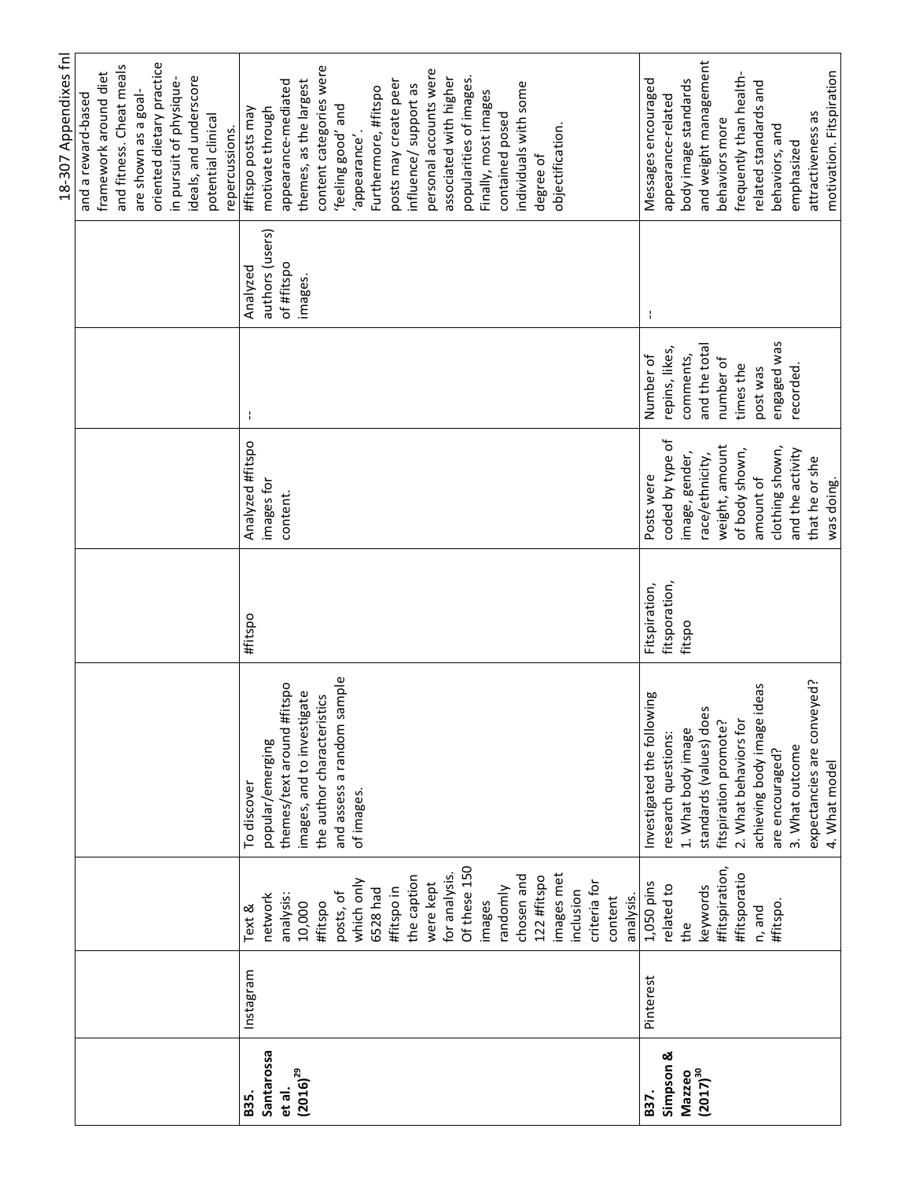|               |           |                |                               |               |                  |                |                 | 18-307 Appendixes fnl     |
|---------------|-----------|----------------|-------------------------------|---------------|------------------|----------------|-----------------|---------------------------|
|               |           |                |                               |               |                  |                |                 | and a reward-based        |
|               |           |                |                               |               |                  |                |                 | framework around diet     |
|               |           |                |                               |               |                  |                |                 | and fitness. Cheat meals  |
|               |           |                |                               |               |                  |                |                 | are shown as a goal-      |
|               |           |                |                               |               |                  |                |                 | oriented dietary practice |
|               |           |                |                               |               |                  |                |                 | in pursuit of physique-   |
|               |           |                |                               |               |                  |                |                 | ideals, and underscore    |
|               |           |                |                               |               |                  |                |                 | potential clinical        |
|               |           |                |                               |               |                  |                |                 | repercussions.            |
| B35.          | Instagram | Text &         | To discover                   | #fitspo       | Analyzed #fitspo | ÷              | Analyzed        | #fitspo posts may         |
| Santarossa    |           | network        | popular/emerging              |               | images for       |                | authors (users) | motivate through          |
| et al.        |           | analysis:      | themes/text around #fitspo    |               | content.         |                | of #fitspo      | appearance-mediated       |
| $(2016)^{29}$ |           | 10,000         | images, and to investigate    |               |                  |                | images.         | themes, as the largest    |
|               |           | #fitspo        | the author characteristics    |               |                  |                |                 | content categories were   |
|               |           | posts, of      | sample<br>and assess a random |               |                  |                |                 | 'feeling good' and        |
|               |           | which only     | of images.                    |               |                  |                |                 | 'appearance'              |
|               |           | 6528 had       |                               |               |                  |                |                 | Furthermore, #fitspo      |
|               |           | #fitspo in     |                               |               |                  |                |                 | posts may create peer     |
|               |           |                |                               |               |                  |                |                 |                           |
|               |           | the caption    |                               |               |                  |                |                 | influence/ support as     |
|               |           | were kept      |                               |               |                  |                |                 | personal accounts were    |
|               |           | for analysis.  |                               |               |                  |                |                 | associated with higher    |
|               |           | Of these 150   |                               |               |                  |                |                 | popularities of images.   |
|               |           | images         |                               |               |                  |                |                 | Finally, most images      |
|               |           | randomly       |                               |               |                  |                |                 | contained posed           |
|               |           | chosen and     |                               |               |                  |                |                 | individuals with some     |
|               |           | 122 #fitspo    |                               |               |                  |                |                 | degree of                 |
|               |           | images met     |                               |               |                  |                |                 | objectification.          |
|               |           | inclusion      |                               |               |                  |                |                 |                           |
|               |           | criteria for   |                               |               |                  |                |                 |                           |
|               |           | content        |                               |               |                  |                |                 |                           |
|               |           | analysis.      |                               |               |                  |                |                 |                           |
| B37.          | Pinterest | 1,050 pins     | Investigated the following    | Fitspiration, | Posts were       | Number of      | ÷               | Messages encouraged       |
| Simpson &     |           | related to     | research questions:           | fitsporation, | coded by type of | repins, likes, |                 | appearance-related        |
| Mazzeo        |           | the            | 1. What body image            | fitspo        | image, gender,   | comments,      |                 | body image standards      |
| $(2017)^{30}$ |           | keywords       | standards (values) does       |               | race/ethnicity,  | and the total  |                 | and weight management     |
|               |           | #fitspiration, | fitspiration promote?         |               | weight, amount   | number of      |                 | behaviors more            |
|               |           | #fitsporatio   | 2. What behaviors for         |               | of body shown,   | times the      |                 | frequently than health-   |
|               |           | n, and         | ideas<br>achieving body image |               | amount of        | post was       |                 | related standards and     |
|               |           | #fitspo.       | are encouraged?               |               | clothing shown,  | engaged was    |                 | behaviors, and            |
|               |           |                | 3. What outcome               |               | and the activity | recorded       |                 | emphasized                |
|               |           |                | expectancies are conveyed?    |               | that he or she   |                |                 | attractiveness as         |
|               |           |                | 4. What model                 |               | was doing.       |                |                 | motivation. Fitspiration  |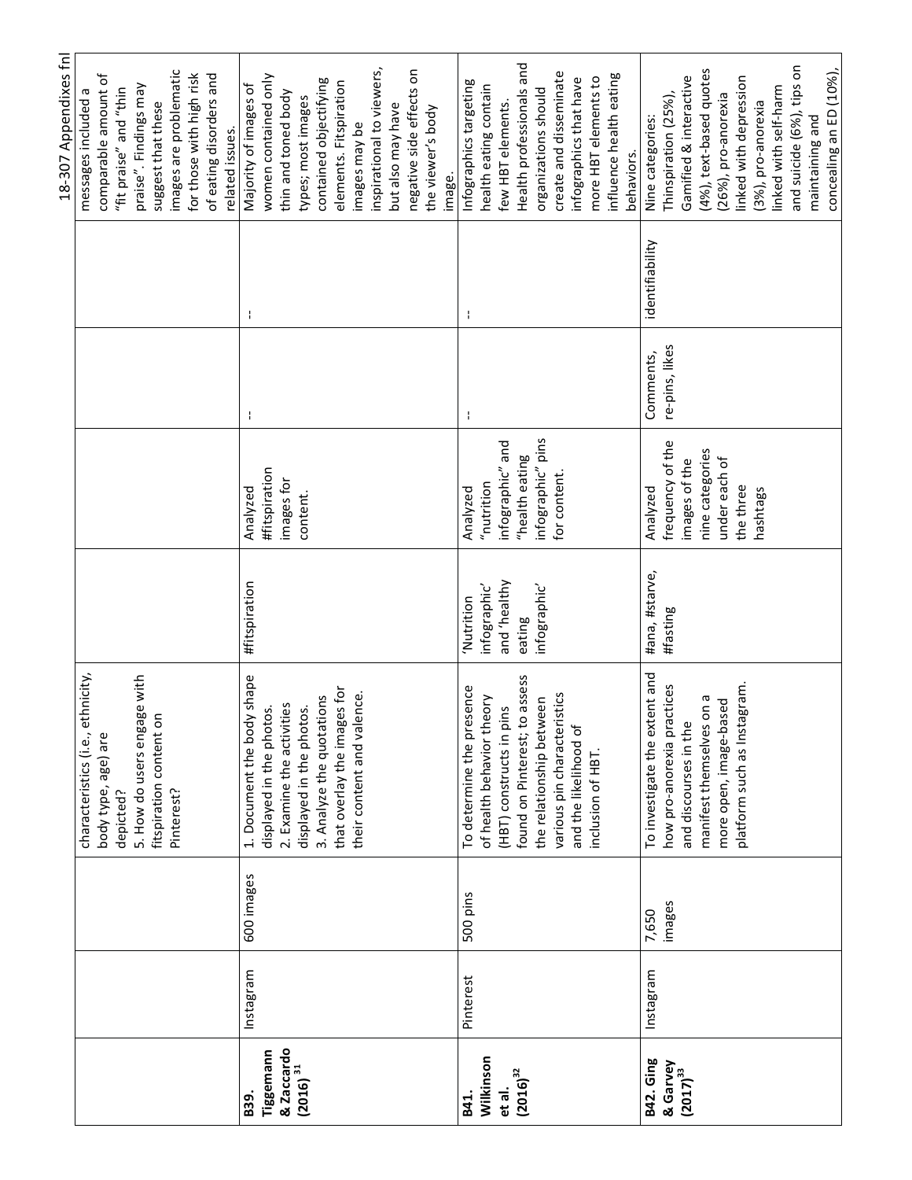|                                    |           |            |                                                        |                      |                      |                |                 | 18-307 Appendixes fnl                          |
|------------------------------------|-----------|------------|--------------------------------------------------------|----------------------|----------------------|----------------|-----------------|------------------------------------------------|
|                                    |           |            | characteristics (i.e., ethnicity,                      |                      |                      |                |                 | messages included                              |
|                                    |           |            | body type, age) are<br>depicted?                       |                      |                      |                |                 | comparable amount of<br>"fit praise" and "thin |
|                                    |           |            |                                                        |                      |                      |                |                 | praise". Findings may                          |
|                                    |           |            | 5. How do users engage with<br>fitspiration content on |                      |                      |                |                 | suggest that these                             |
|                                    |           |            | Pinterest?                                             |                      |                      |                |                 | images are problematic                         |
|                                    |           |            |                                                        |                      |                      |                |                 | for those with high risk                       |
|                                    |           |            |                                                        |                      |                      |                |                 | of eating disorders and                        |
|                                    |           |            |                                                        |                      |                      |                |                 | related issues.                                |
| B39.                               | Instagram | 600 images | 1. Document the body shape                             | <b>#fitspiration</b> | Analyzed             | ł              |                 | Majority of images of                          |
| Tiggemann                          |           |            | displayed in the photos.                               |                      | <b>#fitspiration</b> |                |                 | women contained only                           |
| & Zaccardo<br>(2016) <sup>31</sup> |           |            | 2. Examine the activities                              |                      | images for           |                |                 | thin and toned body                            |
|                                    |           |            | displayed in the photos.                               |                      | content.             |                |                 | types; most images                             |
|                                    |           |            | 3. Analyze the quotations                              |                      |                      |                |                 | contained objectifying                         |
|                                    |           |            | that overlay the images for                            |                      |                      |                |                 | elements. Fitspiration                         |
|                                    |           |            | their content and valence.                             |                      |                      |                |                 | images may be                                  |
|                                    |           |            |                                                        |                      |                      |                |                 | inspirational to viewers,                      |
|                                    |           |            |                                                        |                      |                      |                |                 | but also may have                              |
|                                    |           |            |                                                        |                      |                      |                |                 | negative side effects on                       |
|                                    |           |            |                                                        |                      |                      |                |                 | the viewer's body                              |
|                                    |           |            |                                                        |                      |                      |                |                 |                                                |
|                                    |           |            |                                                        |                      |                      |                |                 | image.                                         |
| B41.                               | Pinterest | 500 pins   | To determine the presence                              | Nutrition            | Analyzed             | ł              | f,              | Infographics targeting                         |
| Wilkinson                          |           |            | of health behavior theory                              | infographic'         | "nutrition           |                |                 | health eating contain                          |
| et al.                             |           |            | (HBT) constructs in pins                               | yntleart' bne        | infographic" and     |                |                 | few HBT elements.                              |
| $(2016)^{32}$                      |           |            | found on Pinterest; to assess                          | eating               | "health eating       |                |                 | Health professionals and                       |
|                                    |           |            | the relationship between                               | infographic'         | infographic" pins    |                |                 | organizations should                           |
|                                    |           |            | various pin characteristics                            |                      | for content.         |                |                 | create and disseminate                         |
|                                    |           |            | and the likelihood of                                  |                      |                      |                |                 | infographics that have                         |
|                                    |           |            | inclusion of HBT                                       |                      |                      |                |                 | more HBT elements to                           |
|                                    |           |            |                                                        |                      |                      |                |                 | influence health eating                        |
|                                    |           |            |                                                        |                      |                      |                |                 | behaviors.                                     |
| <b>B42. Ging</b>                   | Instagram | 7,650      | To investigate the extent and                          | #ana, #starve,       | Analyzed             | Comments,      | identifiability | Nine categories:                               |
| & Garvey<br>(2017) <sup>33</sup>   |           | images     | how pro-anorexia practices                             | #fasting             | frequency of the     | re-pins, likes |                 | Thinspiration (25%),                           |
|                                    |           |            | and discourses in the                                  |                      | images of the        |                |                 | Gamified & interactive                         |
|                                    |           |            | manifest themselves on a                               |                      | nine categories      |                |                 | (4%), text-based quotes                        |
|                                    |           |            | more open, image-based                                 |                      | under each of        |                |                 | (26%), pro-anorexia                            |
|                                    |           |            | agram.<br>platform such as Insta                       |                      | the three            |                |                 | linked with depression                         |
|                                    |           |            |                                                        |                      | hashtags             |                |                 | (3%), pro-anorexia                             |
|                                    |           |            |                                                        |                      |                      |                |                 | linked with self-harm                          |
|                                    |           |            |                                                        |                      |                      |                |                 | and suicide (6%), tips on                      |
|                                    |           |            |                                                        |                      |                      |                |                 | maintaining and                                |
|                                    |           |            |                                                        |                      |                      |                |                 | concealing an ED (10%),                        |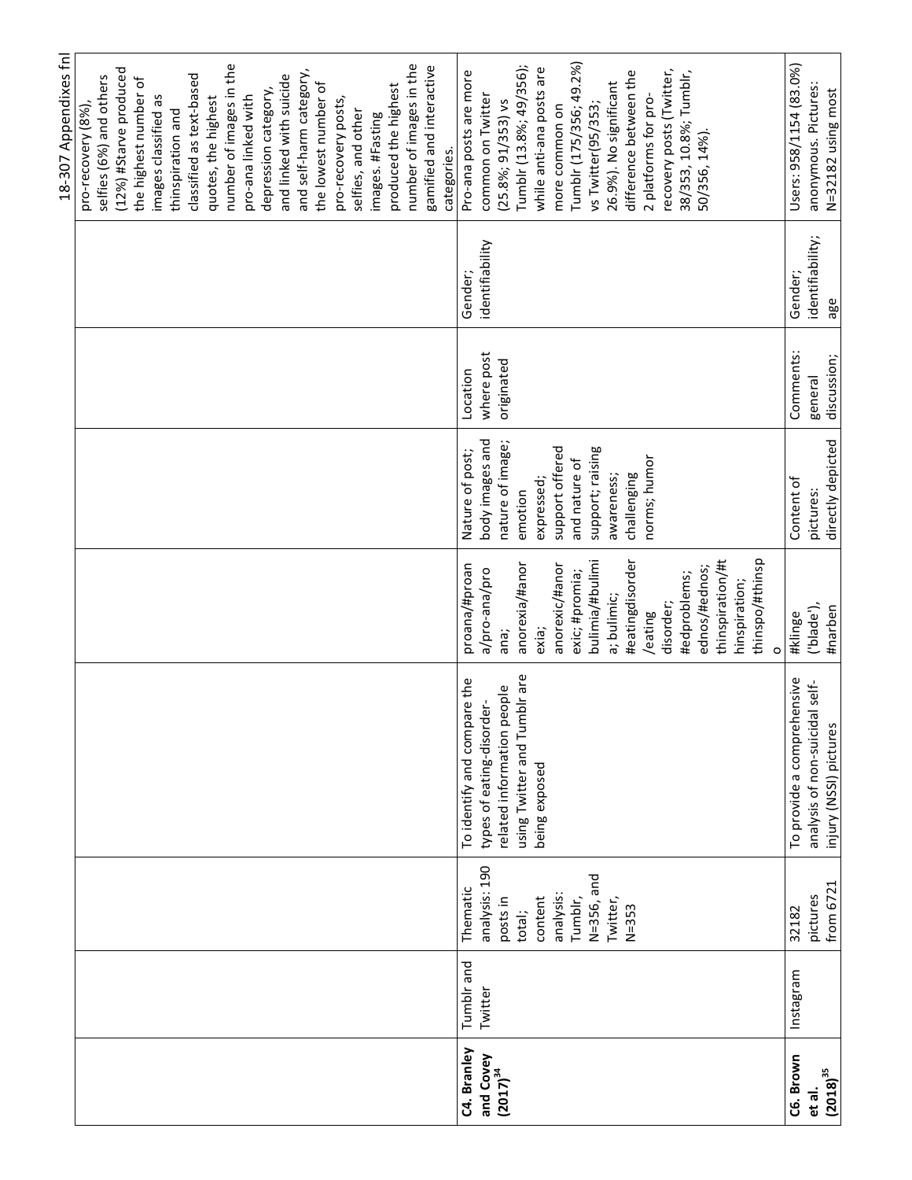|               |            |               |                                 |                  |                   |             |                  | 18-307 Appendixes fnl                             |
|---------------|------------|---------------|---------------------------------|------------------|-------------------|-------------|------------------|---------------------------------------------------|
|               |            |               |                                 |                  |                   |             |                  | pro-recovery (8%)                                 |
|               |            |               |                                 |                  |                   |             |                  | (12%) #Starve produced<br>selfies (6%) and others |
|               |            |               |                                 |                  |                   |             |                  | the highest number of                             |
|               |            |               |                                 |                  |                   |             |                  | images classified as                              |
|               |            |               |                                 |                  |                   |             |                  | thinspiration and                                 |
|               |            |               |                                 |                  |                   |             |                  | classified as text-based                          |
|               |            |               |                                 |                  |                   |             |                  | quotes, the highest                               |
|               |            |               |                                 |                  |                   |             |                  | number of images in the                           |
|               |            |               |                                 |                  |                   |             |                  | pro-ana linked with                               |
|               |            |               |                                 |                  |                   |             |                  | depression category,                              |
|               |            |               |                                 |                  |                   |             |                  | and linked with suicide                           |
|               |            |               |                                 |                  |                   |             |                  | and self-harm category,                           |
|               |            |               |                                 |                  |                   |             |                  | the lowest number of                              |
|               |            |               |                                 |                  |                   |             |                  | pro-recovery posts,                               |
|               |            |               |                                 |                  |                   |             |                  | selfies, and other                                |
|               |            |               |                                 |                  |                   |             |                  | images. #Fasting                                  |
|               |            |               |                                 |                  |                   |             |                  | produced the highest                              |
|               |            |               |                                 |                  |                   |             |                  | number of images in the                           |
|               |            |               |                                 |                  |                   |             |                  | gamified and interactive                          |
|               |            |               |                                 |                  |                   |             |                  | categories.                                       |
| C4. Branley   | Tumblr and | Thematic      | To identify and compare the     | proana/#proan    | Nature of post;   | Location    | Gender;          | Pro-ana posts are more                            |
| and Covey     | Twitter    | analysis: 190 | types of eating-disorder-       | a/pro-ana/pro    | body images and   | where post  | identifiability  | common on Twitter                                 |
| $(2017)^{34}$ |            | posts in      | related information people      | ana;             | nature of image;  | originated  |                  | $(25.8\%; 91/353)$ vs                             |
|               |            | total;        | using Twitter and Tumblr are    | anorexia/#anor   | emotion           |             |                  | Tumblr (13.8%; 49/356);                           |
|               |            | content       | being exposed                   | exia;            | expressed;        |             |                  | while anti-ana posts are                          |
|               |            | analysis:     |                                 | anorexic/#anor   | support offered   |             |                  | more common on                                    |
|               |            | Tumblr,       |                                 | exic; #promia;   | and nature of     |             |                  | Tumblr (175/356; 49.2%)                           |
|               |            | N=356, and    |                                 | bulimia/#bulimi  | support; raising  |             |                  | vs Twitter(95/353;                                |
|               |            | Twitter,      |                                 | a; bulimic;      | awareness;        |             |                  | 26.9%). No significant                            |
|               |            | $N = 353$     |                                 | #eatingdisorder  | challenging       |             |                  | difference between the                            |
|               |            |               |                                 | /eating          | norms; humor      |             |                  | 2 platforms for pro-                              |
|               |            |               |                                 | disorder;        |                   |             |                  | recovery posts (Twitter,                          |
|               |            |               |                                 | #edproblems;     |                   |             |                  | 38/353, 10.8%; Tumblr,                            |
|               |            |               |                                 | ednos/#ednos;    |                   |             |                  | 50/356, 14%).                                     |
|               |            |               |                                 | thinspiration/#t |                   |             |                  |                                                   |
|               |            |               |                                 | hinspiration;    |                   |             |                  |                                                   |
|               |            |               |                                 | thinspo/#thinsp  |                   |             |                  |                                                   |
|               |            |               |                                 | $\circ$          |                   |             |                  |                                                   |
| C6. Brown     | Instagram  | 32182         | nensive<br>To provide a compreh | #klinge          | Content of        | Comments:   | Gender;          | Users: 958/1154 (83.0%)                           |
| et al.        |            | pictures      | analysis of non-suicidal self-  | ('blade'),       | pictures:         | general     | identifiability; | anonymous. Pictures:                              |
| $(2018)^{35}$ |            | from 6721     | injury (NSSI) pictures          | #narben          | directly depicted | discussion; | age              | N=32182 using most                                |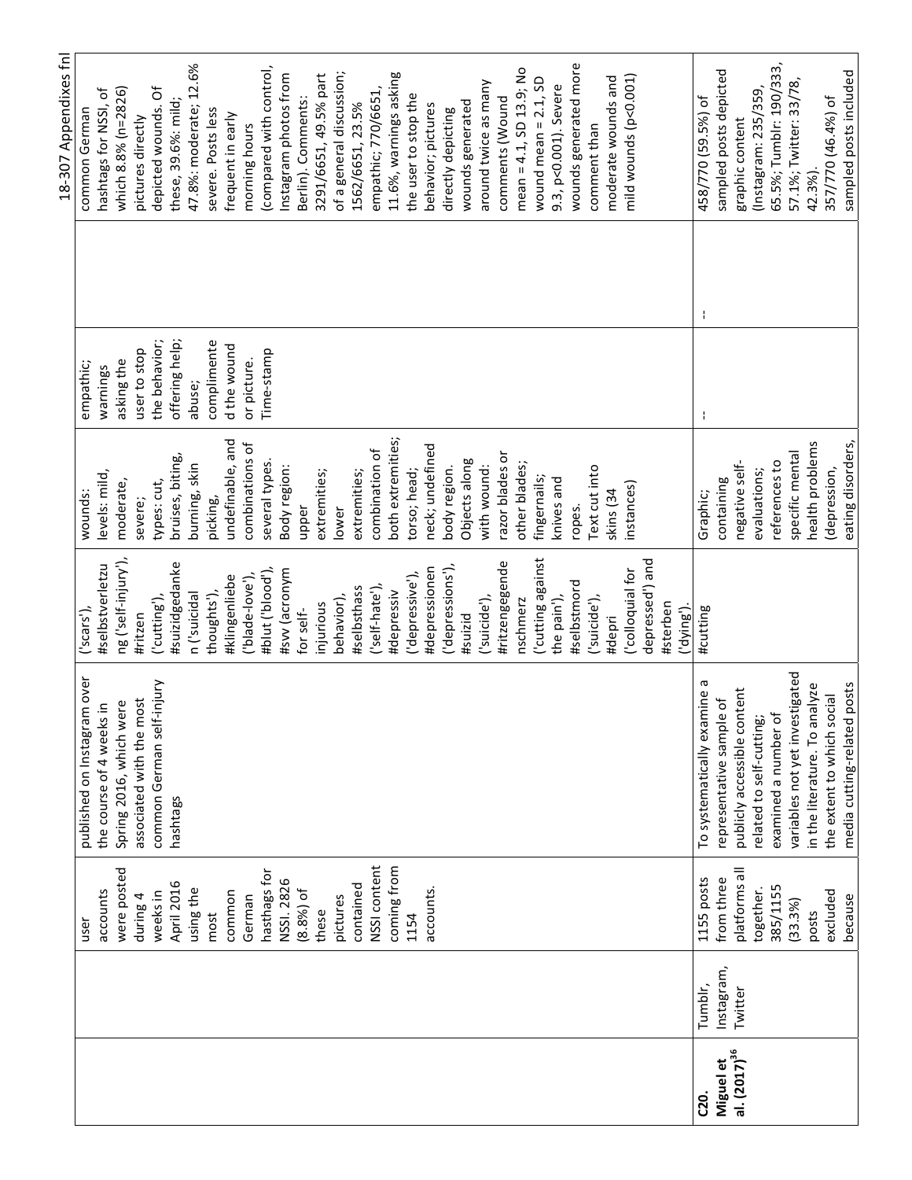|                          |            |               |                                |                              |                   |                | 18-307 Appendixes fnl    |
|--------------------------|------------|---------------|--------------------------------|------------------------------|-------------------|----------------|--------------------------|
|                          |            | user          | published on Instagram over    | ('scars'),                   | wounds:           | empathic;      | common German            |
|                          |            | accounts      | the course of 4 weeks in       | #selbstverletzu              | levels: mild,     | warnings       | hashtags for NSSI, of    |
|                          |            | were posted   | Spring 2016, which were        | ng ('self-injury'),          | moderate,         | asking the     | which 8.8% (n=2826)      |
|                          |            | during 4      | associated with the most       | #ritzen                      | severe;           | user to stop   | pictures directly        |
|                          |            | weeks in      | common German self-injury      | ('cutting'),                 | types: cut,       | the behavior;  | depicted wounds. Of      |
|                          |            | April 2016    | hashtags                       | #suizidgedanke               | bruises, biting,  | offering help; | these, 39.6%: mild;      |
|                          |            | using the     |                                | n ('suicidal                 | burning, skin     | abuse;         | 47.8%: moderate; 12.6%   |
|                          |            | most          |                                | thoughts'),                  | picking,          | complimente    | severe. Posts less       |
|                          |            | common        |                                | #klingenliebe                | undefinable, and  | d the wound    | frequent in early        |
|                          |            | German        |                                | ('blade-love'),              | combinations of   | or picture.    | morning hours            |
|                          |            | hasthags for  |                                | #blut ('blood'),             | several types.    | Time-stamp     | (compared with control,  |
|                          |            | NSSI. 2826    |                                | #sw (acronym                 | Body region:      |                | Instagram photos from    |
|                          |            | (8.8%) of     |                                | for self-                    | upper             |                | Berlin). Comments:       |
|                          |            | these         |                                | injurious                    | extremities;      |                | 3291/6651, 49.5% part    |
|                          |            | pictures      |                                | behavior),                   | lower             |                | of a general discussion; |
|                          |            | contained     |                                | #selbsthass                  | extremities;      |                | 1562/6651, 23.5%         |
|                          |            | NSSI content  |                                | ('self-hate'),               | combination of    |                | empathic; 770/6651,      |
|                          |            | coming from   |                                | #depressiv                   | both extremities; |                | 11.6%, warnings asking   |
|                          |            | 1154          |                                | ('depressive'),              | torso; head;      |                | the user to stop the     |
|                          |            | accounts.     |                                | #depressionen                | neck; undefined   |                | behavior; pictures       |
|                          |            |               |                                | ('depressions'),             | body region.      |                | directly depicting       |
|                          |            |               |                                | #suizid                      | Objects along     |                | wounds generated         |
|                          |            |               |                                | ('suicide'),                 | with wound:       |                | around twice as many     |
|                          |            |               |                                | #ritzengegende               | razor blades or   |                | comments (Wound          |
|                          |            |               |                                | nschmerz                     | other blades;     |                | mean = 4.1, SD 13.9; No  |
|                          |            |               |                                | Cutting against              | fingernails;      |                | wound mean = $2.1$ , SD  |
|                          |            |               |                                | the pain'),                  | knives and        |                | 9.3, p<0.001). Severe    |
|                          |            |               |                                | #selbstmord                  | ropes.            |                | wounds generated more    |
|                          |            |               |                                | ('suicide'),                 | Text cut into     |                | comment than             |
|                          |            |               |                                | #depri                       | skins (34         |                | moderate wounds and      |
|                          |            |               |                                | colloquial for               | instances)        |                | mild wounds (p<0.001)    |
|                          |            |               |                                | depressed <sup>'</sup> ) and |                   |                |                          |
|                          |            |               |                                | #sterben<br>('dying')        |                   |                |                          |
| C20.                     | Tumblr,    | 1155 posts    | To systematically examine a    | #cutting                     | Graphic;          | J.             | 458/770 (59.5%) of       |
| Miguel et                | Instagram, | from three    | representative sample of       |                              | containing        |                | sampled posts depicted   |
| al. (2017) <sup>36</sup> | Twitter    | platforms all | publicly accessible content    |                              | negative self-    |                | graphic content          |
|                          |            | together.     | related to self-cutting;       |                              | evaluations;      |                | (Instagram: 235/359      |
|                          |            | 385/1155      | examined a number of           |                              | references to     |                | 65.5%; Tumblr: 190/333,  |
|                          |            | (33.3%)       | variables not yet investigated |                              | specific mental   |                | 57.1%; Twitter: 33/78,   |
|                          |            | posts         | in the literature. To analyze  |                              | health problems   |                | 42.3%)                   |
|                          |            | excluded      | the extent to which social     |                              | depression,       |                | 357/770 (46.4%) of       |
|                          |            | because       | media cutting-related posts    |                              | eating disorders, |                | sampled posts included   |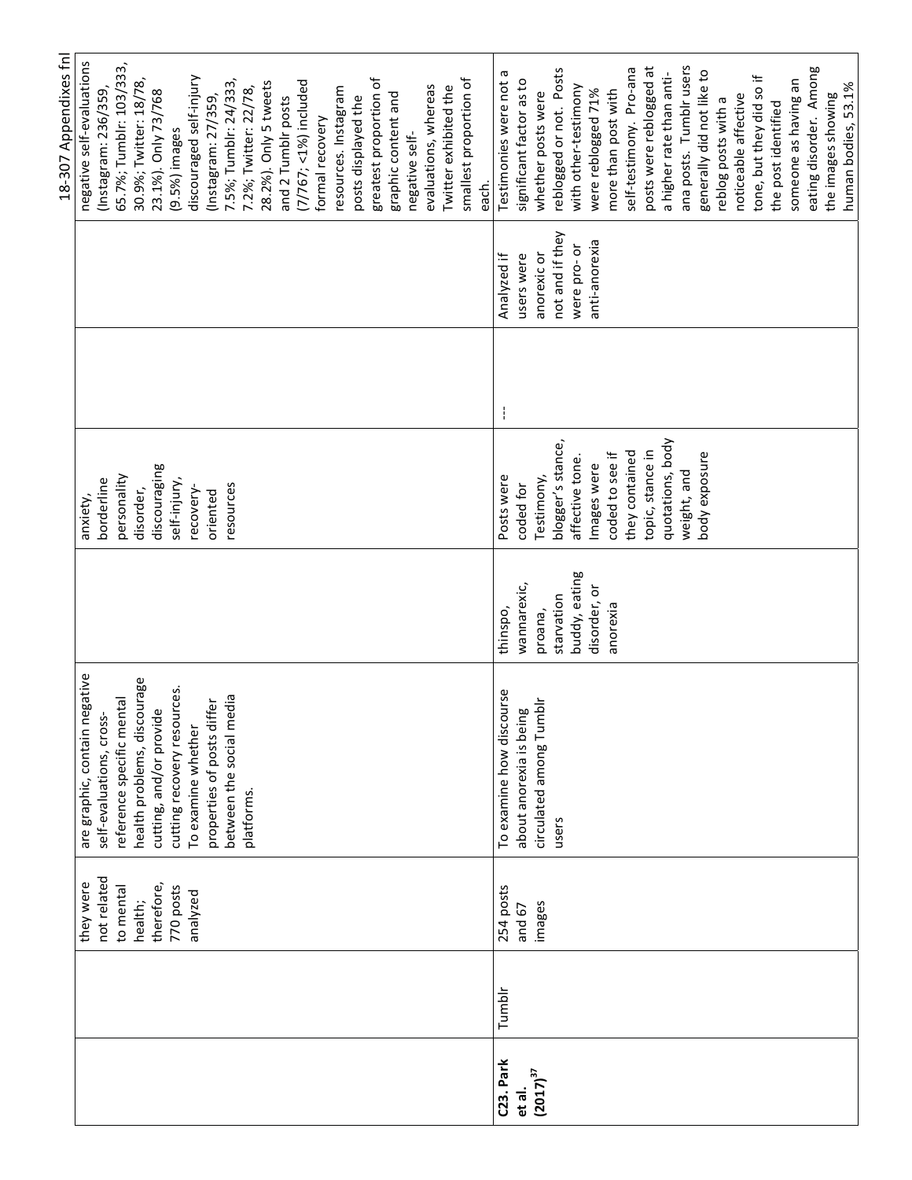|             |                               |               |                   |   |                 | 18-307 Appendixes fnl     |
|-------------|-------------------------------|---------------|-------------------|---|-----------------|---------------------------|
| they were   | are graphic, contain negative |               | anxiety           |   |                 | negative self-evaluations |
| not related | self-evaluations, cross       |               | borderline        |   |                 | (Instagram: 236/359,      |
| to mental   | reference specific mental     |               | personality       |   |                 | 65.7%; Tumblr: 103/333,   |
| health;     | health problems, discourage   |               | disorder,         |   |                 | 30.9%; Twitter: 18/78,    |
| therefore,  | يو<br>cutting, and/or provid  |               | discouraging      |   |                 | 23.1%). Only 73/768       |
| 770 posts   | cutting recovery resources.   |               | self-injury,      |   |                 | (9.5%) images             |
| analyzed    | To examine whether            |               | recovery-         |   |                 | discouraged self-injury   |
|             | properties of posts differ    |               | oriented          |   |                 | (Instagram: 27/359,       |
|             | between the social media      |               | resources         |   |                 | 7.5%; Tumblr: 24/333      |
|             | platforms.                    |               |                   |   |                 | 7.2%; Twitter: 22/78,     |
|             |                               |               |                   |   |                 | 28.2%). Only 5 tweets     |
|             |                               |               |                   |   |                 | and 2 Tumblr posts        |
|             |                               |               |                   |   |                 | $(7/767; < 1\%)$ included |
|             |                               |               |                   |   |                 | formal recovery           |
|             |                               |               |                   |   |                 | resources. Instagram      |
|             |                               |               |                   |   |                 | posts displayed the       |
|             |                               |               |                   |   |                 | greatest proportion of    |
|             |                               |               |                   |   |                 | graphic content and       |
|             |                               |               |                   |   |                 | negative self-            |
|             |                               |               |                   |   |                 | evaluations, whereas      |
|             |                               |               |                   |   |                 | Twitter exhibited the     |
|             |                               |               |                   |   |                 | smallest proportion of    |
|             |                               |               |                   |   |                 | each.                     |
| 254 posts   | To examine how discourse      | thinspo,      | Posts were        | ŧ | Analyzed if     | Testimonies were not a    |
| and 67      | ஜ்<br>about anorexia is bein  | wannarexic,   | coded for         |   | users were      | significant factor as to  |
| images      | circulated among Tumblr       | proana,       | Testimony,        |   | anorexic or     | whether posts were        |
|             | users                         | starvation    | blogger's stance, |   | not and if they | reblogged or not. Posts   |
|             |                               | buddy, eating | affective tone.   |   | were pro-or     | with other-testimony      |
|             |                               | disorder, or  | Images were       |   | anti-anorexia   | were reblogged 71%        |
|             |                               | anorexia      | coded to see if   |   |                 | more than post with       |
|             |                               |               | they contained    |   |                 | self-testimony. Pro-ana   |
|             |                               |               | topic, stance in  |   |                 | posts were reblogged at   |
|             |                               |               | quotations, body  |   |                 | a higher rate than anti-  |
|             |                               |               | weight, and       |   |                 | ana posts. Tumblr users   |
|             |                               |               | body exposure     |   |                 | generally did not like to |
|             |                               |               |                   |   |                 | reblog posts with a       |
|             |                               |               |                   |   |                 | noticeable affective      |
|             |                               |               |                   |   |                 | tone, but they did so if  |
|             |                               |               |                   |   |                 | the post identified       |
|             |                               |               |                   |   |                 | someone as having an      |
|             |                               |               |                   |   |                 | eating disorder. Among    |
|             |                               |               |                   |   |                 | the images showing        |
|             |                               |               |                   |   |                 | human bodies, 53.1%       |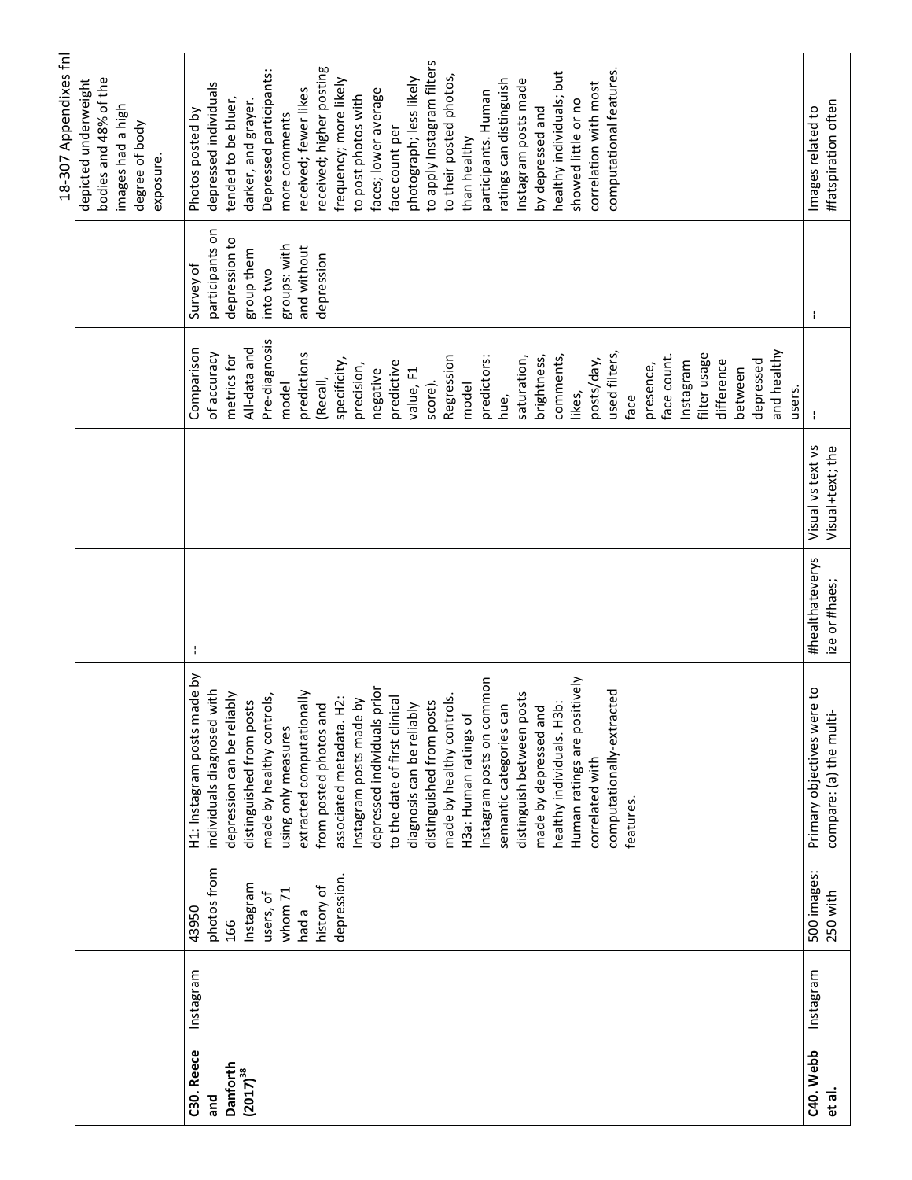|                     |           |                         |                                                       |                                  |                                       |                       |                 | 18-307 Appendixes fnl                    |
|---------------------|-----------|-------------------------|-------------------------------------------------------|----------------------------------|---------------------------------------|-----------------------|-----------------|------------------------------------------|
|                     |           |                         |                                                       |                                  |                                       |                       |                 | depicted underweight                     |
|                     |           |                         |                                                       |                                  |                                       |                       |                 | bodies and 48% of the                    |
|                     |           |                         |                                                       |                                  |                                       |                       |                 | images had a high                        |
|                     |           |                         |                                                       |                                  |                                       |                       |                 | degree of body                           |
|                     |           |                         |                                                       |                                  |                                       |                       |                 | exposure.                                |
| C30. Reece          | Instagram | 43950                   | H1: Instagram posts made by                           | ÷,                               |                                       | Comparison            | Survey of       | Photos posted by                         |
| and                 |           | photos from             | individuals diagnosed with                            |                                  |                                       | of accuracy           | participants on | depressed individuals                    |
| <b>Danforth</b>     |           | 166                     | depression can be reliably                            |                                  |                                       | metrics for           | depression to   | tended to be bluer,                      |
| $(2017)^{38}$       |           | Instagram               | distinguished from posts                              |                                  |                                       | All-data and          | group them      | darker, and grayer.                      |
|                     |           | users, of               | made by healthy controls,                             |                                  |                                       | Pre-diagnosis         | into two        | Depressed participants:                  |
|                     |           | whom 71                 | using only measures                                   |                                  |                                       | model                 | groups: with    | more comments                            |
|                     |           | had a                   | extracted computationally                             |                                  |                                       | predictions           | and without     | received; fewer likes                    |
|                     |           | history of              | from posted photos and                                |                                  |                                       | (Recall,              | depression      | received; higher posting                 |
|                     |           | depression.             | $\ddot{H}$<br>associated metadata.                    |                                  |                                       | specificity,          |                 | frequency; more likely                   |
|                     |           |                         | Instagram posts made by                               |                                  |                                       | precision,            |                 | to post photos with                      |
|                     |           |                         | prior<br>depressed individuals                        |                                  |                                       | negative              |                 | faces; lower average                     |
|                     |           |                         | to the date of first clinical                         |                                  |                                       | predictive            |                 | face count per                           |
|                     |           |                         | diagnosis can be reliably                             |                                  |                                       | value, F1             |                 | photograph; less likely                  |
|                     |           |                         | distinguished from posts                              |                                  |                                       | score).               |                 | to apply Instagram filters               |
|                     |           |                         | made by healthy controls.                             |                                  |                                       | Regression            |                 | to their posted photos,                  |
|                     |           |                         | H3a: Human ratings of                                 |                                  |                                       | model                 |                 | than healthy                             |
|                     |           |                         | Instagram posts on common                             |                                  |                                       | predictors:           |                 | participants. Human                      |
|                     |           |                         | semantic categories can                               |                                  |                                       | hue,                  |                 | ratings can distinguish                  |
|                     |           |                         | distinguish between posts                             |                                  |                                       | saturation,           |                 | Instagram posts made                     |
|                     |           |                         | made by depressed and                                 |                                  |                                       | brightness,           |                 | by depressed and                         |
|                     |           |                         | healthy individuals. H3b:                             |                                  |                                       | comments,             |                 | healthy individuals; but                 |
|                     |           |                         | Human ratings are positively                          |                                  |                                       | likes,                |                 | showed little or no                      |
|                     |           |                         | correlated with                                       |                                  |                                       | posts/day,            |                 | correlation with most                    |
|                     |           |                         | computationally-extracted                             |                                  |                                       | used filters,         |                 | computational features.                  |
|                     |           |                         | features.                                             |                                  |                                       | face                  |                 |                                          |
|                     |           |                         |                                                       |                                  |                                       | presence,             |                 |                                          |
|                     |           |                         |                                                       |                                  |                                       | face count.           |                 |                                          |
|                     |           |                         |                                                       |                                  |                                       | Instagram             |                 |                                          |
|                     |           |                         |                                                       |                                  |                                       | filter usage          |                 |                                          |
|                     |           |                         |                                                       |                                  |                                       | difference            |                 |                                          |
|                     |           |                         |                                                       |                                  |                                       | between               |                 |                                          |
|                     |           |                         |                                                       |                                  |                                       | depressed             |                 |                                          |
|                     |           |                         |                                                       |                                  |                                       | and healthy<br>users. |                 |                                          |
| C40. Webb<br>et al. | Instagram | 500 images:<br>250 with | Primary objectives were to<br>compare: (a) the multi- | #healthateverys<br>ize or #haes; | Visual vs text vs<br>Visual+text; the |                       | ÷,              | #fatspiration often<br>Images related to |
|                     |           |                         |                                                       |                                  |                                       |                       |                 |                                          |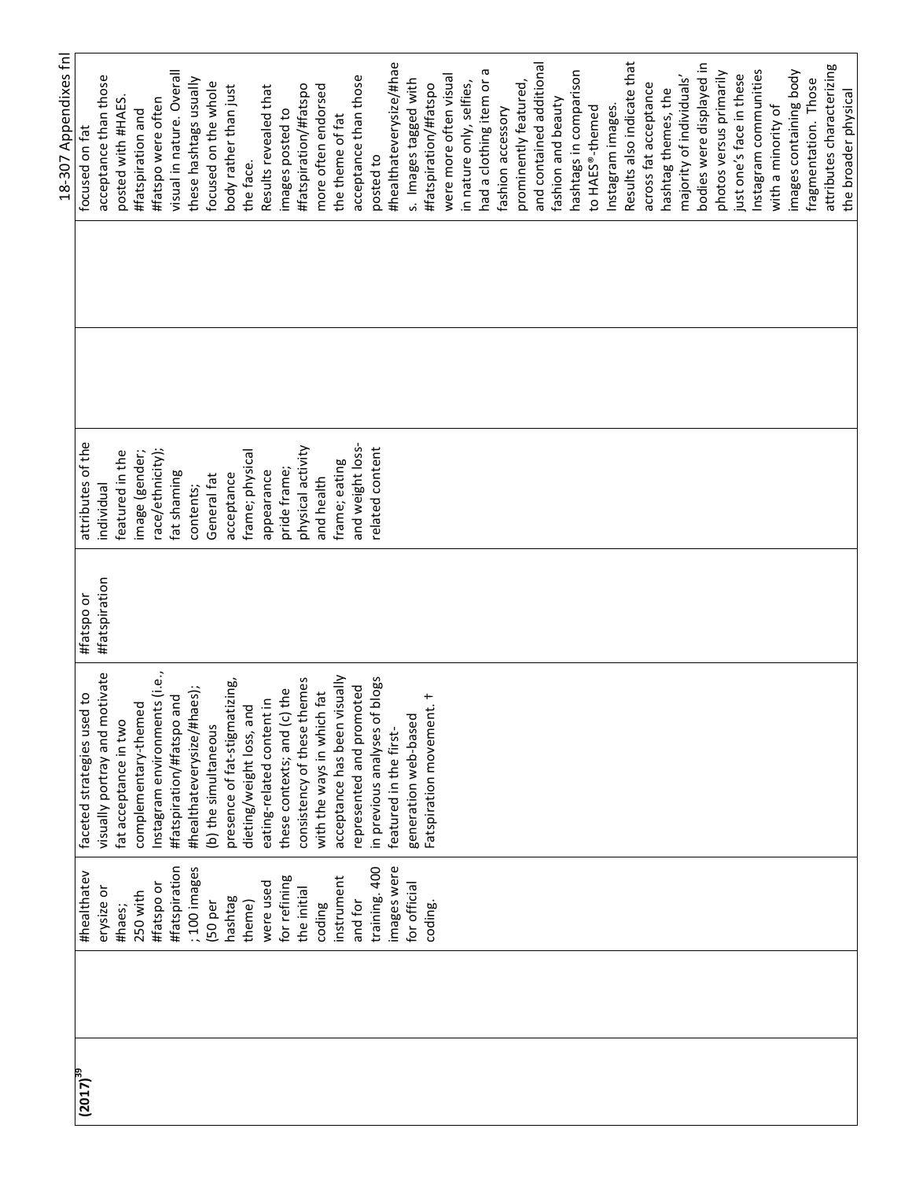| 18-307 Appendixes fnl | focused on fat                          | acceptance than those         | posted with #HAES     | #fatspiration and    | #fatspo were often            | visual in nature. Overall | these hashtags usually     | focused on the whole | body rather than just         | the face.                | Results revealed that     | images posted to            | #fatspiration/#fatspo       | more often endorsed        | the theme of fat             | acceptance than those    | posted to                     | #healthateverysize/#hae | s. Images tagged with | #fatspiration/#fatspo    | were more often visual | in nature only, selfies, | had a clothing item or a | fashion accessory | prominently featured, | and contained additional | fashion and beauty | hashtags in comparison | to HAES®-themed | Instagram images. | Results also indicate that | across fat acceptance | hashtag themes, the | majority of individuals' | bodies were displayed in | photos versus primarily | just one's face in these | Instagram communities | with a minority of | images containing body | fragmentation. Those | attributes characterizing |
|-----------------------|-----------------------------------------|-------------------------------|-----------------------|----------------------|-------------------------------|---------------------------|----------------------------|----------------------|-------------------------------|--------------------------|---------------------------|-----------------------------|-----------------------------|----------------------------|------------------------------|--------------------------|-------------------------------|-------------------------|-----------------------|--------------------------|------------------------|--------------------------|--------------------------|-------------------|-----------------------|--------------------------|--------------------|------------------------|-----------------|-------------------|----------------------------|-----------------------|---------------------|--------------------------|--------------------------|-------------------------|--------------------------|-----------------------|--------------------|------------------------|----------------------|---------------------------|
|                       |                                         |                               |                       |                      |                               |                           |                            |                      |                               |                          |                           |                             |                             |                            |                              |                          |                               |                         |                       |                          |                        |                          |                          |                   |                       |                          |                    |                        |                 |                   |                            |                       |                     |                          |                          |                         |                          |                       |                    |                        |                      |                           |
|                       | attributes of the                       | individual                    | featured in the       | image (gender;       | race/ethnicity);              | fat shaming               | contents;                  | General fat          | acceptance                    | frame; physical          | appearance                | pride frame;                | physical activity           | and health                 | frame; eating                | and weight loss-         | related content               |                         |                       |                          |                        |                          |                          |                   |                       |                          |                    |                        |                 |                   |                            |                       |                     |                          |                          |                         |                          |                       |                    |                        |                      |                           |
|                       | #fatspo or                              | <b>#fatspiration</b>          |                       |                      |                               |                           |                            |                      |                               |                          |                           |                             |                             |                            |                              |                          |                               |                         |                       |                          |                        |                          |                          |                   |                       |                          |                    |                        |                 |                   |                            |                       |                     |                          |                          |                         |                          |                       |                    |                        |                      |                           |
|                       | $\frac{1}{2}$<br>faceted strategies use | visually portray and motivate | fat acceptance in two | complementary-themed | Instagram environments (i.e., | #fatspiration/#fatspo and | #healthateverysize/#haes); | (b) the simultaneous | presence of fat-stigmatizing, | dieting/weight loss, and | eating-related content in | these contexts; and (c) the | consistency of these themes | with the ways in which fat | acceptance has been visually | represented and promoted | in previous analyses of blogs | featured in the first-  | generation web-based  | Fatspiration movement. + |                        |                          |                          |                   |                       |                          |                    |                        |                 |                   |                            |                       |                     |                          |                          |                         |                          |                       |                    |                        |                      |                           |
|                       | #healthatev                             | erysize or                    | #haes;                | 250 with             | #fatspo or                    | #fatspiration             | ;100 images                | (50 per              | hashtag                       | theme)                   | were used                 | for refining                | the initial                 | coding                     | instrument                   | and for                  | training. 400                 | images were             | for official          | coding.                  |                        |                          |                          |                   |                       |                          |                    |                        |                 |                   |                            |                       |                     |                          |                          |                         |                          |                       |                    |                        |                      |                           |
|                       | $(2017)^{39}$                           |                               |                       |                      |                               |                           |                            |                      |                               |                          |                           |                             |                             |                            |                              |                          |                               |                         |                       |                          |                        |                          |                          |                   |                       |                          |                    |                        |                 |                   |                            |                       |                     |                          |                          |                         |                          |                       |                    |                        |                      |                           |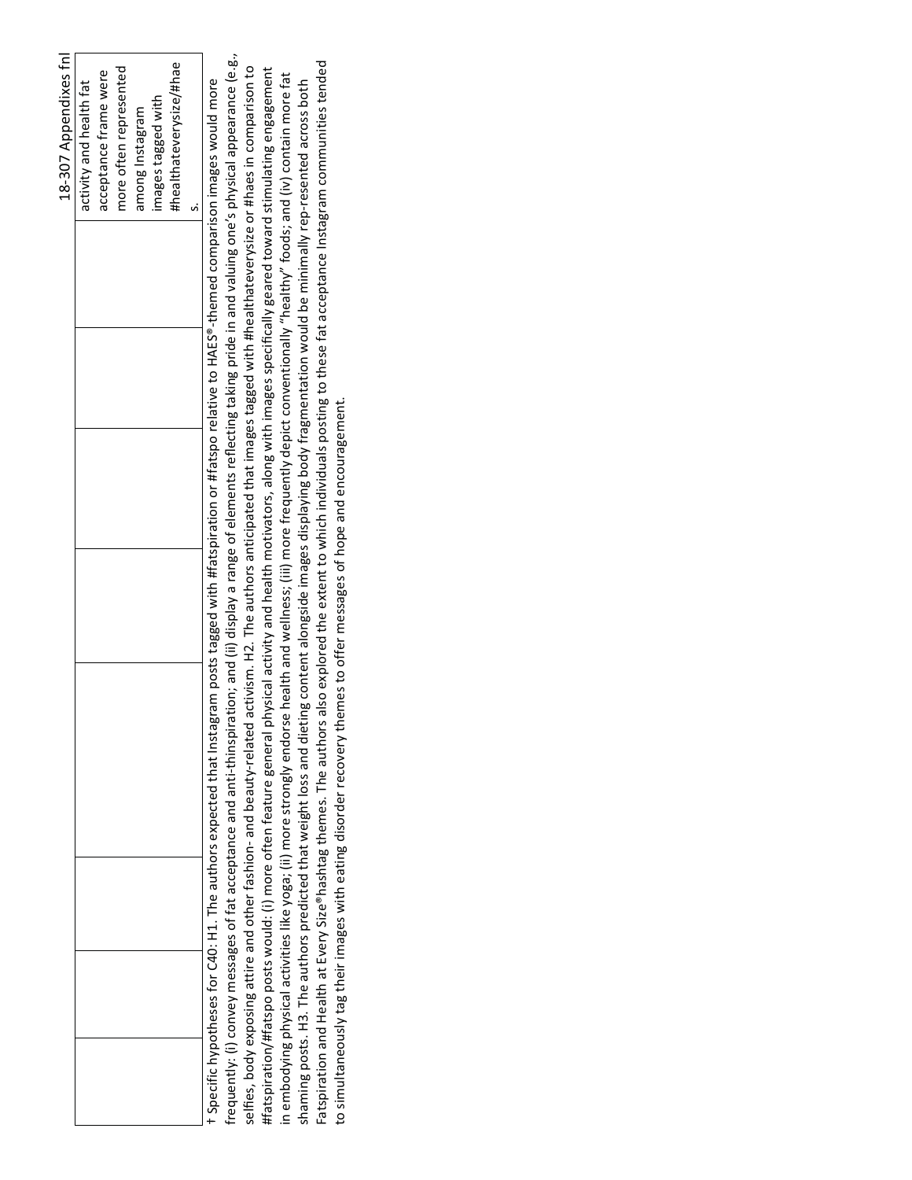|                                                                                                                                                                                        | 18-307 Appendixes fnl   |
|----------------------------------------------------------------------------------------------------------------------------------------------------------------------------------------|-------------------------|
|                                                                                                                                                                                        | activity and health fat |
|                                                                                                                                                                                        | acceptance frame were   |
|                                                                                                                                                                                        | more often represented  |
|                                                                                                                                                                                        | among Instagram         |
|                                                                                                                                                                                        | images tagged with      |
|                                                                                                                                                                                        | #healthateverysize/#hae |
|                                                                                                                                                                                        | si                      |
| t Specific hypotheses for C40: H1. The authors expected that Instagram posts tagged with #fatspiration or #fatspo relative to HAES®-themed comparison images would more                |                         |
| frequently: (i) convey messages of fat acceptance and anti-thinspiration; and (ii) display a range of elements reflecting taking pride in and valuing one's physical appearance (e.g., |                         |
| selfies, body exposing attire and other fashion- and beauty-related activism. H2. The authors anticipated that images tagged with #healthateverysize or #haes in comparison to         |                         |
| #fatspiration/#fatspo posts would: (i) more often feature general physical activity and health motivators, along with images specifically geared toward stimulating engagement         |                         |
| in embodying physical activities like yoga; (ii) more strongly endorse health and wellness; (iii) more frequently depict conventionally "healthy" foods; and (iv) contain more fat     |                         |
| shaming posts. H3. The authors predicted that weight loss and dieting content alongside images displaying body fragmentation would be minimally rep-resented across both               |                         |
| Fatspiration and Health at Every Size®hashtag themes. The authors also explored the extent to which individuals posting to these fat acceptance Instagram communities tended           |                         |
| to simultaneously tag their images with eating disorder recovery themes to offer messages of hope and encouragement.                                                                   |                         |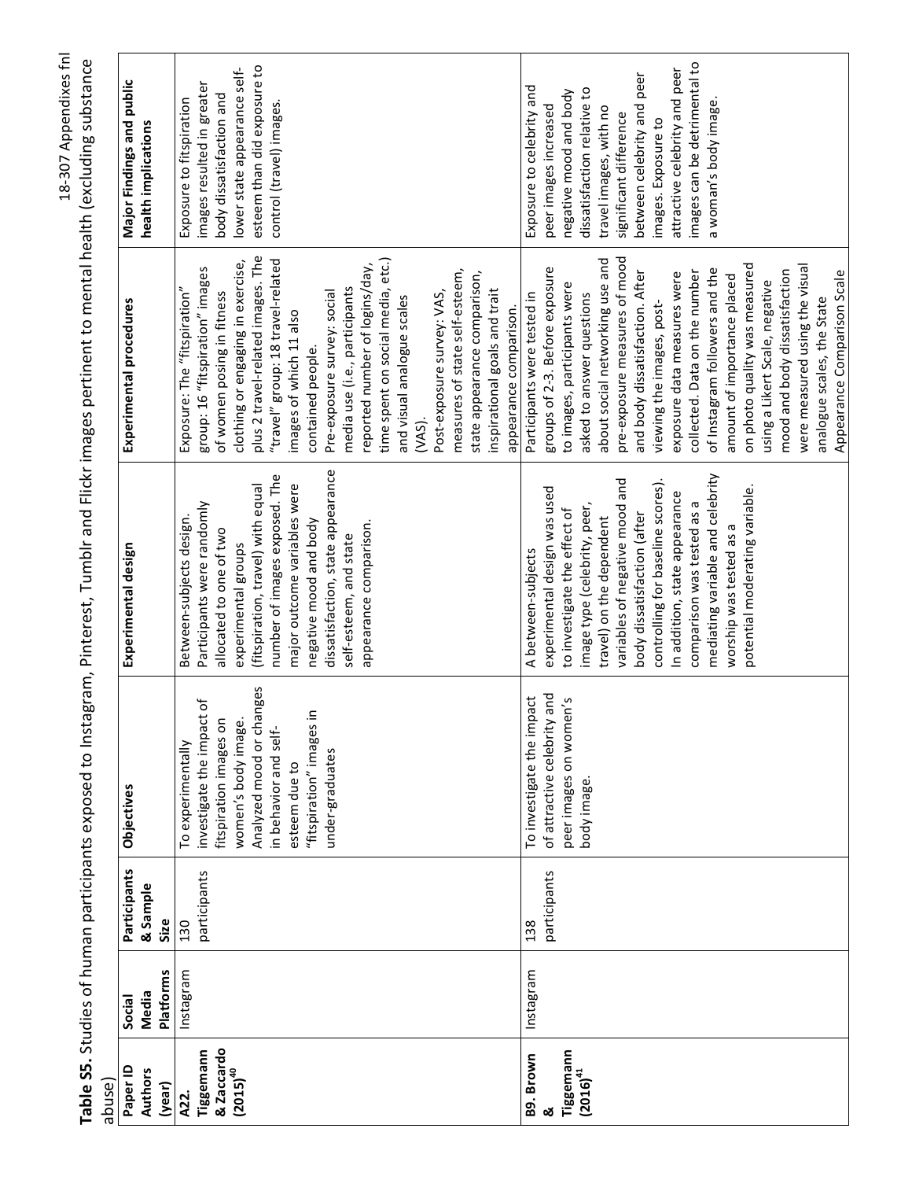| abuse)                                           |                                     |                                  |                                                                                                                                                                                                                         |                                                                                                                                                                                                                                                                                                                                                                                                                      |                                                                                                                                                                                                                                                                                                                                                                                                                                                                                                                                                                                                        |                                                                                                                                                                                                                                                                                                               |
|--------------------------------------------------|-------------------------------------|----------------------------------|-------------------------------------------------------------------------------------------------------------------------------------------------------------------------------------------------------------------------|----------------------------------------------------------------------------------------------------------------------------------------------------------------------------------------------------------------------------------------------------------------------------------------------------------------------------------------------------------------------------------------------------------------------|--------------------------------------------------------------------------------------------------------------------------------------------------------------------------------------------------------------------------------------------------------------------------------------------------------------------------------------------------------------------------------------------------------------------------------------------------------------------------------------------------------------------------------------------------------------------------------------------------------|---------------------------------------------------------------------------------------------------------------------------------------------------------------------------------------------------------------------------------------------------------------------------------------------------------------|
| Paper ID<br><b>Authors</b><br>(year)             | <b>Platforms</b><br>Media<br>Social | Participants<br>& Sample<br>Size | Objectives                                                                                                                                                                                                              | Experimental design                                                                                                                                                                                                                                                                                                                                                                                                  | Experimental procedures                                                                                                                                                                                                                                                                                                                                                                                                                                                                                                                                                                                | Major Findings and public<br>health implications                                                                                                                                                                                                                                                              |
| & Zaccardo<br>Tiggemann<br>$(2015)^{40}$<br>A22. | Instagram                           | participants<br>130              | Analyzed mood or changes<br>investigate the impact of<br>크.<br>fitspiration images on<br>women's body image.<br>in behavior and self-<br>"fitspiration" images<br>To experimentally<br>under-graduates<br>esteem due to | dissatisfaction, state appearance<br>number of images exposed. The<br>(fitspiration, travel) with equal<br>major outcome variables were<br>Participants were randomly<br>Between-subjects design.<br>negative mood and body<br>appearance comparison.<br>allocated to one of two<br>self-esteem, and state<br>experimental groups                                                                                    | plus 2 travel-related images. The<br>time spent on social media, etc.)<br>"travel" group: 18 travel-related<br>clothing or engaging in exercise,<br>reported number of logins/day,<br>group: 16 "fitspiration" images<br>measures of state self-esteem,<br>state appearance comparison,<br>Exposure: The "fitspiration"<br>media use (i.e., participants<br>inspirational goals and trait<br>Pre-exposure survey: social<br>of women posing in fitness<br>Post-exposure survey: VAS,<br>and visual analogue scales<br>appearance comparison.<br>images of which 11 also<br>contained people.<br>(VAS). | esteem than did exposure to<br>lower state appearance self-<br>images resulted in greater<br>body dissatisfaction and<br>Exposure to fitspiration<br>control (travel) images                                                                                                                                  |
| Tiggemann<br>B9. Brown<br>$(2016)^{41}$<br>ఱ     | Instagram                           | participants<br>138              | of attractive celebrity and<br>pact<br>peer images on women's<br>To investigate the im<br>body image.                                                                                                                   | mediating variable and celebrity<br>variables of negative mood and<br>controlling for baseline scores).<br>experimental design was used<br>potential moderating variable.<br>In addition, state appearance<br>comparison was tested as a<br>image type (celebrity, peer,<br>to investigate the effect of<br>body dissatisfaction (after<br>travel) on the dependent<br>worship was tested as a<br>A between-subjects | pre-exposure measures of mood<br>about social networking use and<br>on photo quality was measured<br>were measured using the visual<br>groups of 2-3. Before exposure<br>of Instagram followers and the<br>mood and body dissatisfaction<br>collected. Data on the number<br>and body dissatisfaction. After<br>Appearance Comparison Scale<br>exposure data measures were<br>amount of importance placed<br>using a Likert Scale, negative<br>to images, participants were<br>asked to answer questions<br>Participants were tested in<br>analogue scales, the State<br>viewing the images, post-     | images can be detrimental to<br>attractive celebrity and peer<br>between celebrity and peer<br>Exposure to celebrity and<br>dissatisfaction relative to<br>negative mood and body<br>a woman's body image<br>peer images increased<br>travel images, with no<br>significant difference<br>images. Exposure to |

Table S5. Studies of human participants exposed to Instagram, Pinterest, Tumblr and Flickr images pertinent to mental health (excluding substance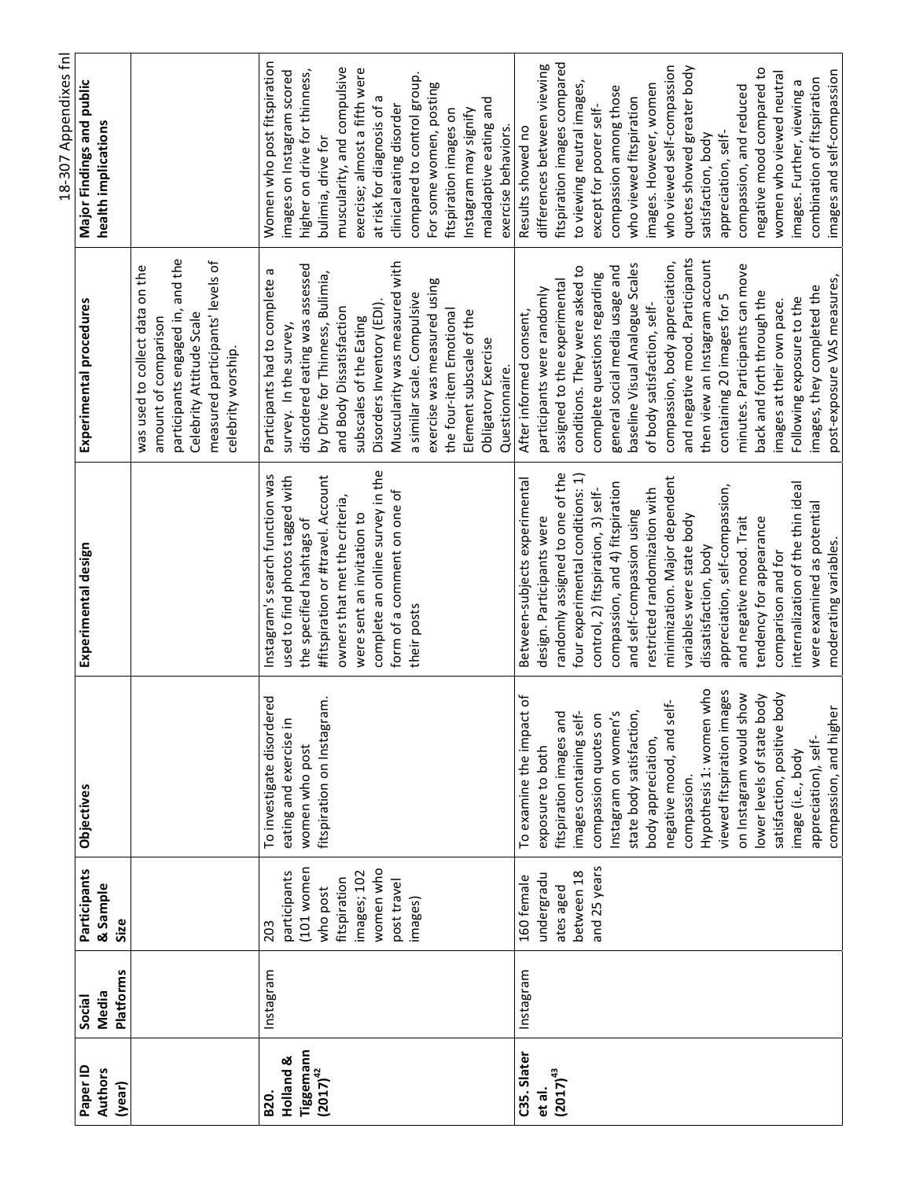|                                                            |                                     |                                                                                                                     |                                                                                                                                                                                                                                                                                                                                                                                                                                                                        |                                                                                                                                                                                                                                                                                                                                                                                                                                                                                                                                                                            |                                                                                                                                                                                                                                                                                                                                                                                                                                                                                                                                                                                         | 18-307 Appendixes fnl                                                                                                                                                                                                                                                                                                                                                                                                                                                                                            |
|------------------------------------------------------------|-------------------------------------|---------------------------------------------------------------------------------------------------------------------|------------------------------------------------------------------------------------------------------------------------------------------------------------------------------------------------------------------------------------------------------------------------------------------------------------------------------------------------------------------------------------------------------------------------------------------------------------------------|----------------------------------------------------------------------------------------------------------------------------------------------------------------------------------------------------------------------------------------------------------------------------------------------------------------------------------------------------------------------------------------------------------------------------------------------------------------------------------------------------------------------------------------------------------------------------|-----------------------------------------------------------------------------------------------------------------------------------------------------------------------------------------------------------------------------------------------------------------------------------------------------------------------------------------------------------------------------------------------------------------------------------------------------------------------------------------------------------------------------------------------------------------------------------------|------------------------------------------------------------------------------------------------------------------------------------------------------------------------------------------------------------------------------------------------------------------------------------------------------------------------------------------------------------------------------------------------------------------------------------------------------------------------------------------------------------------|
| Paper ID<br><b>Authors</b><br>(year)                       | <b>Platforms</b><br>Media<br>Social | Participants<br>& Sample<br>Size                                                                                    | Objectives                                                                                                                                                                                                                                                                                                                                                                                                                                                             | Experimental design                                                                                                                                                                                                                                                                                                                                                                                                                                                                                                                                                        | Experimental procedures                                                                                                                                                                                                                                                                                                                                                                                                                                                                                                                                                                 | Major Findings and public<br>health implications                                                                                                                                                                                                                                                                                                                                                                                                                                                                 |
|                                                            |                                     |                                                                                                                     |                                                                                                                                                                                                                                                                                                                                                                                                                                                                        |                                                                                                                                                                                                                                                                                                                                                                                                                                                                                                                                                                            | and the<br>measured participants' levels of<br>was used to collect data on the<br>participants engaged in,<br>Celebrity Attitude Scale<br>amount of comparison<br>celebrity worship.                                                                                                                                                                                                                                                                                                                                                                                                    |                                                                                                                                                                                                                                                                                                                                                                                                                                                                                                                  |
| Tiggemann<br>Holland &<br>$(2017)^{42}$<br>B <sub>20</sub> | Instagram                           | (101 women<br>women who<br>images; 102<br>participants<br>post travel<br>fitspiration<br>who post<br>images)<br>203 | To investigate disordered<br>fitspiration on Instagram.<br>eating and exercise in<br>women who post                                                                                                                                                                                                                                                                                                                                                                    | complete an online survey in the<br>Instagram's search function was<br>used to find photos tagged with<br>#fitspiration or #travel. Account<br>form of a comment on one of<br>owners that met the criteria,<br>were sent an invitation to<br>the specified hashtags of<br>their posts                                                                                                                                                                                                                                                                                      | Muscularity was measured with<br>disordered eating was assessed<br>Participants had to complete a<br>by Drive for Thinness, Bulimia,<br>exercise was measured using<br>a similar scale. Compulsive<br>Disorders Inventory (EDI).<br>and Body Dissatisfaction<br>Element subscale of the<br>the four-item Emotiona<br>subscales of the Eating<br>survey. In the survey,<br>Obligatory Exercise<br>Questionnaire.                                                                                                                                                                         | Women who post fitspiration<br>muscularity, and compulsive<br>exercise; almost a fifth were<br>higher on drive for thinness,<br>images on Instagram scored<br>compared to control group.<br>For some women, posting<br>at risk for diagnosis of a<br>maladaptive eating and<br>clinical eating disorder<br>fitspiration images on<br>Instagram may signify<br>exercise behaviors.<br>bulimia, drive for                                                                                                          |
| C35. Slater<br>$(2017)^{43}$<br>et al.                     | Instagram                           | and 25 years<br>between 18<br>undergradu<br>160 female<br>ates aged                                                 | Hypothesis 1: women who<br>viewed fitspiration images<br>on Instagram would show<br>satisfaction, positive body<br>To examine the impact of<br>lower levels of state body<br>negative mood, and self-<br>compassion, and higher<br>state body satisfaction,<br>fitspiration images and<br>images containing self-<br>compassion quotes on<br>Instagram on women's<br>body appreciation,<br>appreciation), self-<br>exposure to both<br>image (i.e., body<br>compassion | randomly assigned to one of the<br>four experimental conditions: 1)<br>minimization. Major dependent<br>Between-subjects experimental<br>compassion, and 4) fitspiration<br>internalization of the thin ideal<br>appreciation, self-compassion,<br>control, 2) fitspiration, 3) self-<br>restricted randomization with<br>were examined as potential<br>and self-compassion using<br>variables were state body<br>design. Participants were<br>tendency for appearance<br>and negative mood. Trait<br>moderating variables.<br>dissatisfaction, body<br>comparison and for | and negative mood. Participants<br>then view an Instagram account<br>compassion, body appreciation,<br>baseline Visual Analogue Scales<br>minutes. Participants can move<br>general social media usage and<br>conditions. They were asked to<br>complete questions regarding<br>post-exposure VAS measures,<br>assigned to the experimental<br>images, they completed the<br>participants were randomly<br>back and forth through the<br>containing 20 images for 5<br>Following exposure to the<br>images at their own pace.<br>of body satisfaction, self-<br>After informed consent, | fitspiration images compared<br>differences between viewing<br>who viewed self-compassion<br>quotes showed greater body<br>negative mood compared to<br>women who viewed neutral<br>images and self-compassion<br>combination of fitspiration<br>to viewing neutral images,<br>images. Further, viewing a<br>images. However, women<br>compassion among those<br>compassion, and reduced<br>who viewed fitspiration<br>except for poorer self-<br>Results showed no<br>satisfaction, body<br>appreciation, self- |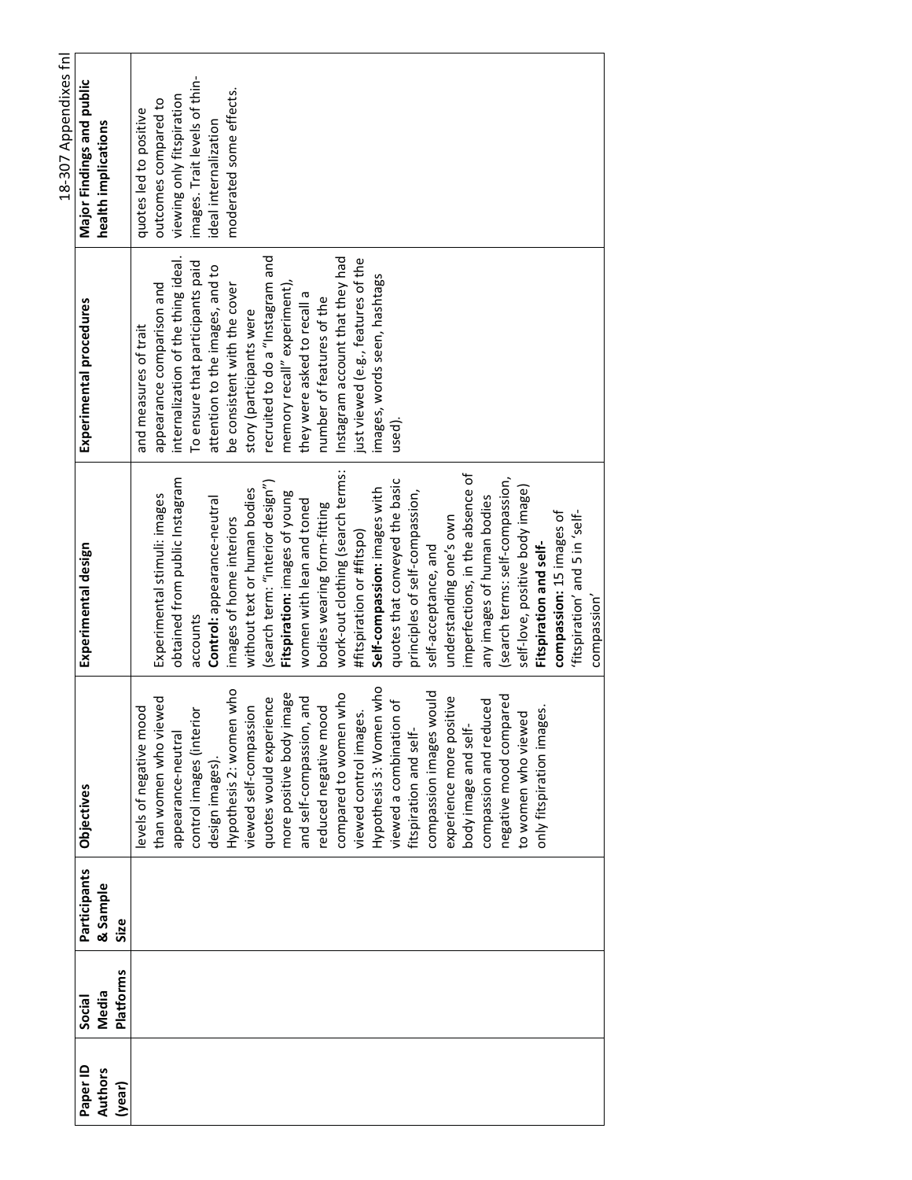|                     |                  |                          |                                             |                                  |                                            | 18-307 Appendixes fnl         |
|---------------------|------------------|--------------------------|---------------------------------------------|----------------------------------|--------------------------------------------|-------------------------------|
| Paper ID<br>Authors | Media<br>Social  | Participants<br>& Sample | <b>Objectives</b>                           | Experimental design              | Experimental procedures                    | Major Findings and public     |
| (year)              | <b>Platforms</b> | Size                     |                                             |                                  |                                            | health implications           |
|                     |                  |                          | levels of negative mood                     |                                  | and measures of trait                      | quotes led to positive        |
|                     |                  |                          | than women who viewed                       | Experimental stimuli: images     | appearance comparison and                  | outcomes compared to          |
|                     |                  |                          | appearance-neutral                          | obtained from public Instagram   | internalization of the thing ideal.        | viewing only fitspiration     |
|                     |                  |                          | control images (interior                    | accounts                         | To ensure that participants paid           | images. Trait levels of thin- |
|                     |                  |                          | design images).                             | Control: appearance-neutral      | attention to the images, and to            | ideal internalization         |
|                     |                  |                          | Hypothesis 2: women who                     | images of home interiors         | be consistent with the cover               | moderated some effects.       |
|                     |                  |                          | viewed self-compassion                      | without text or human bodies     | story (participants were                   |                               |
|                     |                  |                          | quotes would experience                     | (search term: "interior design") | recruited to do a "Instagram and           |                               |
|                     |                  |                          | more positive body image                    | Fitspiration: images of young    | memory recall" experiment),                |                               |
|                     |                  |                          | and self-compassion, and                    | women with lean and toned        | $\frac{1}{2}$<br>they were asked to recall |                               |
|                     |                  |                          | reduced negative mood                       | bodies wearing form-fitting      | number of features of the                  |                               |
|                     |                  |                          | compared to women who                       | work-out clothing (search terms: | Instagram account that they had            |                               |
|                     |                  |                          | viewed control images.                      | #fitspiration or #fitspo)        | just viewed (e.g., features of the         |                               |
|                     |                  |                          | Hypothesis 3: Women who                     | Self-compassion: images with     | images, words seen, hashtags               |                               |
|                     |                  |                          | $\overline{\sigma}$<br>viewed a combination | quotes that conveyed the basic   | used).                                     |                               |
|                     |                  |                          | fitspiration and self-                      | principles of self-compassion,   |                                            |                               |
|                     |                  |                          | compassion images would                     | self-acceptance, and             |                                            |                               |
|                     |                  |                          | experience more positive                    | understanding one's own          |                                            |                               |
|                     |                  |                          | body image and self-                        | imperfections, in the absence of |                                            |                               |
|                     |                  |                          | compassion and reduced                      | any images of human bodies       |                                            |                               |
|                     |                  |                          | red<br>negative mood compar                 | (search terms: self-compassion,  |                                            |                               |
|                     |                  |                          | to women who viewed                         | self-love, positive body image)  |                                            |                               |
|                     |                  |                          | only fitspiration images.                   | Fitspiration and self-           |                                            |                               |
|                     |                  |                          |                                             | compassion: 15 images of         |                                            |                               |
|                     |                  |                          |                                             | 'fitspiration' and 5 in 'self-   |                                            |                               |
|                     |                  |                          |                                             | compassion'                      |                                            |                               |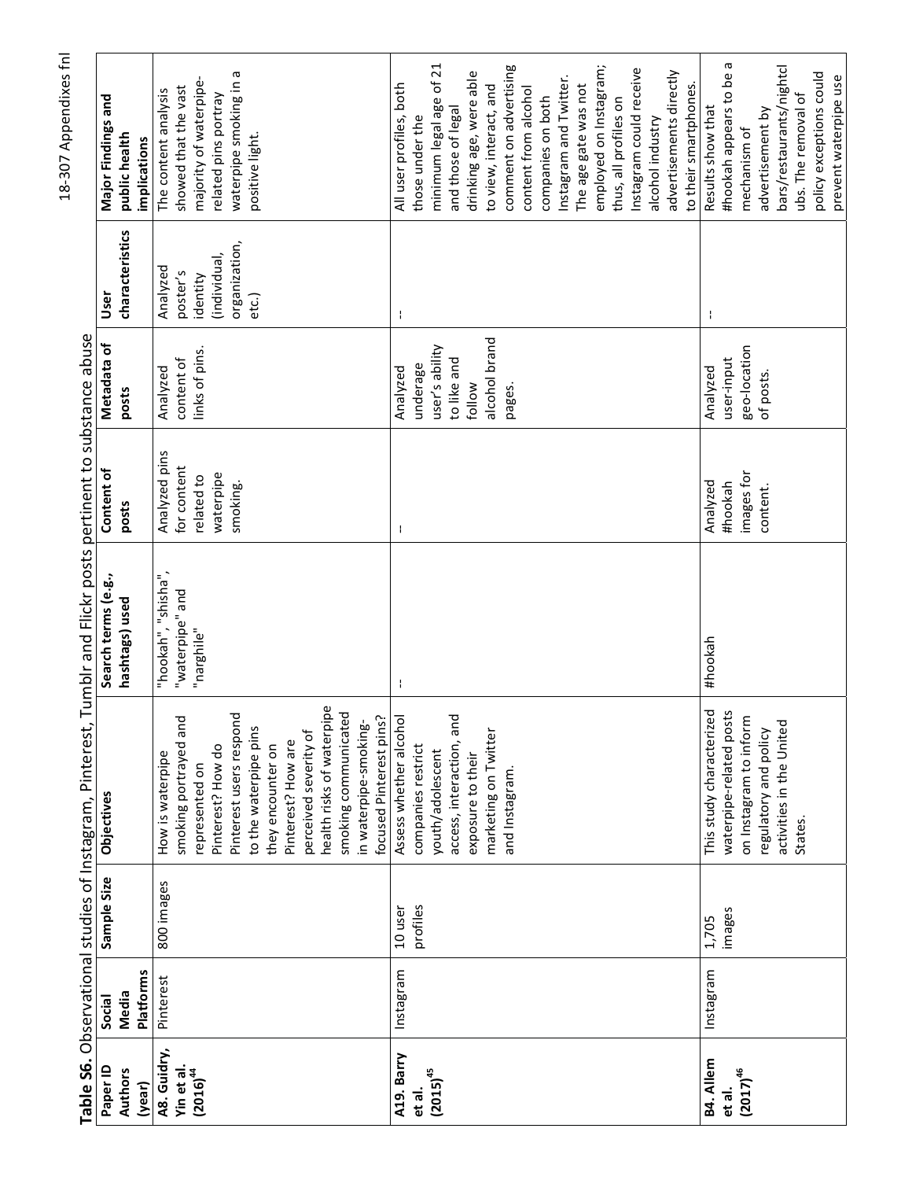|                            |                 |             | Table S6. Observational studies of Instagram, Pinterest, | Tumblr and Flickr posts pertinent to substance abuse |                     |                      |                         |                                     |
|----------------------------|-----------------|-------------|----------------------------------------------------------|------------------------------------------------------|---------------------|----------------------|-------------------------|-------------------------------------|
| Paper ID<br><b>Authors</b> | Media<br>Social | Sample Size | Objectives                                               | Search terms (e.g.,<br>hashtags) used                | Content of<br>posts | Metadata of<br>posts | characteristics<br>User | Major Findings and<br>public health |
| (year)                     | Platforms       |             |                                                          |                                                      |                     |                      |                         | implications                        |
| A8. Guidry,                | Pinterest       | 800 images  | How is waterpipe                                         | "hookah", "shisha",                                  | Analyzed pins       | Analyzed             | Analyzed                | The content analysis                |
| Yin et al.                 |                 |             | smoking portrayed and                                    | "waterpipe" and                                      | for content         | content of           | poster's                | showed that the vast                |
| $(2016)^{44}$              |                 |             | represented on                                           | "narghile"                                           | related to          | links of pins.       | identity                | majority of waterpipe               |
|                            |                 |             | Pinterest? How do                                        |                                                      | waterpipe           |                      | (individual,            | related pins portray                |
|                            |                 |             | Pinterest users respond                                  |                                                      | smoking.            |                      | organization,           | waterpipe smoking in a              |
|                            |                 |             | to the waterpipe pins                                    |                                                      |                     |                      | etc.)                   | positive light.                     |
|                            |                 |             | they encounter on                                        |                                                      |                     |                      |                         |                                     |
|                            |                 |             | Pinterest? How are                                       |                                                      |                     |                      |                         |                                     |
|                            |                 |             | perceived severity of                                    |                                                      |                     |                      |                         |                                     |
|                            |                 |             | health risks of waterpipe                                |                                                      |                     |                      |                         |                                     |
|                            |                 |             | smoking communicated                                     |                                                      |                     |                      |                         |                                     |
|                            |                 |             | focused Pinterest pins?<br>in waterpipe-smoking-         |                                                      |                     |                      |                         |                                     |
| A19. Barry                 | Instagram       | 10 user     | Assess whether alcohol                                   | ÷                                                    | J,                  | Analyzed             | ÷                       | All user profiles, both             |
|                            |                 |             |                                                          |                                                      |                     |                      |                         |                                     |
| et al.                     |                 | profiles    | companies restrict                                       |                                                      |                     | underage             |                         | those under the                     |
| $(2015)^{45}$              |                 |             | youth/adolescent                                         |                                                      |                     | user's ability       |                         | minimum legal age of 21             |
|                            |                 |             | and<br>access, interaction,                              |                                                      |                     | to like and          |                         | and those of legal                  |
|                            |                 |             | exposure to their                                        |                                                      |                     | follow               |                         | drinking age, were able             |
|                            |                 |             | marketing on Twitter                                     |                                                      |                     | alcohol brand        |                         | to view, interact, and              |
|                            |                 |             | and Instagram.                                           |                                                      |                     | pages.               |                         | comment on advertising              |
|                            |                 |             |                                                          |                                                      |                     |                      |                         | content from alcohol                |
|                            |                 |             |                                                          |                                                      |                     |                      |                         | companies on both                   |
|                            |                 |             |                                                          |                                                      |                     |                      |                         | Instagram and Twitter.              |
|                            |                 |             |                                                          |                                                      |                     |                      |                         | The age gate was not                |
|                            |                 |             |                                                          |                                                      |                     |                      |                         | employed on Instagram;              |
|                            |                 |             |                                                          |                                                      |                     |                      |                         | thus, all profiles on               |
|                            |                 |             |                                                          |                                                      |                     |                      |                         | Instagram could receive             |
|                            |                 |             |                                                          |                                                      |                     |                      |                         | alcohol industry                    |
|                            |                 |             |                                                          |                                                      |                     |                      |                         | advertisements directly             |
|                            |                 |             |                                                          |                                                      |                     |                      |                         | to their smartphones.               |
| B4. Allem                  | Instagram       | 1,705       | This study characterized                                 | #hookah                                              | Analyzed            | Analyzed             | ÷                       | Results show that                   |
| et al.                     |                 | images      | waterpipe-related posts                                  |                                                      | #hookah             | user-input           |                         | #hookah appears to be a             |
| $(2017)^{46}$              |                 |             | on Instagram to inform                                   |                                                      | images for          | geo-location         |                         | mechanism of                        |
|                            |                 |             | regulatory and policy                                    |                                                      | content.            | of posts.            |                         | advertisement by                    |
|                            |                 |             | activities in the United                                 |                                                      |                     |                      |                         | bars/restaurants/nightcl            |
|                            |                 |             | States.                                                  |                                                      |                     |                      |                         | ubs. The removal of                 |
|                            |                 |             |                                                          |                                                      |                     |                      |                         | policy exceptions could             |
|                            |                 |             |                                                          |                                                      |                     |                      |                         | prevent waterpipe use               |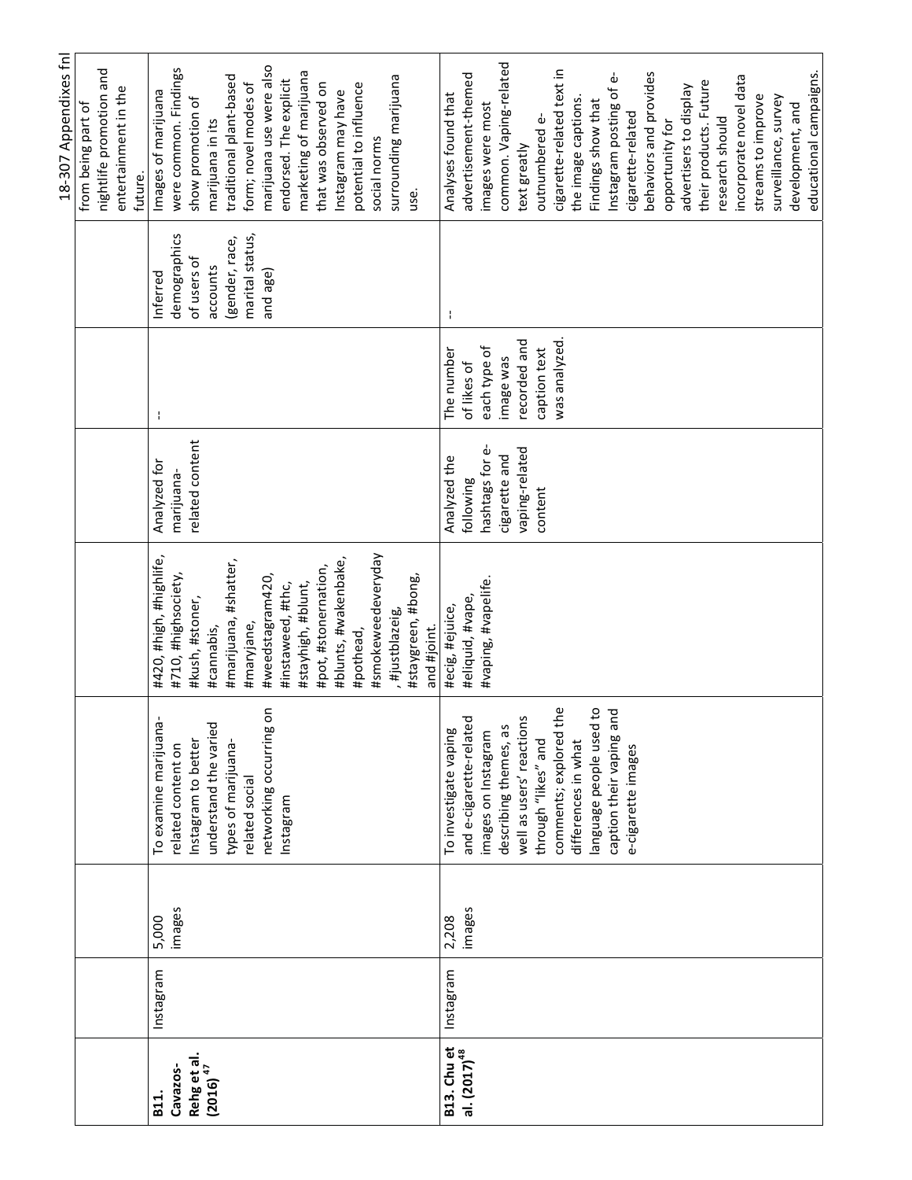|                                         |           |        |                          |                         |                 |               |                 | 18-307 Appendixes fnl     |
|-----------------------------------------|-----------|--------|--------------------------|-------------------------|-----------------|---------------|-----------------|---------------------------|
|                                         |           |        |                          |                         |                 |               |                 | from being part of        |
|                                         |           |        |                          |                         |                 |               |                 | nightlife promotion and   |
|                                         |           |        |                          |                         |                 |               |                 | entertainment in the      |
|                                         |           |        |                          |                         |                 |               |                 | future.                   |
| B11.                                    | Instagram | 5,000  | To examine marijuana-    | #420, #high, #highlife, | Analyzed for    | ÷             | Inferred        | Images of marijuana       |
| Cavazos-                                |           | images | related content on       | #710, #highsociety,     | marijuana-      |               | demographics    | were common. Findings     |
| Rehg et al.                             |           |        | Instagram to better      | #kush, #stoner,         | related content |               | of users of     | show promotion of         |
| $(2016)^{47}$                           |           |        | understand the varied    | #cannabis,              |                 |               | accounts        | marijuana in its          |
|                                         |           |        | types of marijuana-      | #marijuana, #shatter,   |                 |               | (gender, race,  | traditional plant-based   |
|                                         |           |        | related social           | #maryjane,              |                 |               | marital status, | form; novel modes of      |
|                                         |           |        | networking occurring on  | #weedstagram420,        |                 |               | and age)        | marijuana use were also   |
|                                         |           |        | Instagram                | #instaweed, #thc,       |                 |               |                 | endorsed. The explicit    |
|                                         |           |        |                          | #stayhigh, #blunt,      |                 |               |                 | marketing of marijuana    |
|                                         |           |        |                          | #pot, #stonernation,    |                 |               |                 | that was observed on      |
|                                         |           |        |                          | #blunts, #wakenbake,    |                 |               |                 | Instagram may have        |
|                                         |           |        |                          | #pothead,               |                 |               |                 | potential to influence    |
|                                         |           |        |                          | #smokeweedeveryday      |                 |               |                 | social norms              |
|                                         |           |        |                          | , #justblazeig          |                 |               |                 | surrounding marijuana     |
|                                         |           |        |                          | #staygreen, #bong,      |                 |               |                 | use.                      |
|                                         |           |        |                          | and #joint.             |                 |               |                 |                           |
| B13. Chu et<br>al. (2017) <sup>48</sup> | Instagram | 2,208  | To investigate vaping    | #ecig, #ejuice,         | Analyzed the    | The number    | ł               | Analyses found that       |
|                                         |           | images | and e-cigarette-related  | #eliquid, #vape,        | following       | of likes of   |                 | advertisement-themed      |
|                                         |           |        | images on Instagram      | #vaping, #vapelife.     | hashtags for e- | each type of  |                 | images were most          |
|                                         |           |        | describing themes, as    |                         | cigarette and   | image was     |                 | common. Vaping-related    |
|                                         |           |        | well as users' reactions |                         | vaping-related  | recorded and  |                 | text greatly              |
|                                         |           |        | through "likes" and      |                         | content         | caption text  |                 | outnumbered e-            |
|                                         |           |        | comments; explored the   |                         |                 | was analyzed. |                 | cigarette-related text in |
|                                         |           |        | differences in what      |                         |                 |               |                 | the image captions        |
|                                         |           |        | language people used to  |                         |                 |               |                 | Findings show that        |
|                                         |           |        | caption their vaping and |                         |                 |               |                 | Instagram posting of e-   |
|                                         |           |        | e-cigarette images       |                         |                 |               |                 | cigarette-related         |
|                                         |           |        |                          |                         |                 |               |                 | behaviors and provides    |
|                                         |           |        |                          |                         |                 |               |                 | opportunity for           |
|                                         |           |        |                          |                         |                 |               |                 | advertisers to display    |
|                                         |           |        |                          |                         |                 |               |                 | their products. Future    |
|                                         |           |        |                          |                         |                 |               |                 | research should           |
|                                         |           |        |                          |                         |                 |               |                 | incorporate novel data    |
|                                         |           |        |                          |                         |                 |               |                 | streams to improve        |
|                                         |           |        |                          |                         |                 |               |                 | surveillance, survey      |
|                                         |           |        |                          |                         |                 |               |                 | development, and          |
|                                         |           |        |                          |                         |                 |               |                 | educational campaigns.    |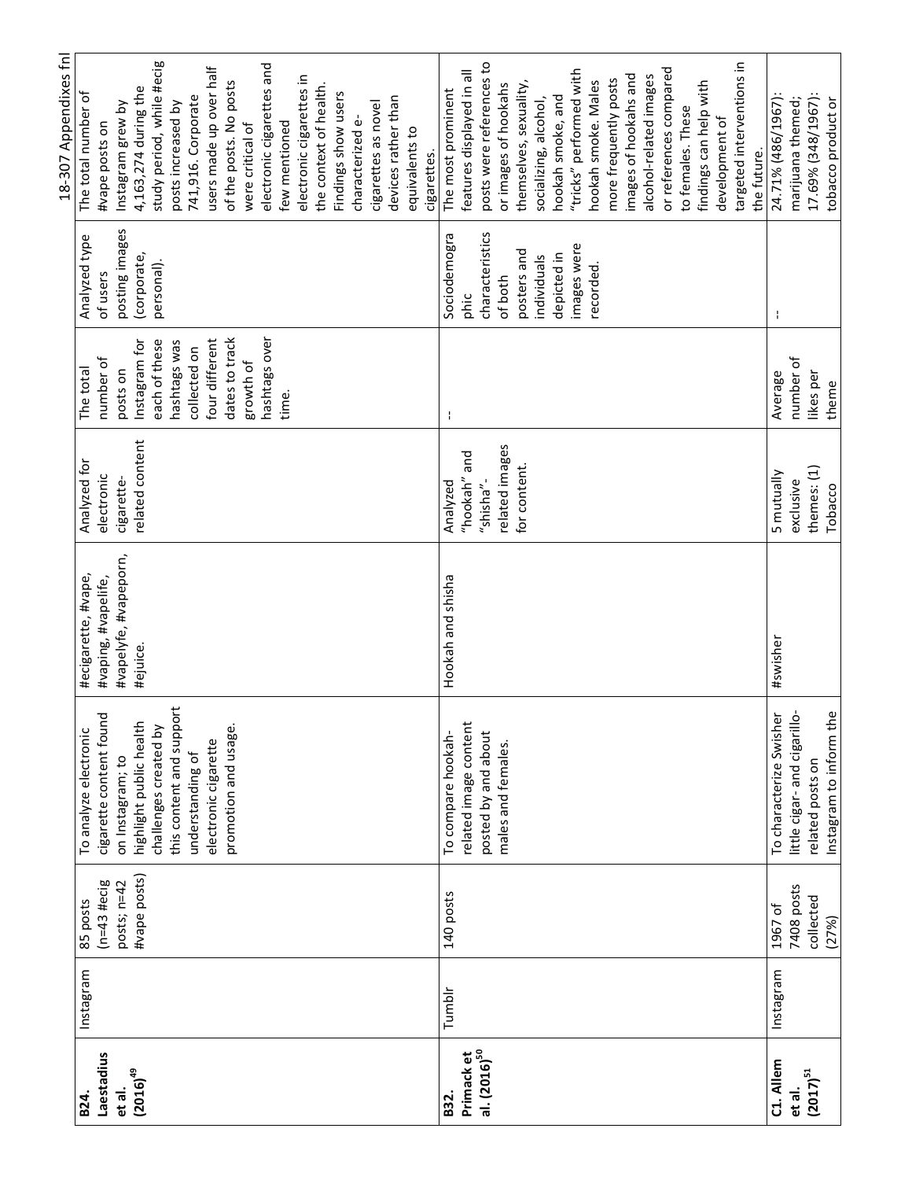|                          |           |                        |                                             |                       |                 |                |                 | 18-307 Appendixes fnl     |
|--------------------------|-----------|------------------------|---------------------------------------------|-----------------------|-----------------|----------------|-----------------|---------------------------|
| B <sub>24</sub> .        | Instagram | 85 posts               | To analyze electronic                       | #ecigarette, #vape,   | Analyzed for    | The total      | Analyzed type   | The total number of       |
| Laestadius               |           | $(n=43 \text{ Hecig})$ | cigarette content found                     | #vaping, #vapelife,   | electronic      | number of      | of users        | #vape posts on            |
| et al.                   |           | posts; n=42            | on Instagram; to                            | #vapelyfe, #vapeporn, | cigarette-      | posts on       | posting images  | Instagram grew by         |
| $(2016)^{49}$            |           | #vape posts)           | highlight public health                     | #ejuice.              | related content | Instagram for  | (corporate,     | 4,163,274 during the      |
|                          |           |                        | challenges created by                       |                       |                 | each of these  | personal).      | study period, while #ecig |
|                          |           |                        | $\ddot{\epsilon}$<br>this content and suppo |                       |                 | hashtags was   |                 | posts increased by        |
|                          |           |                        | understanding of                            |                       |                 | collected on   |                 | 741,916. Corporate        |
|                          |           |                        | electronic cigarette                        |                       |                 | four different |                 | users made up over half   |
|                          |           |                        | promotion and usage.                        |                       |                 | dates to track |                 | of the posts. No posts    |
|                          |           |                        |                                             |                       |                 | growth of      |                 | were critical of          |
|                          |           |                        |                                             |                       |                 | hashtags over  |                 | electronic cigarettes and |
|                          |           |                        |                                             |                       |                 | time.          |                 | few mentioned             |
|                          |           |                        |                                             |                       |                 |                |                 | electronic cigarettes in  |
|                          |           |                        |                                             |                       |                 |                |                 | the context of health.    |
|                          |           |                        |                                             |                       |                 |                |                 | Findings show users       |
|                          |           |                        |                                             |                       |                 |                |                 | characterized e-          |
|                          |           |                        |                                             |                       |                 |                |                 | cigarettes as novel       |
|                          |           |                        |                                             |                       |                 |                |                 | devices rather than       |
|                          |           |                        |                                             |                       |                 |                |                 | equivalents to            |
|                          |           |                        |                                             |                       |                 |                |                 | cigarettes.               |
| B32.                     | Tumblr    | 140 posts              | To compare hookah-                          | Hookah and shisha     | Analyzed        | f,             | Sociodemogra    | The most prominent        |
| Primack et               |           |                        | related image content                       |                       | "hookah" and    |                | phic            | features displayed in all |
| al. (2016) <sup>50</sup> |           |                        | posted by and about                         |                       | "shisha"-       |                | characteristics | posts were references to  |
|                          |           |                        | males and females.                          |                       | related images  |                | of both         | or images of hookahs      |
|                          |           |                        |                                             |                       | for content.    |                | posters and     | themselves, sexuality,    |
|                          |           |                        |                                             |                       |                 |                | individuals     | socializing, alcohol,     |
|                          |           |                        |                                             |                       |                 |                | depicted in     | hookah smoke, and         |
|                          |           |                        |                                             |                       |                 |                | images were     | "tricks" performed with   |
|                          |           |                        |                                             |                       |                 |                | recorded        | hookah smoke. Males       |
|                          |           |                        |                                             |                       |                 |                |                 | more frequently posts     |
|                          |           |                        |                                             |                       |                 |                |                 | images of hookahs and     |
|                          |           |                        |                                             |                       |                 |                |                 | alcohol-related images    |
|                          |           |                        |                                             |                       |                 |                |                 | or references compared    |
|                          |           |                        |                                             |                       |                 |                |                 | to females. These         |
|                          |           |                        |                                             |                       |                 |                |                 | findings can help with    |
|                          |           |                        |                                             |                       |                 |                |                 | development of            |
|                          |           |                        |                                             |                       |                 |                |                 | targeted interventions in |
|                          |           |                        |                                             |                       |                 |                |                 | the future.               |
| C1. Allem                | Instagram | 1967 of                | To characterize Swisher                     | #swisher              | 5 mutually      | Average        | ÷               | 24.71% (486/1967):        |
| et al.                   |           | 7408 posts             | little cigar-and cigarillo-                 |                       | exclusive       | number of      |                 | marijuana themed;         |
| $(2017)^{51}$            |           | collected              | related posts on                            |                       | themes: (1)     | likes per      |                 | 17.69% (348/1967):        |
|                          |           | (27%)                  | Instagram to inform the                     |                       | Tobacco         | theme          |                 | tobacco product or        |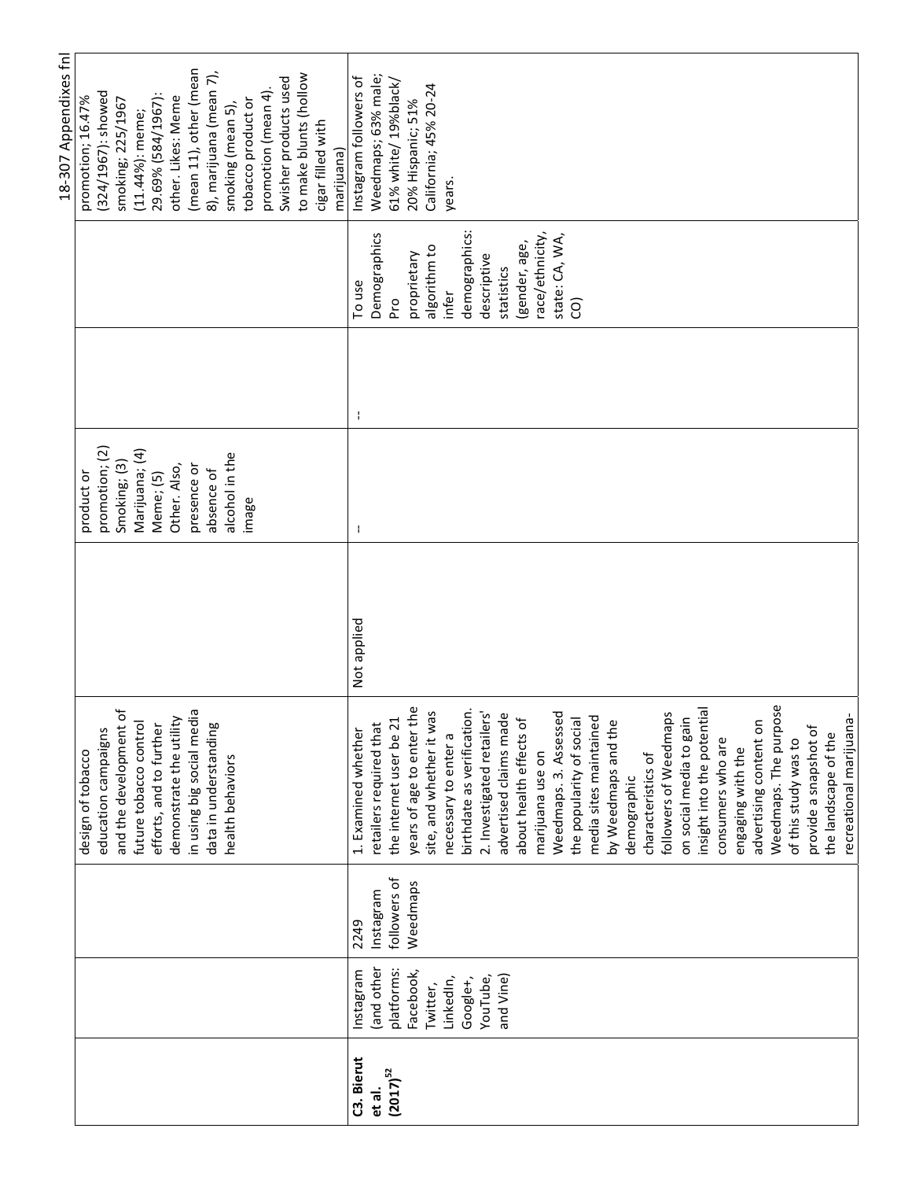|               |            |              |                            |             |                |   |                 | 18-307 Appendixes fnl           |
|---------------|------------|--------------|----------------------------|-------------|----------------|---|-----------------|---------------------------------|
|               |            |              | design of tobacco          |             | product or     |   |                 | promotion; 16.47%               |
|               |            |              | education campaigns        |             | promotion; (2) |   |                 | (324/1967): showed              |
|               |            |              | and the development of     |             | Smoking; (3)   |   |                 | smoking; 225/1967               |
|               |            |              | future tobacco control     |             | Marijuana; (4) |   |                 | $(11.44\%)$ : meme;             |
|               |            |              | efforts, and to further    |             | Meme; (5)      |   |                 | 29.69% (584/1967):              |
|               |            |              | demonstrate the utility    |             | Other. Also,   |   |                 | other. Likes: Meme              |
|               |            |              | in using big social media  |             | presence or    |   |                 | (mean 11), other (mean          |
|               |            |              | data in understanding      |             | absence of     |   |                 | 8), marijuana (mean 7),         |
|               |            |              | health behaviors           |             | alcohol in the |   |                 | smoking (mean 5),               |
|               |            |              |                            |             | image          |   |                 | tobacco product or              |
|               |            |              |                            |             |                |   |                 | promotion (mean 4)              |
|               |            |              |                            |             |                |   |                 | Swisher products used           |
|               |            |              |                            |             |                |   |                 | to make blunts (hollow          |
|               |            |              |                            |             |                |   |                 | cigar filled with<br>marijuana) |
| C3. Bierut    | Instagram  | 2249         | 1. Examined whether        | Not applied | ł              | ÷ | To use          | Instagram followers of          |
| et al.        | (and other | Instagram    | retailers required that    |             |                |   | Demographics    | Weedmaps; 63% male;             |
| $(2017)^{52}$ | platforms: | followers of | the internet user be 21    |             |                |   | P.O             | 61% white/ 19%black/            |
|               | Facebook,  | Weedmaps     | years of age to enter the  |             |                |   | proprietary     | 20% Hispanic; 51%               |
|               | Twitter,   |              | site, and whether it was   |             |                |   | algorithm to    | California; 45% 20-24           |
|               | LinkedIn,  |              | necessary to enter a       |             |                |   | infer           | years.                          |
|               |            |              |                            |             |                |   |                 |                                 |
|               | Google+,   |              | birthdate as verification. |             |                |   | demographics:   |                                 |
|               | YouTube,   |              | 2. Investigated retailers' |             |                |   | descriptive     |                                 |
|               | and Vine)  |              | advertised claims made     |             |                |   | statistics      |                                 |
|               |            |              | about health effects of    |             |                |   | (gender, age,   |                                 |
|               |            |              | marijuana use on           |             |                |   | race/ethnicity, |                                 |
|               |            |              | Weedmaps. 3. Assessed      |             |                |   | state: CA, WA,  |                                 |
|               |            |              | the popularity of social   |             |                |   | ĝ               |                                 |
|               |            |              | media sites maintained     |             |                |   |                 |                                 |
|               |            |              | by Weedmaps and the        |             |                |   |                 |                                 |
|               |            |              | demographic                |             |                |   |                 |                                 |
|               |            |              | characteristics of         |             |                |   |                 |                                 |
|               |            |              | followers of Weedmaps      |             |                |   |                 |                                 |
|               |            |              | on social media to gain    |             |                |   |                 |                                 |
|               |            |              | insight into the potential |             |                |   |                 |                                 |
|               |            |              | consumers who are          |             |                |   |                 |                                 |
|               |            |              | engaging with the          |             |                |   |                 |                                 |
|               |            |              | advertising content on     |             |                |   |                 |                                 |
|               |            |              | Weedmaps. The purpose      |             |                |   |                 |                                 |
|               |            |              | of this study was to       |             |                |   |                 |                                 |
|               |            |              | provide a snapshot of      |             |                |   |                 |                                 |
|               |            |              | the landscape of the       |             |                |   |                 |                                 |
|               |            |              | recreational marijuana     |             |                |   |                 |                                 |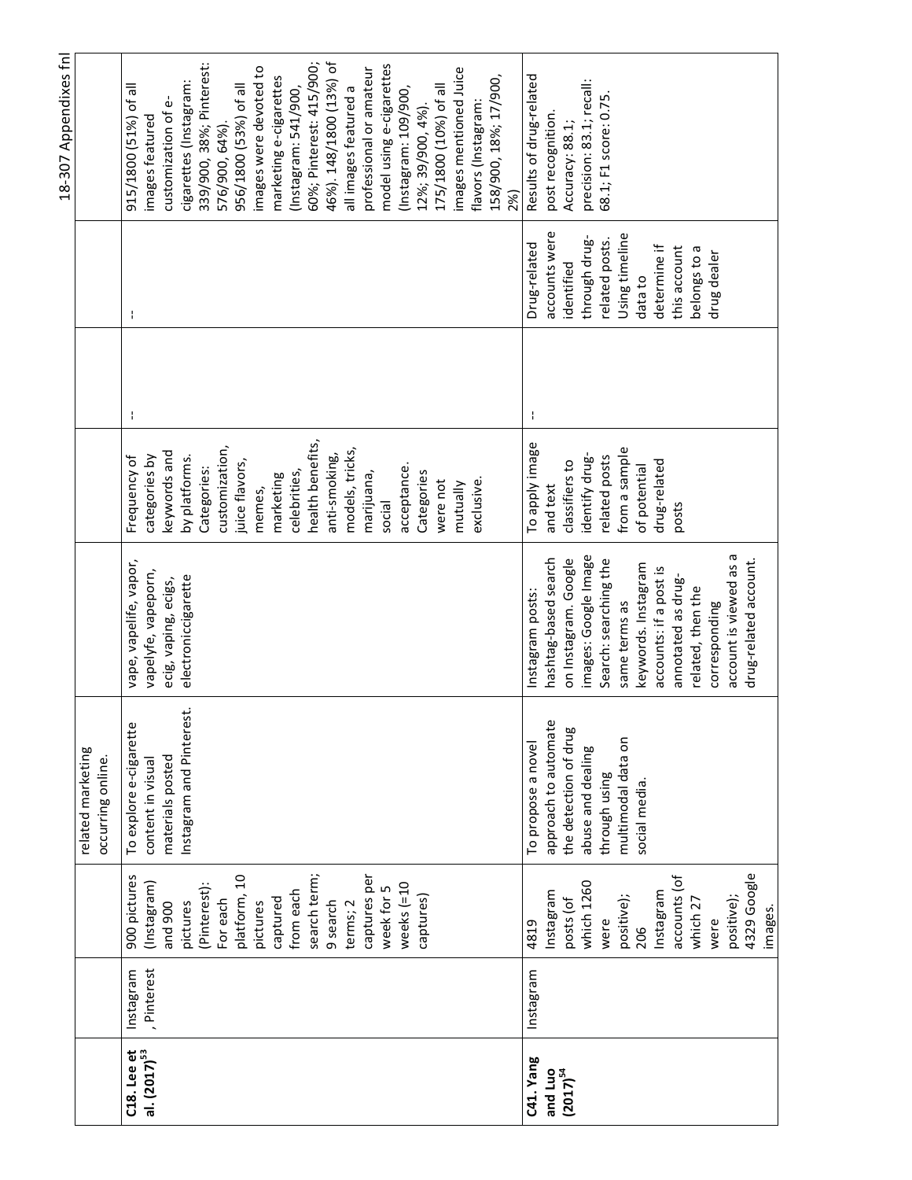|                                              |                          |                                                                                                                                                                                                                                        |                                                                                                                                                 |                                                                                                                                                                                                                                                                                                    |                                                                                                                                                                                                                                                                                                           |   |                                                                                                                                                                            | 18-307 Appendixes fnl                                                                                                                                                                                                                                                                                                                                                                                                                                                                                                                     |
|----------------------------------------------|--------------------------|----------------------------------------------------------------------------------------------------------------------------------------------------------------------------------------------------------------------------------------|-------------------------------------------------------------------------------------------------------------------------------------------------|----------------------------------------------------------------------------------------------------------------------------------------------------------------------------------------------------------------------------------------------------------------------------------------------------|-----------------------------------------------------------------------------------------------------------------------------------------------------------------------------------------------------------------------------------------------------------------------------------------------------------|---|----------------------------------------------------------------------------------------------------------------------------------------------------------------------------|-------------------------------------------------------------------------------------------------------------------------------------------------------------------------------------------------------------------------------------------------------------------------------------------------------------------------------------------------------------------------------------------------------------------------------------------------------------------------------------------------------------------------------------------|
|                                              |                          |                                                                                                                                                                                                                                        | related marketing<br>occurring online.                                                                                                          |                                                                                                                                                                                                                                                                                                    |                                                                                                                                                                                                                                                                                                           |   |                                                                                                                                                                            |                                                                                                                                                                                                                                                                                                                                                                                                                                                                                                                                           |
| $C18.$ Lee et<br>al. $(2017)^{53}$           | , Pinterest<br>Instagram | search term;<br>captures per<br>platform, 10<br>900 pictures<br>(Pinterest):<br>weeks $(=10$<br>(Instagram)<br>week for 5<br>from each<br>captures)<br>captured<br>For each<br>pictures<br>and 900<br>9 search<br>terms; 2<br>pictures | Instagram and Pinterest.<br>To explore e-cigarette<br>materials posted<br>content in visual                                                     | vape, vapelife, vapor,<br>vapelyfe, vapeporn,<br>electroniccigarette<br>ecig, vaping, ecigs,                                                                                                                                                                                                       | health benefits,<br>customization,<br>models, tricks,<br>keywords and<br>anti-smoking,<br>Frequency of<br>categories by<br>by platforms.<br>juice flavors,<br>Categories:<br>acceptance<br>celebrities,<br>Categories<br>marijuana,<br>marketing<br>exclusive<br>were not<br>mutually<br>memes,<br>social | ÷ | ÷                                                                                                                                                                          | 60%; Pinterest: 415/900;<br>46%). 148/1800 (13%) of<br>model using e-cigarettes<br>339/900, 38%; Pinterest:<br>images were devoted to<br>professional or amateur<br>images mentioned Juice<br>158/900, 18%; 17/900,<br>marketing e-cigarettes<br>cigarettes (Instagram:<br>915/1800 (51%) of all<br>956/1800 (53%) of all<br>175/1800 (10%) of all<br>all images featured a<br>(Instagram: 109/900,<br>(Instagram: 541/900,<br>customization of e-<br>flavors (Instagram:<br>12%; 39/900, 4%).<br>images featured<br>576/900, 64%)<br>2%) |
| C41. Yang<br>and Luo<br>(2017) <sup>54</sup> | Instagram                | 4329 Google<br>accounts (of<br>which 1260<br>Instagram<br>Instagram<br>positive);<br>positive);<br>posts (of<br>which 27<br>images.<br>were<br>4819<br>were<br>206                                                                     | approach to automate<br>the detection of drug<br>multimodal data on<br>To propose a novel<br>abuse and dealing<br>through using<br>social media | account is viewed as a<br>images: Google Image<br>drug-related account.<br>hashtag-based search<br>on Instagram. Google<br>Search: searching the<br>keywords. Instagram<br>accounts: if a post is<br>annotated as drug-<br>related, then the<br>Instagram posts:<br>same terms as<br>corresponding | To apply image<br>from a sample<br>identify drug-<br>related posts<br>classifiers to<br>drug-related<br>of potential<br>and text<br>posts                                                                                                                                                                 |   | accounts were<br>Using timeline<br>through drug-<br>related posts.<br>Drug-related<br>determine if<br>this account<br>belongs to a<br>drug dealer<br>identified<br>data to | Results of drug-related<br>precision: 83.1; recall:<br>68.1; F1 score: 0.75<br>post recognition<br>Accuracy: 88.1;                                                                                                                                                                                                                                                                                                                                                                                                                        |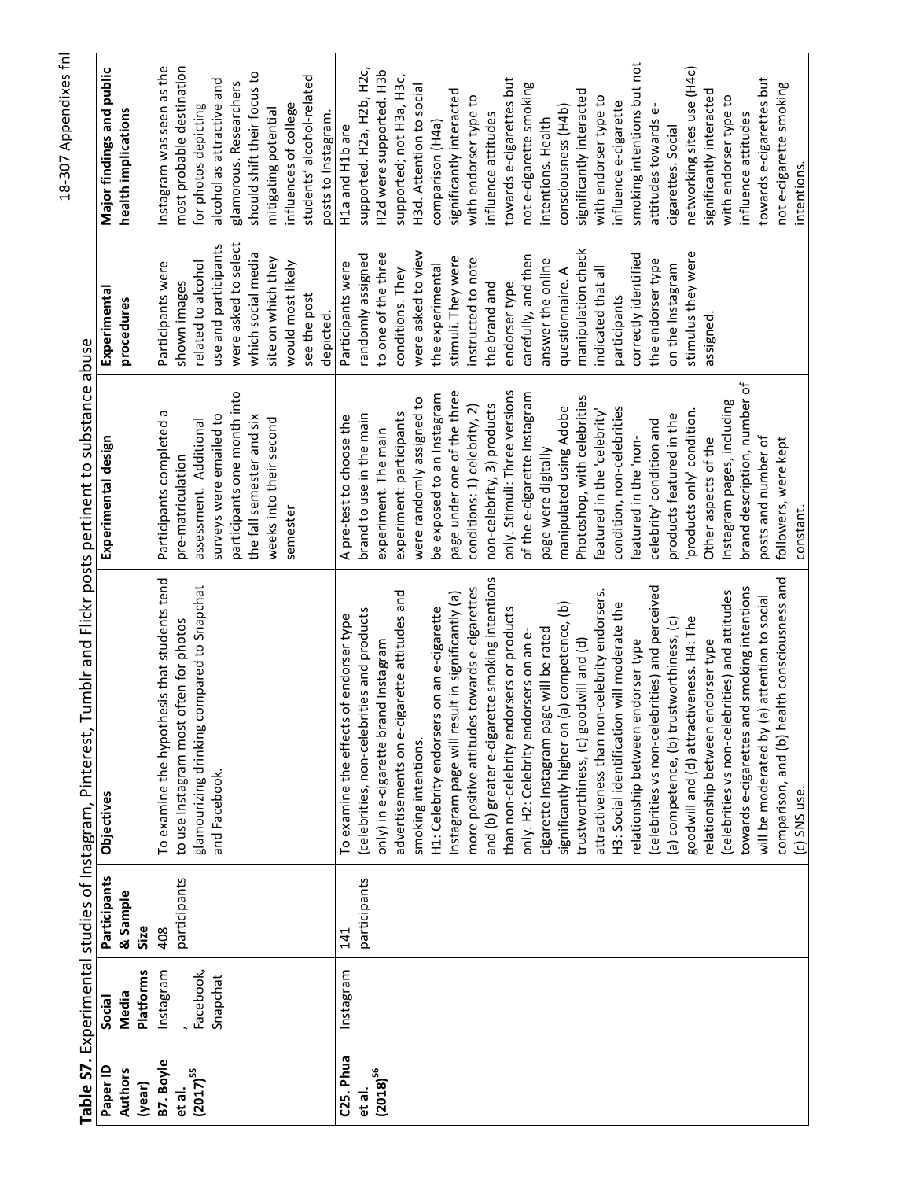|                |           |              | Table S7. Experimental studies of Instagram, Pinterest, Tumblr and Flickr posts pertinent to substance abuse |                               |                      |                             |
|----------------|-----------|--------------|--------------------------------------------------------------------------------------------------------------|-------------------------------|----------------------|-----------------------------|
| Paper ID       | Social    | Participants | Objectives                                                                                                   | Experimental design           | Experimental         | Major findings and public   |
| <b>Authors</b> | Media     | & Sample     |                                                                                                              |                               | procedures           | health implications         |
| (year)         | Platforms | Size         |                                                                                                              |                               |                      |                             |
| B7. Boyle      | Instagram | 408          | To examine the hypothesis that students tend                                                                 | Participants completed a      | Participants were    | Instagram was seen as the   |
| et al.         |           | participants | to use Instagram most often for photos                                                                       | pre-matriculation             | shown images         | most probable destination   |
| $(2017)^{55}$  | Facebook, |              | glamourizing drinking compared to Snapchat                                                                   | assessment. Additional        | related to alcohol   | for photos depicting        |
|                | Snapchat  |              | and Facebook.                                                                                                | surveys were emailed to       | use and participants | alcohol as attractive and   |
|                |           |              |                                                                                                              | participants one month into   | were asked to select | glamorous. Researchers      |
|                |           |              |                                                                                                              | the fall semester and six     | which social media   | should shift their focus to |
|                |           |              |                                                                                                              | weeks into their second       | site on which they   | mitigating potential        |
|                |           |              |                                                                                                              | semester                      | would most likely    | influences of college       |
|                |           |              |                                                                                                              |                               | see the post         | students' alcohol-related   |
|                |           |              |                                                                                                              |                               | depicted.            | posts to Instagram.         |
| C25. Phua      | Instagram | 141          | To examine the effects of endorser type                                                                      | A pre-test to choose the      | Participants were    | H1a and H1b are             |
| et al.         |           | participants | (celebrities, non-celebrities and products                                                                   | brand to use in the main      | randomly assigned    | supported. H2a, H2b, H2c,   |
| $(2018)^{56}$  |           |              | only) in e-cigarette brand Instagram                                                                         | experiment. The main          | to one of the three  | H2d were supported. H3b     |
|                |           |              | advertisements on e-cigarette attitudes and                                                                  | experiment: participants      | conditions. They     | supported; not H3a, H3c,    |
|                |           |              | smoking intentions.                                                                                          | were randomly assigned to     | were asked to view   | H3d. Attention to social    |
|                |           |              | H1: Celebrity endorsers on an e-cigarette                                                                    | be exposed to an Instagram    | the experimental     | comparison (H4a)            |
|                |           |              | Instagram page will result in significantly (a)                                                              | page under one of the three   | stimuli. They were   | significantly interacted    |
|                |           |              | more positive attitudes towards e-cigarettes                                                                 | conditions: 1) celebrity, 2)  | instructed to note   | with endorser type to       |
|                |           |              | and (b) greater e-cigarette smoking intentions                                                               | non-celebrity, 3) products    | the brand and        | influence attitudes         |
|                |           |              | than non-celebrity endorsers or products                                                                     | only. Stimuli: Three versions | endorser type        | towards e-cigarettes but    |
|                |           |              | only. H2: Celebrity endorsers on an e-                                                                       | of the e-cigarette Instagram  | carefully, and then  | not e-cigarette smoking     |
|                |           |              | cigarette Instagram page will be rated                                                                       | page were digitally           | answer the online    | intentions. Health          |
|                |           |              | significantly higher on (a) competence, (b)                                                                  | manipulated using Adobe       | questionnaire. A     | consciousness (H4b)         |
|                |           |              | trustworthiness, (c) goodwill and (d)                                                                        | Photoshop, with celebrities   | manipulation check   | significantly interacted    |
|                |           |              | attractiveness than non-celebrity endorsers.                                                                 | featured in the 'celebrity'   | indicated that all   | with endorser type to       |
|                |           |              | will moderate the<br>H3: Social identification                                                               | condition, non-celebrities    | participants         | influence e-cigarette       |
|                |           |              | relationship between endorser type                                                                           | featured in the 'non-         | correctly identified | smoking intentions but not  |
|                |           |              | (celebrities vs non-celebrities) and perceived                                                               | celebrity' condition and      | the endorser type    | attitudes towards e-        |
|                |           |              | (a) competence, (b) trustworthiness, (c)                                                                     | products featured in the      | on the Instagram     | cigarettes. Social          |
|                |           |              | goodwill and (d) attractiveness. H4: The                                                                     | products only' condition.     | stimulus they were   | networking sites use (H4c)  |
|                |           |              | relationship between endorser type                                                                           | Other aspects of the          | assigned             | significantly interacted    |
|                |           |              | (celebrities vs non-celebrities) and attitudes                                                               | Instagram pages, including    |                      | with endorser type to       |
|                |           |              | towards e-cigarettes and smoking intentions                                                                  | brand description, number of  |                      | influence attitudes         |
|                |           |              | attention to social<br>will be moderated by (a)                                                              | posts and number of           |                      | towards e-cigarettes but    |
|                |           |              | comparison, and (b) health consciousness and                                                                 | followers, were kept          |                      | not e-cigarette smoking     |
|                |           |              | (c) SNS use.                                                                                                 | constant                      |                      | intentions.                 |

 $\frac{1}{2}$ ŀ ر<br>د ÿ راج:<br>7 Ė Ė à د ب  $\frac{1}{7}$ ú  $\overline{c}$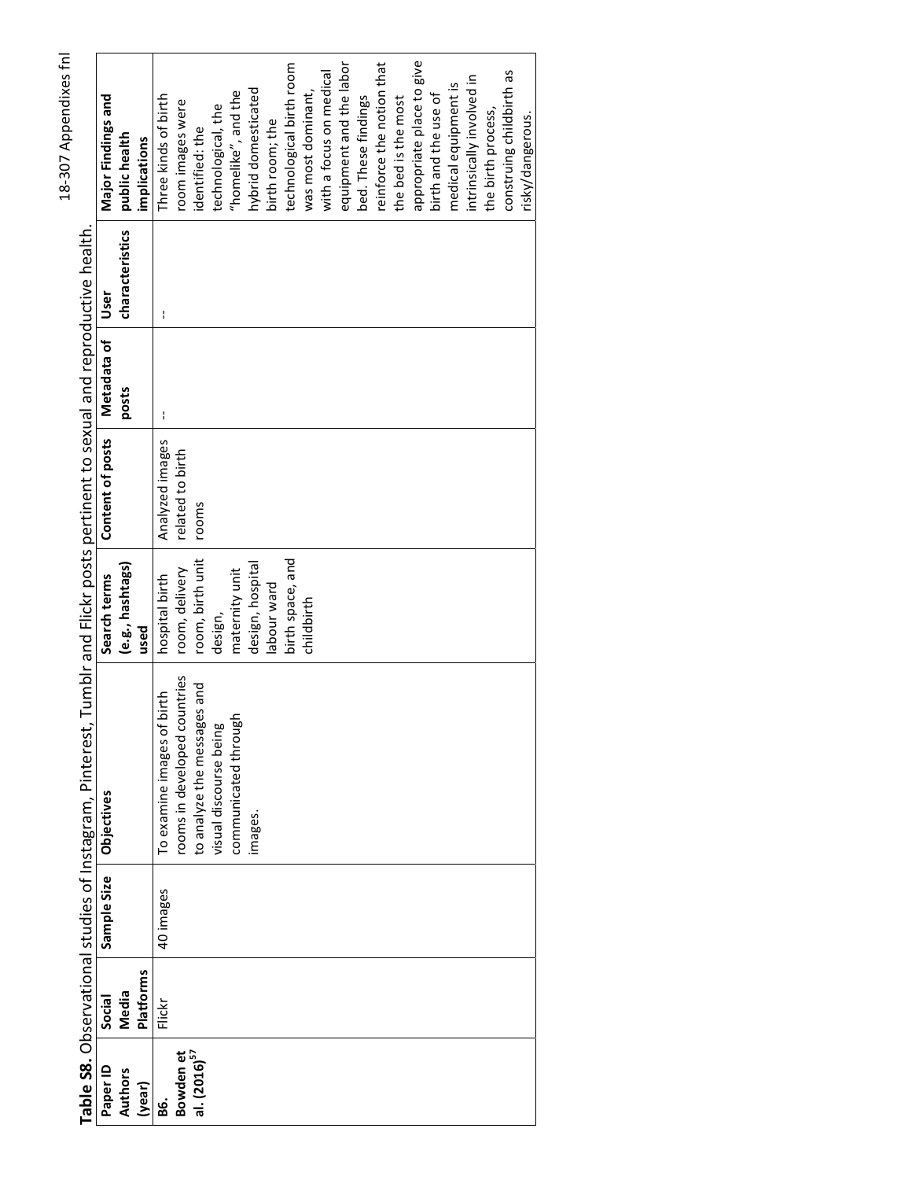| S |
|---|
| ¢ |
|   |
| ١ |
| ţ |
| ١ |
|   |
| t |
|   |
| ٦ |

technological birth room hybrid domesticated "homelike", and the Major Findings and Three kinds of birth room images were technological, the birth room; the identified: the public health implications Table S8. Observational studies of Instagram, Pinterest, Tumblr and Flickr posts pertinent to sexual and reproductive health. characteristics User  $\mathbf{I}$ Metadata of posts  $\mathbf{I}$ Content of posts Analyzed images related to birth rooms birth space, and room, birth unit design, hospital (e.g., hashtags) room, delivery maternity unit Search terms hospital birth labour ward design, used rooms in developed countries to analyze the messages and To examine images of birth communicated through visual discourse being Sample Size **Objectives** images. 40 images **Platforms** Media Social Flickr Bowden et<br>al. (2016)<sup>57</sup> Paper ID **Authors** (year) 86.

appropriate place to give

birth and the use of

construing childbirth as

risky/dangerous.

the birth process,

intrinsically involved in medical equipment is

equipment and the labor

bed. These findings

with a focus on medical

was most dominant,

childbirth

reinforce the notion that

the bed is the most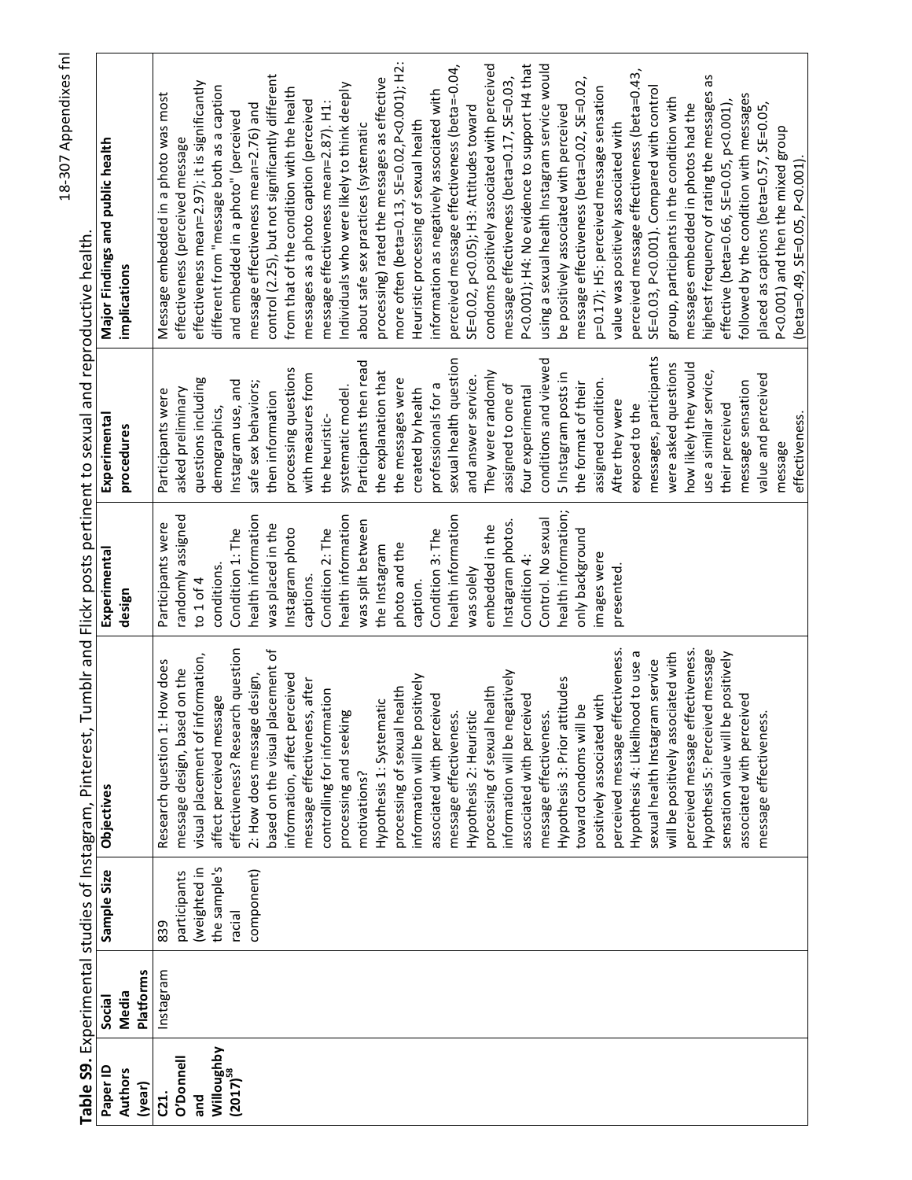condoms positively associated with perceived using a sexual health Instagram service would more often (beta=0.13, SE=0.02, P<0.001); H2: perceived message effectiveness (beta=-0.04, P<0.001); H4: No evidence to support H4 that perceived message effectiveness (beta=0.43, highest frequency of rating the messages as control (2.25), but not significantly different processing) rated the messages as effective message effectiveness (beta=0.17, SE=0.03, message effectiveness (beta=0.02, SE=0.02, effectiveness mean=2.97); it is significantly Individuals who were likely to think deeply p=0.17); H5: perceived message sensation different from "message both as a caption from that of the condition with the health SE=0.03, P<0.001). Compared with control information as negatively associated with Message embedded in a photo was most followed by the condition with messages group, participants in the condition with messages as a photo caption (perceived message effectiveness mean=2.87). H1: SE=0.02, p<0.05); H3: Attitudes toward effective (beta=0.66, SE=0.05, p<0.001), message effectiveness mean=2.76) and be positively associated with perceived messages embedded in photos had the placed as captions (beta=0.57, SE=0.05, and embedded in a photo" (perceived Heuristic processing of sexual health about safe sex practices (systematic value was positively associated with P<0.001) and then the mixed group effectiveness (perceived message Major Findings and public health beta=0.49, SE=0.05, P<0.001). implications messages, participants conditions and viewed sexual health question Participants then read were asked questions how likely they would processing questions the explanation that with measures from 5 Instagram posts in use a similar service, They were randomly value and perceived and answer service. the messages were questions including Instagram use, and safe sex behaviors; the format of their assigned condition. professionals for a assigned to one of message sensation systematic model. four experimental Participants were asked preliminary created by health then information After they were exposed to the their perceived demographics, the heuristic-Experimental effectiveness procedures message health information; randomly assigned nealth information nealth information nealth information Control. No sexual was split between Instagram photos. Participants were was placed in the Condition 2: The embedded in the Condition 1: The Instagram photo Condition 3: The only background the Instagram photo and the Experimental images were Condition 4: conditions. was solely presented. captions. to  $1$  of  $4$ caption. design Hypothesis 5: Perceived message effectiveness? Research question based on the visual placement of perceived message effectiveness. perceived message effectiveness. Hypothesis 4: Likelihood to use a sensation value will be positively will be positively associated with visual placement of information, Research question 1: How does sexual health Instagram service message design, based on the information will be negatively information, affect perceived 2: How does message design, information will be positively Hypothesis 3: Prior attitudes message effectiveness, after processing of sexual health processing of sexual health controlling for information affect perceived message associated with perceived associated with perceived associated with perceived positively associated with Hypothesis 1: Systematic toward condoms will be processing and seeking Hypothesis 2: Heuristic message effectiveness. message effectiveness. message effectiveness. motivations? Objectives Sample Size the sample's weighted in component) participants racial 839 nstagram Platforms Media Social Willoughby<br>(2017)<sup>58</sup> O'Donnell Paper ID **Authors** (year) **C21.** and

Table S9. Experimental studies of Instagram, Pinterest, Tumblr and Flickr posts pertinent to sexual and reproductive health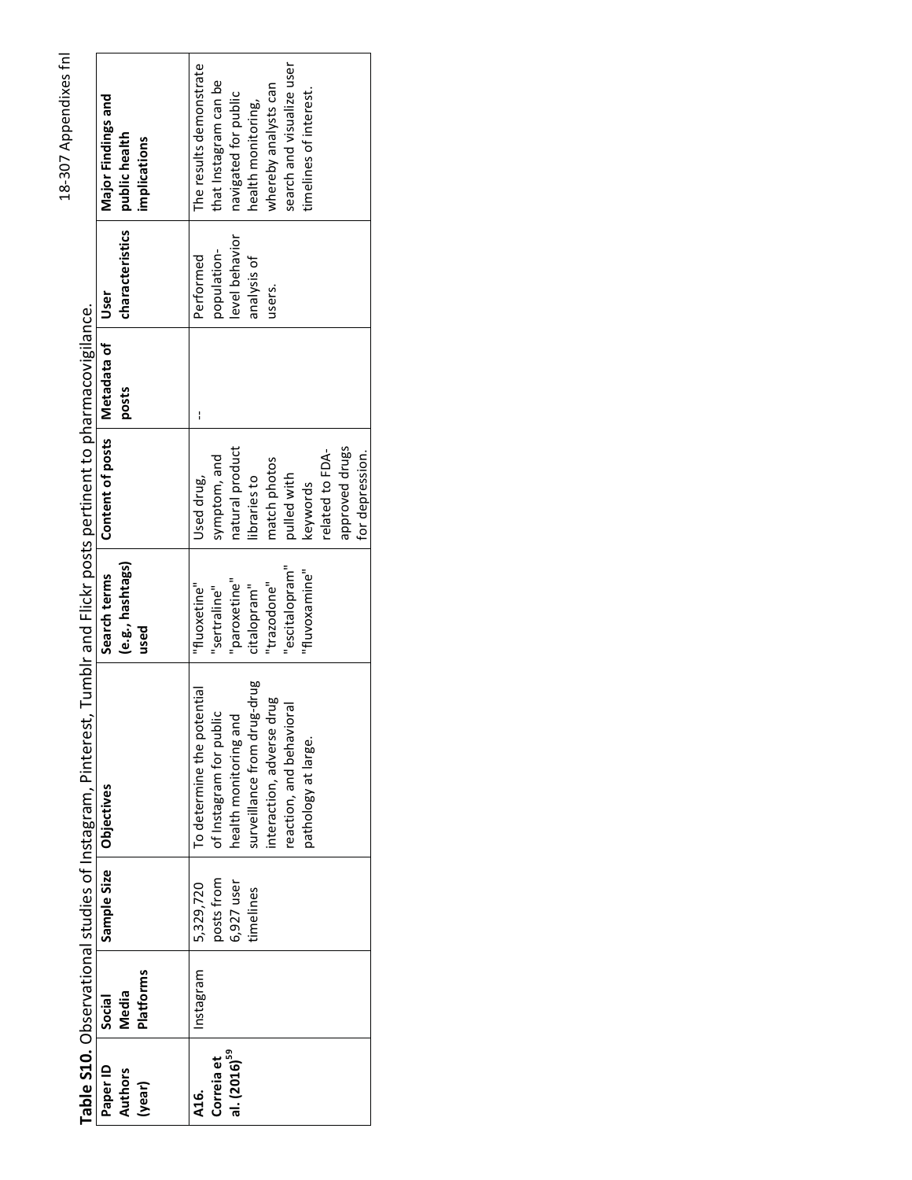The results demonstrate search and visualize user that Instagram can be whereby analysts can timelines of interest. navigated for public Major Findings and health monitoring, public health<br>implications characteristics level behavior population-Performed analysis of users. User Table S10. Observational studies of Instagram, Pinterest, Tumblr and Flickr posts pertinent to pharmacovigilance. Content of posts | Metadata of posts  $\overline{1}$ approved drugs natural product related to FDAsymptom, and for depression. match photos pulled with libraries to Used drug, keywords (e.g., hashtags) Search terms "escitalopram" "fluvoxamine" "paroxetine" "trazodone" "fluoxetine" "sertraline" citalopram" used surveillance from drug-drug To determine the potential interaction, adverse drug reaction, and behavioral of Instagram for public health monitoring and pathology at large. Objectives Sample Size posts from 5,329,720 6,927 user timelines Media<br>Platforms Instagram Social Correia et<br>al. (2016)<sup>59</sup> Paper ID **Authors** (year) A16.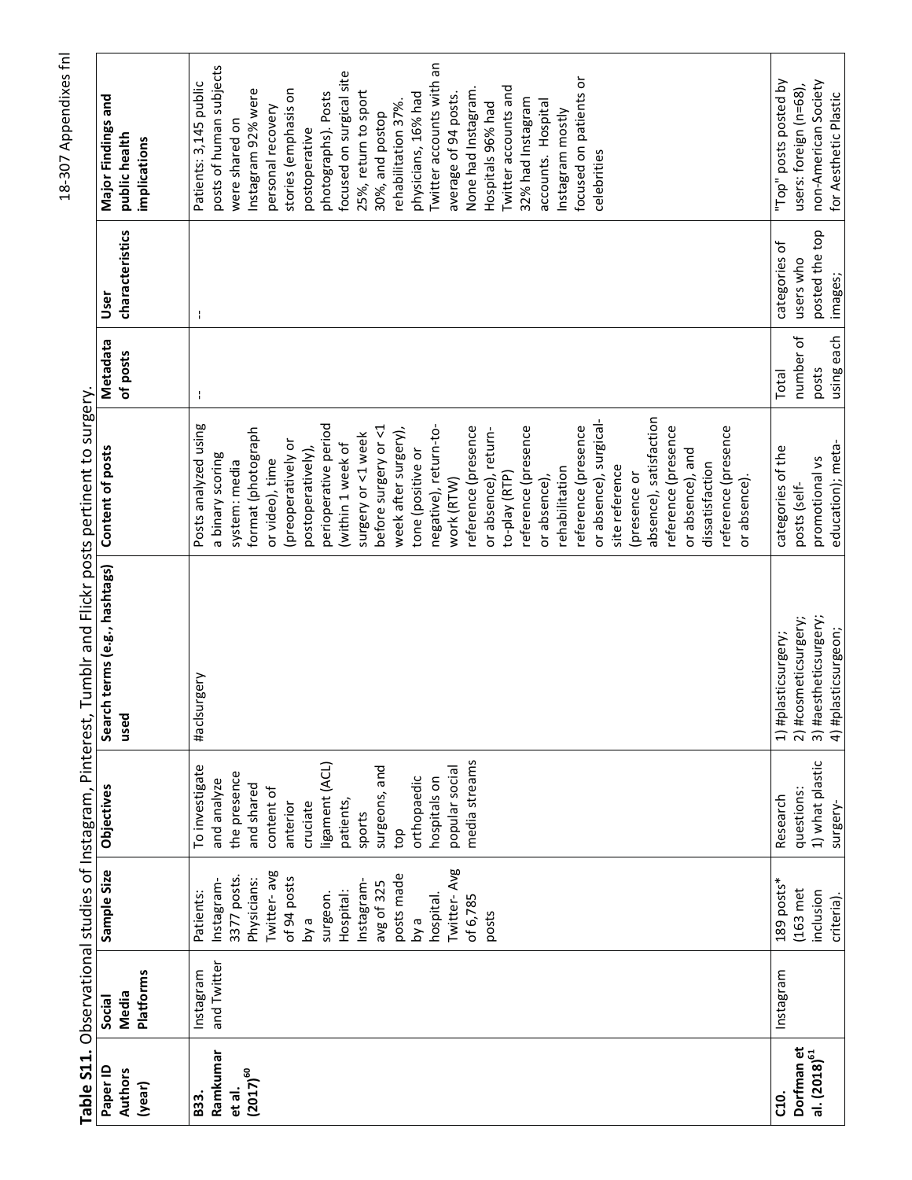|                          |                           |             |                   | Table S11. Observational studies of Instagram, Pinterest, Tumblr and Flickr posts pertinent to surgery. |                        |            |                 |                               |
|--------------------------|---------------------------|-------------|-------------------|---------------------------------------------------------------------------------------------------------|------------------------|------------|-----------------|-------------------------------|
| Paper ID                 | Social                    | Sample Size | <b>Objectives</b> | Search terms (e.g., hashtags)                                                                           | Content of posts       | Metadata   | User            | Major Findings and            |
| Authors<br>(year)        | <b>Platforms</b><br>Media |             |                   | used                                                                                                    |                        | of posts   | characteristics | public health<br>implications |
|                          |                           |             |                   |                                                                                                         |                        |            |                 |                               |
| B33.                     | Instagram                 | Patients:   | To investigate    | #aclsurgery                                                                                             | Posts analyzed using   | ÷          | ÷               | Patients: 3,145 public        |
| Ramkumar                 | and Twitter               | Instagram   | and analyze       |                                                                                                         | a binary scoring       |            |                 | posts of human subjects       |
| et al.                   |                           | 3377 posts  | the presence      |                                                                                                         | system: media          |            |                 | were shared on                |
| $(2017)^{60}$            |                           | Physicians: | and shared        |                                                                                                         | format (photograph     |            |                 | Instagram 92% were            |
|                          |                           | Twitter-avg | content of        |                                                                                                         | or video), time        |            |                 | personal recovery             |
|                          |                           | of 94 posts | anterior          |                                                                                                         | (preoperatively or     |            |                 | stories (emphasis on          |
|                          |                           | e Vq        | cruciate          |                                                                                                         | postoperatively),      |            |                 | postoperative                 |
|                          |                           | surgeon.    | ligament (ACL)    |                                                                                                         | perioperative period   |            |                 | photographs). Posts           |
|                          |                           | Hospital:   | patients,         |                                                                                                         | (within 1 week of      |            |                 | focused on surgical site      |
|                          |                           | Instagram-  | sports            |                                                                                                         | surgery or <1 week     |            |                 | 25%, return to sport          |
|                          |                           | avg of 325  | surgeons, and     |                                                                                                         | before surgery or <1   |            |                 | 30%, and postop               |
|                          |                           | posts made  | top               |                                                                                                         | week after surgery),   |            |                 | rehabilitation 37%            |
|                          |                           | e Vq        | orthopaedic       |                                                                                                         | tone (positive or      |            |                 | physicians, 16% had           |
|                          |                           | hospital.   | hospitals on      |                                                                                                         | negative), return-to-  |            |                 | Twitter accounts with an      |
|                          |                           | Twitter-Avg | popular social    |                                                                                                         | work (RTW)             |            |                 | average of 94 posts.          |
|                          |                           | of 6,785    | media streams     |                                                                                                         | reference (presence    |            |                 | None had Instagram.           |
|                          |                           | posts       |                   |                                                                                                         | or absence), return-   |            |                 | Hospitals 96% had             |
|                          |                           |             |                   |                                                                                                         | to-play (RTP)          |            |                 | Twitter accounts and          |
|                          |                           |             |                   |                                                                                                         | reference (presence    |            |                 | 32% had Instagram             |
|                          |                           |             |                   |                                                                                                         | or absence),           |            |                 | accounts. Hospital            |
|                          |                           |             |                   |                                                                                                         | rehabilitation         |            |                 | Instagram mostly              |
|                          |                           |             |                   |                                                                                                         | reference (presence    |            |                 | focused on patients or        |
|                          |                           |             |                   |                                                                                                         | or absence), surgical- |            |                 | celebrities                   |
|                          |                           |             |                   |                                                                                                         | site reference         |            |                 |                               |
|                          |                           |             |                   |                                                                                                         | presence or            |            |                 |                               |
|                          |                           |             |                   |                                                                                                         | absence), satisfaction |            |                 |                               |
|                          |                           |             |                   |                                                                                                         | reference (presence    |            |                 |                               |
|                          |                           |             |                   |                                                                                                         | or absence), and       |            |                 |                               |
|                          |                           |             |                   |                                                                                                         | dissatisfaction        |            |                 |                               |
|                          |                           |             |                   |                                                                                                         | reference (presence    |            |                 |                               |
|                          |                           |             |                   |                                                                                                         | or absence)            |            |                 |                               |
|                          |                           |             |                   |                                                                                                         |                        |            |                 |                               |
| C10.                     | Instagram                 | 189 posts*  | Research          | #plasticsurgery;<br>F                                                                                   | categories of the      | Total      | categories of   | "Top" posts posted by         |
| Dorfman et               |                           | $(163$ met  | questions:        | #cosmeticsurgery;<br>$\overline{2}$                                                                     | posts (self-           | number of  | users who       | $users: foreign (n=68)$ ,     |
| al. (2018) <sup>61</sup> |                           | inclusion   | 1) what plastic   | #aestheticsurgery;<br>$\overline{3}$                                                                    | promotional vs         | posts      | posted the top  | non-American Society          |
|                          |                           | criteria)   | Surgery-          | #plasticsurgeon:<br>$\triangleq$                                                                        | education): meta-      | using each | imapes:         | for Aesthetic Plastic         |

٦

18-307 Appendixes fnl

 $\Gamma$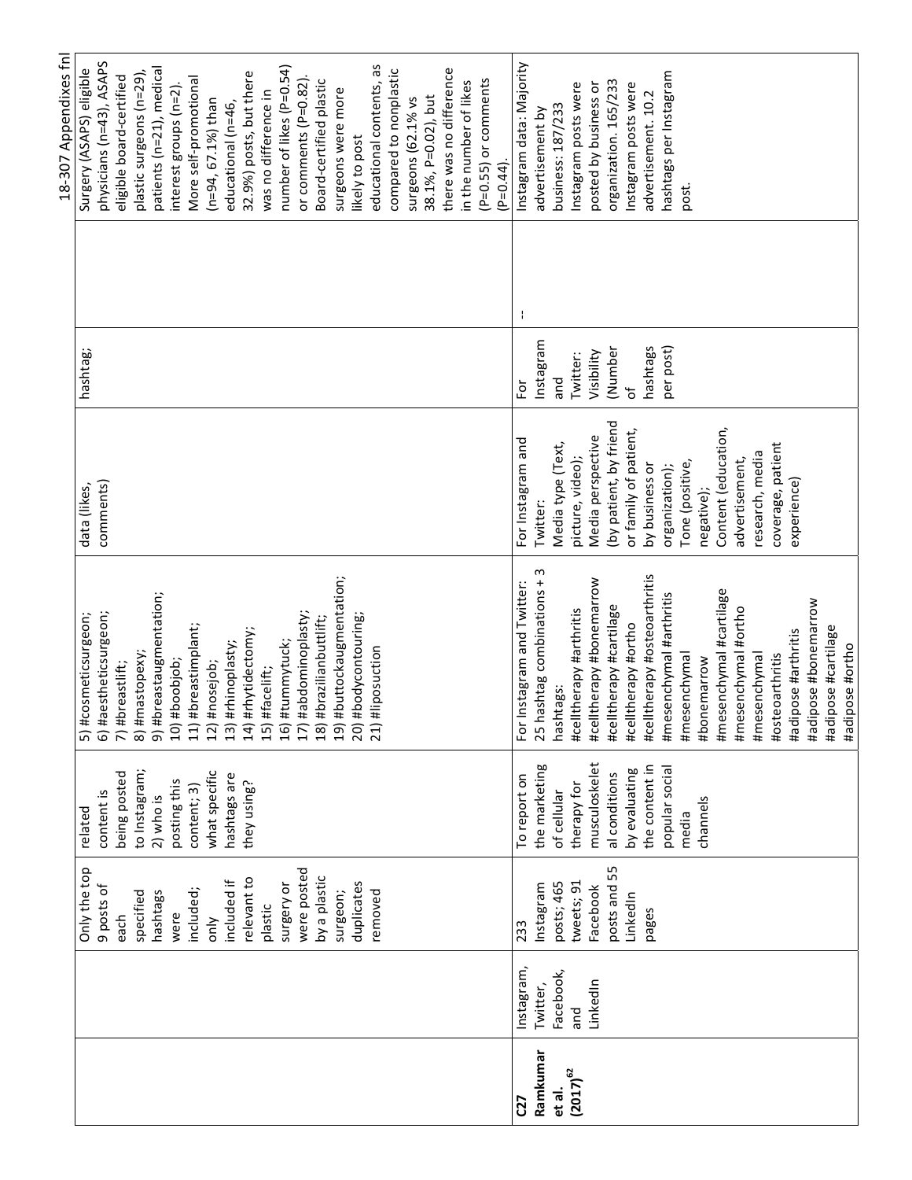|               |            |              |                |                                                              |                        |               | 18-307 Appendixes fnl    |
|---------------|------------|--------------|----------------|--------------------------------------------------------------|------------------------|---------------|--------------------------|
|               |            | Only the top | related        | cosmeticsurgeon;<br>$5)$ #                                   | data (likes,           | hashtag:      | Surgery (ASAPS) eligible |
|               |            | 9 posts of   | content is     | 6) #aestheticsurgeon;                                        | comments)              |               | physicians (n=43), ASAPS |
|               |            | each         | being posted   |                                                              |                        |               | eligible board-certified |
|               |            | specified    | to Instagram;  | 7) #breastlift;<br>8) #mastopexy;<br>9) #breastaugmentation; |                        |               | plastic surgeons (n=29), |
|               |            | hashtags     | 2) who is      |                                                              |                        |               | patients (n=21), medical |
|               |            | were         | posting this   | #boobjob;<br>$\widetilde{10}$                                |                        |               | interest groups (n=2)    |
|               |            | included;    | content; 3)    | #breastimplant;<br>11)                                       |                        |               | More self-promotional    |
|               |            | $rac{y}{x}$  | what specific  | #nosejob;<br>12)                                             |                        |               | $(n=94, 67.1%)$ than     |
|               |            | included if  | hashtags are   | #rhinoplasty;<br>13)                                         |                        |               | educational (n=46,       |
|               |            | relevant to  | they using?    | #rhytidectomy;<br>(14)                                       |                        |               | 32.9%) posts, but there  |
|               |            | plastic      |                | #facelift;<br>15)                                            |                        |               | was no difference in     |
|               |            | surgery or   |                | #tummytuck;<br>16)                                           |                        |               | number of likes (P=0.54) |
|               |            | were posted  |                | #abdominoplasty;<br>17)                                      |                        |               | or comments (P=0.82).    |
|               |            | by a plastic |                | #brazilianbuttlift;<br>18)                                   |                        |               | Board-certified plastic  |
|               |            | surgeon;     |                | #buttockaugmentation;<br>(61)                                |                        |               | surgeons were more       |
|               |            | duplicates   |                | #bodycontouring;<br>20)                                      |                        |               | likely to post           |
|               |            | removed      |                | #liposuction<br>21)                                          |                        |               | educational contents, as |
|               |            |              |                |                                                              |                        |               | compared to nonplastic   |
|               |            |              |                |                                                              |                        |               | surgeons (62.1% vs       |
|               |            |              |                |                                                              |                        |               | 38.1%, P=0.02), but      |
|               |            |              |                |                                                              |                        |               | there was no difference  |
|               |            |              |                |                                                              |                        |               |                          |
|               |            |              |                |                                                              |                        |               | in the number of likes   |
|               |            |              |                |                                                              |                        |               | $(P=0.55)$ or comments   |
|               |            |              |                |                                                              |                        |               | $(P=0.44)$ .             |
| C27           | Instagram, | 233          | To report on   | Instagram and Twitter:<br>For                                | For Instagram and      | φ             | Instagram data: Majority |
| Ramkumar      | Twitter,   | Instagram    | the marketing  | 25 hashtag combinations + 3                                  | Twitter:               | Instagram     | advertisement by         |
| et al.        | Facebook,  | posts; 465   | of cellular    | hashtags:                                                    | Media type (Text,      | and           | business: 187/233        |
| $(2017)^{62}$ | and        | tweets; 91   | therapy for    | #celltherapy #arthritis                                      | picture, video);       | Twitter:      | Instagram posts were     |
|               | LinkedIn   | Facebook     | musculoskelet  | #celltherapy #bonemarrow                                     | Media perspective      | Visibility    | posted by business or    |
|               |            | posts and 55 | al conditions  | #celltherapy #cartilage                                      | (by patient, by friend | (Number       | organization. 165/233    |
|               |            | LinkedIn     | by evaluating  | #celltherapy #ortho                                          | or family of patient,  | $\mathcal{P}$ | Instagram posts were     |
|               |            | pages        | the content in | #celltherapy #osteoarthritis                                 | by business or         | hashtags      | advertisement. 10.2      |
|               |            |              | popular social | #mesenchymal #arthritis                                      | organization);         | per post)     | hashtags per Instagram   |
|               |            |              | media          | #mesenchymal                                                 | Tone (positive,        |               | post.                    |
|               |            |              | channels       | #bonemarrow                                                  | negative);             |               |                          |
|               |            |              |                | #mesenchymal #cartilage                                      | Content (education,    |               |                          |
|               |            |              |                | #mesenchymal #ortho                                          | advertisement,         |               |                          |
|               |            |              |                | #mesenchymal                                                 | research, media        |               |                          |
|               |            |              |                | #osteoarthritis                                              | coverage, patient      |               |                          |
|               |            |              |                | #adipose #arthritis                                          | experience)            |               |                          |
|               |            |              |                | #adipose #bonemarrow                                         |                        |               |                          |
|               |            |              |                | ipose #cartilage<br>ipe#                                     |                        |               |                          |
|               |            |              |                | #adipose #ortho                                              |                        |               |                          |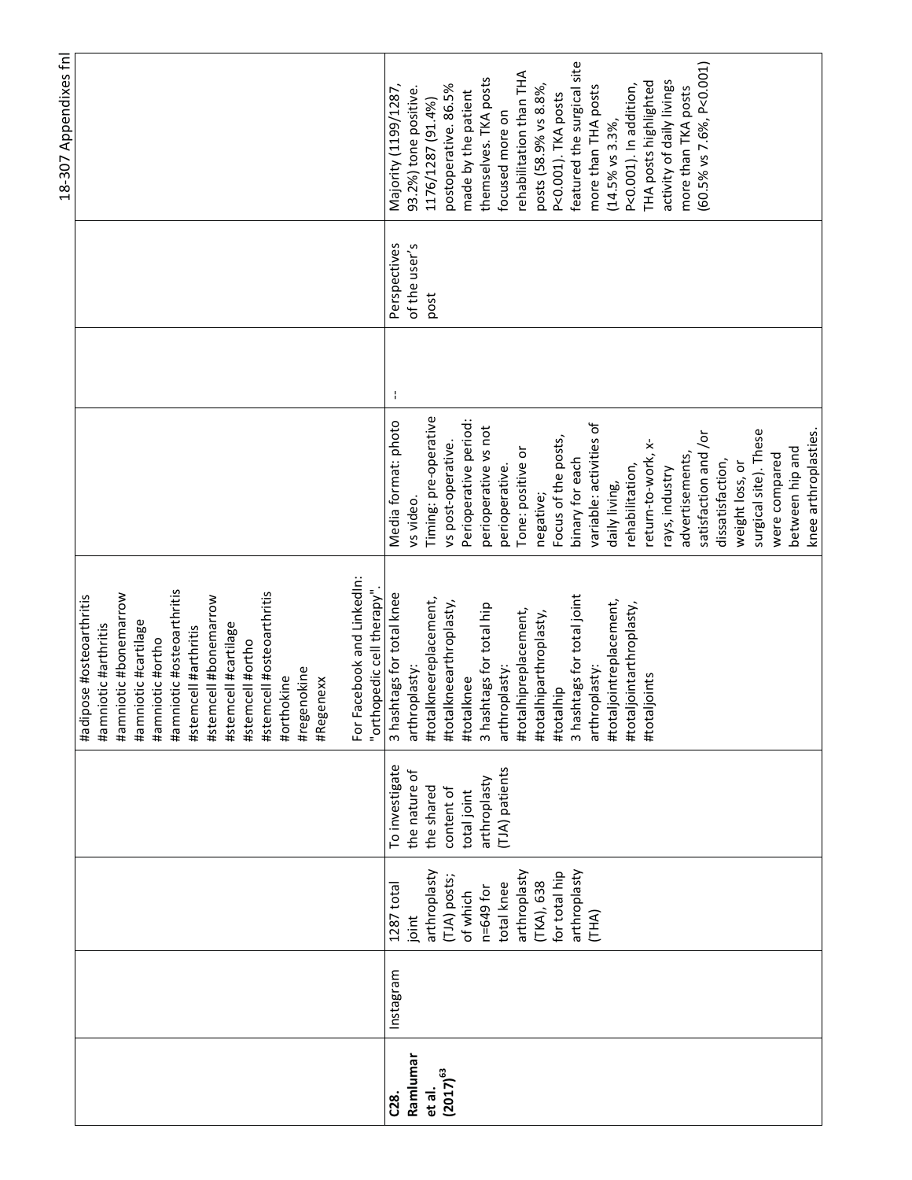|                       |                                                                                                                                                                    |                                                                                                              |                                                                                                                                                                                                                                                                                                                                                                                             |                                                                                                                                                                                                                                                                                                                                                                                                                                                                                                              |   |                                       | 18-307 Appendixes fnl                                                                                                                                                                                                                                                                                                                                                                                                                                           |
|-----------------------|--------------------------------------------------------------------------------------------------------------------------------------------------------------------|--------------------------------------------------------------------------------------------------------------|---------------------------------------------------------------------------------------------------------------------------------------------------------------------------------------------------------------------------------------------------------------------------------------------------------------------------------------------------------------------------------------------|--------------------------------------------------------------------------------------------------------------------------------------------------------------------------------------------------------------------------------------------------------------------------------------------------------------------------------------------------------------------------------------------------------------------------------------------------------------------------------------------------------------|---|---------------------------------------|-----------------------------------------------------------------------------------------------------------------------------------------------------------------------------------------------------------------------------------------------------------------------------------------------------------------------------------------------------------------------------------------------------------------------------------------------------------------|
|                       |                                                                                                                                                                    |                                                                                                              | Facebook and LinkedIn:<br>#amniotic #osteoarthritis<br>"orthopedic cell therapy"<br>#stemcell #osteoarthritis<br>#amniotic #bonemarrow<br>ipose #osteoarthritis<br>#stemcell #bonemarrow<br>#amniotic #cartilage<br>#stemcell #cartilage<br>#amniotic #arthritis<br>#stemcell #arthritis<br>#amniotic #ortho<br>#stemcell #ortho<br>#regenokine<br>#orthokine<br>#Regenexx<br>#adi<br>For 1 |                                                                                                                                                                                                                                                                                                                                                                                                                                                                                                              |   |                                       |                                                                                                                                                                                                                                                                                                                                                                                                                                                                 |
| Instagram<br>Ramlumar | arthroplasty<br>arthroplasty<br>for total hip<br>arthroplasty<br>(TJA) posts;<br>(TKA), 638<br>total knee<br>1287 total<br>n=649 for<br>of which<br>(THA)<br>joint | To investigate<br>(TJA) patients<br>the nature of<br>arthroplasty<br>the shared<br>content of<br>total joint | 3 hashtags for total knee<br>3 hashtags for total joint<br>#totalkneereplacement,<br>#totaljointreplacement,<br>#totalkneearthroplasty,<br>3 hashtags for total hip<br>#totaljointarthroplasty,<br>#totalhipreplacement,<br>#totalhiparthroplasty,<br>arthroplasty:<br>arthroplasty:<br>arthroplasty:<br>#totaljoints<br>#totalknee<br>#totalhip                                            | Timing: pre-operative<br>Perioperative period:<br>Media format: photo<br>variable: activities of<br>perioperative vs not<br>surgical site). These<br>knee arthroplasties.<br>satisfaction and /or<br>Focus of the posts,<br>return-to-work, x-<br>vs post-operative.<br>between hip and<br>Tone: positive or<br>were compared<br>advertisements,<br>binary for each<br>dissatisfaction,<br>weight loss, or<br>perioperative.<br>rehabilitation,<br>rays, industry<br>daily living,<br>negative;<br>vs video. | ÷ | Perspectives<br>of the user's<br>post | featured the surgical site<br>(60.5% vs 7.6%, P<0.001)<br>rehabilitation than THA<br>themselves. TKA posts<br>activity of daily livings<br>THA posts highlighted<br>P<0.001). In addition,<br>postoperative. 86.5%<br>Majority (1199/1287,<br>posts (58.9% vs 8.8%,<br>more than THA posts<br>more than TKA posts<br>93.2%) tone positive.<br>made by the patient<br>P<0.001). TKA posts<br>1176/1287 (91.4%)<br>focused more on<br>$(14.5\% \text{ vs } 3.3\%$ |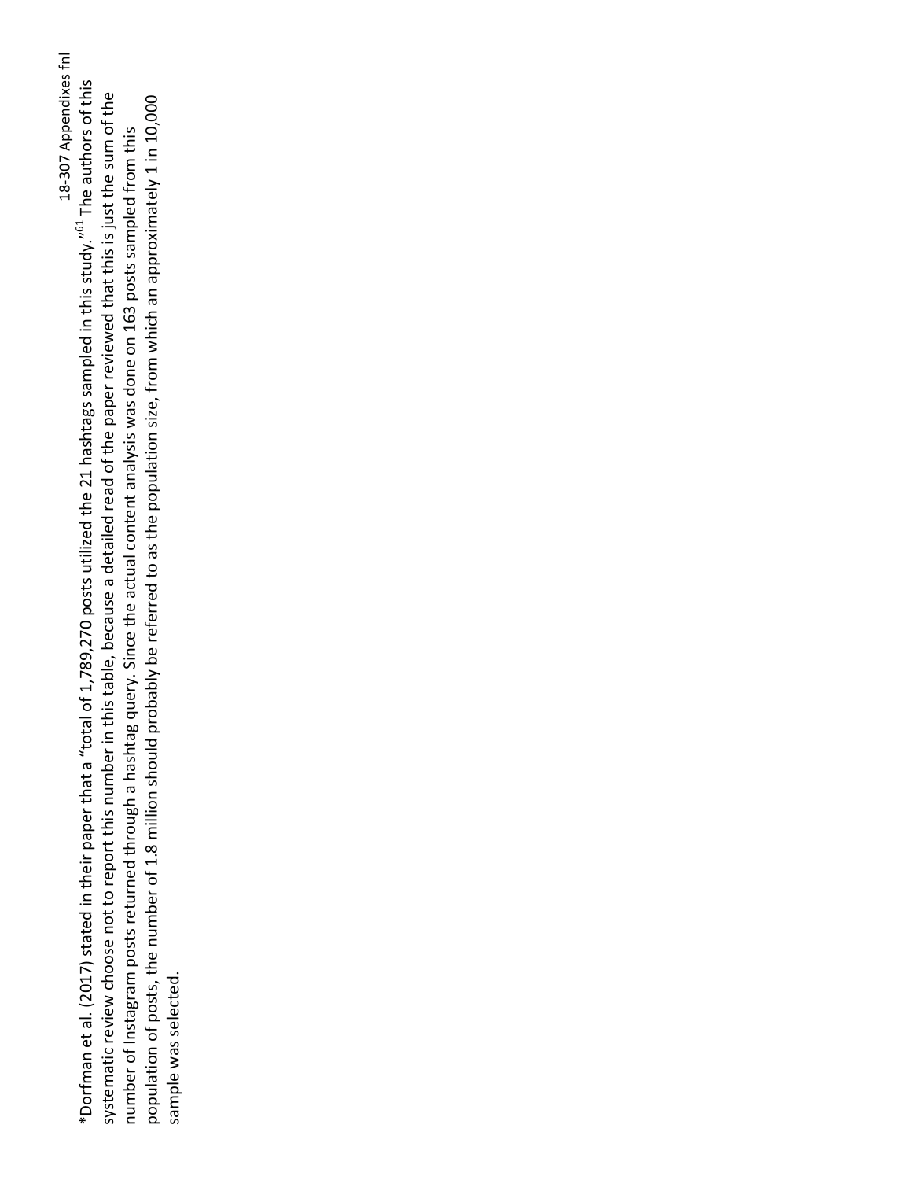18-307 Appendixes fnl \*Dorfman et al. (2017) stated in their paper that a "total of 1,789,270 posts utilized the 21 hashtags sampled in this study."<sup>61</sup> The authors of this systematic review choose not to report this number in this table, because a detailed read of the paper reviewed that this is just the sum of the population of posts, the number of 1.8 million should probably be referred to as the population size, from which an approximately 1 in 10,000 number of Instagram posts returned through a hashtag query. Since the actual content analysis was done on 163 posts sampled from this sample was selected.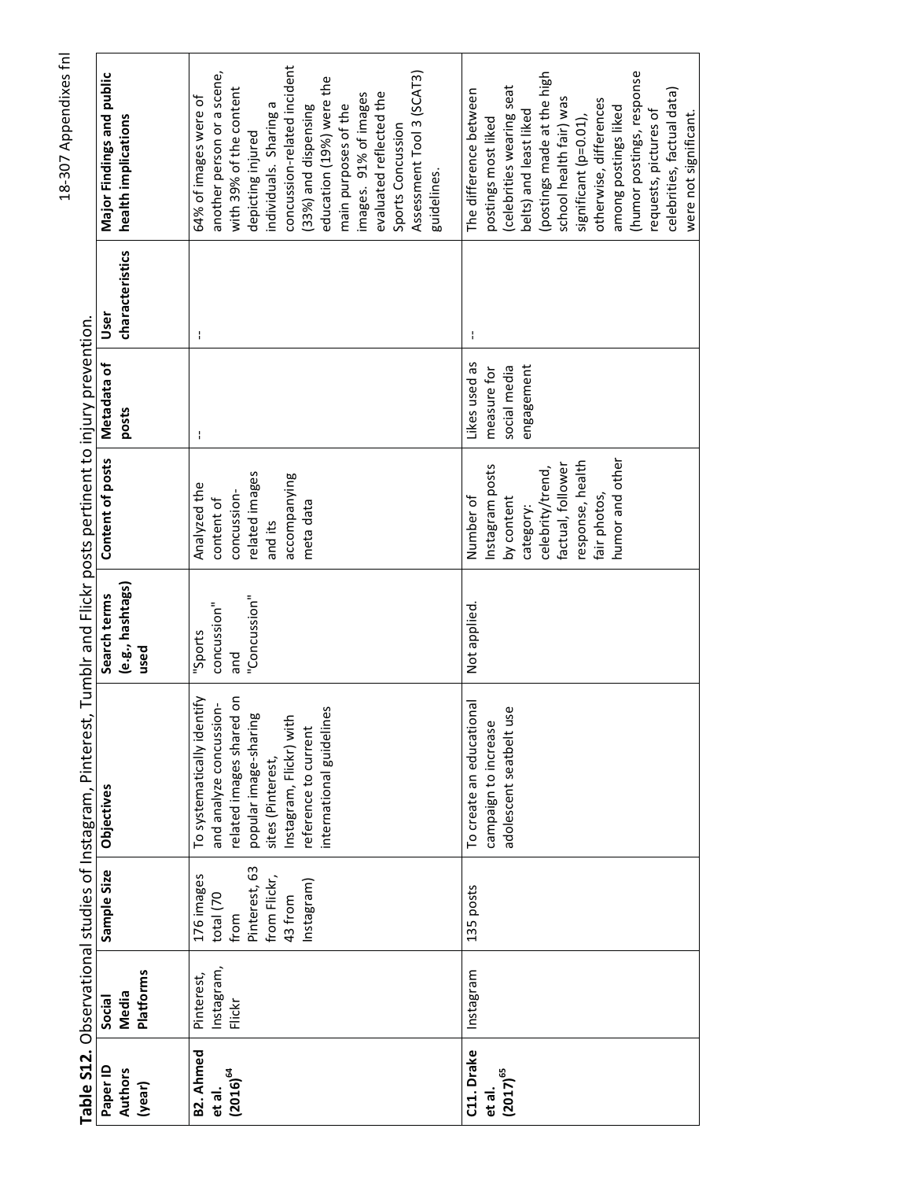|                               |                                     |               | Table S12. Observational studies of Instagram, Pinterest, Tumblr and Flickr posts pertinent to injury prevention. |                                          |                   |                      |                         |                                                  |
|-------------------------------|-------------------------------------|---------------|-------------------------------------------------------------------------------------------------------------------|------------------------------------------|-------------------|----------------------|-------------------------|--------------------------------------------------|
| Paper ID<br>Authors<br>(year) | <b>Platforms</b><br>Media<br>Social | Sample Size   | Objectives                                                                                                        | (e.g., hashtags)<br>Search terms<br>used | Content of posts  | Metadata of<br>posts | characteristics<br>User | Major Findings and public<br>health implications |
|                               |                                     |               |                                                                                                                   |                                          |                   |                      |                         |                                                  |
| B2. Ahmed                     | Pinterest,                          | 176 images    | To systematically identify                                                                                        | "Sports                                  | Analyzed the      |                      | ł                       | 64% of images were of                            |
| et al.                        | Instagram,                          | total (70     | and analyze concussion-                                                                                           | concussion"                              | content of        |                      |                         | another person or a scene,                       |
| $(2016)^{64}$                 | Flickr                              | from          | related images shared on                                                                                          | pue                                      | concussion-       |                      |                         | with 39% of the content                          |
|                               |                                     | Pinterest, 63 | popular image-sharing                                                                                             | "Concussion"                             | related images    |                      |                         | depicting injured                                |
|                               |                                     | from Flickr,  | sites (Pinterest,                                                                                                 |                                          | and its           |                      |                         | individuals. Sharing a                           |
|                               |                                     | 43 from       | Instagram, Flickr) with                                                                                           |                                          | accompanying      |                      |                         | concussion-related incident                      |
|                               |                                     | Instagram)    | reference to current                                                                                              |                                          | meta data         |                      |                         | (33%) and dispensing                             |
|                               |                                     |               | international guidelines                                                                                          |                                          |                   |                      |                         | education (19%) were the                         |
|                               |                                     |               |                                                                                                                   |                                          |                   |                      |                         | main purposes of the                             |
|                               |                                     |               |                                                                                                                   |                                          |                   |                      |                         | images. 91% of images                            |
|                               |                                     |               |                                                                                                                   |                                          |                   |                      |                         | evaluated reflected the                          |
|                               |                                     |               |                                                                                                                   |                                          |                   |                      |                         | Sports Concussion                                |
|                               |                                     |               |                                                                                                                   |                                          |                   |                      |                         | Assessment Tool 3 (SCAT3)                        |
|                               |                                     |               |                                                                                                                   |                                          |                   |                      |                         | guidelines.                                      |
|                               |                                     |               |                                                                                                                   |                                          |                   |                      |                         |                                                  |
| C11. Drake                    | Instagram                           | 135 posts     | To create an educational                                                                                          | Not applied.                             | Number of         | Likes used as        |                         | The difference between                           |
| et al.                        |                                     |               | campaign to increase                                                                                              |                                          | nstagram posts    | measure for          |                         | postings most liked                              |
| $(2017)^{65}$                 |                                     |               | adolescent seatbelt use                                                                                           |                                          | by content        | social media         |                         | celebrities wearing seat                         |
|                               |                                     |               |                                                                                                                   |                                          | category:         | engagement           |                         | belts) and least liked                           |
|                               |                                     |               |                                                                                                                   |                                          | celebrity/trend,  |                      |                         | (postings made at the high                       |
|                               |                                     |               |                                                                                                                   |                                          | factual, follower |                      |                         | school health fair) was                          |
|                               |                                     |               |                                                                                                                   |                                          | response, health  |                      |                         | significant (p=0.01),                            |
|                               |                                     |               |                                                                                                                   |                                          | fair photos,      |                      |                         | otherwise, differences                           |
|                               |                                     |               |                                                                                                                   |                                          | humor and other   |                      |                         | among postings liked                             |
|                               |                                     |               |                                                                                                                   |                                          |                   |                      |                         | (humor postings, response                        |
|                               |                                     |               |                                                                                                                   |                                          |                   |                      |                         | requests, pictures of                            |
|                               |                                     |               |                                                                                                                   |                                          |                   |                      |                         | celebrities, factual data)                       |
|                               |                                     |               |                                                                                                                   |                                          |                   |                      |                         | were not significant.                            |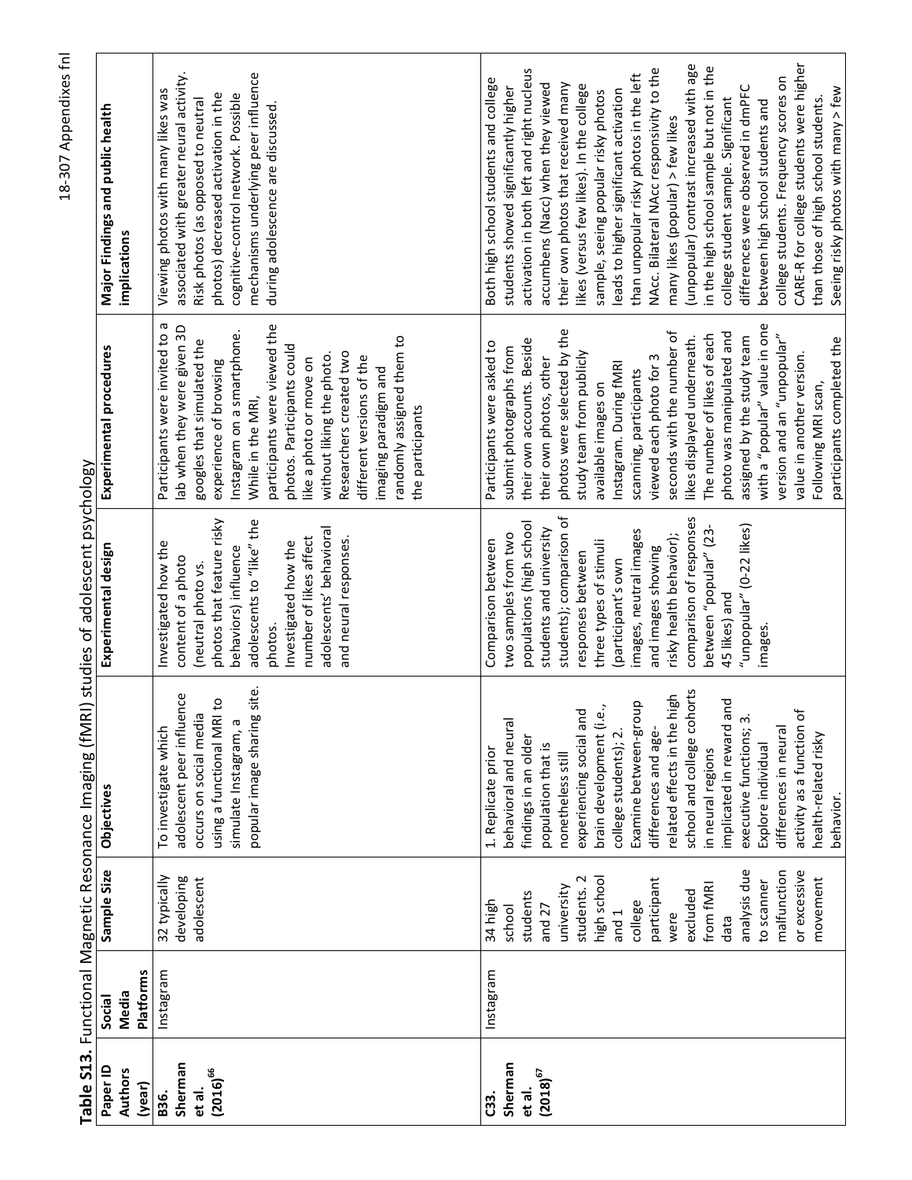|                                                              |                  |                                                                                                                                                                                                                                                    | Table S13. Functional Magnetic Resonance Imaging (fMRI) studies of adolescent psychology                                                                                                                                                                                                                                                                                                                                                                                                                     |                                                                                                                                                                                                                                                                                                                                                                                            |                                                                                                                                                                                                                                                                                                                                                                                                                                                                                                                                                                                         |                                                                                                                                                                                                                                                                                                                                                                                                                                                                                                                                                                                                                                                                                                                                                                                                                                          |
|--------------------------------------------------------------|------------------|----------------------------------------------------------------------------------------------------------------------------------------------------------------------------------------------------------------------------------------------------|--------------------------------------------------------------------------------------------------------------------------------------------------------------------------------------------------------------------------------------------------------------------------------------------------------------------------------------------------------------------------------------------------------------------------------------------------------------------------------------------------------------|--------------------------------------------------------------------------------------------------------------------------------------------------------------------------------------------------------------------------------------------------------------------------------------------------------------------------------------------------------------------------------------------|-----------------------------------------------------------------------------------------------------------------------------------------------------------------------------------------------------------------------------------------------------------------------------------------------------------------------------------------------------------------------------------------------------------------------------------------------------------------------------------------------------------------------------------------------------------------------------------------|------------------------------------------------------------------------------------------------------------------------------------------------------------------------------------------------------------------------------------------------------------------------------------------------------------------------------------------------------------------------------------------------------------------------------------------------------------------------------------------------------------------------------------------------------------------------------------------------------------------------------------------------------------------------------------------------------------------------------------------------------------------------------------------------------------------------------------------|
| Paper ID<br><b>Authors</b>                                   | Media<br>Social  | Sample Size                                                                                                                                                                                                                                        | Objectives                                                                                                                                                                                                                                                                                                                                                                                                                                                                                                   | Experimental design                                                                                                                                                                                                                                                                                                                                                                        | Experimental procedures                                                                                                                                                                                                                                                                                                                                                                                                                                                                                                                                                                 | Major Findings and public health<br>implications                                                                                                                                                                                                                                                                                                                                                                                                                                                                                                                                                                                                                                                                                                                                                                                         |
| (year)                                                       | <b>Platforms</b> |                                                                                                                                                                                                                                                    |                                                                                                                                                                                                                                                                                                                                                                                                                                                                                                              |                                                                                                                                                                                                                                                                                                                                                                                            |                                                                                                                                                                                                                                                                                                                                                                                                                                                                                                                                                                                         |                                                                                                                                                                                                                                                                                                                                                                                                                                                                                                                                                                                                                                                                                                                                                                                                                                          |
| Sherman<br>$(2016)^{66}$<br>et al.<br>B36.                   | Instagram        | 32 typically<br>developing<br>adolescent                                                                                                                                                                                                           | popular image sharing site.<br>adolescent peer influence<br>$\overline{c}$<br>occurs on social media<br>using a functional MRI<br>simulate Instagram, a<br>To investigate which                                                                                                                                                                                                                                                                                                                              | photos that feature risky<br>adolescents to "like" the<br>adolescents' behavioral<br>number of likes affect<br>and neural responses.<br>Investigated how the<br>Investigated how the<br>behaviors) influence<br>content of a photo<br>(neutral photo vs.<br>photos.                                                                                                                        | Participants were invited to a<br>participants were viewed the<br>lab when they were given 3D<br>Instagram on a smartphone.<br>randomly assigned them to<br>googles that simulated the<br>photos. Participants could<br>Researchers created two<br>without liking the photo.<br>different versions of the<br>like a photo or move on<br>experience of browsing<br>imaging paradigm and<br>While in the MRI,<br>the participants                                                                                                                                                         | associated with greater neural activity.<br>mechanisms underlying peer influence<br>Viewing photos with many likes was<br>cognitive-control network. Possible<br>photos) decreased activation in the<br>Risk photos (as opposed to neutral<br>during adolescence are discussed.                                                                                                                                                                                                                                                                                                                                                                                                                                                                                                                                                          |
| Sherman<br>$\left(2018\right)^{67}$<br>et al.<br><b>C33.</b> | Instagram        | analysis due<br>or excessive<br>malfunction<br>high school<br>students. 2<br>participant<br>movement<br>to scanner<br>from fMR<br>university<br>excluded<br>students<br>34 high<br>college<br>and 27<br>school<br>and <sub>1</sub><br>were<br>data | school and college cohorts<br>high<br>implicated in reward and<br>Examine between-group<br>brain development (i.e.,<br>experiencing social and<br>activity as a function of<br>executive functions; 3.<br>behavioral and neural<br>related effects in the<br>differences in neural<br>differences and age-<br>college students); 2.<br>health-related risky<br>findings in an older<br>Explore individual<br>population that is<br>1. Replicate prior<br>in neural regions<br>nonetheless still<br>behavior. | students); comparison of<br>comparison of responses<br>populations (high school<br>"unpopular" (0-22 likes)<br>students and university<br>between "popular" (23-<br>images, neutral images<br>two samples from two<br>risky health behavior);<br>Comparison between<br>three types of stimuli<br>and images showing<br>responses between<br>(participant's own<br>45 likes) and<br>images. | with a "popular" value in one<br>photos were selected by the<br>seconds with the number of<br>photo was manipulated and<br>The number of likes of each<br>version and an "unpopular"<br>assigned by the study team<br>likes displayed underneath.<br>participants completed the<br>their own accounts. Beside<br>Participants were asked to<br>submit photographs from<br>study team from publicly<br>value in another version.<br>viewed each photo for 3<br>their own photos, other<br>Instagram. During fMRI<br>scanning, participants<br>available images on<br>Following MRI scan, | CARE-R for college students were higher<br>(unpopular) contrast increased with age<br>in the high school sample but not in the<br>NAcc. Bilateral NAcc responsivity to the<br>activation in both left and right nucleus<br>than unpopular risky photos in the left<br>college students. Frequency scores on<br>Both high school students and college<br>accumbens (Nacc) when they viewed<br>their own photos that received many<br>likes (versus few likes). In the college<br>differences were observed in dmPFC<br>students showed significantly higher<br>Seeing risky photos with many > few<br>leads to higher significant activation<br>sample, seeing popular risky photos<br>than those of high school students.<br>college student sample. Significant<br>between high school students and<br>many likes (popular) > few likes |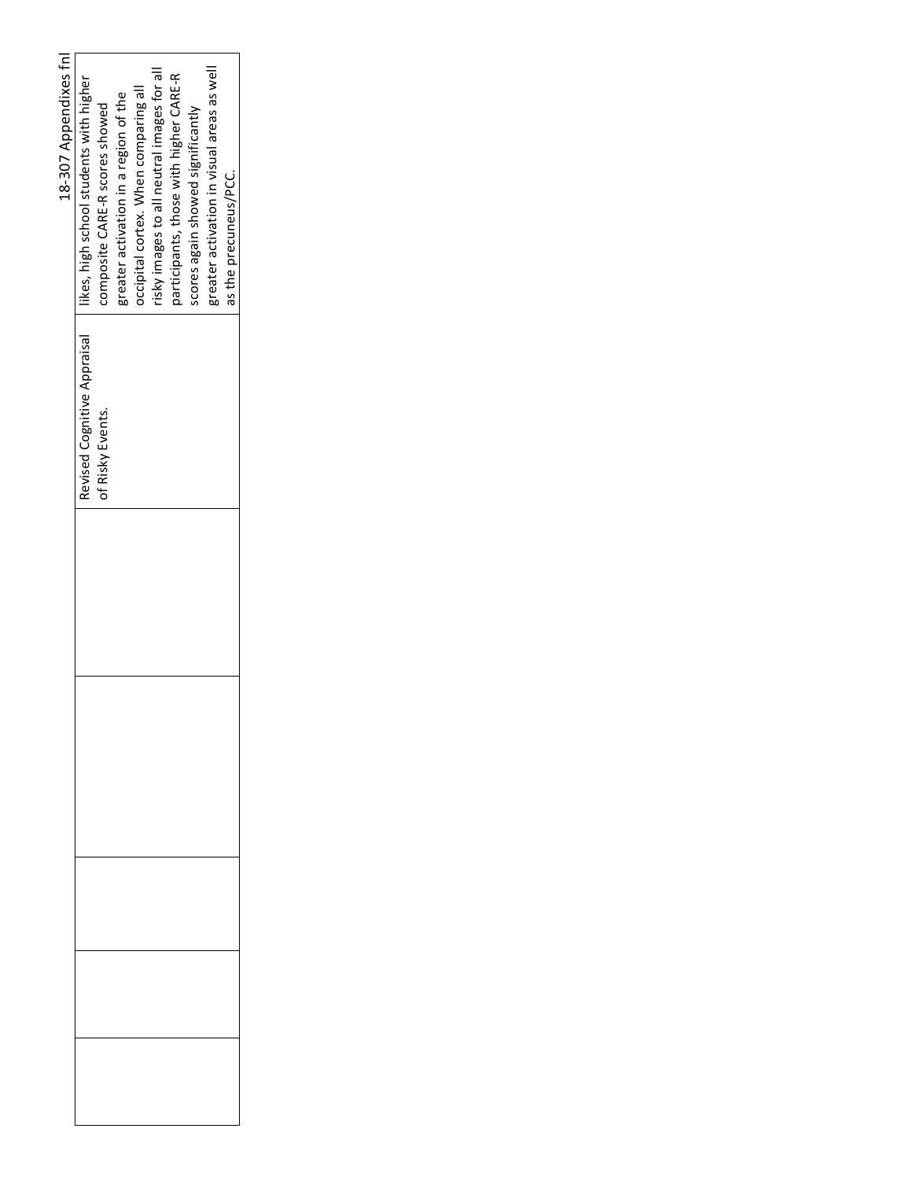| 18-307 Appendixes fnl | ikes, high school students with higher | composite CARE-R scores showed | greater activation in a region of the | occipital cortex. When comparing all | risky images to all neutral images for all | participants, those with higher CARE-R | scores again showed significantly | greater activation in visual areas as well | as the precuneus/PCC. |
|-----------------------|----------------------------------------|--------------------------------|---------------------------------------|--------------------------------------|--------------------------------------------|----------------------------------------|-----------------------------------|--------------------------------------------|-----------------------|
|                       | Revised Cognitive Appraisal            | of Risky Events.               |                                       |                                      |                                            |                                        |                                   |                                            |                       |
|                       |                                        |                                |                                       |                                      |                                            |                                        |                                   |                                            |                       |
|                       |                                        |                                |                                       |                                      |                                            |                                        |                                   |                                            |                       |
|                       |                                        |                                |                                       |                                      |                                            |                                        |                                   |                                            |                       |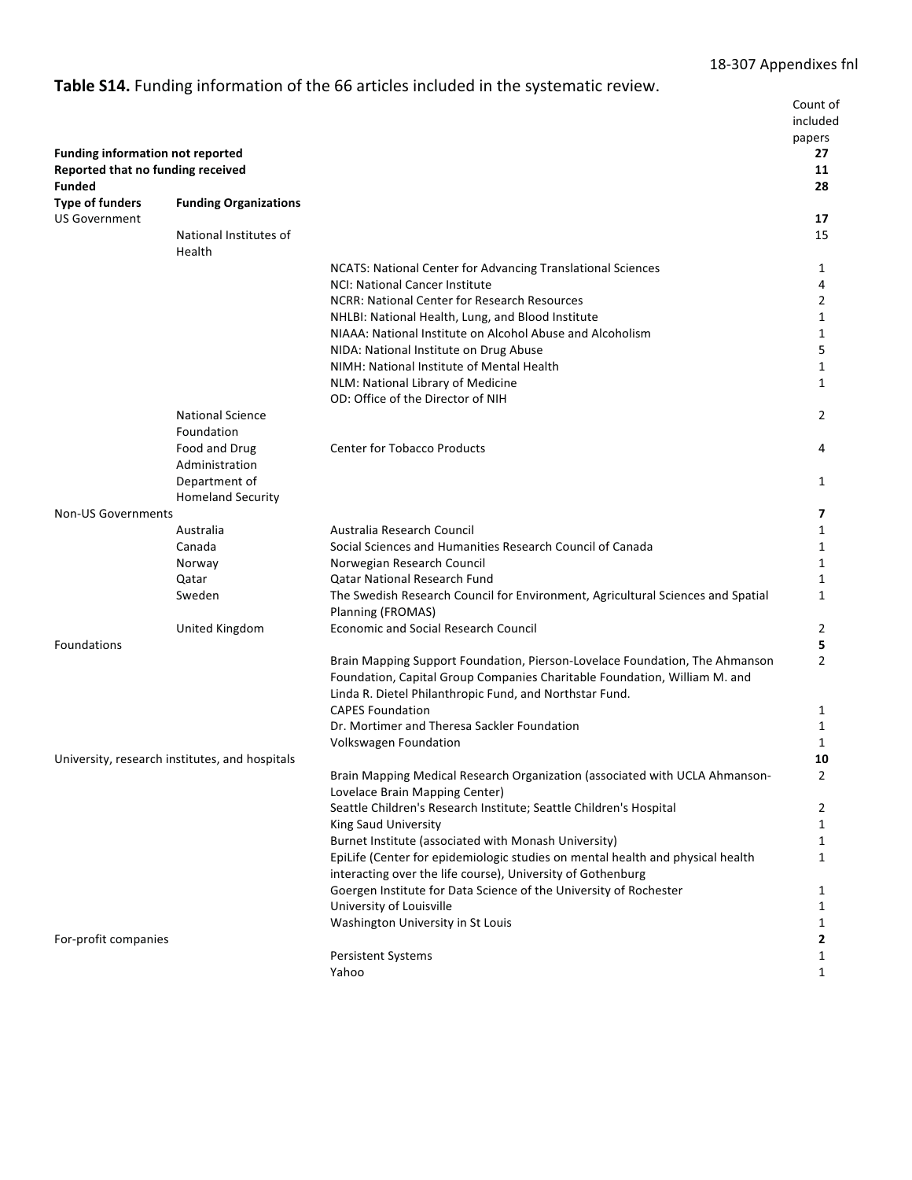# Table S14. Funding information of the 66 articles included in the systematic review.

|                                                                                        |                                                |                                                                                                                                                          | Count of<br>included<br>papers |
|----------------------------------------------------------------------------------------|------------------------------------------------|----------------------------------------------------------------------------------------------------------------------------------------------------------|--------------------------------|
| <b>Funding information not reported</b><br>Reported that no funding received<br>Funded |                                                |                                                                                                                                                          | 27<br>11<br>28                 |
| <b>Type of funders</b><br><b>US Government</b>                                         | <b>Funding Organizations</b>                   |                                                                                                                                                          | 17                             |
|                                                                                        | National Institutes of                         |                                                                                                                                                          | 15                             |
|                                                                                        | Health                                         |                                                                                                                                                          |                                |
|                                                                                        |                                                | NCATS: National Center for Advancing Translational Sciences                                                                                              | 1                              |
|                                                                                        |                                                | NCI: National Cancer Institute                                                                                                                           | 4                              |
|                                                                                        |                                                | NCRR: National Center for Research Resources                                                                                                             | 2                              |
|                                                                                        |                                                | NHLBI: National Health, Lung, and Blood Institute                                                                                                        | 1                              |
|                                                                                        |                                                | NIAAA: National Institute on Alcohol Abuse and Alcoholism<br>NIDA: National Institute on Drug Abuse                                                      | 1<br>5                         |
|                                                                                        |                                                | NIMH: National Institute of Mental Health                                                                                                                | 1                              |
|                                                                                        |                                                | NLM: National Library of Medicine                                                                                                                        | 1                              |
|                                                                                        |                                                | OD: Office of the Director of NIH                                                                                                                        |                                |
|                                                                                        | <b>National Science</b>                        |                                                                                                                                                          | $\mathbf{2}^{\prime}$          |
|                                                                                        | Foundation                                     |                                                                                                                                                          |                                |
|                                                                                        | Food and Drug                                  | <b>Center for Tobacco Products</b>                                                                                                                       | 4                              |
|                                                                                        | Administration                                 |                                                                                                                                                          |                                |
|                                                                                        | Department of                                  |                                                                                                                                                          | 1                              |
|                                                                                        | <b>Homeland Security</b>                       |                                                                                                                                                          |                                |
| <b>Non-US Governments</b>                                                              | Australia                                      | Australia Research Council                                                                                                                               | 7<br>1                         |
|                                                                                        | Canada                                         | Social Sciences and Humanities Research Council of Canada                                                                                                | 1                              |
|                                                                                        | Norway                                         | Norwegian Research Council                                                                                                                               | 1                              |
|                                                                                        | Qatar                                          | <b>Qatar National Research Fund</b>                                                                                                                      | 1                              |
|                                                                                        | Sweden                                         | The Swedish Research Council for Environment, Agricultural Sciences and Spatial<br>Planning (FROMAS)                                                     | $\mathbf{1}$                   |
|                                                                                        | United Kingdom                                 | <b>Economic and Social Research Council</b>                                                                                                              | 2                              |
| Foundations                                                                            |                                                |                                                                                                                                                          | 5                              |
|                                                                                        |                                                | Brain Mapping Support Foundation, Pierson-Lovelace Foundation, The Ahmanson<br>Foundation, Capital Group Companies Charitable Foundation, William M. and | $\overline{2}$                 |
|                                                                                        |                                                | Linda R. Dietel Philanthropic Fund, and Northstar Fund.<br><b>CAPES Foundation</b>                                                                       |                                |
|                                                                                        |                                                | Dr. Mortimer and Theresa Sackler Foundation                                                                                                              | 1<br>1                         |
|                                                                                        |                                                | Volkswagen Foundation                                                                                                                                    | 1                              |
|                                                                                        | University, research institutes, and hospitals |                                                                                                                                                          | 10                             |
|                                                                                        |                                                | Brain Mapping Medical Research Organization (associated with UCLA Ahmanson-                                                                              | 2                              |
|                                                                                        |                                                | Lovelace Brain Mapping Center)                                                                                                                           |                                |
|                                                                                        |                                                | Seattle Children's Research Institute; Seattle Children's Hospital                                                                                       | 2                              |
|                                                                                        |                                                | <b>King Saud University</b>                                                                                                                              | 1                              |
|                                                                                        |                                                | Burnet Institute (associated with Monash University)                                                                                                     | 1                              |
|                                                                                        |                                                | EpiLife (Center for epidemiologic studies on mental health and physical health<br>interacting over the life course), University of Gothenburg            | $\mathbf{1}$                   |
|                                                                                        |                                                | Goergen Institute for Data Science of the University of Rochester                                                                                        | 1                              |
|                                                                                        |                                                | University of Louisville                                                                                                                                 | 1                              |
|                                                                                        |                                                | Washington University in St Louis                                                                                                                        | 1                              |
| For-profit companies                                                                   |                                                | <b>Persistent Systems</b>                                                                                                                                | 2<br>1                         |
|                                                                                        |                                                | Yahoo                                                                                                                                                    | $\mathbf{1}$                   |
|                                                                                        |                                                |                                                                                                                                                          |                                |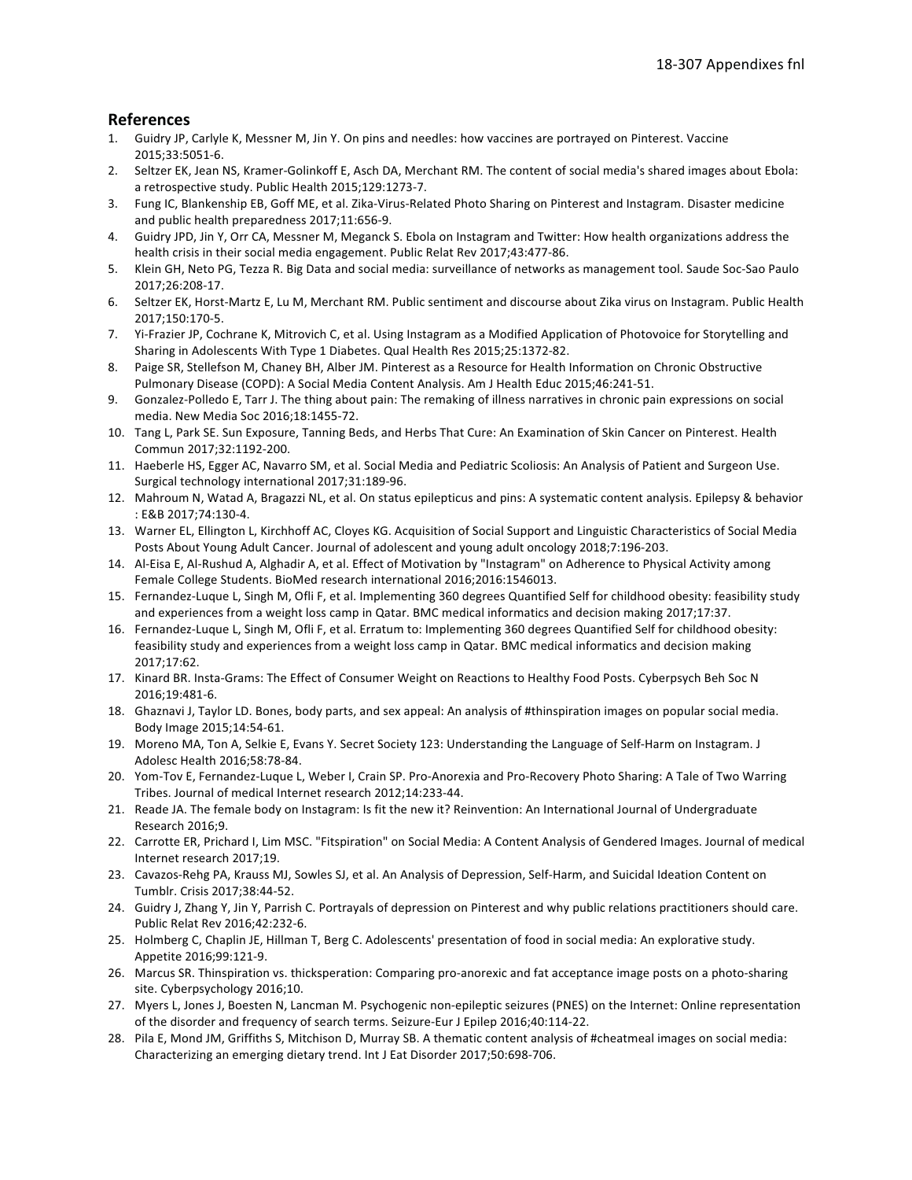#### **References**

- 1. Guidry JP, Carlyle K, Messner M, Jin Y. On pins and needles: how vaccines are portrayed on Pinterest. Vaccine 2015;33:5051-6.
- $2.$ Seltzer EK, Jean NS, Kramer-Golinkoff E, Asch DA, Merchant RM. The content of social media's shared images about Ebola: a retrospective study. Public Health 2015;129:1273-7.
- 3. Fung IC, Blankenship EB, Goff ME, et al. Zika-Virus-Related Photo Sharing on Pinterest and Instagram. Disaster medicine and public health preparedness 2017;11:656-9.
- 4. Guidry JPD, Jin Y, Orr CA, Messner M, Meganck S. Ebola on Instagram and Twitter: How health organizations address the health crisis in their social media engagement. Public Relat Rev 2017;43:477-86.
- 5. Klein GH, Neto PG, Tezza R. Big Data and social media: surveillance of networks as management tool. Saude Soc-Sao Paulo 2017;26:208-17.
- 6. Seltzer EK, Horst-Martz E, Lu M, Merchant RM. Public sentiment and discourse about Zika virus on Instagram. Public Health 2017;150:170-5.
- 7. Yi-Frazier JP, Cochrane K, Mitrovich C, et al. Using Instagram as a Modified Application of Photovoice for Storytelling and Sharing in Adolescents With Type 1 Diabetes. Qual Health Res 2015;25:1372-82.
- 8. Paige SR, Stellefson M, Chaney BH, Alber JM. Pinterest as a Resource for Health Information on Chronic Obstructive Pulmonary Disease (COPD): A Social Media Content Analysis. Am J Health Educ 2015;46:241-51.
- 9. Gonzalez-Polledo E, Tarr J. The thing about pain: The remaking of illness narratives in chronic pain expressions on social media. New Media Soc 2016;18:1455-72.
- 10. Tang L, Park SE. Sun Exposure, Tanning Beds, and Herbs That Cure: An Examination of Skin Cancer on Pinterest. Health Commun 2017;32:1192-200.
- 11. Haeberle HS, Egger AC, Navarro SM, et al. Social Media and Pediatric Scoliosis: An Analysis of Patient and Surgeon Use. Surgical technology international 2017;31:189-96.
- 12. Mahroum N, Watad A, Bragazzi NL, et al. On status epilepticus and pins: A systematic content analysis. Epilepsy & behavior : E&B 2017;74:130-4.
- 13. Warner EL, Ellington L, Kirchhoff AC, Cloyes KG. Acquisition of Social Support and Linguistic Characteristics of Social Media Posts About Young Adult Cancer. Journal of adolescent and young adult oncology 2018;7:196-203.
- 14. Al-Eisa E, Al-Rushud A, Alghadir A, et al. Effect of Motivation by "Instagram" on Adherence to Physical Activity among Female College Students. BioMed research international 2016;2016:1546013.
- 15. Fernandez-Luque L, Singh M, Ofli F, et al. Implementing 360 degrees Quantified Self for childhood obesity: feasibility study and experiences from a weight loss camp in Qatar. BMC medical informatics and decision making 2017;17:37.
- 16. Fernandez-Luque L, Singh M, Ofli F, et al. Erratum to: Implementing 360 degrees Quantified Self for childhood obesity: feasibility study and experiences from a weight loss camp in Qatar. BMC medical informatics and decision making 2017;17:62.
- 17. Kinard BR. Insta-Grams: The Effect of Consumer Weight on Reactions to Healthy Food Posts. Cyberpsych Beh Soc N 2016;19:481-6.
- 18. Ghaznavi J, Taylor LD. Bones, body parts, and sex appeal: An analysis of #thinspiration images on popular social media. Body Image 2015;14:54-61.
- 19. Moreno MA, Ton A, Selkie E, Evans Y. Secret Society 123: Understanding the Language of Self-Harm on Instagram. J Adolesc Health 2016;58:78-84.
- 20. Yom-Tov E, Fernandez-Luque L, Weber I, Crain SP. Pro-Anorexia and Pro-Recovery Photo Sharing: A Tale of Two Warring Tribes. Journal of medical Internet research 2012;14:233-44.
- 21. Reade JA. The female body on Instagram: Is fit the new it? Reinvention: An International Journal of Undergraduate Research 2016:9.
- 22. Carrotte ER, Prichard I, Lim MSC. "Fitspiration" on Social Media: A Content Analysis of Gendered Images. Journal of medical Internet research 2017;19.
- 23. Cavazos-Rehg PA, Krauss MJ, Sowles SJ, et al. An Analysis of Depression, Self-Harm, and Suicidal Ideation Content on Tumblr. Crisis 2017;38:44-52.
- 24. Guidry J, Zhang Y, Jin Y, Parrish C. Portrayals of depression on Pinterest and why public relations practitioners should care. Public Relat Rev 2016;42:232-6.
- 25. Holmberg C, Chaplin JE, Hillman T, Berg C. Adolescents' presentation of food in social media: An explorative study. Appetite 2016;99:121-9.
- 26. Marcus SR. Thinspiration vs. thicksperation: Comparing pro-anorexic and fat acceptance image posts on a photo-sharing site. Cyberpsychology 2016;10.
- 27. Myers L, Jones J, Boesten N, Lancman M. Psychogenic non-epileptic seizures (PNES) on the Internet: Online representation of the disorder and frequency of search terms. Seizure-Eur J Epilep 2016;40:114-22.
- 28. Pila E, Mond JM, Griffiths S, Mitchison D, Murray SB. A thematic content analysis of #cheatmeal images on social media: Characterizing an emerging dietary trend. Int J Eat Disorder 2017;50:698-706.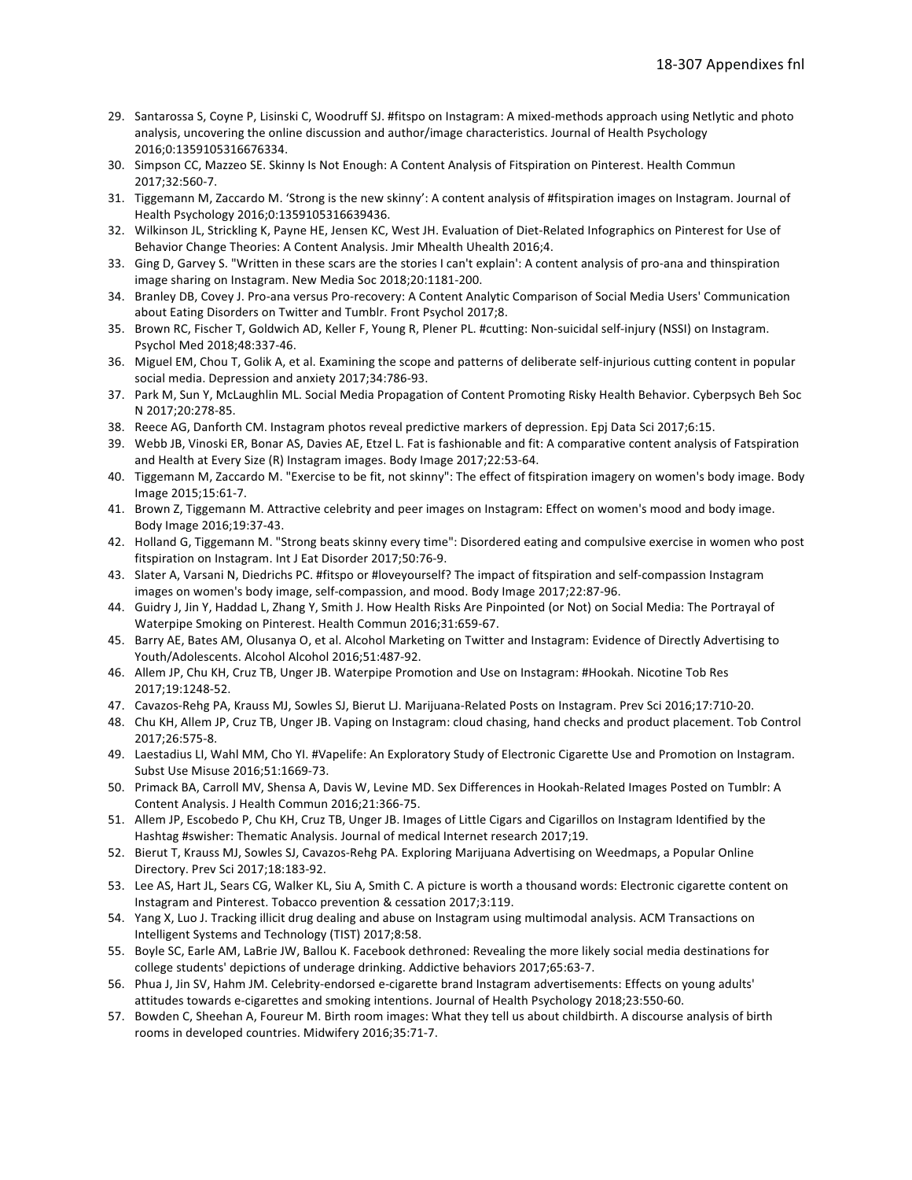- 29. Santarossa S, Coyne P, Lisinski C, Woodruff SJ. #fitspo on Instagram: A mixed-methods approach using Netlytic and photo analysis, uncovering the online discussion and author/image characteristics. Journal of Health Psychology 2016;0:1359105316676334.
- 30. Simpson CC, Mazzeo SE. Skinny Is Not Enough: A Content Analysis of Fitspiration on Pinterest. Health Commun 2017;32:560-7.
- 31. Tiggemann M, Zaccardo M. 'Strong is the new skinny': A content analysis of #fitspiration images on Instagram. Journal of Health Psychology 2016;0:1359105316639436.
- 32. Wilkinson JL, Strickling K, Payne HE, Jensen KC, West JH. Evaluation of Diet-Related Infographics on Pinterest for Use of Behavior Change Theories: A Content Analysis. Jmir Mhealth Uhealth 2016;4.
- 33. Ging D, Garvey S. "Written in these scars are the stories I can't explain': A content analysis of pro-ana and thinspiration image sharing on Instagram. New Media Soc 2018;20:1181-200.
- 34. Branley DB, Covey J. Pro-ana versus Pro-recovery: A Content Analytic Comparison of Social Media Users' Communication about Eating Disorders on Twitter and Tumblr. Front Psychol 2017;8.
- 35. Brown RC, Fischer T, Goldwich AD, Keller F, Young R, Plener PL. #cutting: Non-suicidal self-injury (NSSI) on Instagram. Psychol Med 2018;48:337-46.
- 36. Miguel EM, Chou T, Golik A, et al. Examining the scope and patterns of deliberate self-injurious cutting content in popular social media. Depression and anxiety 2017;34:786-93.
- 37. Park M, Sun Y, McLaughlin ML. Social Media Propagation of Content Promoting Risky Health Behavior. Cyberpsych Beh Soc N 2017;20:278-85.
- 38. Reece AG, Danforth CM. Instagram photos reveal predictive markers of depression. Epj Data Sci 2017;6:15.
- 39. Webb JB, Vinoski ER, Bonar AS, Davies AE, Etzel L. Fat is fashionable and fit: A comparative content analysis of Fatspiration and Health at Every Size (R) Instagram images. Body Image 2017;22:53-64.
- 40. Tiggemann M, Zaccardo M. "Exercise to be fit, not skinny": The effect of fitspiration imagery on women's body image. Body Image 2015;15:61-7.
- 41. Brown Z, Tiggemann M. Attractive celebrity and peer images on Instagram: Effect on women's mood and body image. Body Image 2016;19:37-43.
- 42. Holland G, Tiggemann M. "Strong beats skinny every time": Disordered eating and compulsive exercise in women who post fitspiration on Instagram. Int J Eat Disorder 2017;50:76-9.
- 43. Slater A, Varsani N, Diedrichs PC. #fitspo or #loveyourself? The impact of fitspiration and self-compassion Instagram images on women's body image, self-compassion, and mood. Body Image 2017;22:87-96.
- 44. Guidry J, Jin Y, Haddad L, Zhang Y, Smith J. How Health Risks Are Pinpointed (or Not) on Social Media: The Portrayal of Waterpipe Smoking on Pinterest. Health Commun 2016;31:659-67.
- 45. Barry AE, Bates AM, Olusanya O, et al. Alcohol Marketing on Twitter and Instagram: Evidence of Directly Advertising to Youth/Adolescents. Alcohol Alcohol 2016;51:487-92.
- 46. Allem JP, Chu KH, Cruz TB, Unger JB. Waterpipe Promotion and Use on Instagram: #Hookah. Nicotine Tob Res 2017;19:1248-52.
- 47. Cavazos-Rehg PA, Krauss MJ, Sowles SJ, Bierut LJ. Marijuana-Related Posts on Instagram. Prev Sci 2016;17:710-20.
- 48. Chu KH, Allem JP, Cruz TB, Unger JB. Vaping on Instagram: cloud chasing, hand checks and product placement. Tob Control 2017:26:575-8.
- 49. Laestadius LI, Wahl MM, Cho YI. #Vapelife: An Exploratory Study of Electronic Cigarette Use and Promotion on Instagram. Subst Use Misuse 2016;51:1669-73.
- 50. Primack BA, Carroll MV, Shensa A, Davis W, Levine MD. Sex Differences in Hookah-Related Images Posted on Tumblr: A Content Analysis. J Health Commun 2016;21:366-75.
- 51. Allem JP, Escobedo P, Chu KH, Cruz TB, Unger JB. Images of Little Cigars and Cigarillos on Instagram Identified by the Hashtag #swisher: Thematic Analysis. Journal of medical Internet research 2017;19.
- 52. Bierut T, Krauss MJ, Sowles SJ, Cavazos-Rehg PA. Exploring Marijuana Advertising on Weedmaps, a Popular Online Directory. Prev Sci 2017;18:183-92.
- 53. Lee AS, Hart JL, Sears CG, Walker KL, Siu A, Smith C. A picture is worth a thousand words: Electronic cigarette content on Instagram and Pinterest. Tobacco prevention & cessation 2017;3:119.
- 54. Yang X, Luo J. Tracking illicit drug dealing and abuse on Instagram using multimodal analysis. ACM Transactions on Intelligent Systems and Technology (TIST) 2017;8:58.
- 55. Boyle SC, Earle AM, LaBrie JW, Ballou K. Facebook dethroned: Revealing the more likely social media destinations for college students' depictions of underage drinking. Addictive behaviors 2017;65:63-7.
- 56. Phua J, Jin SV, Hahm JM. Celebrity-endorsed e-cigarette brand Instagram advertisements: Effects on young adults' attitudes towards e-cigarettes and smoking intentions. Journal of Health Psychology 2018;23:550-60.
- 57. Bowden C, Sheehan A, Foureur M. Birth room images: What they tell us about childbirth. A discourse analysis of birth rooms in developed countries. Midwifery 2016;35:71-7.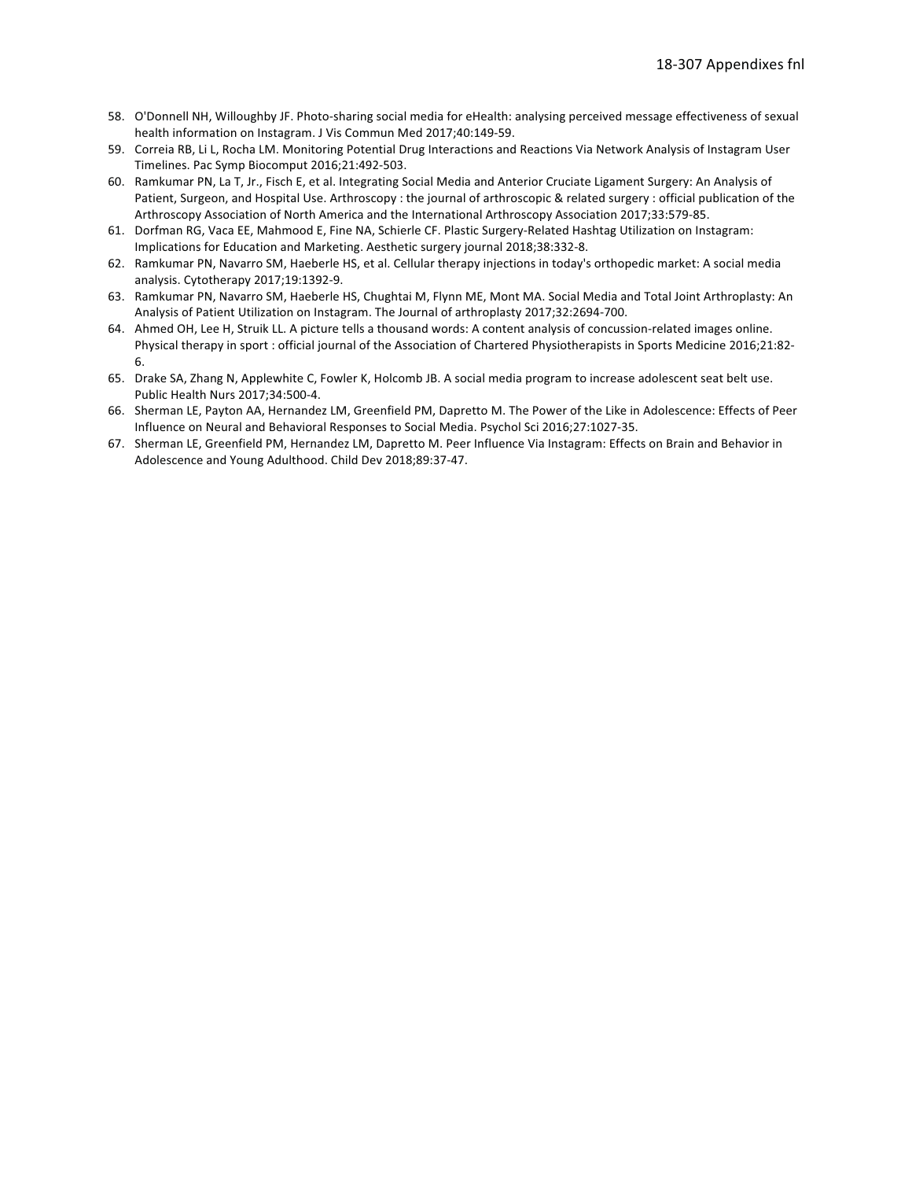- 58. O'Donnell NH, Willoughby JF. Photo-sharing social media for eHealth: analysing perceived message effectiveness of sexual health information on Instagram. J Vis Commun Med 2017;40:149-59.
- 59. Correia RB, Li L, Rocha LM. Monitoring Potential Drug Interactions and Reactions Via Network Analysis of Instagram User Timelines. Pac Symp Biocomput 2016;21:492-503.
- 60. Ramkumar PN, La T, Jr., Fisch E, et al. Integrating Social Media and Anterior Cruciate Ligament Surgery: An Analysis of Patient, Surgeon, and Hospital Use. Arthroscopy : the journal of arthroscopic & related surgery : official publication of the Arthroscopy Association of North America and the International Arthroscopy Association 2017;33:579-85.
- 61. Dorfman RG, Vaca EE, Mahmood E, Fine NA, Schierle CF. Plastic Surgery-Related Hashtag Utilization on Instagram: Implications for Education and Marketing. Aesthetic surgery journal 2018;38:332-8.
- 62. Ramkumar PN, Navarro SM, Haeberle HS, et al. Cellular therapy injections in today's orthopedic market: A social media analysis. Cytotherapy 2017;19:1392-9.
- 63. Ramkumar PN, Navarro SM, Haeberle HS, Chughtai M, Flynn ME, Mont MA. Social Media and Total Joint Arthroplasty: An Analysis of Patient Utilization on Instagram. The Journal of arthroplasty 2017;32:2694-700.
- 64. Ahmed OH, Lee H, Struik LL. A picture tells a thousand words: A content analysis of concussion-related images online. Physical therapy in sport : official journal of the Association of Chartered Physiotherapists in Sports Medicine 2016;21:82- $6.$
- 65. Drake SA, Zhang N, Applewhite C, Fowler K, Holcomb JB. A social media program to increase adolescent seat belt use. Public Health Nurs 2017;34:500-4.
- 66. Sherman LE, Payton AA, Hernandez LM, Greenfield PM, Dapretto M. The Power of the Like in Adolescence: Effects of Peer Influence on Neural and Behavioral Responses to Social Media. Psychol Sci 2016;27:1027-35.
- 67. Sherman LE, Greenfield PM, Hernandez LM, Dapretto M. Peer Influence Via Instagram: Effects on Brain and Behavior in Adolescence and Young Adulthood. Child Dev 2018;89:37-47.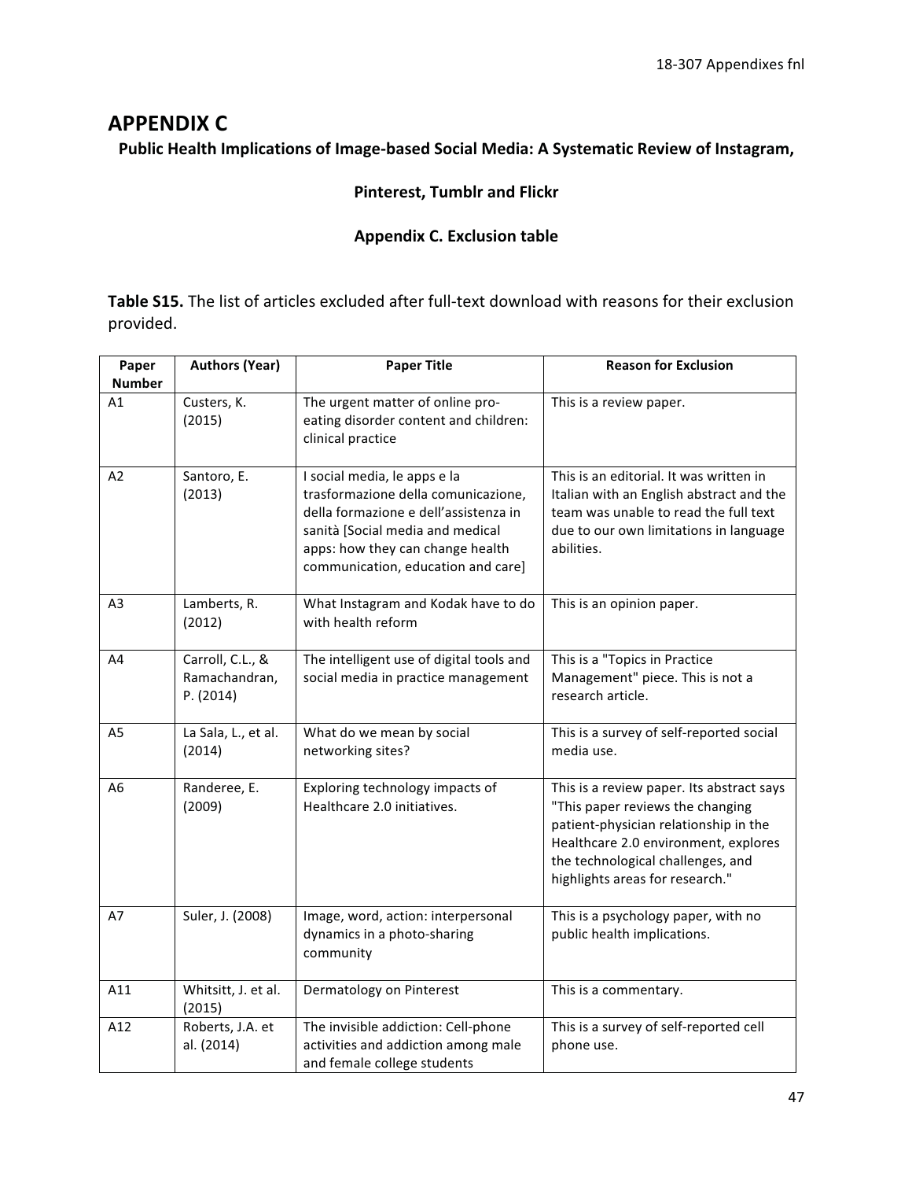# **APPENDIX C**

# Public Health Implications of Image-based Social Media: A Systematic Review of Instagram,

# **Pinterest, Tumblr and Flickr**

# **Appendix C. Exclusion table**

Table S15. The list of articles excluded after full-text download with reasons for their exclusion provided.

| Paper               | <b>Authors (Year)</b>                          | <b>Paper Title</b>                                                                                                                                                                                                         | <b>Reason for Exclusion</b>                                                                                                                                                                                                            |
|---------------------|------------------------------------------------|----------------------------------------------------------------------------------------------------------------------------------------------------------------------------------------------------------------------------|----------------------------------------------------------------------------------------------------------------------------------------------------------------------------------------------------------------------------------------|
| <b>Number</b><br>A1 | Custers, K.<br>(2015)                          | The urgent matter of online pro-<br>eating disorder content and children:<br>clinical practice                                                                                                                             | This is a review paper.                                                                                                                                                                                                                |
| A2                  | Santoro, E.<br>(2013)                          | I social media, le apps e la<br>trasformazione della comunicazione,<br>della formazione e dell'assistenza in<br>sanità [Social media and medical<br>apps: how they can change health<br>communication, education and care] | This is an editorial. It was written in<br>Italian with an English abstract and the<br>team was unable to read the full text<br>due to our own limitations in language<br>abilities.                                                   |
| A <sub>3</sub>      | Lamberts, R.<br>(2012)                         | What Instagram and Kodak have to do<br>with health reform                                                                                                                                                                  | This is an opinion paper.                                                                                                                                                                                                              |
| A4                  | Carroll, C.L., &<br>Ramachandran,<br>P. (2014) | The intelligent use of digital tools and<br>social media in practice management                                                                                                                                            | This is a "Topics in Practice<br>Management" piece. This is not a<br>research article.                                                                                                                                                 |
| A5                  | La Sala, L., et al.<br>(2014)                  | What do we mean by social<br>networking sites?                                                                                                                                                                             | This is a survey of self-reported social<br>media use.                                                                                                                                                                                 |
| A6                  | Randeree, E.<br>(2009)                         | Exploring technology impacts of<br>Healthcare 2.0 initiatives.                                                                                                                                                             | This is a review paper. Its abstract says<br>"This paper reviews the changing<br>patient-physician relationship in the<br>Healthcare 2.0 environment, explores<br>the technological challenges, and<br>highlights areas for research." |
| A7                  | Suler, J. (2008)                               | Image, word, action: interpersonal<br>dynamics in a photo-sharing<br>community                                                                                                                                             | This is a psychology paper, with no<br>public health implications.                                                                                                                                                                     |
| A11                 | Whitsitt, J. et al.<br>(2015)                  | Dermatology on Pinterest                                                                                                                                                                                                   | This is a commentary.                                                                                                                                                                                                                  |
| A12                 | Roberts, J.A. et<br>al. (2014)                 | The invisible addiction: Cell-phone<br>activities and addiction among male<br>and female college students                                                                                                                  | This is a survey of self-reported cell<br>phone use.                                                                                                                                                                                   |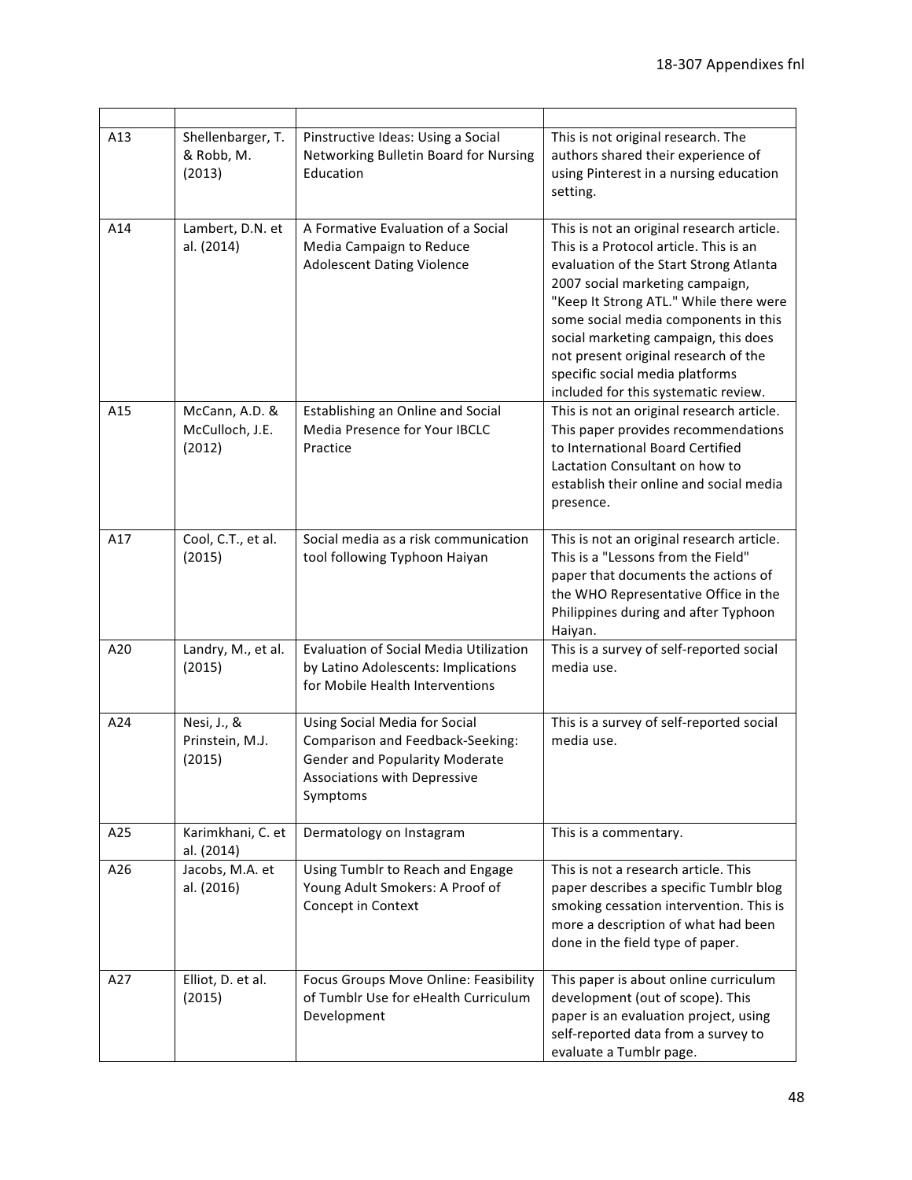| A13 | Shellenbarger, T.<br>& Robb, M.<br>(2013)   | Pinstructive Ideas: Using a Social<br>Networking Bulletin Board for Nursing<br>Education                                                               | This is not original research. The<br>authors shared their experience of<br>using Pinterest in a nursing education<br>setting.                                                                                                                                                                                                                                                                                |
|-----|---------------------------------------------|--------------------------------------------------------------------------------------------------------------------------------------------------------|---------------------------------------------------------------------------------------------------------------------------------------------------------------------------------------------------------------------------------------------------------------------------------------------------------------------------------------------------------------------------------------------------------------|
| A14 | Lambert, D.N. et<br>al. (2014)              | A Formative Evaluation of a Social<br>Media Campaign to Reduce<br><b>Adolescent Dating Violence</b>                                                    | This is not an original research article.<br>This is a Protocol article. This is an<br>evaluation of the Start Strong Atlanta<br>2007 social marketing campaign,<br>"Keep It Strong ATL." While there were<br>some social media components in this<br>social marketing campaign, this does<br>not present original research of the<br>specific social media platforms<br>included for this systematic review. |
| A15 | McCann, A.D. &<br>McCulloch, J.E.<br>(2012) | Establishing an Online and Social<br><b>Media Presence for Your IBCLC</b><br>Practice                                                                  | This is not an original research article.<br>This paper provides recommendations<br>to International Board Certified<br>Lactation Consultant on how to<br>establish their online and social media<br>presence.                                                                                                                                                                                                |
| A17 | Cool, C.T., et al.<br>(2015)                | Social media as a risk communication<br>tool following Typhoon Haiyan                                                                                  | This is not an original research article.<br>This is a "Lessons from the Field"<br>paper that documents the actions of<br>the WHO Representative Office in the<br>Philippines during and after Typhoon<br>Haiyan.                                                                                                                                                                                             |
| A20 | Landry, M., et al.<br>(2015)                | <b>Evaluation of Social Media Utilization</b><br>by Latino Adolescents: Implications<br>for Mobile Health Interventions                                | This is a survey of self-reported social<br>media use.                                                                                                                                                                                                                                                                                                                                                        |
| A24 | Nesi, J., &<br>Prinstein, M.J.<br>(2015)    | Using Social Media for Social<br>Comparison and Feedback-Seeking:<br><b>Gender and Popularity Moderate</b><br>Associations with Depressive<br>Symptoms | This is a survey of self-reported social<br>media use.                                                                                                                                                                                                                                                                                                                                                        |
| A25 | Karimkhani, C. et<br>al. (2014)             | Dermatology on Instagram                                                                                                                               | This is a commentary.                                                                                                                                                                                                                                                                                                                                                                                         |
| A26 | Jacobs, M.A. et<br>al. (2016)               | Using Tumblr to Reach and Engage<br>Young Adult Smokers: A Proof of<br>Concept in Context                                                              | This is not a research article. This<br>paper describes a specific Tumblr blog<br>smoking cessation intervention. This is<br>more a description of what had been<br>done in the field type of paper.                                                                                                                                                                                                          |
| A27 | Elliot, D. et al.<br>(2015)                 | Focus Groups Move Online: Feasibility<br>of Tumblr Use for eHealth Curriculum<br>Development                                                           | This paper is about online curriculum<br>development (out of scope). This<br>paper is an evaluation project, using<br>self-reported data from a survey to<br>evaluate a Tumblr page.                                                                                                                                                                                                                          |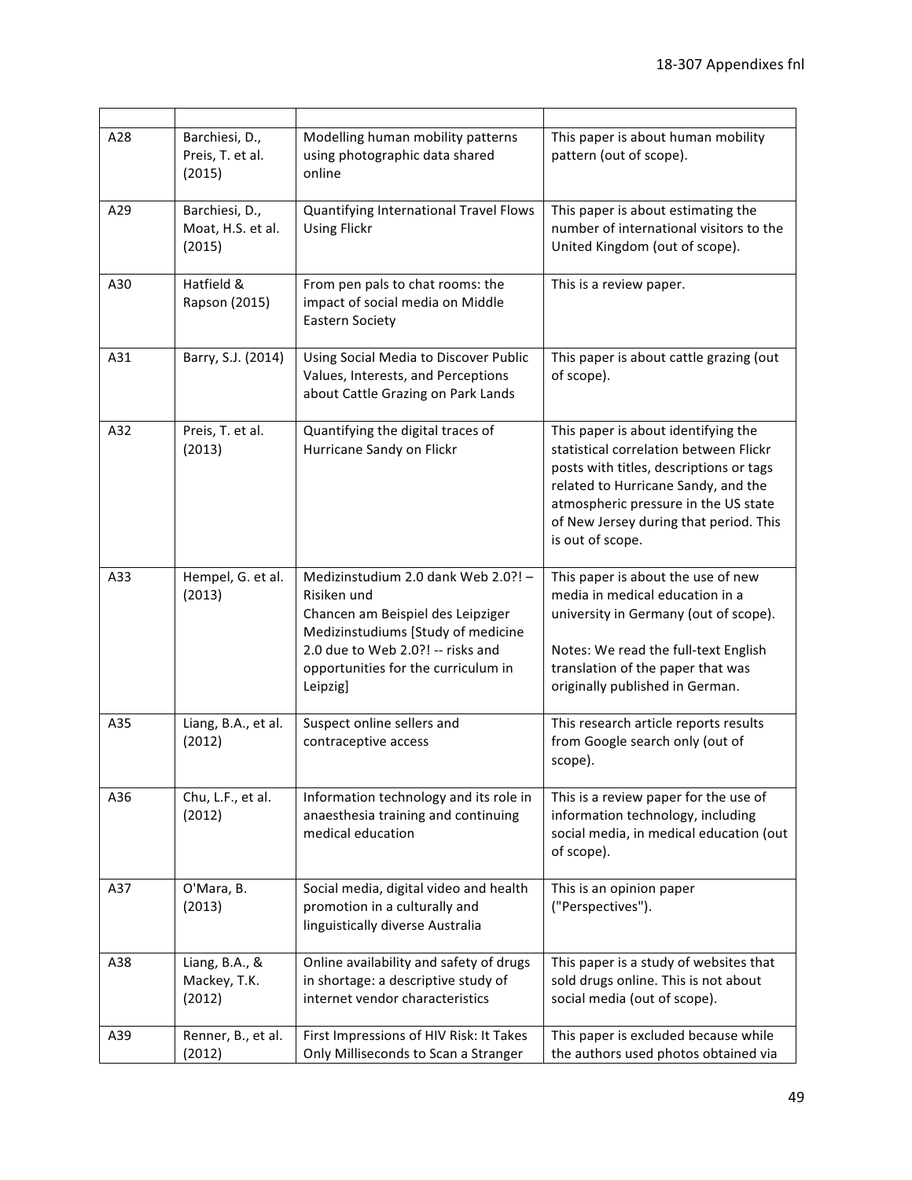| A28 | Barchiesi, D.,<br>Preis, T. et al.<br>(2015)  | Modelling human mobility patterns<br>using photographic data shared<br>online                                                                                                                                         | This paper is about human mobility<br>pattern (out of scope).                                                                                                                                                                                                         |
|-----|-----------------------------------------------|-----------------------------------------------------------------------------------------------------------------------------------------------------------------------------------------------------------------------|-----------------------------------------------------------------------------------------------------------------------------------------------------------------------------------------------------------------------------------------------------------------------|
| A29 | Barchiesi, D.,<br>Moat, H.S. et al.<br>(2015) | Quantifying International Travel Flows<br><b>Using Flickr</b>                                                                                                                                                         | This paper is about estimating the<br>number of international visitors to the<br>United Kingdom (out of scope).                                                                                                                                                       |
| A30 | Hatfield &<br>Rapson (2015)                   | From pen pals to chat rooms: the<br>impact of social media on Middle<br><b>Eastern Society</b>                                                                                                                        | This is a review paper.                                                                                                                                                                                                                                               |
| A31 | Barry, S.J. (2014)                            | Using Social Media to Discover Public<br>Values, Interests, and Perceptions<br>about Cattle Grazing on Park Lands                                                                                                     | This paper is about cattle grazing (out<br>of scope).                                                                                                                                                                                                                 |
| A32 | Preis, T. et al.<br>(2013)                    | Quantifying the digital traces of<br>Hurricane Sandy on Flickr                                                                                                                                                        | This paper is about identifying the<br>statistical correlation between Flickr<br>posts with titles, descriptions or tags<br>related to Hurricane Sandy, and the<br>atmospheric pressure in the US state<br>of New Jersey during that period. This<br>is out of scope. |
| A33 | Hempel, G. et al.<br>(2013)                   | Medizinstudium 2.0 dank Web 2.0?! -<br>Risiken und<br>Chancen am Beispiel des Leipziger<br>Medizinstudiums [Study of medicine<br>2.0 due to Web 2.0?! -- risks and<br>opportunities for the curriculum in<br>Leipzig] | This paper is about the use of new<br>media in medical education in a<br>university in Germany (out of scope).<br>Notes: We read the full-text English<br>translation of the paper that was<br>originally published in German.                                        |
| A35 | Liang, B.A., et al.<br>(2012)                 | Suspect online sellers and<br>contraceptive access                                                                                                                                                                    | This research article reports results<br>from Google search only (out of<br>scope).                                                                                                                                                                                   |
| A36 | Chu, L.F., et al.<br>(2012)                   | Information technology and its role in<br>anaesthesia training and continuing<br>medical education                                                                                                                    | This is a review paper for the use of<br>information technology, including<br>social media, in medical education (out<br>of scope).                                                                                                                                   |
| A37 | O'Mara, B.<br>(2013)                          | Social media, digital video and health<br>promotion in a culturally and<br>linguistically diverse Australia                                                                                                           | This is an opinion paper<br>("Perspectives").                                                                                                                                                                                                                         |
| A38 | Liang, B.A., &<br>Mackey, T.K.<br>(2012)      | Online availability and safety of drugs<br>in shortage: a descriptive study of<br>internet vendor characteristics                                                                                                     | This paper is a study of websites that<br>sold drugs online. This is not about<br>social media (out of scope).                                                                                                                                                        |
| A39 | Renner, B., et al.<br>(2012)                  | First Impressions of HIV Risk: It Takes<br>Only Milliseconds to Scan a Stranger                                                                                                                                       | This paper is excluded because while<br>the authors used photos obtained via                                                                                                                                                                                          |

—<br>————

 $\overline{\phantom{a}}$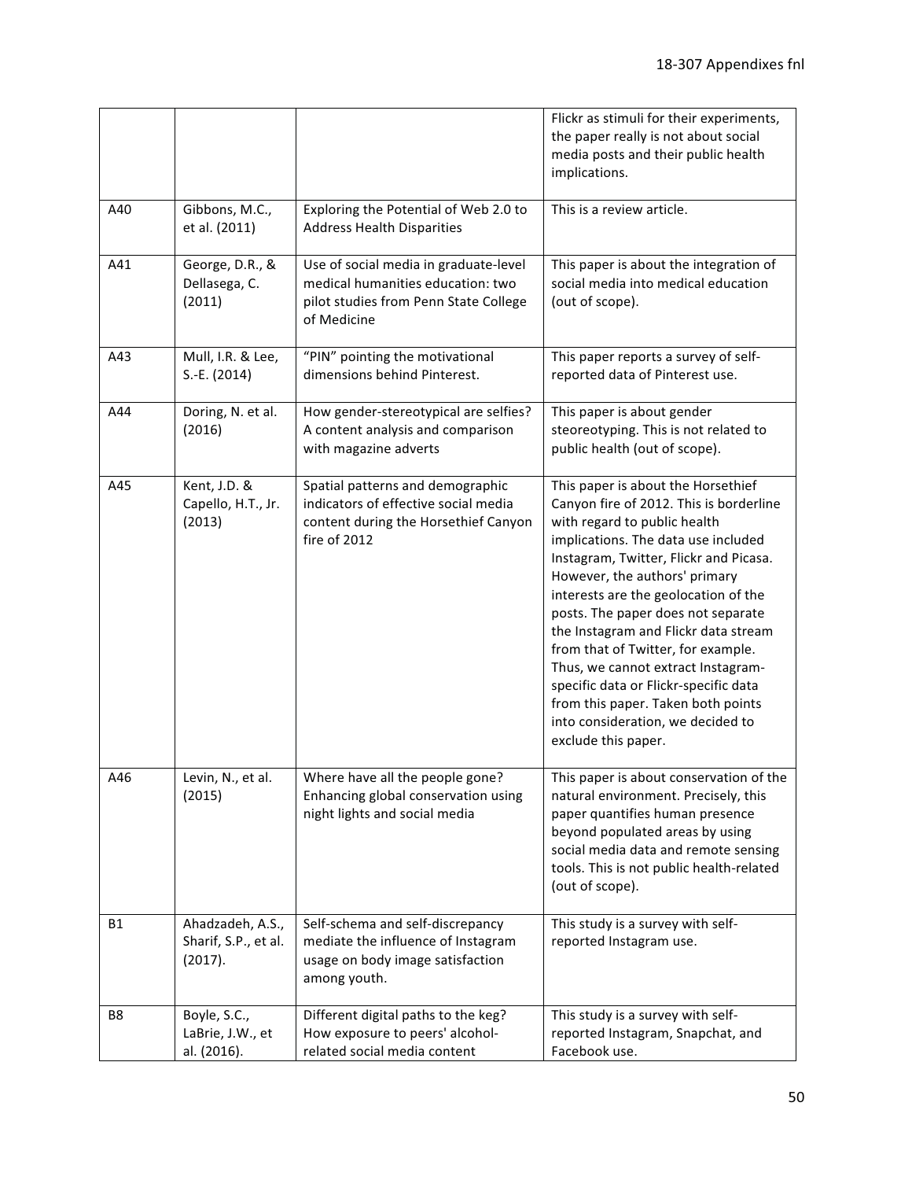|     |                                                     |                                                                                                                                    | Flickr as stimuli for their experiments,<br>the paper really is not about social<br>media posts and their public health<br>implications.                                                                                                                                                                                                                                                                                                                                                                                                                                     |
|-----|-----------------------------------------------------|------------------------------------------------------------------------------------------------------------------------------------|------------------------------------------------------------------------------------------------------------------------------------------------------------------------------------------------------------------------------------------------------------------------------------------------------------------------------------------------------------------------------------------------------------------------------------------------------------------------------------------------------------------------------------------------------------------------------|
| A40 | Gibbons, M.C.,<br>et al. (2011)                     | Exploring the Potential of Web 2.0 to<br><b>Address Health Disparities</b>                                                         | This is a review article.                                                                                                                                                                                                                                                                                                                                                                                                                                                                                                                                                    |
| A41 | George, D.R., &<br>Dellasega, C.<br>(2011)          | Use of social media in graduate-level<br>medical humanities education: two<br>pilot studies from Penn State College<br>of Medicine | This paper is about the integration of<br>social media into medical education<br>(out of scope).                                                                                                                                                                                                                                                                                                                                                                                                                                                                             |
| A43 | Mull, I.R. & Lee,<br>S.-E. (2014)                   | "PIN" pointing the motivational<br>dimensions behind Pinterest.                                                                    | This paper reports a survey of self-<br>reported data of Pinterest use.                                                                                                                                                                                                                                                                                                                                                                                                                                                                                                      |
| A44 | Doring, N. et al.<br>(2016)                         | How gender-stereotypical are selfies?<br>A content analysis and comparison<br>with magazine adverts                                | This paper is about gender<br>steoreotyping. This is not related to<br>public health (out of scope).                                                                                                                                                                                                                                                                                                                                                                                                                                                                         |
| A45 | Kent, J.D. &<br>Capello, H.T., Jr.<br>(2013)        | Spatial patterns and demographic<br>indicators of effective social media<br>content during the Horsethief Canyon<br>fire of 2012   | This paper is about the Horsethief<br>Canyon fire of 2012. This is borderline<br>with regard to public health<br>implications. The data use included<br>Instagram, Twitter, Flickr and Picasa.<br>However, the authors' primary<br>interests are the geolocation of the<br>posts. The paper does not separate<br>the Instagram and Flickr data stream<br>from that of Twitter, for example.<br>Thus, we cannot extract Instagram-<br>specific data or Flickr-specific data<br>from this paper. Taken both points<br>into consideration, we decided to<br>exclude this paper. |
| A46 | Levin, N., et al.<br>(2015)                         | Where have all the people gone?<br>Enhancing global conservation using<br>night lights and social media                            | This paper is about conservation of the<br>natural environment. Precisely, this<br>paper quantifies human presence<br>beyond populated areas by using<br>social media data and remote sensing<br>tools. This is not public health-related<br>(out of scope).                                                                                                                                                                                                                                                                                                                 |
| B1  | Ahadzadeh, A.S.,<br>Sharif, S.P., et al.<br>(2017). | Self-schema and self-discrepancy<br>mediate the influence of Instagram<br>usage on body image satisfaction<br>among youth.         | This study is a survey with self-<br>reported Instagram use.                                                                                                                                                                                                                                                                                                                                                                                                                                                                                                                 |
| B8  | Boyle, S.C.,<br>LaBrie, J.W., et<br>al. (2016).     | Different digital paths to the keg?<br>How exposure to peers' alcohol-<br>related social media content                             | This study is a survey with self-<br>reported Instagram, Snapchat, and<br>Facebook use.                                                                                                                                                                                                                                                                                                                                                                                                                                                                                      |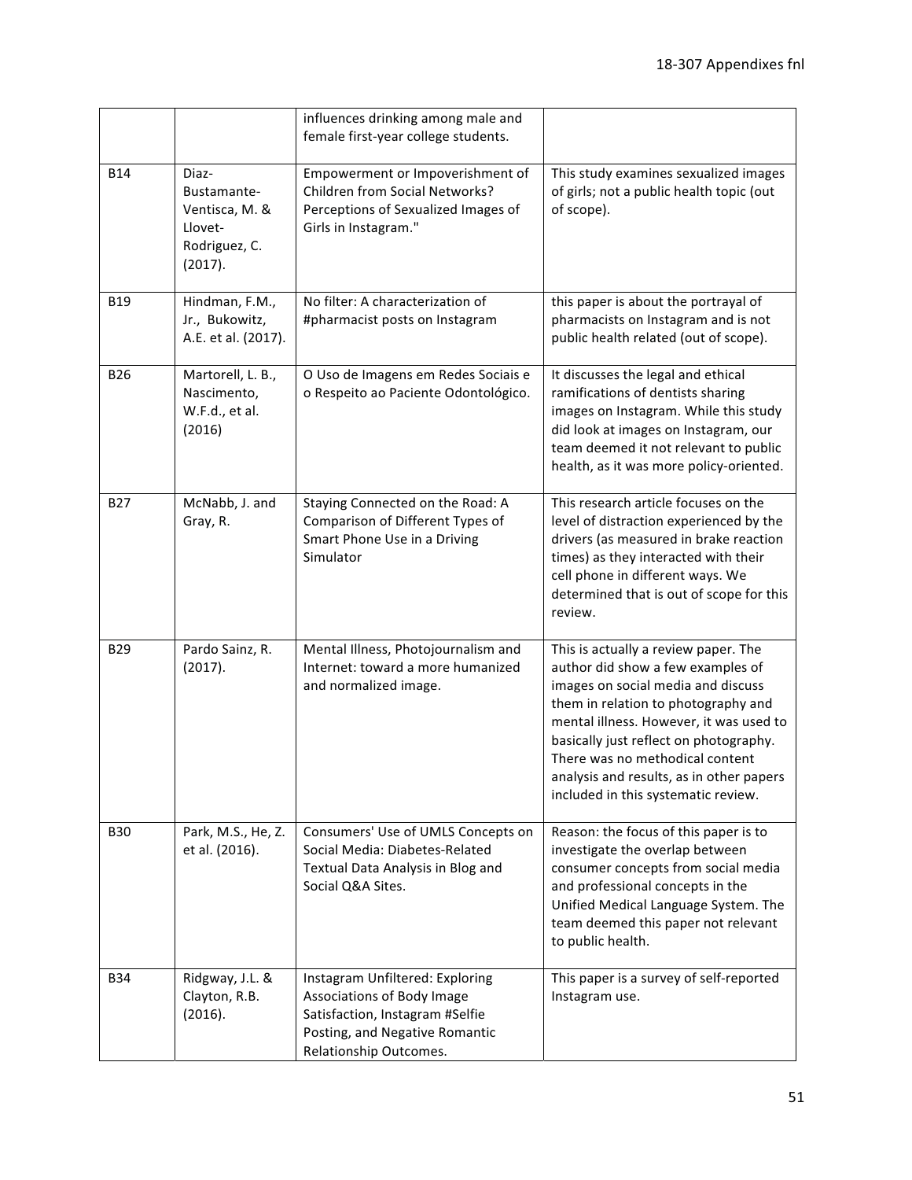|            |                                                                               | influences drinking among male and<br>female first-year college students.                                                                                    |                                                                                                                                                                                                                                                                                                                                                                   |
|------------|-------------------------------------------------------------------------------|--------------------------------------------------------------------------------------------------------------------------------------------------------------|-------------------------------------------------------------------------------------------------------------------------------------------------------------------------------------------------------------------------------------------------------------------------------------------------------------------------------------------------------------------|
| <b>B14</b> | Diaz-<br>Bustamante-<br>Ventisca, M. &<br>Llovet-<br>Rodriguez, C.<br>(2017). | Empowerment or Impoverishment of<br>Children from Social Networks?<br>Perceptions of Sexualized Images of<br>Girls in Instagram."                            | This study examines sexualized images<br>of girls; not a public health topic (out<br>of scope).                                                                                                                                                                                                                                                                   |
| <b>B19</b> | Hindman, F.M.,<br>Jr., Bukowitz,<br>A.E. et al. (2017).                       | No filter: A characterization of<br>#pharmacist posts on Instagram                                                                                           | this paper is about the portrayal of<br>pharmacists on Instagram and is not<br>public health related (out of scope).                                                                                                                                                                                                                                              |
| <b>B26</b> | Martorell, L. B.,<br>Nascimento,<br>W.F.d., et al.<br>(2016)                  | O Uso de Imagens em Redes Sociais e<br>o Respeito ao Paciente Odontológico.                                                                                  | It discusses the legal and ethical<br>ramifications of dentists sharing<br>images on Instagram. While this study<br>did look at images on Instagram, our<br>team deemed it not relevant to public<br>health, as it was more policy-oriented.                                                                                                                      |
| <b>B27</b> | McNabb, J. and<br>Gray, R.                                                    | Staying Connected on the Road: A<br>Comparison of Different Types of<br>Smart Phone Use in a Driving<br>Simulator                                            | This research article focuses on the<br>level of distraction experienced by the<br>drivers (as measured in brake reaction<br>times) as they interacted with their<br>cell phone in different ways. We<br>determined that is out of scope for this<br>review.                                                                                                      |
| <b>B29</b> | Pardo Sainz, R.<br>(2017).                                                    | Mental Illness, Photojournalism and<br>Internet: toward a more humanized<br>and normalized image.                                                            | This is actually a review paper. The<br>author did show a few examples of<br>images on social media and discuss<br>them in relation to photography and<br>mental illness. However, it was used to<br>basically just reflect on photography.<br>There was no methodical content<br>analysis and results, as in other papers<br>included in this systematic review. |
| <b>B30</b> | Park, M.S., He, Z.<br>et al. (2016).                                          | Consumers' Use of UMLS Concepts on<br>Social Media: Diabetes-Related<br>Textual Data Analysis in Blog and<br>Social Q&A Sites.                               | Reason: the focus of this paper is to<br>investigate the overlap between<br>consumer concepts from social media<br>and professional concepts in the<br>Unified Medical Language System. The<br>team deemed this paper not relevant<br>to public health.                                                                                                           |
| <b>B34</b> | Ridgway, J.L. &<br>Clayton, R.B.<br>(2016).                                   | Instagram Unfiltered: Exploring<br>Associations of Body Image<br>Satisfaction, Instagram #Selfie<br>Posting, and Negative Romantic<br>Relationship Outcomes. | This paper is a survey of self-reported<br>Instagram use.                                                                                                                                                                                                                                                                                                         |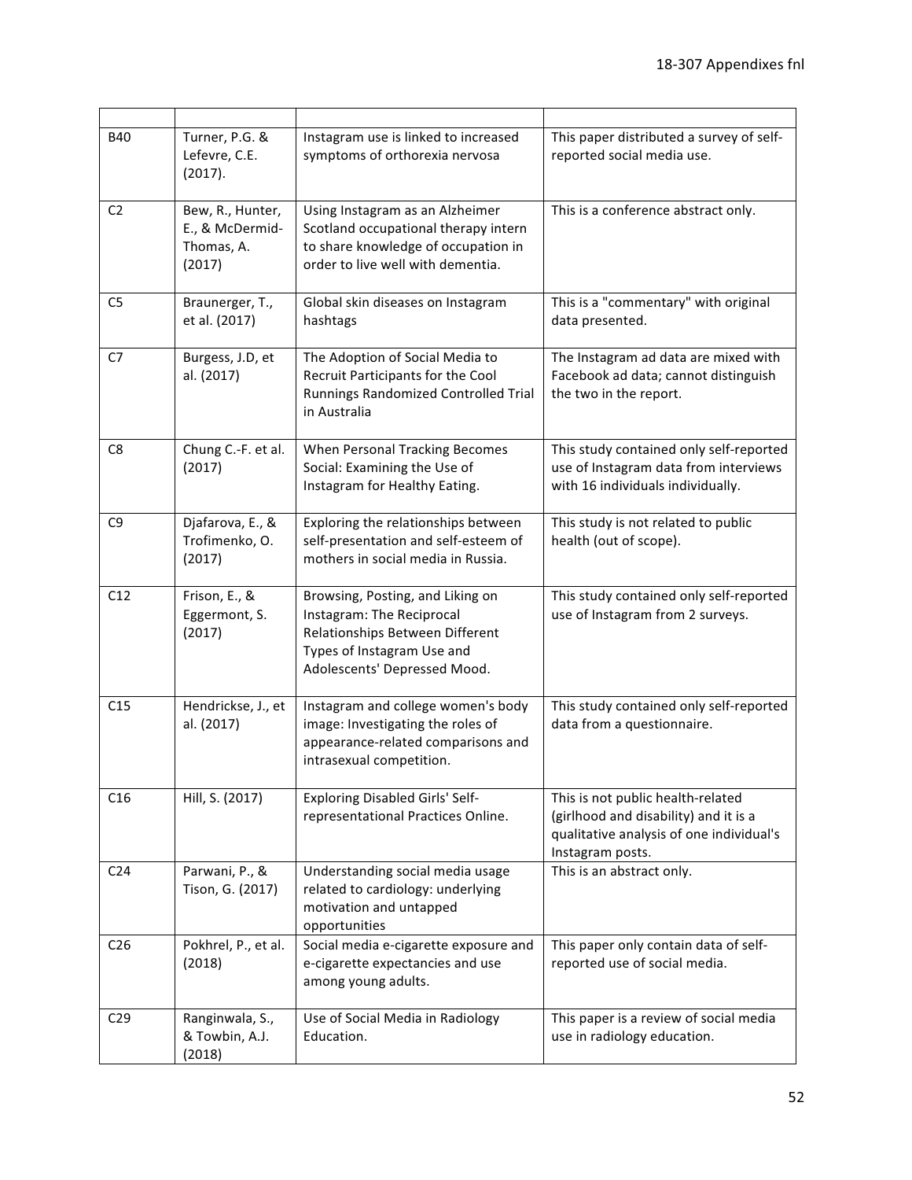| <b>B40</b>      | Turner, P.G. &<br>Lefevre, C.E.<br>(2017).                  | Instagram use is linked to increased<br>symptoms of orthorexia nervosa                                                                                         | This paper distributed a survey of self-<br>reported social media use.                                                                     |
|-----------------|-------------------------------------------------------------|----------------------------------------------------------------------------------------------------------------------------------------------------------------|--------------------------------------------------------------------------------------------------------------------------------------------|
| C <sub>2</sub>  | Bew, R., Hunter,<br>E., & McDermid-<br>Thomas, A.<br>(2017) | Using Instagram as an Alzheimer<br>Scotland occupational therapy intern<br>to share knowledge of occupation in<br>order to live well with dementia.            | This is a conference abstract only.                                                                                                        |
| C <sub>5</sub>  | Braunerger, T.,<br>et al. (2017)                            | Global skin diseases on Instagram<br>hashtags                                                                                                                  | This is a "commentary" with original<br>data presented.                                                                                    |
| C7              | Burgess, J.D, et<br>al. (2017)                              | The Adoption of Social Media to<br>Recruit Participants for the Cool<br>Runnings Randomized Controlled Trial<br>in Australia                                   | The Instagram ad data are mixed with<br>Facebook ad data; cannot distinguish<br>the two in the report.                                     |
| C8              | Chung C .- F. et al.<br>(2017)                              | When Personal Tracking Becomes<br>Social: Examining the Use of<br>Instagram for Healthy Eating.                                                                | This study contained only self-reported<br>use of Instagram data from interviews<br>with 16 individuals individually.                      |
| C <sub>9</sub>  | Djafarova, E., &<br>Trofimenko, O.<br>(2017)                | Exploring the relationships between<br>self-presentation and self-esteem of<br>mothers in social media in Russia.                                              | This study is not related to public<br>health (out of scope).                                                                              |
| C12             | Frison, E., &<br>Eggermont, S.<br>(2017)                    | Browsing, Posting, and Liking on<br>Instagram: The Reciprocal<br>Relationships Between Different<br>Types of Instagram Use and<br>Adolescents' Depressed Mood. | This study contained only self-reported<br>use of Instagram from 2 surveys.                                                                |
| C15             | Hendrickse, J., et<br>al. (2017)                            | Instagram and college women's body<br>image: Investigating the roles of<br>appearance-related comparisons and<br>intrasexual competition.                      | This study contained only self-reported<br>data from a questionnaire.                                                                      |
| C16             | Hill, S. (2017)                                             | Exploring Disabled Girls' Self-<br>representational Practices Online.                                                                                          | This is not public health-related<br>(girlhood and disability) and it is a<br>qualitative analysis of one individual's<br>Instagram posts. |
| C <sub>24</sub> | Parwani, P., &<br>Tison, G. (2017)                          | Understanding social media usage<br>related to cardiology: underlying<br>motivation and untapped<br>opportunities                                              | This is an abstract only.                                                                                                                  |
| C <sub>26</sub> | Pokhrel, P., et al.<br>(2018)                               | Social media e-cigarette exposure and<br>e-cigarette expectancies and use<br>among young adults.                                                               | This paper only contain data of self-<br>reported use of social media.                                                                     |
| C <sub>29</sub> | Ranginwala, S.,<br>& Towbin, A.J.<br>(2018)                 | Use of Social Media in Radiology<br>Education.                                                                                                                 | This paper is a review of social media<br>use in radiology education.                                                                      |

 $\overline{\phantom{a}}$ 

 $\overline{\phantom{0}}$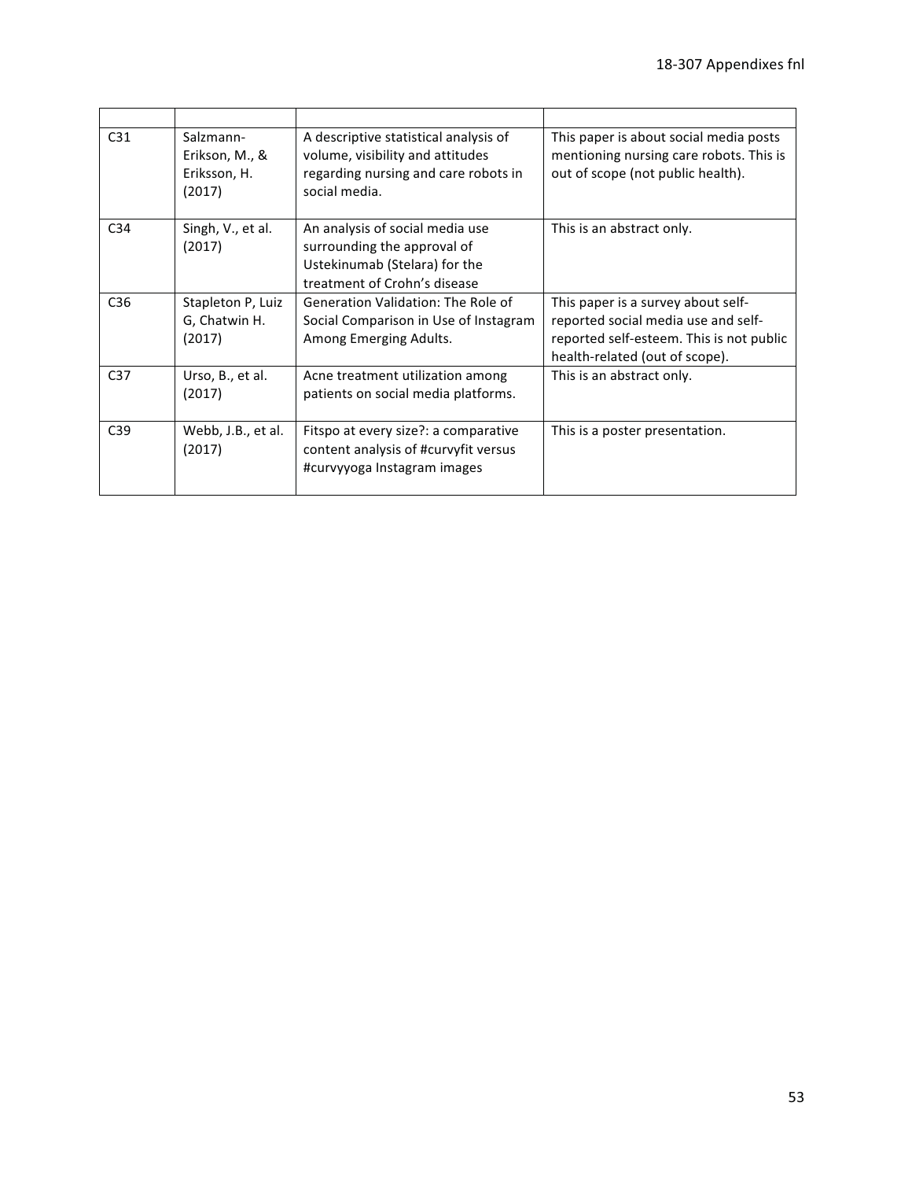| C <sub>31</sub> | Salzmann-<br>Erikson, M., &<br>Eriksson, H.<br>(2017) | A descriptive statistical analysis of<br>volume, visibility and attitudes<br>regarding nursing and care robots in<br>social media. | This paper is about social media posts<br>mentioning nursing care robots. This is<br>out of scope (not public health).                                  |
|-----------------|-------------------------------------------------------|------------------------------------------------------------------------------------------------------------------------------------|---------------------------------------------------------------------------------------------------------------------------------------------------------|
| C <sub>34</sub> | Singh, V., et al.<br>(2017)                           | An analysis of social media use<br>surrounding the approval of<br>Ustekinumab (Stelara) for the<br>treatment of Crohn's disease    | This is an abstract only.                                                                                                                               |
| C <sub>36</sub> | Stapleton P, Luiz<br>G, Chatwin H.<br>(2017)          | <b>Generation Validation: The Role of</b><br>Social Comparison in Use of Instagram<br>Among Emerging Adults.                       | This paper is a survey about self-<br>reported social media use and self-<br>reported self-esteem. This is not public<br>health-related (out of scope). |
| C <sub>37</sub> | Urso, B., et al.<br>(2017)                            | Acne treatment utilization among<br>patients on social media platforms.                                                            | This is an abstract only.                                                                                                                               |
| C <sub>39</sub> | Webb, J.B., et al.<br>(2017)                          | Fitspo at every size?: a comparative<br>content analysis of #curvyfit versus<br>#curvyyoga Instagram images                        | This is a poster presentation.                                                                                                                          |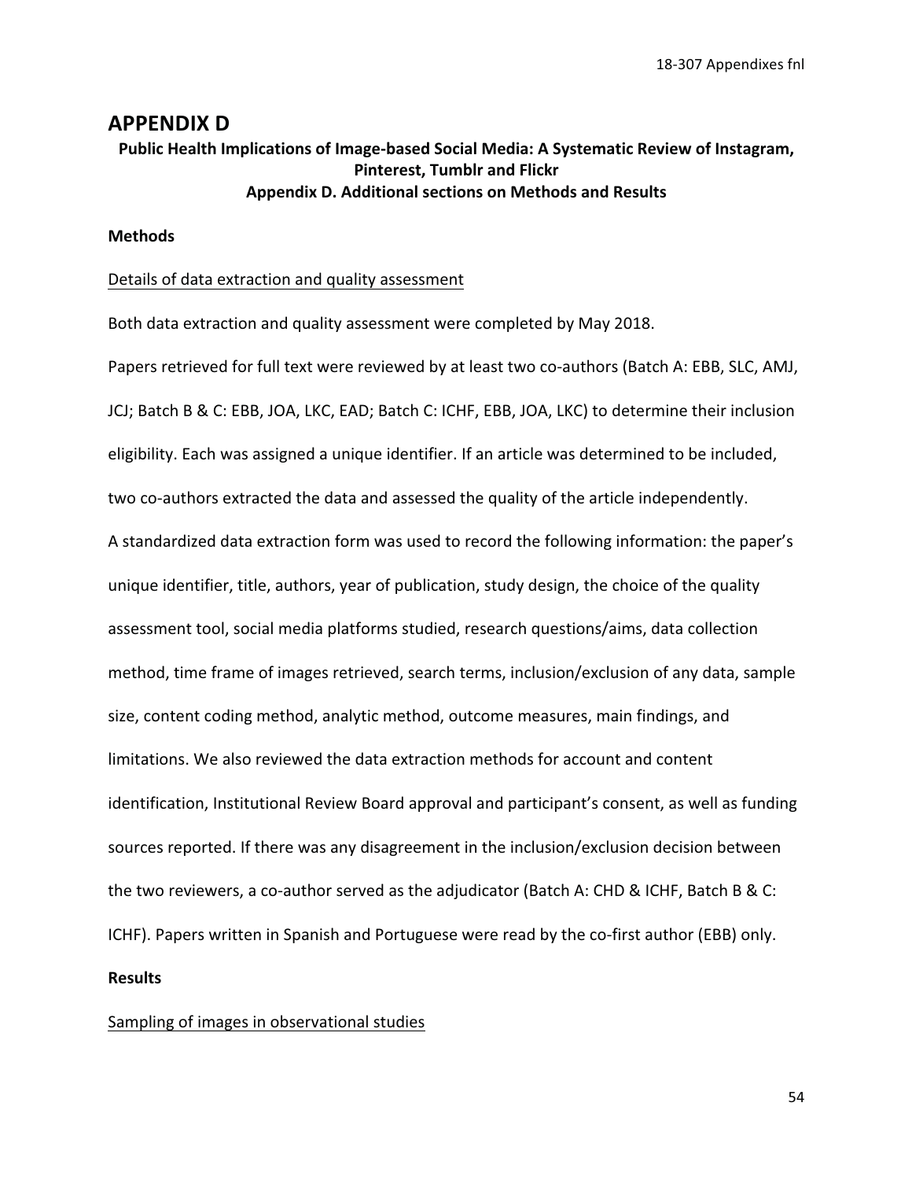## **APPENDIX D**

# Public Health Implications of Image-based Social Media: A Systematic Review of Instagram, **Pinterest, Tumblr and Flickr Appendix D. Additional sections on Methods and Results**

#### **Methods**

#### Details of data extraction and quality assessment

Both data extraction and quality assessment were completed by May 2018.

Papers retrieved for full text were reviewed by at least two co-authors (Batch A: EBB, SLC, AMJ, JCJ; Batch B & C: EBB, JOA, LKC, EAD; Batch C: ICHF, EBB, JOA, LKC) to determine their inclusion eligibility. Each was assigned a unique identifier. If an article was determined to be included, two co-authors extracted the data and assessed the quality of the article independently. A standardized data extraction form was used to record the following information: the paper's unique identifier, title, authors, year of publication, study design, the choice of the quality assessment tool, social media platforms studied, research questions/aims, data collection method, time frame of images retrieved, search terms, inclusion/exclusion of any data, sample size, content coding method, analytic method, outcome measures, main findings, and limitations. We also reviewed the data extraction methods for account and content identification, Institutional Review Board approval and participant's consent, as well as funding sources reported. If there was any disagreement in the inclusion/exclusion decision between the two reviewers, a co-author served as the adjudicator (Batch A: CHD & ICHF, Batch B & C: ICHF). Papers written in Spanish and Portuguese were read by the co-first author (EBB) only.

# **Results**

#### Sampling of images in observational studies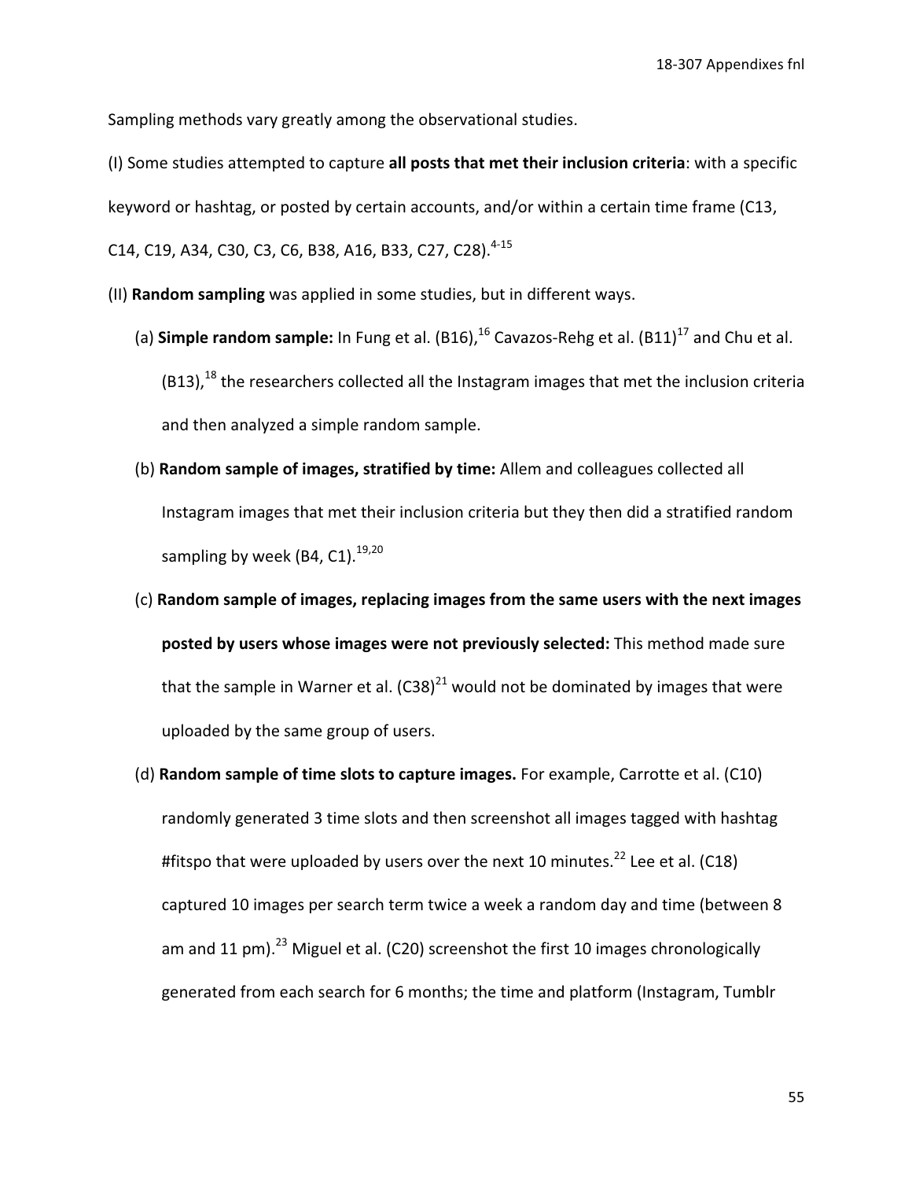Sampling methods vary greatly among the observational studies.

(I) Some studies attempted to capture all posts that met their inclusion criteria: with a specific keyword or hashtag, or posted by certain accounts, and/or within a certain time frame (C13, C14, C19, A34, C30, C3, C6, B38, A16, B33, C27, C28).<sup>4-15</sup>

(II) Random sampling was applied in some studies, but in different ways.

- (a) **Simple random sample:** In Fung et al.  $(B16)$ ,  $^{16}$  Cavazos-Rehg et al.  $(B11)$ <sup>17</sup> and Chu et al. (B13),<sup>18</sup> the researchers collected all the Instagram images that met the inclusion criteria and then analyzed a simple random sample.
- (b) Random sample of images, stratified by time: Allem and colleagues collected all Instagram images that met their inclusion criteria but they then did a stratified random sampling by week (B4, C1).<sup>19,20</sup>
- (c) Random sample of images, replacing images from the same users with the next images posted by users whose images were not previously selected: This method made sure that the sample in Warner et al.  $(C38)^{21}$  would not be dominated by images that were uploaded by the same group of users.
- (d) Random sample of time slots to capture images. For example, Carrotte et al. (C10) randomly generated 3 time slots and then screenshot all images tagged with hashtag #fitspo that were uploaded by users over the next 10 minutes. $^{22}$  Lee et al. (C18) captured 10 images per search term twice a week a random day and time (between 8 am and 11 pm).<sup>23</sup> Miguel et al. (C20) screenshot the first 10 images chronologically generated from each search for 6 months; the time and platform (Instagram, Tumblr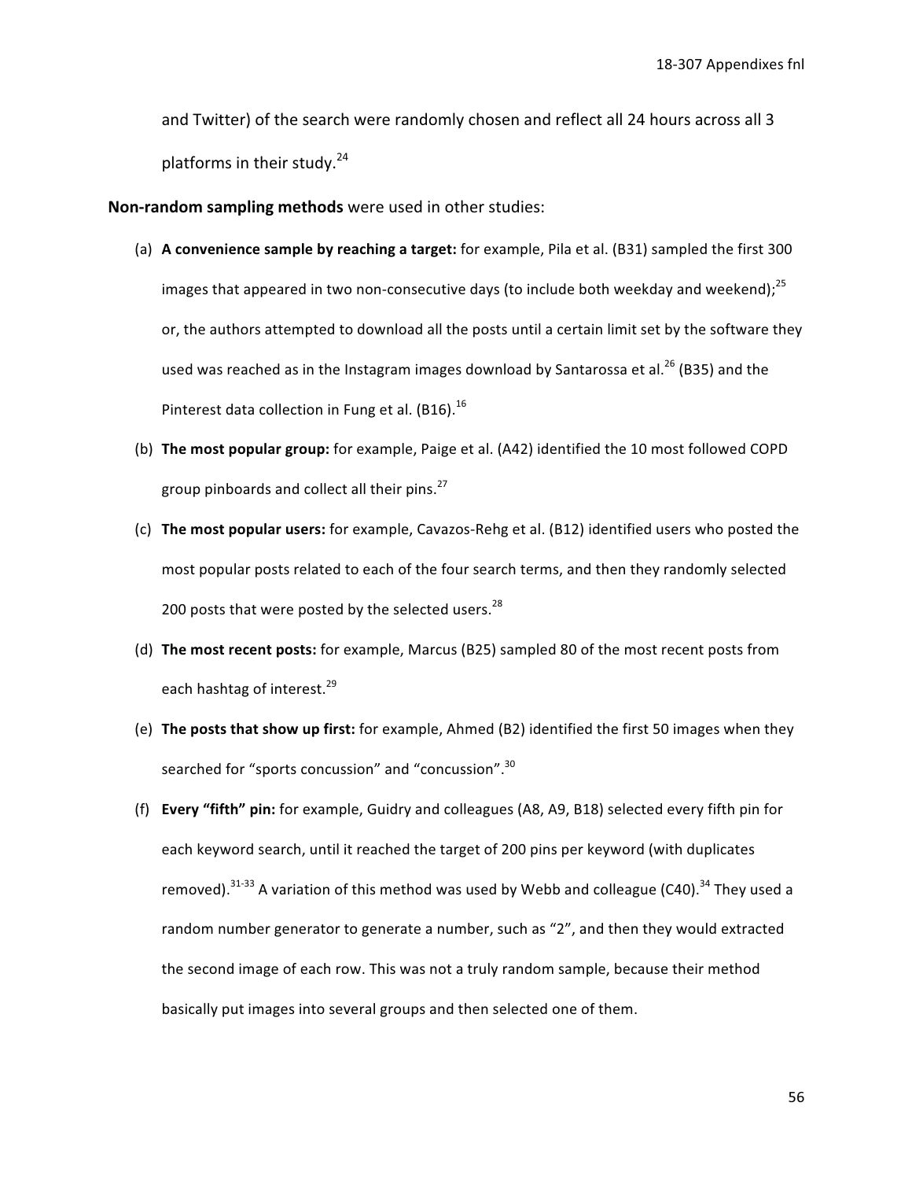and Twitter) of the search were randomly chosen and reflect all 24 hours across all 3 platforms in their study.<sup>24</sup>

Non-random sampling methods were used in other studies:

- (a) A convenience sample by reaching a target: for example, Pila et al. (B31) sampled the first 300 images that appeared in two non-consecutive days (to include both weekday and weekend); $^{25}$ or, the authors attempted to download all the posts until a certain limit set by the software they used was reached as in the Instagram images download by Santarossa et al.<sup>26</sup> (B35) and the Pinterest data collection in Fung et al. (B16).<sup>16</sup>
- (b) The most popular group: for example, Paige et al. (A42) identified the 10 most followed COPD group pinboards and collect all their pins.<sup>27</sup>
- (c) The most popular users: for example, Cavazos-Rehg et al. (B12) identified users who posted the most popular posts related to each of the four search terms, and then they randomly selected 200 posts that were posted by the selected users.<sup>28</sup>
- (d) The most recent posts: for example, Marcus (B25) sampled 80 of the most recent posts from each hashtag of interest.<sup>29</sup>
- (e) The posts that show up first: for example, Ahmed (B2) identified the first 50 images when they searched for "sports concussion" and "concussion".<sup>30</sup>
- (f) Every "fifth" pin: for example, Guidry and colleagues (A8, A9, B18) selected every fifth pin for each keyword search, until it reached the target of 200 pins per keyword (with duplicates removed).  $31-33$  A variation of this method was used by Webb and colleague (C40).  $34$  They used a random number generator to generate a number, such as "2", and then they would extracted the second image of each row. This was not a truly random sample, because their method basically put images into several groups and then selected one of them.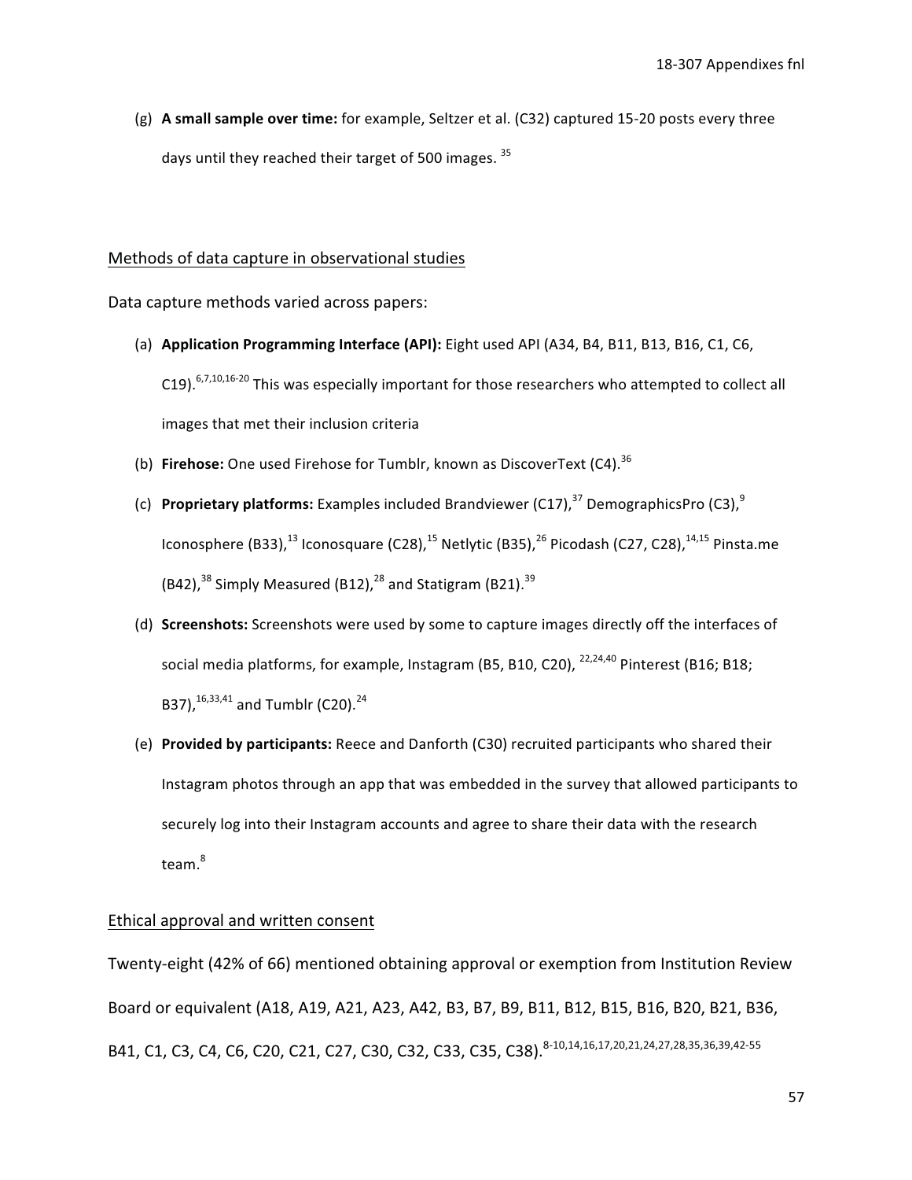(g) A small sample over time: for example, Seltzer et al. (C32) captured 15-20 posts every three days until they reached their target of 500 images. 35

#### Methods of data capture in observational studies

Data capture methods varied across papers:

- (a) Application Programming Interface (API): Eight used API (A34, B4, B11, B13, B16, C1, C6, C19).  $6,7,10,16-20$  This was especially important for those researchers who attempted to collect all images that met their inclusion criteria
- (b) Firehose: One used Firehose for Tumblr, known as DiscoverText (C4).<sup>36</sup>
- (c) Proprietary platforms: Examples included Brandviewer  $(C17)^{37}$  DemographicsPro  $(C3)^{9}$ Iconosphere (B33),<sup>13</sup> Iconosquare (C28),<sup>15</sup> Netlytic (B35),<sup>26</sup> Picodash (C27, C28),<sup>14,15</sup> Pinsta.me  $(B42)$ ,  $^{38}$  Simply Measured (B12),  $^{28}$  and Statigram (B21).  $^{39}$
- (d) Screenshots: Screenshots were used by some to capture images directly off the interfaces of social media platforms, for example, Instagram (B5, B10, C20), <sup>22,24,40</sup> Pinterest (B16; B18; B37), 16, 33, 41 and Tumblr (C20). 24
- (e) Provided by participants: Reece and Danforth (C30) recruited participants who shared their Instagram photos through an app that was embedded in the survey that allowed participants to securely log into their Instagram accounts and agree to share their data with the research  $team.<sup>8</sup>$

#### Ethical approval and written consent

Twenty-eight (42% of 66) mentioned obtaining approval or exemption from Institution Review Board or equivalent (A18, A19, A21, A23, A42, B3, B7, B9, B11, B12, B15, B16, B20, B21, B36, B41, C1, C3, C4, C6, C20, C21, C27, C30, C32, C33, C35, C38). 8-10,14,16,17,20,21,24,27,28,35,36,39,42-55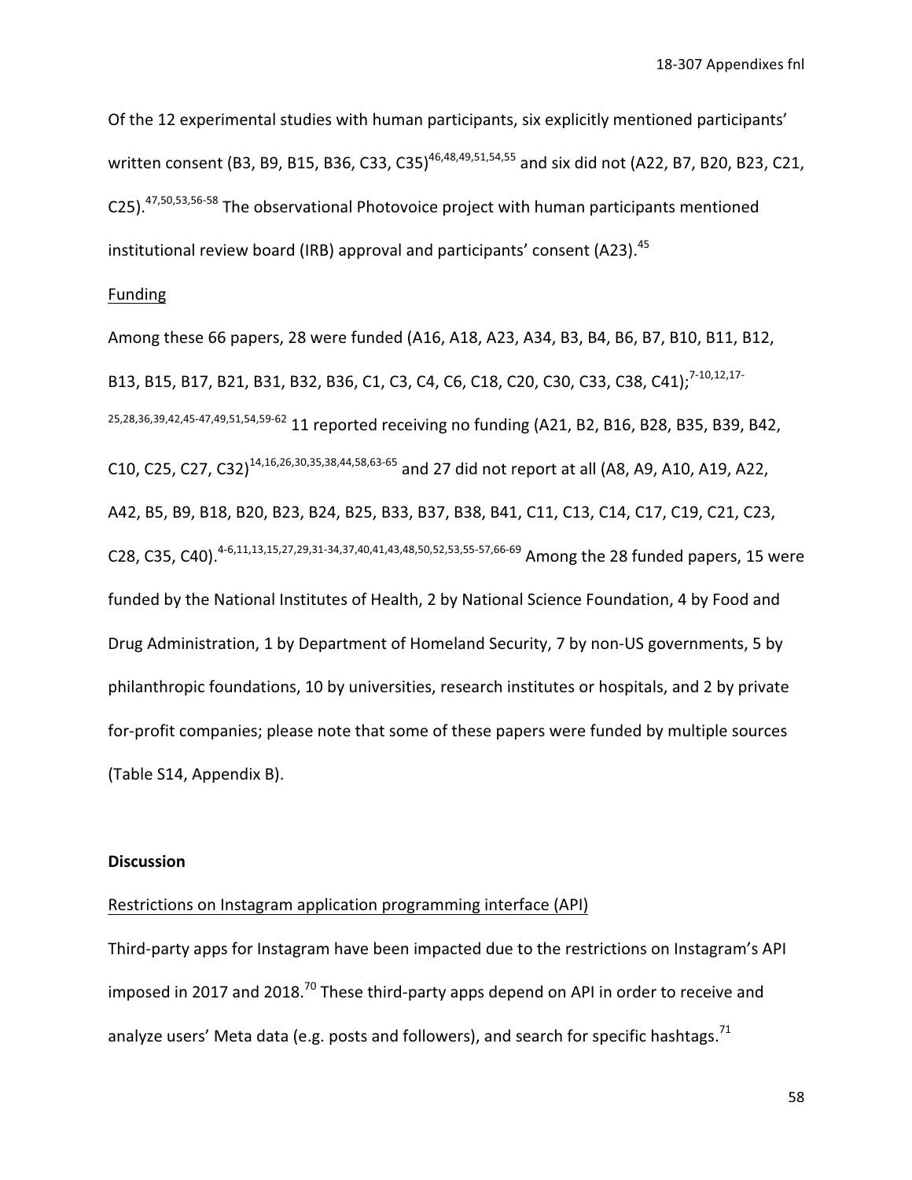Of the 12 experimental studies with human participants, six explicitly mentioned participants' written consent (B3, B9, B15, B36, C33, C35)<sup>46,48,49,51,54,55</sup> and six did not (A22, B7, B20, B23, C21, C25).<sup>47,50,53,56-58</sup> The observational Photovoice project with human participants mentioned institutional review board (IRB) approval and participants' consent (A23).<sup>45</sup>

#### Funding

Among these 66 papers, 28 were funded (A16, A18, A23, A34, B3, B4, B6, B7, B10, B11, B12, B13, B15, B17, B21, B31, B32, B36, C1, C3, C4, C6, C18, C20, C30, C33, C38, C41);<sup>7-10,12,17-</sup> 25, 28, 36, 39, 42, 45-47, 49, 51, 54, 59-62 11 reported receiving no funding (A21, B2, B16, B28, B35, B39, B42, C10, C25, C27, C32)<sup>14,16,26,30,35,38,44,58,63-65</sup> and 27 did not report at all (A8, A9, A10, A19, A22, A42, B5, B9, B18, B20, B23, B24, B25, B33, B37, B38, B41, C11, C13, C14, C17, C19, C21, C23, C28, C35, C40).<sup>4-6,11,13,15,27,29,31-34,37,40,41,43,48,50,52,53,55-57,66-69</sup> Among the 28 funded papers, 15 were funded by the National Institutes of Health, 2 by National Science Foundation, 4 by Food and Drug Administration, 1 by Department of Homeland Security, 7 by non-US governments, 5 by philanthropic foundations, 10 by universities, research institutes or hospitals, and 2 by private for-profit companies; please note that some of these papers were funded by multiple sources (Table S14, Appendix B).

#### **Discussion**

#### Restrictions on Instagram application programming interface (API)

Third-party apps for Instagram have been impacted due to the restrictions on Instagram's API imposed in 2017 and 2018.<sup>70</sup> These third-party apps depend on API in order to receive and analyze users' Meta data (e.g. posts and followers), and search for specific hashtags.<sup>71</sup>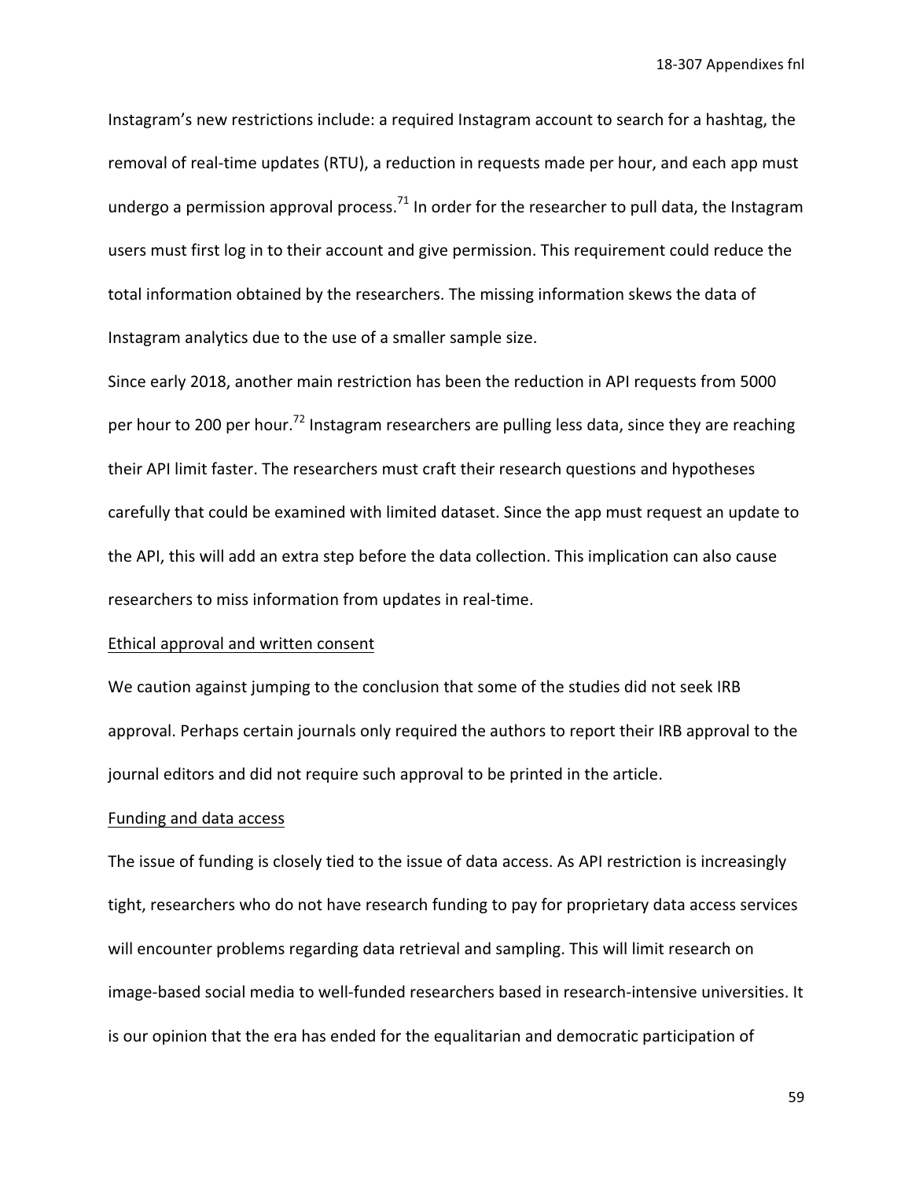Instagram's new restrictions include: a required Instagram account to search for a hashtag, the removal of real-time updates (RTU), a reduction in requests made per hour, and each app must undergo a permission approval process.<sup>71</sup> In order for the researcher to pull data, the Instagram users must first log in to their account and give permission. This requirement could reduce the total information obtained by the researchers. The missing information skews the data of Instagram analytics due to the use of a smaller sample size.

Since early 2018, another main restriction has been the reduction in API requests from 5000 per hour to 200 per hour.<sup>72</sup> Instagram researchers are pulling less data, since they are reaching their API limit faster. The researchers must craft their research questions and hypotheses carefully that could be examined with limited dataset. Since the app must request an update to the API, this will add an extra step before the data collection. This implication can also cause researchers to miss information from updates in real-time.

#### Ethical approval and written consent

We caution against jumping to the conclusion that some of the studies did not seek IRB approval. Perhaps certain journals only required the authors to report their IRB approval to the journal editors and did not require such approval to be printed in the article.

#### Funding and data access

The issue of funding is closely tied to the issue of data access. As API restriction is increasingly tight, researchers who do not have research funding to pay for proprietary data access services will encounter problems regarding data retrieval and sampling. This will limit research on image-based social media to well-funded researchers based in research-intensive universities. It is our opinion that the era has ended for the equalitarian and democratic participation of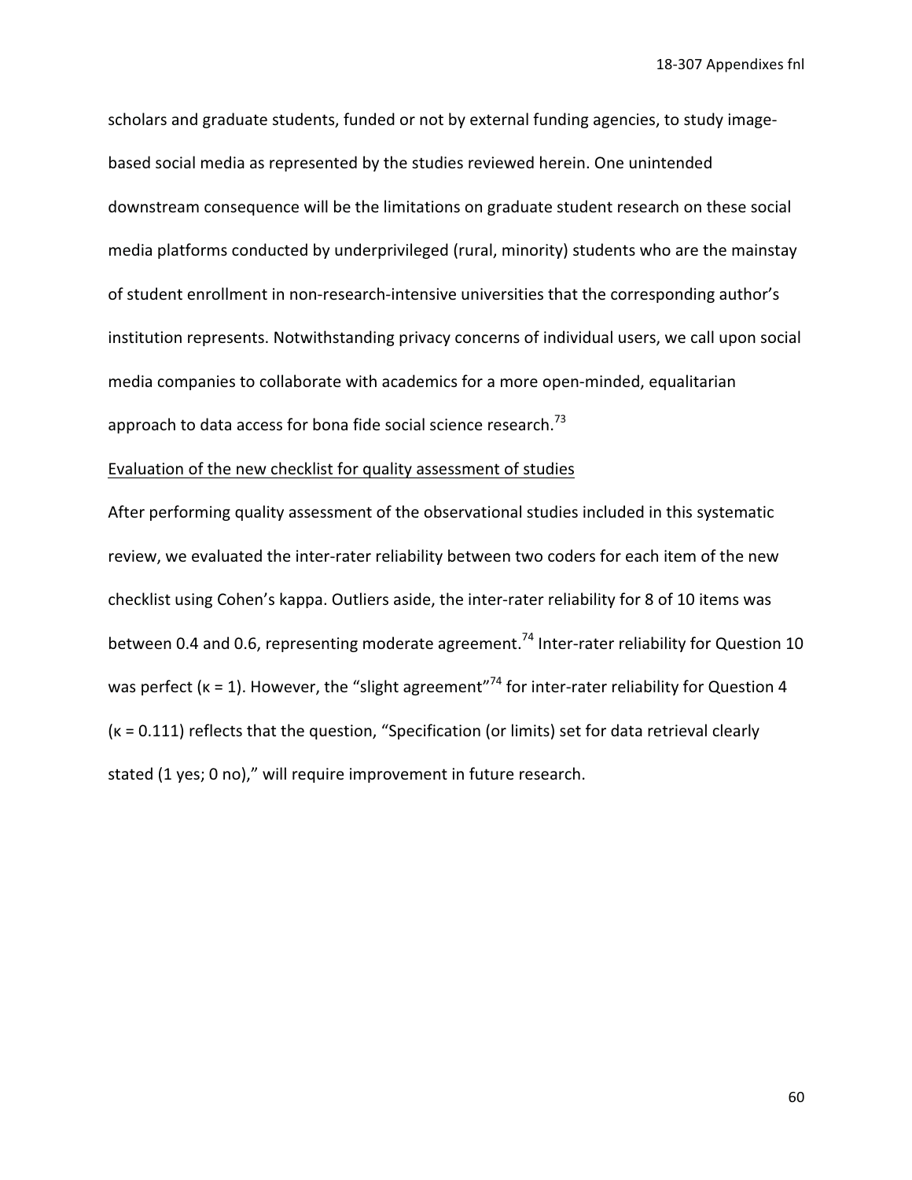scholars and graduate students, funded or not by external funding agencies, to study imagebased social media as represented by the studies reviewed herein. One unintended downstream consequence will be the limitations on graduate student research on these social media platforms conducted by underprivileged (rural, minority) students who are the mainstay of student enrollment in non-research-intensive universities that the corresponding author's institution represents. Notwithstanding privacy concerns of individual users, we call upon social media companies to collaborate with academics for a more open-minded, equalitarian approach to data access for bona fide social science research.<sup>73</sup>

### Evaluation of the new checklist for quality assessment of studies

After performing quality assessment of the observational studies included in this systematic review, we evaluated the inter-rater reliability between two coders for each item of the new checklist using Cohen's kappa. Outliers aside, the inter-rater reliability for 8 of 10 items was between 0.4 and 0.6, representing moderate agreement.<sup>74</sup> Inter-rater reliability for Question 10 was perfect ( $k = 1$ ). However, the "slight agreement"<sup>74</sup> for inter-rater reliability for Question 4  $(k = 0.111)$  reflects that the question, "Specification (or limits) set for data retrieval clearly stated (1 yes; 0 no)," will require improvement in future research.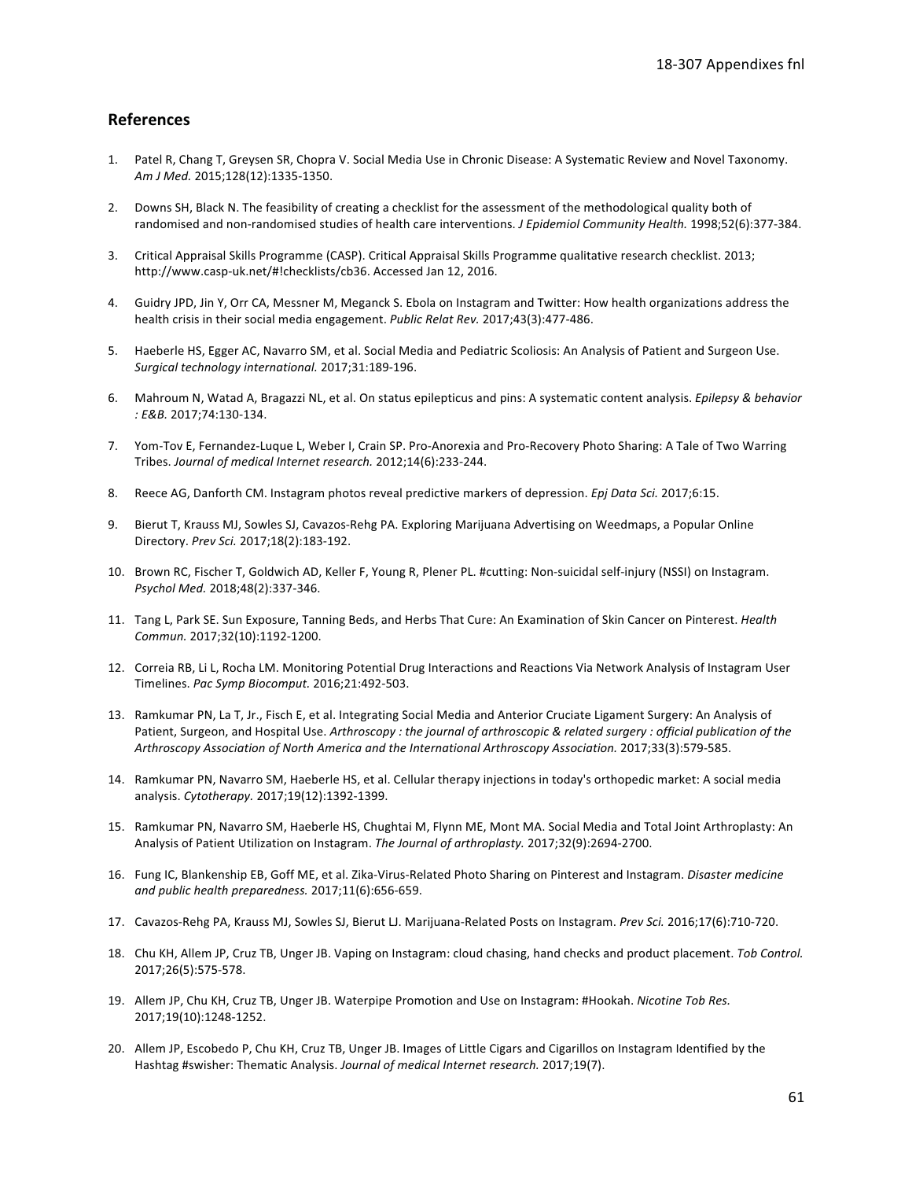#### **References**

- 1. Patel R, Chang T, Greysen SR, Chopra V. Social Media Use in Chronic Disease: A Systematic Review and Novel Taxonomy. Am J Med. 2015;128(12):1335-1350.
- 2. Downs SH, Black N. The feasibility of creating a checklist for the assessment of the methodological quality both of randomised and non-randomised studies of health care interventions. J Epidemiol Community Health. 1998;52(6):377-384.
- 3. Critical Appraisal Skills Programme (CASP). Critical Appraisal Skills Programme qualitative research checklist. 2013; http://www.casp-uk.net/#!checklists/cb36. Accessed Jan 12, 2016.
- 4. Guidry JPD, Jin Y, Orr CA, Messner M, Meganck S. Ebola on Instagram and Twitter: How health organizations address the health crisis in their social media engagement. Public Relat Rev. 2017;43(3):477-486.
- 5. Haeberle HS, Egger AC, Navarro SM, et al. Social Media and Pediatric Scoliosis: An Analysis of Patient and Surgeon Use. Surgical technology international. 2017;31:189-196.
- 6. Mahroum N, Watad A, Bragazzi NL, et al. On status epilepticus and pins: A systematic content analysis. Epilepsy & behavior : E&B. 2017;74:130-134.
- 7. Yom-Tov E, Fernandez-Luque L, Weber I, Crain SP. Pro-Anorexia and Pro-Recovery Photo Sharing: A Tale of Two Warring Tribes. Journal of medical Internet research. 2012;14(6):233-244.
- 8. Reece AG, Danforth CM. Instagram photos reveal predictive markers of depression. Epj Data Sci. 2017;6:15.
- 9. Bierut T, Krauss MJ, Sowles SJ, Cavazos-Rehg PA. Exploring Marijuana Advertising on Weedmaps, a Popular Online Directory. Prev Sci. 2017;18(2):183-192.
- 10. Brown RC, Fischer T, Goldwich AD, Keller F, Young R, Plener PL. #cutting: Non-suicidal self-injury (NSSI) on Instagram. Psychol Med. 2018;48(2):337-346.
- 11. Tang L, Park SE. Sun Exposure, Tanning Beds, and Herbs That Cure: An Examination of Skin Cancer on Pinterest. Health Commun. 2017;32(10):1192-1200.
- 12. Correia RB, Li L, Rocha LM. Monitoring Potential Drug Interactions and Reactions Via Network Analysis of Instagram User Timelines. Pac Symp Biocomput. 2016;21:492-503.
- 13. Ramkumar PN, La T, Jr., Fisch E, et al. Integrating Social Media and Anterior Cruciate Ligament Surgery: An Analysis of Patient, Surgeon, and Hospital Use. Arthroscopy : the journal of arthroscopic & related surgery : official publication of the Arthroscopy Association of North America and the International Arthroscopy Association. 2017;33(3):579-585.
- 14. Ramkumar PN, Navarro SM, Haeberle HS, et al. Cellular therapy injections in today's orthopedic market: A social media analysis. Cytotherapy. 2017;19(12):1392-1399.
- 15. Ramkumar PN, Navarro SM, Haeberle HS, Chughtai M, Flynn ME, Mont MA. Social Media and Total Joint Arthroplasty: An Analysis of Patient Utilization on Instagram. The Journal of arthroplasty. 2017;32(9):2694-2700.
- 16. Fung IC, Blankenship EB, Goff ME, et al. Zika-Virus-Related Photo Sharing on Pinterest and Instagram. Disaster medicine and public health preparedness. 2017;11(6):656-659.
- 17. Cavazos-Rehg PA, Krauss MJ, Sowles SJ, Bierut LJ. Marijuana-Related Posts on Instagram. Prev Sci. 2016;17(6):710-720.
- 18. Chu KH, Allem JP, Cruz TB, Unger JB. Vaping on Instagram: cloud chasing, hand checks and product placement. Tob Control. 2017;26(5):575-578.
- 19. Allem JP, Chu KH, Cruz TB, Unger JB. Waterpipe Promotion and Use on Instagram: #Hookah. Nicotine Tob Res. 2017;19(10):1248-1252.
- 20. Allem JP, Escobedo P, Chu KH, Cruz TB, Unger JB. Images of Little Cigars and Cigarillos on Instagram Identified by the Hashtag #swisher: Thematic Analysis. Journal of medical Internet research. 2017;19(7).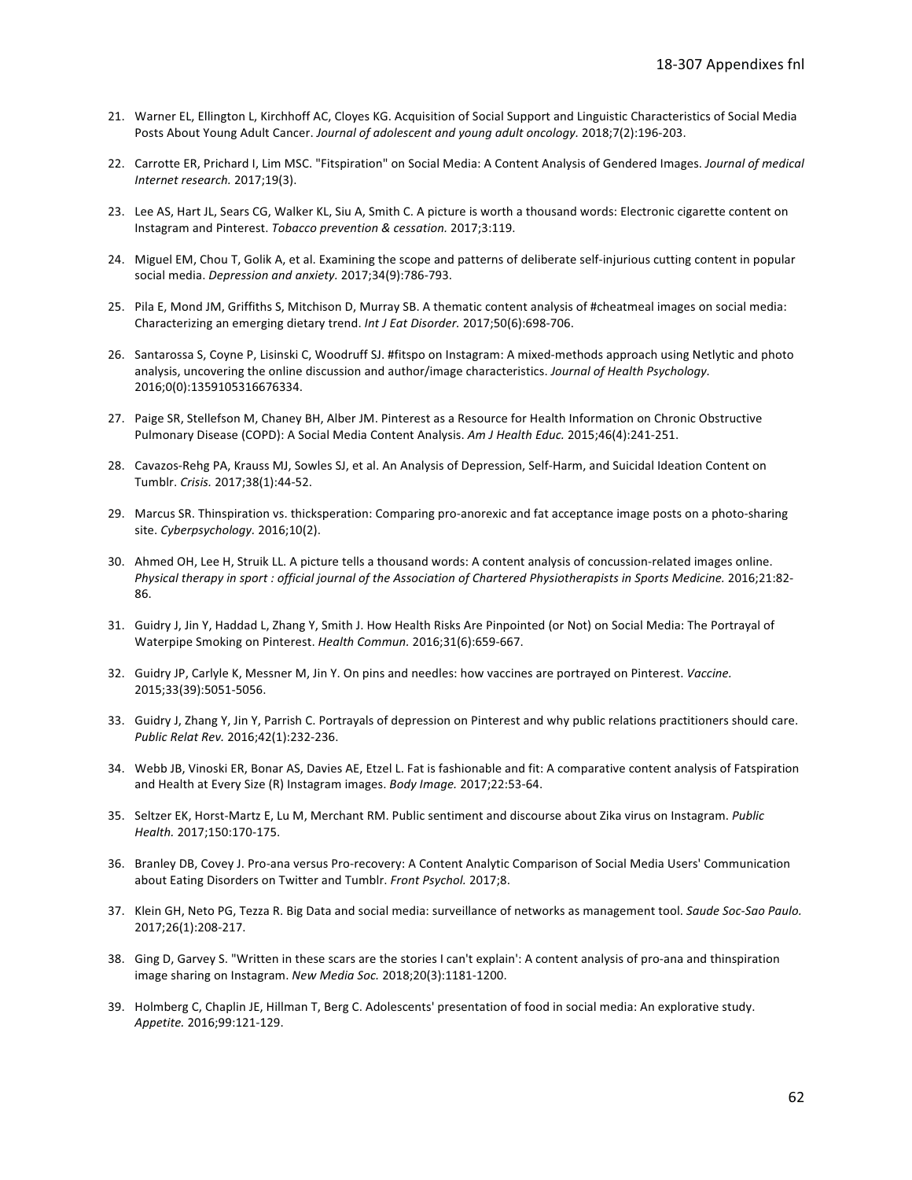- 21. Warner EL, Ellington L, Kirchhoff AC, Cloyes KG. Acquisition of Social Support and Linguistic Characteristics of Social Media Posts About Young Adult Cancer. Journal of adolescent and young adult oncology. 2018;7(2):196-203.
- 22. Carrotte ER, Prichard I, Lim MSC. "Fitspiration" on Social Media: A Content Analysis of Gendered Images. Journal of medical Internet research. 2017;19(3).
- 23. Lee AS, Hart JL, Sears CG, Walker KL, Siu A, Smith C. A picture is worth a thousand words: Electronic cigarette content on Instagram and Pinterest. Tobacco prevention & cessation. 2017;3:119.
- 24. Miguel EM, Chou T, Golik A, et al. Examining the scope and patterns of deliberate self-injurious cutting content in popular social media. Depression and anxiety. 2017;34(9):786-793.
- 25. Pila E, Mond JM, Griffiths S, Mitchison D, Murray SB. A thematic content analysis of #cheatmeal images on social media: Characterizing an emerging dietary trend. Int J Eat Disorder. 2017;50(6):698-706.
- 26. Santarossa S, Coyne P, Lisinski C, Woodruff SJ. #fitspo on Instagram: A mixed-methods approach using Netlytic and photo analysis, uncovering the online discussion and author/image characteristics. Journal of Health Psychology. 2016;0(0):1359105316676334.
- 27. Paige SR, Stellefson M, Chaney BH, Alber JM. Pinterest as a Resource for Health Information on Chronic Obstructive Pulmonary Disease (COPD): A Social Media Content Analysis. Am J Health Educ. 2015;46(4):241-251.
- 28. Cavazos-Rehg PA, Krauss MJ, Sowles SJ, et al. An Analysis of Depression, Self-Harm, and Suicidal Ideation Content on Tumblr. Crisis. 2017;38(1):44-52.
- 29. Marcus SR. Thinspiration vs. thicksperation: Comparing pro-anorexic and fat acceptance image posts on a photo-sharing site. Cyberpsychology. 2016;10(2).
- 30. Ahmed OH, Lee H, Struik LL. A picture tells a thousand words: A content analysis of concussion-related images online. Physical therapy in sport: official journal of the Association of Chartered Physiotherapists in Sports Medicine. 2016;21:82-86.
- 31. Guidry J, Jin Y, Haddad L, Zhang Y, Smith J. How Health Risks Are Pinpointed (or Not) on Social Media: The Portrayal of Waterpipe Smoking on Pinterest. Health Commun. 2016;31(6):659-667.
- 32. Guidry JP, Carlyle K, Messner M, Jin Y. On pins and needles: how vaccines are portrayed on Pinterest. Vaccine. 2015;33(39):5051-5056.
- 33. Guidry J, Zhang Y, Jin Y, Parrish C. Portrayals of depression on Pinterest and why public relations practitioners should care. Public Relat Rev. 2016;42(1):232-236.
- 34. Webb JB, Vinoski ER, Bonar AS, Davies AE, Etzel L. Fat is fashionable and fit: A comparative content analysis of Fatspiration and Health at Every Size (R) Instagram images. Body Image. 2017;22:53-64.
- 35. Seltzer EK, Horst-Martz E, Lu M, Merchant RM. Public sentiment and discourse about Zika virus on Instagram. Public Health. 2017;150:170-175.
- 36. Branley DB, Covey J. Pro-ana versus Pro-recovery: A Content Analytic Comparison of Social Media Users' Communication about Eating Disorders on Twitter and Tumblr. Front Psychol. 2017;8.
- 37. Klein GH, Neto PG, Tezza R. Big Data and social media: surveillance of networks as management tool. Saude Soc-Sao Paulo. 2017;26(1):208-217.
- 38. Ging D, Garvey S. "Written in these scars are the stories I can't explain': A content analysis of pro-ana and thinspiration image sharing on Instagram. New Media Soc. 2018;20(3):1181-1200.
- 39. Holmberg C, Chaplin JE, Hillman T, Berg C. Adolescents' presentation of food in social media: An explorative study. Appetite. 2016;99:121-129.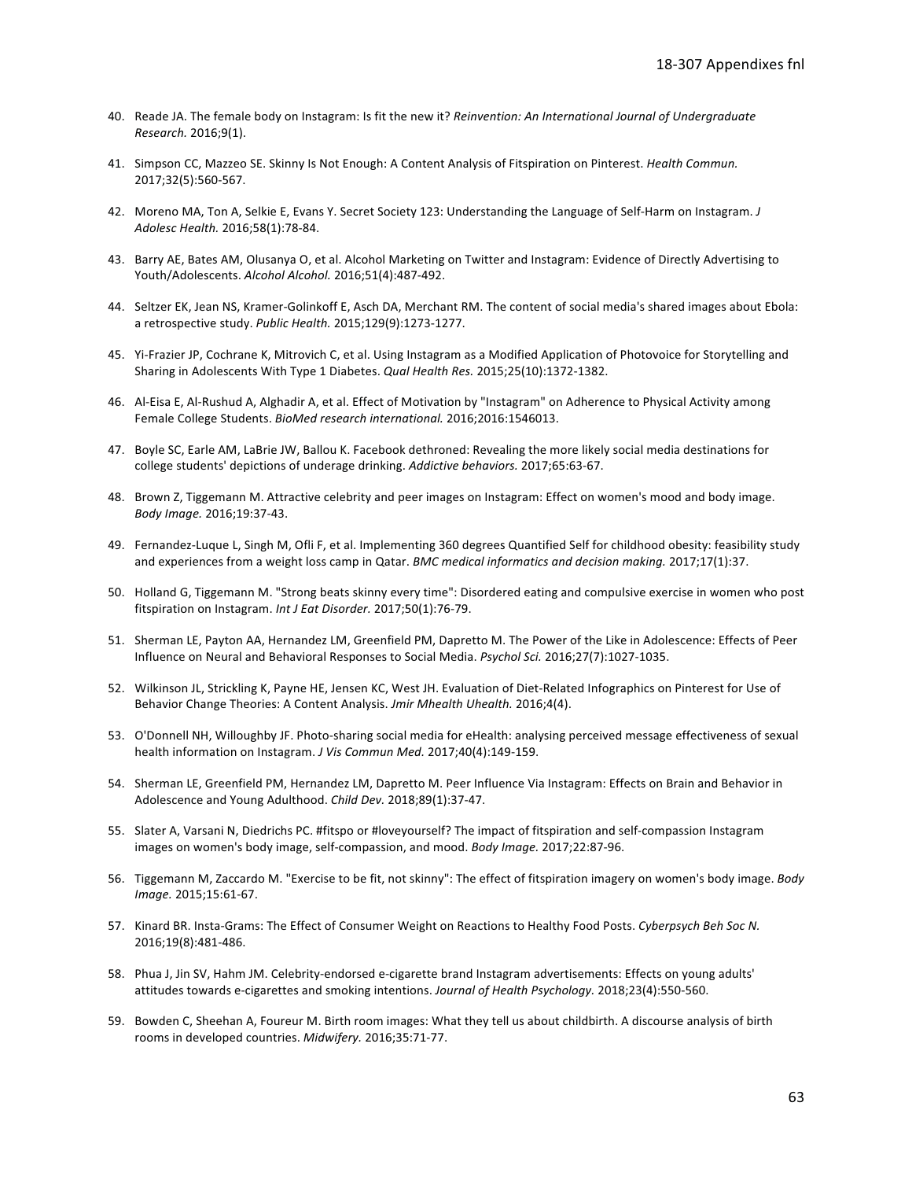- 40. Reade JA. The female body on Instagram: Is fit the new it? Reinvention: An International Journal of Undergraduate Research. 2016;9(1).
- 41. Simpson CC, Mazzeo SE. Skinny Is Not Enough: A Content Analysis of Fitspiration on Pinterest. Health Commun. 2017;32(5):560-567.
- 42. Moreno MA, Ton A, Selkie E, Evans Y. Secret Society 123: Understanding the Language of Self-Harm on Instagram. J Adolesc Health. 2016;58(1):78-84.
- 43. Barry AE, Bates AM, Olusanya O, et al. Alcohol Marketing on Twitter and Instagram: Evidence of Directly Advertising to Youth/Adolescents. Alcohol Alcohol. 2016;51(4):487-492.
- 44. Seltzer EK, Jean NS, Kramer-Golinkoff E, Asch DA, Merchant RM. The content of social media's shared images about Ebola: a retrospective study. Public Health. 2015;129(9):1273-1277.
- 45. Yi-Frazier JP, Cochrane K, Mitrovich C, et al. Using Instagram as a Modified Application of Photovoice for Storytelling and Sharing in Adolescents With Type 1 Diabetes. Qual Health Res. 2015;25(10):1372-1382.
- 46. Al-Eisa E, Al-Rushud A, Alghadir A, et al. Effect of Motivation by "Instagram" on Adherence to Physical Activity among Female College Students. BioMed research international. 2016;2016:1546013.
- 47. Boyle SC, Earle AM, LaBrie JW, Ballou K. Facebook dethroned: Revealing the more likely social media destinations for college students' depictions of underage drinking. Addictive behaviors. 2017;65:63-67.
- 48. Brown Z, Tiggemann M. Attractive celebrity and peer images on Instagram: Effect on women's mood and body image. Body Image. 2016;19:37-43.
- 49. Fernandez-Luque L, Singh M, Ofli F, et al. Implementing 360 degrees Quantified Self for childhood obesity: feasibility study and experiences from a weight loss camp in Qatar. BMC medical informatics and decision making. 2017;17(1):37.
- 50. Holland G, Tiggemann M. "Strong beats skinny every time": Disordered eating and compulsive exercise in women who post fitspiration on Instagram. Int J Eat Disorder. 2017;50(1):76-79.
- 51. Sherman LE, Payton AA, Hernandez LM, Greenfield PM, Dapretto M. The Power of the Like in Adolescence: Effects of Peer Influence on Neural and Behavioral Responses to Social Media. Psychol Sci. 2016;27(7):1027-1035.
- 52. Wilkinson JL, Strickling K, Payne HE, Jensen KC, West JH. Evaluation of Diet-Related Infographics on Pinterest for Use of Behavior Change Theories: A Content Analysis. Jmir Mhealth Uhealth. 2016;4(4).
- 53. O'Donnell NH, Willoughby JF. Photo-sharing social media for eHealth: analysing perceived message effectiveness of sexual health information on Instagram. J Vis Commun Med. 2017;40(4):149-159.
- 54. Sherman LE, Greenfield PM, Hernandez LM, Dapretto M. Peer Influence Via Instagram: Effects on Brain and Behavior in Adolescence and Young Adulthood. Child Dev. 2018;89(1):37-47.
- 55. Slater A, Varsani N, Diedrichs PC. #fitspo or #loveyourself? The impact of fitspiration and self-compassion Instagram images on women's body image, self-compassion, and mood. Body Image. 2017;22:87-96.
- 56. Tiggemann M, Zaccardo M. "Exercise to be fit, not skinny": The effect of fitspiration imagery on women's body image. Body Image. 2015;15:61-67.
- 57. Kinard BR. Insta-Grams: The Effect of Consumer Weight on Reactions to Healthy Food Posts. Cyberpsych Beh Soc N. 2016;19(8):481-486.
- 58. Phua J, Jin SV, Hahm JM. Celebrity-endorsed e-cigarette brand Instagram advertisements: Effects on young adults' attitudes towards e-cigarettes and smoking intentions. Journal of Health Psychology. 2018;23(4):550-560.
- 59. Bowden C, Sheehan A, Foureur M. Birth room images: What they tell us about childbirth. A discourse analysis of birth rooms in developed countries. Midwifery. 2016;35:71-77.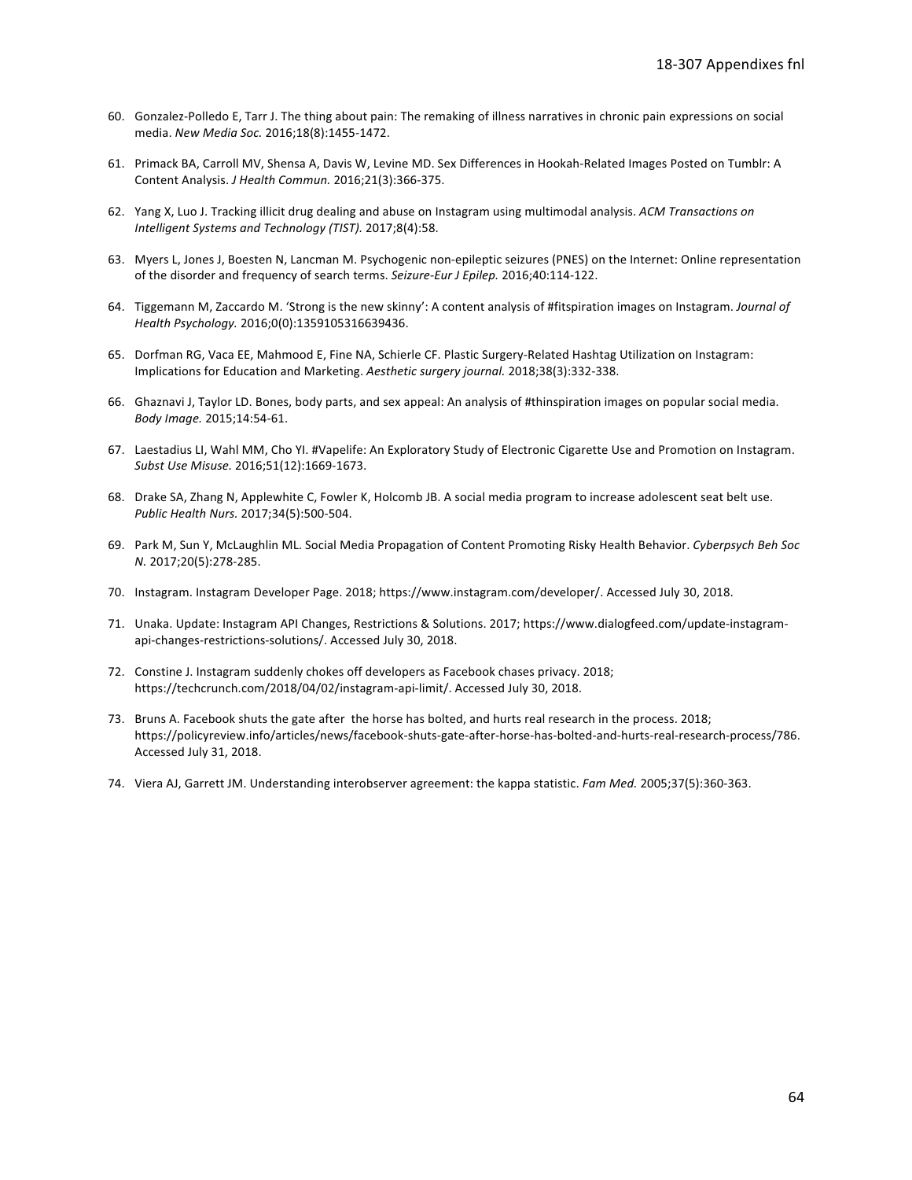- 60. Gonzalez-Polledo E, Tarr J. The thing about pain: The remaking of illness narratives in chronic pain expressions on social media. New Media Soc. 2016;18(8):1455-1472.
- 61. Primack BA, Carroll MV, Shensa A, Davis W, Levine MD. Sex Differences in Hookah-Related Images Posted on Tumblr: A Content Analysis. J Health Commun. 2016;21(3):366-375.
- 62. Yang X, Luo J. Tracking illicit drug dealing and abuse on Instagram using multimodal analysis. ACM Transactions on Intelligent Systems and Technology (TIST). 2017;8(4):58.
- 63. Myers L, Jones J, Boesten N, Lancman M. Psychogenic non-epileptic seizures (PNES) on the Internet: Online representation of the disorder and frequency of search terms. Seizure-Eur J Epilep. 2016;40:114-122.
- 64. Tiggemann M, Zaccardo M. 'Strong is the new skinny': A content analysis of #fitspiration images on Instagram. Journal of Health Psychology. 2016;0(0):1359105316639436.
- 65. Dorfman RG, Vaca EE, Mahmood E, Fine NA, Schierle CF. Plastic Surgery-Related Hashtag Utilization on Instagram: Implications for Education and Marketing. Aesthetic surgery journal. 2018;38(3):332-338.
- 66. Ghaznavi J, Taylor LD. Bones, body parts, and sex appeal: An analysis of #thinspiration images on popular social media. Body Image. 2015;14:54-61.
- 67. Laestadius LI, Wahl MM, Cho YI. #Vapelife: An Exploratory Study of Electronic Cigarette Use and Promotion on Instagram. Subst Use Misuse. 2016;51(12):1669-1673.
- 68. Drake SA, Zhang N, Applewhite C, Fowler K, Holcomb JB. A social media program to increase adolescent seat belt use. Public Health Nurs. 2017;34(5):500-504.
- 69. Park M, Sun Y, McLaughlin ML. Social Media Propagation of Content Promoting Risky Health Behavior. Cyberpsych Beh Soc N. 2017;20(5):278-285.
- 70. Instagram. Instagram Developer Page. 2018; https://www.instagram.com/developer/. Accessed July 30, 2018.
- 71. Unaka. Update: Instagram API Changes, Restrictions & Solutions. 2017; https://www.dialogfeed.com/update-instagramapi-changes-restrictions-solutions/. Accessed July 30, 2018.
- 72. Constine J. Instagram suddenly chokes off developers as Facebook chases privacy. 2018; https://techcrunch.com/2018/04/02/instagram-api-limit/. Accessed July 30, 2018.
- 73. Bruns A. Facebook shuts the gate after the horse has bolted, and hurts real research in the process. 2018; https://policyreview.info/articles/news/facebook-shuts-gate-after-horse-has-bolted-and-hurts-real-research-process/786. Accessed July 31, 2018.
- 74. Viera AJ, Garrett JM. Understanding interobserver agreement: the kappa statistic. Fam Med. 2005;37(5):360-363.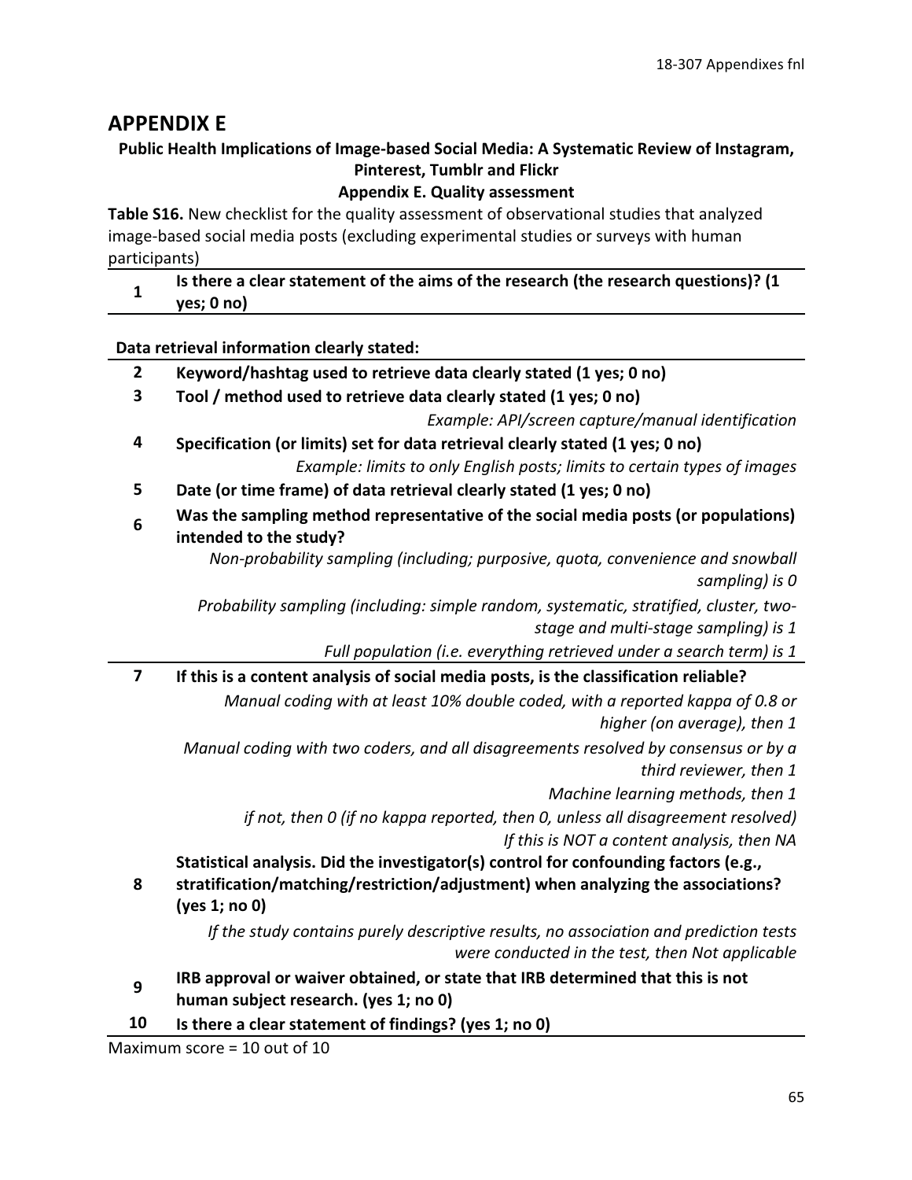## **APPENDIX E**

## Public Health Implications of Image-based Social Media: A Systematic Review of Instagram, **Pinterest, Tumblr and Flickr**

## **Appendix E. Quality assessment**

Table S16. New checklist for the quality assessment of observational studies that analyzed image-based social media posts (excluding experimental studies or surveys with human participants)

Is there a clear statement of the aims of the research (the research questions)? (1  $\mathbf{1}$ yes; 0 no)

Data retrieval information clearly stated:

- $2<sup>1</sup>$ Keyword/hashtag used to retrieve data clearly stated (1 yes; 0 no)
- $\overline{\mathbf{3}}$ Tool / method used to retrieve data clearly stated (1 yes; 0 no)

Example: API/screen capture/manual identification

- 4 Specification (or limits) set for data retrieval clearly stated (1 yes; 0 no) Example: limits to only English posts; limits to certain types of images
- 5 Date (or time frame) of data retrieval clearly stated (1 yes; 0 no)
- Was the sampling method representative of the social media posts (or populations) 6
- intended to the study? Non-probability sampling (including; purposive, quota, convenience and snowball sampling) is 0

Probability sampling (including: simple random, systematic, stratified, cluster, twostage and multi-stage sampling) is 1

Full population (i.e. everything retrieved under a search term) is 1

 $\overline{7}$ If this is a content analysis of social media posts, is the classification reliable? Manual coding with at least 10% double coded, with a reported kappa of 0.8 or higher (on average), then 1

Manual coding with two coders, and all disagreements resolved by consensus or by a third reviewer, then 1

Machine learning methods, then 1

if not, then 0 (if no kappa reported, then 0, unless all disagreement resolved) If this is NOT a content analysis, then NA

Statistical analysis. Did the investigator(s) control for confounding factors (e.g., stratification/matching/restriction/adjustment) when analyzing the associations?

(yes 1; no 0)

8

If the study contains purely descriptive results, no association and prediction tests were conducted in the test, then Not applicable

- IRB approval or waiver obtained, or state that IRB determined that this is not 9 human subject research. (yes 1; no 0)
- 10 Is there a clear statement of findings? (yes 1; no 0)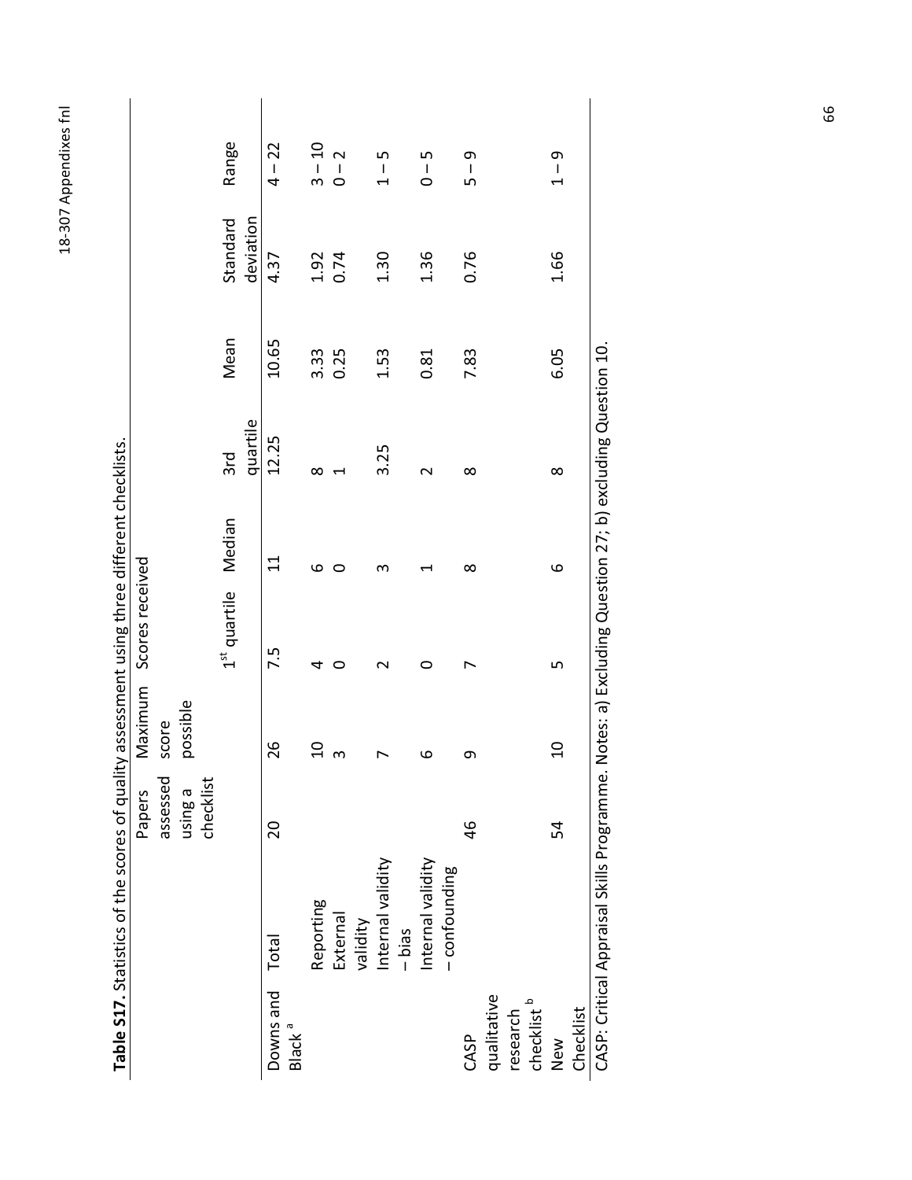| ļ<br>ι      |
|-------------|
| C<br>J      |
|             |
| ۱           |
|             |
|             |
| ς           |
|             |
|             |
|             |
| č           |
|             |
| q<br>۰<br>۲ |
|             |

|                                       |                   | Papers    | Maximum        | Scores received                 |             |                      |       |              |                     |
|---------------------------------------|-------------------|-----------|----------------|---------------------------------|-------------|----------------------|-------|--------------|---------------------|
|                                       |                   | assessed  | score          |                                 |             |                      |       |              |                     |
|                                       |                   | using a   | possible       |                                 |             |                      |       |              |                     |
|                                       |                   | checklist |                |                                 |             |                      |       |              |                     |
|                                       |                   |           |                | 1 <sup>st</sup> quartile Median |             | 3rd                  | Mean  | Standard     | Range               |
|                                       |                   |           |                |                                 |             | quartile             |       | deviation    |                     |
| Downs and Total<br>Black <sup>a</sup> |                   | 20        | 26             | 7.5                             | $\Xi$       | 12.25                | 10.65 | 4.37         | $4 - 22$            |
|                                       | Reporting         |           | $\overline{c}$ | 4                               | $\mathbf 0$ | $\infty$             | 3.33  |              | $3 - 10$            |
|                                       | External          |           | $\omega$       | 0                               | 0           |                      | 0.25  | 1.92<br>0.74 | $0 - 2$             |
|                                       | validity          |           |                |                                 |             |                      |       |              |                     |
|                                       | Internal validity |           |                |                                 | ო           | 3.25                 | 1.53  | 1.30         | م<br>ا<br>$\dot{+}$ |
|                                       | $-b$ ias          |           |                |                                 |             |                      |       |              |                     |
|                                       | Internal validity |           | 6              | 0                               |             | $\sim$               | 0.81  | 1.36         | $0 - 5$             |
|                                       | -confounding      |           |                |                                 |             |                      |       |              |                     |
| CASP                                  |                   | 46        | თ              |                                 | $\infty$    | ∞                    | 7.83  | 0.76         | $5 - 9$             |
| qualitative                           |                   |           |                |                                 |             |                      |       |              |                     |
| research                              |                   |           |                |                                 |             |                      |       |              |                     |
| checklist <sup>b</sup>                |                   |           |                |                                 |             |                      |       |              |                     |
| New                                   |                   | 54        | $\overline{0}$ | 5                               | $\circ$     | $\infty$             | 6.05  | 1.66         | $1 - 9$             |
| Checklist                             |                   |           |                |                                 |             |                      |       |              |                     |
|                                       | $\frac{1}{2}$     |           | י<br>י         | $\ddot{ }$                      |             | $\ddot{\phantom{a}}$ |       |              |                     |

 $\mathsf{l}$ 

Table S17. Statistics of the scores of quality assessment using three different checklists.

CASP: Critical Appraisal Skills Programme. Notes: a) Excluding Question 27; b) excluding Question 10.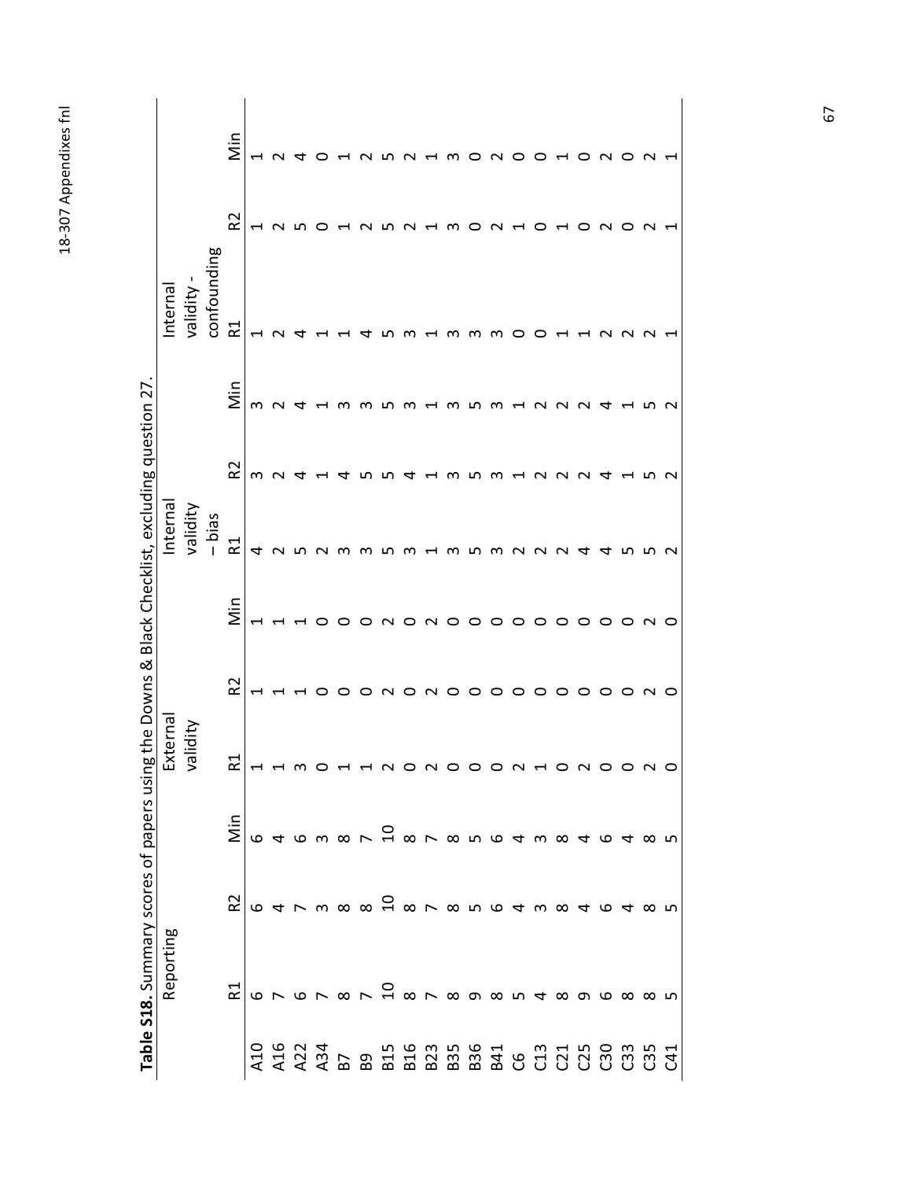| S<br>Ĺ        |
|---------------|
| I<br>č        |
|               |
| ς             |
| ş             |
| S             |
| ŗ             |
| ć             |
|               |
| $\frac{1}{2}$ |

| Table S18. Summary scores of papers using the Downs & |                      |                                          |                           |          | Black Checklist, excluding question 27 |                 |                          |                          |                          |                |                               |
|-------------------------------------------------------|----------------------|------------------------------------------|---------------------------|----------|----------------------------------------|-----------------|--------------------------|--------------------------|--------------------------|----------------|-------------------------------|
| Reporting                                             |                      |                                          | Externa                   |          |                                        | nterna          |                          |                          | hterna                   |                |                               |
|                                                       |                      |                                          | validity                  |          |                                        | validity        |                          |                          | validity                 |                |                               |
|                                                       |                      |                                          |                           |          |                                        | $-bias$         |                          |                          | confounding              |                |                               |
| <u>ፎ</u>                                              | R <sub>2</sub>       | Nin                                      | $\blacktriangleleft$<br>≃ | 52       | im                                     | <b>Z</b>        | R <sub>2</sub>           | iin<br>Min               | 75                       | R <sub>2</sub> | ilin                          |
|                                                       |                      |                                          |                           |          |                                        | 4               | m                        | m                        |                          |                |                               |
|                                                       |                      |                                          |                           |          |                                        | $\sim$          |                          |                          |                          |                | $\sim$                        |
|                                                       |                      |                                          |                           |          |                                        |                 |                          |                          |                          |                |                               |
| Gror & ran & dand wadd wa                             | carwaad aranganaa aa | <b>646m x 75 x 74m x 74m x 74m x 74m</b> | HHMOHHNONOOONHONOONO      |          | 0                                      | $\sim$          |                          |                          |                          |                |                               |
|                                                       |                      |                                          |                           |          | ○                                      | ന               |                          |                          |                          |                |                               |
|                                                       |                      |                                          |                           | 0        | 0                                      | ო               |                          |                          |                          |                |                               |
|                                                       |                      |                                          |                           | $\sim$   | $\sim$                                 | ഹ               |                          |                          |                          |                |                               |
|                                                       |                      |                                          |                           | ○        | $\circ$                                |                 |                          | ന                        | ო                        |                | $\sim$                        |
|                                                       |                      |                                          |                           | $\sim$ 0 | NOOOOO                                 | m — m n m n n n | $\overline{\phantom{0}}$ | $\overline{\phantom{0}}$ | $\overline{\phantom{0}}$ |                | $\overline{H}$ m              |
|                                                       |                      |                                          |                           |          |                                        |                 | ന                        | ന                        | ന                        | m              |                               |
|                                                       |                      |                                          |                           | $\circ$  |                                        |                 | ഗ                        | ഗ                        | ന                        | o              | $\circ$                       |
|                                                       |                      |                                          |                           | $\circ$  |                                        |                 | ന                        | ന                        | m                        | $\sim$         | $\sim$ 0                      |
|                                                       |                      |                                          |                           | $\circ$  |                                        |                 | M N N                    | $\overline{ }$           | 0                        | $\overline{ }$ |                               |
|                                                       |                      |                                          |                           | $\circ$  |                                        |                 |                          | $\sim$                   | $\circ$                  | ○              | $\circ$                       |
|                                                       |                      |                                          |                           | $\circ$  | $\circ$                                |                 |                          | $\sim$                   |                          |                | $\overline{a}$ $\overline{b}$ |
|                                                       |                      |                                          |                           | ○        | $\circ$                                | $\overline{4}$  |                          | $\sim$                   |                          | ○              |                               |
|                                                       |                      |                                          |                           | ○        | $\circ$                                | 4               |                          | 4                        |                          |                | $\sim$                        |
|                                                       |                      |                                          |                           | ○        | $\circ$                                | ഹ               |                          |                          |                          |                | $\circ$                       |
|                                                       |                      |                                          |                           |          | $\sim$                                 | ഥ               |                          |                          |                          |                |                               |
|                                                       | ഥ                    | ທ                                        |                           |          | $\circ$                                |                 |                          |                          |                          |                |                               |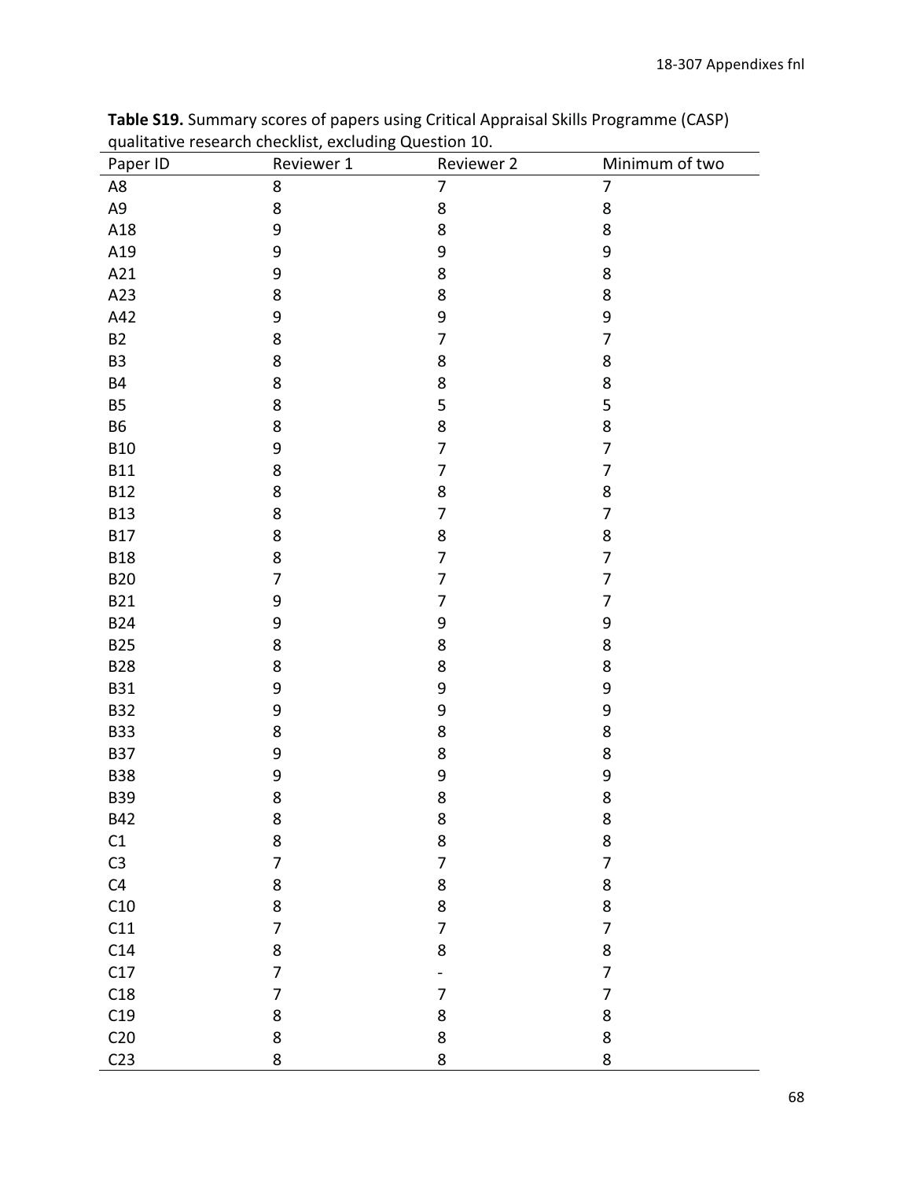| וד<br>Paper ID  | …o<br>Reviewer 1 | Reviewer 2       | Minimum of two |
|-----------------|------------------|------------------|----------------|
| A8              | 8                | $\overline{7}$   | $\overline{7}$ |
| A9              | 8                | $\bf 8$          | 8              |
| A18             | $\boldsymbol{9}$ | 8                | 8              |
| A19             | 9                | 9                | 9              |
| A21             | $\boldsymbol{9}$ | $\bf 8$          | 8              |
| A23             | 8                | $\bf 8$          | 8              |
| A42             | 9                | $\boldsymbol{9}$ | 9              |
| <b>B2</b>       | 8                | $\overline{7}$   | $\overline{7}$ |
| B <sub>3</sub>  | 8                | 8                | 8              |
| <b>B4</b>       | 8                | $\bf 8$          | 8              |
| <b>B5</b>       | 8                | 5                | 5              |
| <b>B6</b>       | 8                | $\bf 8$          | 8              |
| <b>B10</b>      | 9                | $\overline{7}$   | $\overline{7}$ |
| <b>B11</b>      | 8                | $\overline{7}$   | $\overline{7}$ |
| <b>B12</b>      | 8                | $\bf 8$          | 8              |
| <b>B13</b>      | 8                | $\overline{7}$   | $\overline{7}$ |
| <b>B17</b>      | 8                | 8                | 8              |
| <b>B18</b>      | 8                | $\overline{7}$   | $\overline{7}$ |
| <b>B20</b>      | $\overline{7}$   | $\overline{7}$   | $\overline{7}$ |
| <b>B21</b>      | 9                | $\overline{7}$   | $\overline{7}$ |
| <b>B24</b>      | $\boldsymbol{9}$ | 9                | 9              |
| <b>B25</b>      | 8                | 8                | 8              |
| <b>B28</b>      | 8                | $\bf 8$          | 8              |
| <b>B31</b>      | 9                | 9                | 9              |
| <b>B32</b>      | 9                | $\boldsymbol{9}$ | 9              |
| <b>B33</b>      | 8                | $\bf 8$          | 8              |
| <b>B37</b>      | 9                | $\bf 8$          | 8              |
| <b>B38</b>      | 9                | 9                | 9              |
| <b>B39</b>      | 8                | $\bf 8$          | 8              |
| <b>B42</b>      | 8                | 8                | 8              |
| $\mathsf{C1}$   | 8                | $\bf 8$          | 8              |
| C <sub>3</sub>  | $\overline{7}$   | $\overline{7}$   | $\overline{7}$ |
| C4              | 8                | 8                | 8              |
| C10             | 8                | $\bf 8$          | 8              |
| C11             | $\overline{7}$   | $\overline{7}$   | $\overline{7}$ |
| C14             | 8                | 8                | 8              |
| C17             | $\overline{7}$   |                  | $\overline{7}$ |
| C18             | $\overline{7}$   | $\overline{7}$   | $\overline{7}$ |
| C19             | 8                | $\bf 8$          | 8              |
| C <sub>20</sub> | 8                | $\bf 8$          | 8              |
| C <sub>23</sub> | 8                | 8                | 8              |

Table S19. Summary scores of papers using Critical Appraisal Skills Programme (CASP) qualitative research checklist, excluding Question 10.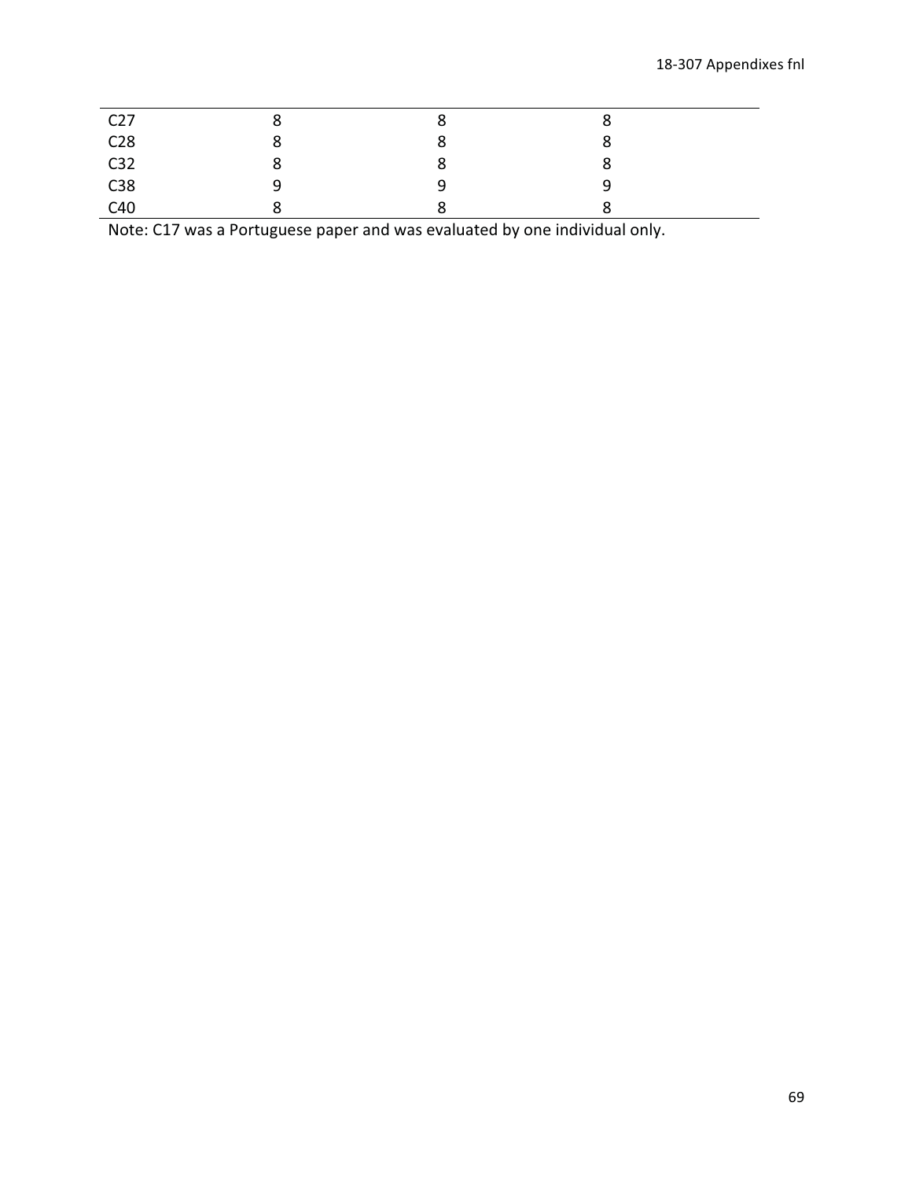| C <sub>27</sub>                                                                             |   | Ō |  |
|---------------------------------------------------------------------------------------------|---|---|--|
|                                                                                             | О | ە |  |
| C <sub>28</sub><br>C <sub>28</sub><br>C <sub>32</sub><br>C <sub>38</sub><br>C <sub>40</sub> | ပ | Õ |  |
|                                                                                             |   | O |  |
|                                                                                             |   |   |  |

Note: C17 was a Portuguese paper and was evaluated by one individual only.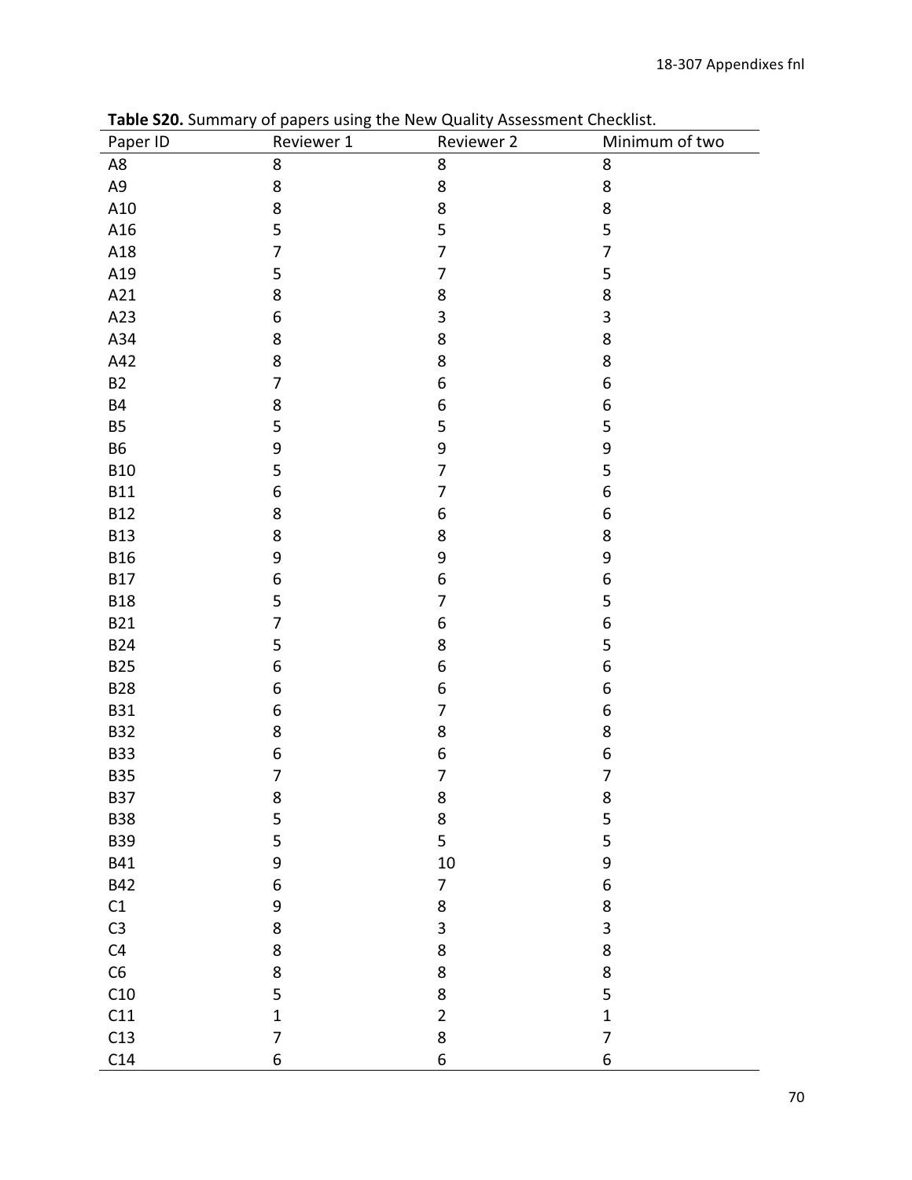| ----------- <i>1</i><br>Paper ID | סיי~<br>$\cdots$<br>Reviewer 1 | .<br>Reviewer 2         | Minimum of two   |
|----------------------------------|--------------------------------|-------------------------|------------------|
| A8                               | $\bf 8$                        | 8                       | $\bf 8$          |
| A9                               | 8                              | 8                       | $\bf 8$          |
| A10                              | 8                              | 8                       | $\bf 8$          |
| A16                              | 5                              | 5                       | 5                |
| A18                              | $\overline{7}$                 | $\overline{7}$          | $\overline{7}$   |
| A19                              | 5                              | $\overline{7}$          | 5                |
| A21                              | 8                              | 8                       | 8                |
| A23                              | $\boldsymbol{6}$               | 3                       | $\mathsf 3$      |
| A34                              | $\bf 8$                        | 8                       | 8                |
| A42                              | 8                              | 8                       | 8                |
| B2                               | $\overline{7}$                 | $\boldsymbol{6}$        | 6                |
| <b>B4</b>                        | $\bf 8$                        | $\boldsymbol{6}$        | 6                |
| <b>B5</b>                        | 5                              | 5                       | 5                |
| <b>B6</b>                        | 9                              | 9                       | 9                |
| <b>B10</b>                       | 5                              | $\overline{7}$          | 5                |
| <b>B11</b>                       | $\boldsymbol{6}$               | $\overline{7}$          | $\,$ 6 $\,$      |
| <b>B12</b>                       | 8                              | $\boldsymbol{6}$        | 6                |
| <b>B13</b>                       | 8                              | 8                       | 8                |
| <b>B16</b>                       | 9                              | 9                       | 9                |
| <b>B17</b>                       | $\boldsymbol{6}$               | $\boldsymbol{6}$        | $\,$ 6 $\,$      |
| <b>B18</b>                       | 5                              | 7                       | 5                |
| <b>B21</b>                       | $\overline{7}$                 | $\,$ 6 $\,$             | $\boldsymbol{6}$ |
| <b>B24</b>                       | 5                              | 8                       | 5                |
| <b>B25</b>                       | $\boldsymbol{6}$               | $\boldsymbol{6}$        | 6                |
| <b>B28</b>                       | $\boldsymbol{6}$               | 6                       | 6                |
| <b>B31</b>                       | $\,$ 6 $\,$                    | $\overline{7}$          | 6                |
| <b>B32</b>                       | 8                              | 8                       | 8                |
| <b>B33</b>                       | $\boldsymbol{6}$               | $\boldsymbol{6}$        | $\boldsymbol{6}$ |
| <b>B35</b>                       | $\overline{7}$                 | $\overline{7}$          | $\overline{7}$   |
| B37                              | 8                              | 8                       | 8                |
| <b>B38</b>                       | 5                              | 8                       | 5                |
| <b>B39</b>                       | 5                              | 5                       | 5                |
| <b>B41</b>                       | 9                              | $10\,$                  | 9                |
| <b>B42</b>                       | 6                              | $\overline{7}$          | $\boldsymbol{6}$ |
| C1                               | $\boldsymbol{9}$               | 8                       | 8                |
| C <sub>3</sub>                   | $\bf 8$                        | $\overline{\mathbf{3}}$ | 3                |
| C4                               | $\bf 8$                        | 8                       | 8                |
| C6                               | 8                              | 8                       | $\bf 8$          |
| C10                              | 5                              | 8                       | 5                |
| C11                              | $\mathbf{1}$                   | $\overline{2}$          | $\mathbf 1$      |
| C13                              | $\overline{7}$                 | 8                       | $\overline{7}$   |
| C14                              | 6                              | $\overline{6}$          | 6                |

Table S20. Summary of papers using the New Quality Assessment Checklist.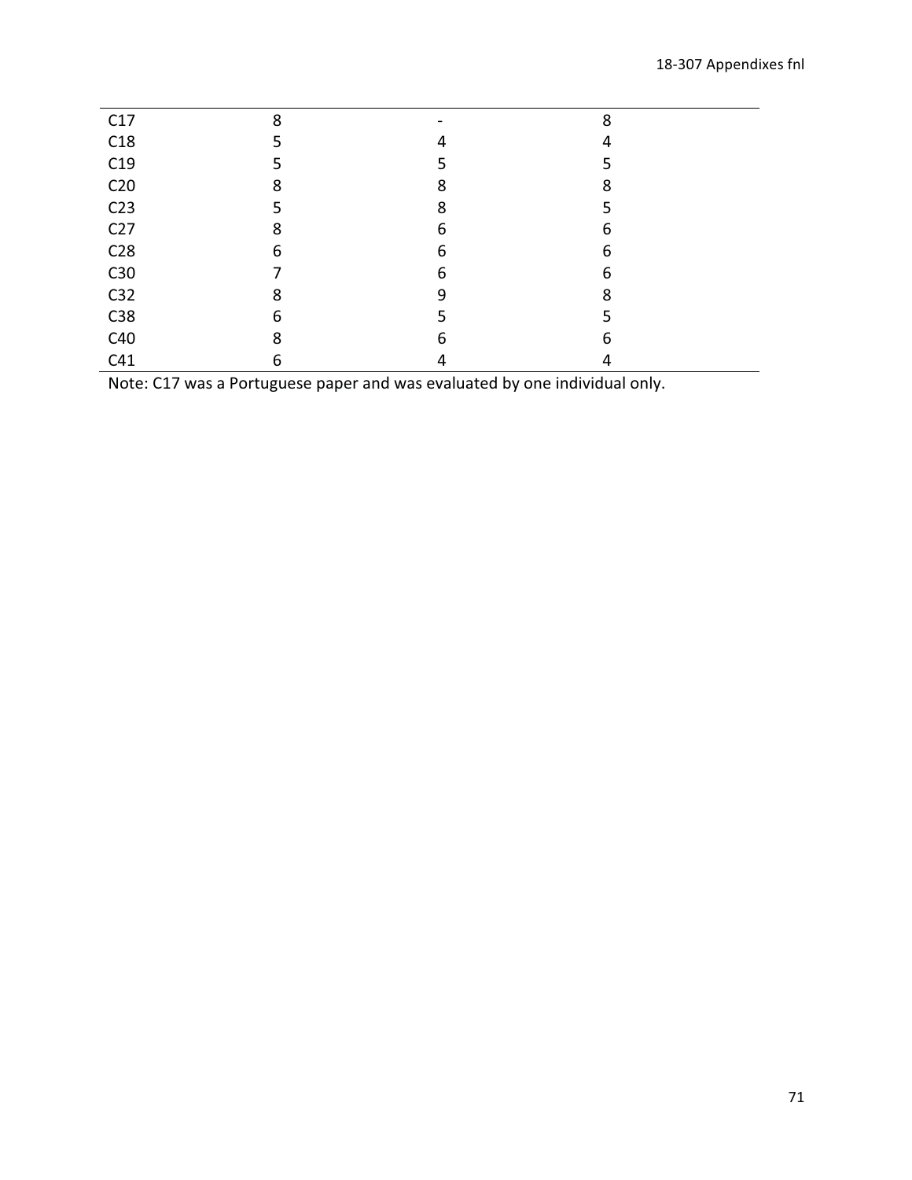| C17             | 8 |   | 8 |  |
|-----------------|---|---|---|--|
| C18             |   | 4 | 4 |  |
| C19             |   |   |   |  |
| C <sub>20</sub> | 8 | 8 | 8 |  |
| C <sub>23</sub> |   | 8 |   |  |
| C <sub>27</sub> | 8 | 6 | 6 |  |
| C <sub>28</sub> | 6 | 6 | 6 |  |
| C30             |   | 6 | 6 |  |
| C <sub>32</sub> | 8 | 9 | 8 |  |
| C38             | 6 |   |   |  |
| C40             | 8 | 6 | 6 |  |
| C41             | 6 | 4 |   |  |

Note: C17 was a Portuguese paper and was evaluated by one individual only.